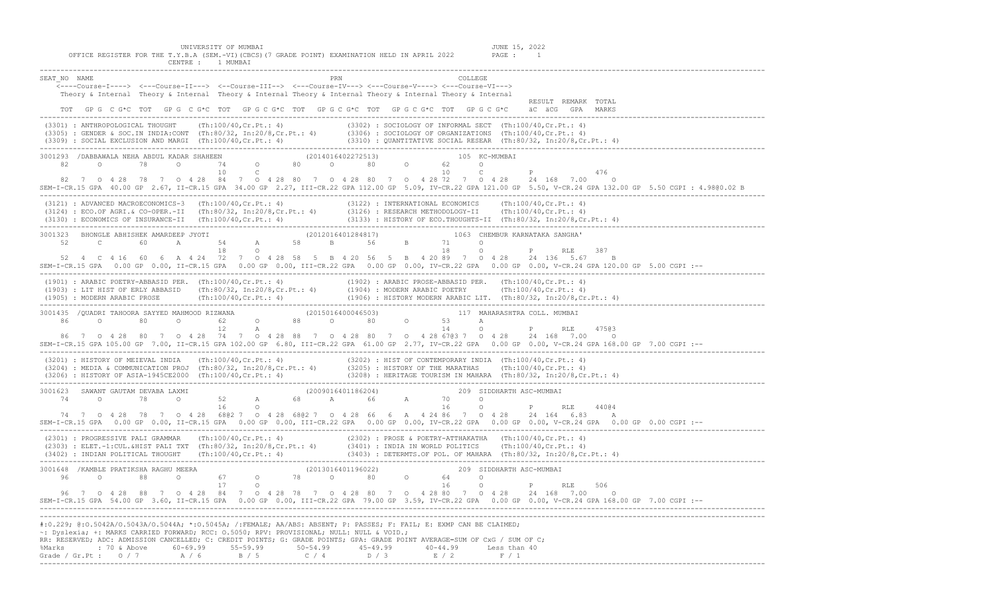| UNIVERSITY OF MUMBAI<br>JUNE 15, 2022<br>OFFICE REGISTER FOR THE T.Y.B.A (SEM.-VI) (CBCS) (7 GRADE POINT) EXAMINATION HELD IN APRIL 2022<br>PAGE : 1<br>CENTRE : 1 MUMBAI                                                                                                                                                                                                                                                                                                                                                                                   |
|-------------------------------------------------------------------------------------------------------------------------------------------------------------------------------------------------------------------------------------------------------------------------------------------------------------------------------------------------------------------------------------------------------------------------------------------------------------------------------------------------------------------------------------------------------------|
| SEAT NO NAME<br>PRN<br><b>COLLEGE</b><br><----Course-I----> <---Course-II---> <--Course-III--> <--Course-IV---> <---Course-V----> <---Course-VI---><br>Theory & Internal Theory & Internal Theory & Internal Theory & Internal Theory & Internal Theory & Internal<br>RESULT REMARK TOTAL                                                                                                                                                                                                                                                                   |
| TOT GPG CG*C TOT GPG CG*C TOT GPG CG*C TOT GPG CG*C TOT GPG CG*C TOT GPG CG*C<br>äC äCG GPA MARKS                                                                                                                                                                                                                                                                                                                                                                                                                                                           |
| (3301) : ANTHROPOLOGICAL THOUGHT (Th:100/40,Cr.Pt.: 4) (3302) : SOCIOLOGY OF INFORMAL SECT (Th:100/40,Cr.Pt.: 4)<br>(3305) : GENDER & SOC.IN INDIA:CONT (Th:80/32, In:20/8,Cr.Pt.: 4) (3306) : SOCIOLOGY OF ORGANIZATIONS (Th:10                                                                                                                                                                                                                                                                                                                            |
| 3001293 /DABBAWALA NEHA ABDUL KADAR SHAHEEN (2014016402272513) 1988 105 KC-MUMBAI<br>82 0 78 0 74 0 80 0 80 0 62 0<br>10<br>10 C<br>$P$ and $P$ and $P$ and $P$ and $P$ and $P$<br>$\mathbb{C}$<br>476<br>82 7 0 4 28 78 7 0 4 28 84 7 0 4 28 80 7 0 4 28 80 7 0 4 28 72 7 0 4 28 24 168 7.00<br>$\circ$<br>SEM-I-CR.15 GPA 40.00 GP 2.67, II-CR.15 GPA 34.00 GP 2.27, III-CR.22 GPA 112.00 GP 5.09, IV-CR.22 GPA 121.00 GP 5.50, V-CR.24 GPA 132.00 GP 5.50 CGPI: 4.98@0.02 B                                                                              |
| (3121) : ADVANCED MACROECONOMICS-3 (Th:100/40, Cr.Pt.: 4) (3122) : INTERNATIONAL ECONOMICS (Th:100/40, Cr.Pt.: 4)<br>(3124) : ECO.OF AGRI.& CO-OPER.-II (Th:80/32, In:20/8, Cr.Pt.: 4) (3126) : RESEARCH METHODOLOGY-II (Th:100/4                                                                                                                                                                                                                                                                                                                           |
| BHONGLE ABHISHEK AMARDEEP JYOTI (2012016401284817) 1063 CHEMBUR KARNATAKA SANGHA' C<br>C 60 A 54 A 58 B 56 B 71 O P RLE<br>3001323<br>52<br>387<br>52  4  C  4  16  60  6  A  4  24  72  7  0  4  28  58  5  B  4  20  56  5  B  4  20  89  7  0  4  28  24  136  5.67<br>B<br>SEM-I-CR.15 GPA 0.00 GP 0.00, II-CR.15 GPA 0.00 GP 0.00, III-CR.22 GPA 0.00 GP 0.00, IV-CR.22 GPA 0.00 GP 0.00, V-CR.24 GPA 120.00 GP 5.00 CGPI :--                                                                                                                          |
| (1901) : ARABIC POETRY-ABBASID PER. (Th:100/40,Cr.Pt.: 4)<br>(1902) : ARABIC PROSE-ABBASID PER. (Th:100/40,Cr.Pt.: 4)<br>(1904) : MODERN ARABIC POETRY (Th:100/40,Cr.Pt.: 4)<br>(1905) : MODERN ARABIC PROSE (Th:100/40,Cr.Pt.: 4) (190                                                                                                                                                                                                                                                                                                                     |
| 12<br>14<br>$\mathbb{A}$<br>P<br>47503<br>RLE<br>86 7 0 4 28 80 7 0 4 28 74 7 0 4 28 88 7 0 4 28 80 7 0 4 28 6703 7 0 4 28 24 168 7.00<br>$\circ$<br>SEM-I-CR.15 GPA 105.00 GP 7.00, II-CR.15 GPA 102.00 GP 6.80, III-CR.22 GPA 61.00 GP 2.77, IV-CR.22 GPA 0.00 GP 0.00, V-CR.24 GPA 168.00 GP 7.00 CGPI :--                                                                                                                                                                                                                                               |
| (3201) : HISTORY OF MEIEVAL INDIA (Th:100/40,Cr.Pt.: 4) (3202) : HIST OF CONTEMPORARY INDIA (Th:100/40,Cr.Pt.: 4)<br>(3204) : MEDIA & COMMUNICATION PROJ (Th:80/32, In:20/8,Cr.Pt.: 4) (3205) : HISTORY OF THE MARATHAS (Th:100/4                                                                                                                                                                                                                                                                                                                           |
| 3001623 SAWANT GAUTAM DEVABA LAXMI 52 A 68 A 66 A 70 0 RILE<br>44004<br>74 7 0 4 28 78 7 0 4 28 6802 7 0 4 28 6802 7 0 4 28 66 6 A 4 24 86 7 0 4 28 24 164 6 83 A<br>SEM-I-CR.15 GPA 0.00 GP 0.00, II-CR.15 GPA 0.00 GP 0.00, III-CR.22 GPA 0.00 GP 0.00, IV-CR.22 GPA 0.00 GP 0.00, V-CR.24 GPA 0.00 GP 0.00 CGPI :--                                                                                                                                                                                                                                      |
| (2301) : PROGRESSIVE PALI GRAMMAR (Th:100/40,Cr.Pt.: 4) (2302) : PROSE & POETRY-ATTHAKATHA (Th:100/40,Cr.Pt.: 4)<br>(2303) : ELET.-1:CUL.&HIST PALI TXT (Th:80/32, In:20/8,Cr.Pt.: 4) (3401) : INDIA IN WORLD POLITICS (Th:100/40                                                                                                                                                                                                                                                                                                                           |
| 3001648 / KAMBLE PRATIKSHA RAGHU MEERA (2013016401196022)<br>209 SIDDHARTH ASC-MUMBAI<br>0 78 0 80<br>96 0 88 0<br>67 8<br>$\circ$ $\circ$<br>64 0<br>$\circ$<br>16<br>$\circ$<br>17<br>Ρ<br>RLE<br>506<br>96 7 0 4 28 88 7 0 4 28 84 7 0 4 28 78 7 0 4 28 80 7 0 4 28 80 7 0 4 28<br>24 168 7.00<br>$\circ$<br>SEM-I-CR.15 GPA 54.00 GP 3.60, II-CR.15 GPA 0.00 GP 0.00, III-CR.22 GPA 79.00 GP 3.59, IV-CR.22 GPA 0.00 GP 0.00, V-CR.24 GPA 168.00 GP 7.00 CGPI :--                                                                                       |
| #:0.229; @:0.5042A/O.5043A/O.5044A; *:0.5045A; /:FEMALE; AA/ABS: ABSENT; P: PASSES; F: FAIL; E: EXMP CAN BE CLAIMED;<br>~: Dyslexia; +: MARKS CARRIED FORWARD; RCC: 0.5050; RPV: PROVISIONAL; NULL: NULL & VOID.;<br>RR: RESERVED; ADC: ADMISSION CANCELLED; C: CREDIT POINTS; G: GRADE POINTS; GPA: GRADE POINT AVERAGE=SUM OF CxG / SUM OF C;<br>$60 - 69.99$<br>$50 - 54.99$<br>%Marks<br>: 70 & Above<br>$55 - 59.99$<br>$45 - 49.99$<br>$40 - 44.99$<br>Less than 40<br>C $/4$<br>E / 2<br>Grade / Gr.Pt : $0 / 7$<br>A / 6<br>B / 5<br>D / 3<br>F / 1 |

-------------------------------------------------------------------------------------------------------------------------------------------------------------------------------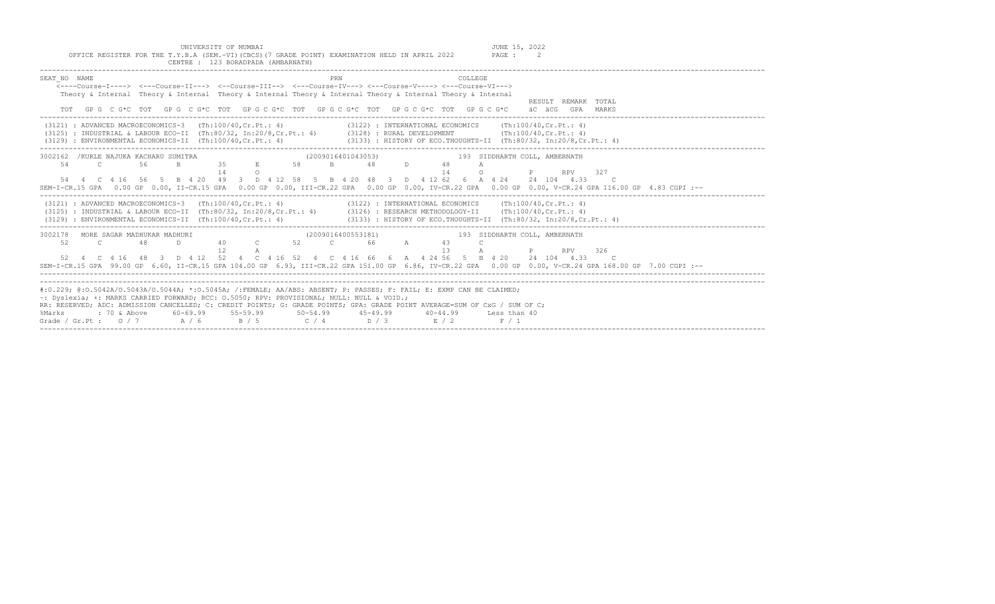UNIVERSITY OF MUMBAI<br>OFFICE REGISTER FOR THE T.Y.B.A (SEM.-VI)(CBCS)(7 GRADE POINT) EXAMINATION HELD IN APRIL 2022 PAGE : 2

| CENTRE : 123 BORADPADA (AMBARNATH)                                                                                                                                                                                                                                                                                                                                                                                                                                                                                                            |
|-----------------------------------------------------------------------------------------------------------------------------------------------------------------------------------------------------------------------------------------------------------------------------------------------------------------------------------------------------------------------------------------------------------------------------------------------------------------------------------------------------------------------------------------------|
| SEAT NO NAME<br>PRN<br>COLLEGE<br><----Course-T----> <---Course-TT---> <--Course-TTT--> <---Course-TV---> <---Course-V----> <---Course-VT---><br>Theory & Internal Theory & Internal Theory & Internal Theory & Internal Theory & Internal Theory & Internal<br>RESULT REMARK TOTAL<br>GP G C G*C TOT GP G C G*C TOT GP G C G*C TOT GP G C G*C TOT GP G C G*C TOT GP G C G*C<br>äC äCG GPA MARKS                                                                                                                                              |
| (3121) : ADVANCED MACROECONOMICS-3 (Th:100/40, Cr. Pt.: 4)<br>$(3122)$ : INTERNATIONAL ECONOMICS (Th:100/40, Cr. Pt.: 4)<br>(3125) : INDUSTRIAL & LABOUR ECO-II (Th:80/32, In:20/8, Cr. Pt.: 4) (3128) : RURAL DEVELOPMENT<br>(Th:100/40, Cr.Ft.: 4)<br>(3133) : HISTORY OF ECO. THOUGHTS-II (Th: 80/32, In: 20/8, Cr. Pt.: 4)<br>(3129) : ENVIRONMENTAL ECONOMICS-II (Th:100/40.Cr.Pt.: 4)                                                                                                                                                   |
| 3002162 / KURLE NAJUKA KACHARU SUMITRA<br>(2009016401043053)<br>193 SIDDHARTH COLL, AMBERNATH<br>35<br>58<br>54<br>Engine and<br>$\mathbf{B}$<br>$\overline{C}$<br>56<br>48<br>48<br>$D \sim 1$<br>A<br>14<br>14<br>$\Omega$<br>327<br>$\circ$<br><b>RPV</b><br>54  4  C  4  16  56  5  B  4  20  49  3  D  4  12  58  5  B  4  20  48  3  D  4  12  62  6  A  4  24  24  104  4.33  C<br>SEM-I-CR.15 GPA 0.00 GP 0.00, II-CR.15 GPA 0.00 GP 0.00, III-CR.22 GPA 0.00 GP 0.00, IV-CR.22 GPA 0.00 GP 0.00, V-CR.24 GPA 116.00 GP 4.83 CGPI :-- |
| (3121) : ADVANCED MACROECONOMICS-3 (Th:100/40, Cr. Pt.: 4)<br>$(3122)$ : INTERNATIONAL ECONOMICS (Th:100/40, Cr. Pt.: 4)<br>(3125) : INDUSTRIAL & LABOUR ECO-II (Th:80/32, In:20/8, Cr.Pt.: 4) (3126) : RESEARCH METHODOLOGY-II (Th:100/40, Cr.Pt.: 4)<br>(3129) : ENVIRONMENTAL ECONOMICS-II (Th:100/40.Cr.Pt.: 4)<br>(3133) : HISTORY OF ECO.THOUGHTS-II (Th:80/32, In:20/8, Cr. Pt.: 4)                                                                                                                                                    |
| MORE SAGAR MADHUKAR MADHURI<br>(2009016400553181)<br>3002178<br>193 SIDDHARTH COLL, AMBERNATH<br>40 C<br>52 C 66 A<br>52<br>48<br>43<br>D.<br>12<br>13<br>$\overline{A}$<br>P<br><b>RPV</b><br>326<br>52  4  C  4  16  48  3  D  4  12  52  4  C  4  16  52  4  C  4  16  66  6  A  4  24  56  5  B  4  20  24  104  4.33  C<br>SEM-I-CR.15 GPA 99.00 GP 6.60, II-CR.15 GPA 104.00 GP 6.93, III-CR.22 GPA 151.00 GP 6.86, IV-CR.22 GPA 0.00 GP 0.00, V-CR.24 GPA 168.00 GP 7.00 CGPI :--                                                      |
| #:0.229; @:0.5042A/O.5043A/O.5044A; *:0.5045A; /:FEMALE; AA/ABS: ABSENT; P: PASSES; F: FAIL; E: EXMP CAN BE CLAIMED;<br>~: Dyslexia; +: MARKS CARRIED FORWARD; RCC: 0.5050; RPV: PROVISIONAL; NULL: NULL & VOID.;<br>RR: RESERVED; ADC: ADMISSION CANCELLED; C: CREDIT POINTS; G: GRADE POINTS; GPA: GRADE POINT AVERAGE=SUM OF CxG / SUM OF C;<br>$60-69.99$ $55-59.99$ $50-54.99$ $45-49.99$<br>$: 70 \&$ Above<br>$40 - 44.99$<br>%Marks<br>Less than 40<br>$B / 5$ $C / 4$ $D / 3$ $E / 2$<br>Grade / Gr.Pt: $0/7$ A/6<br>F / 1           |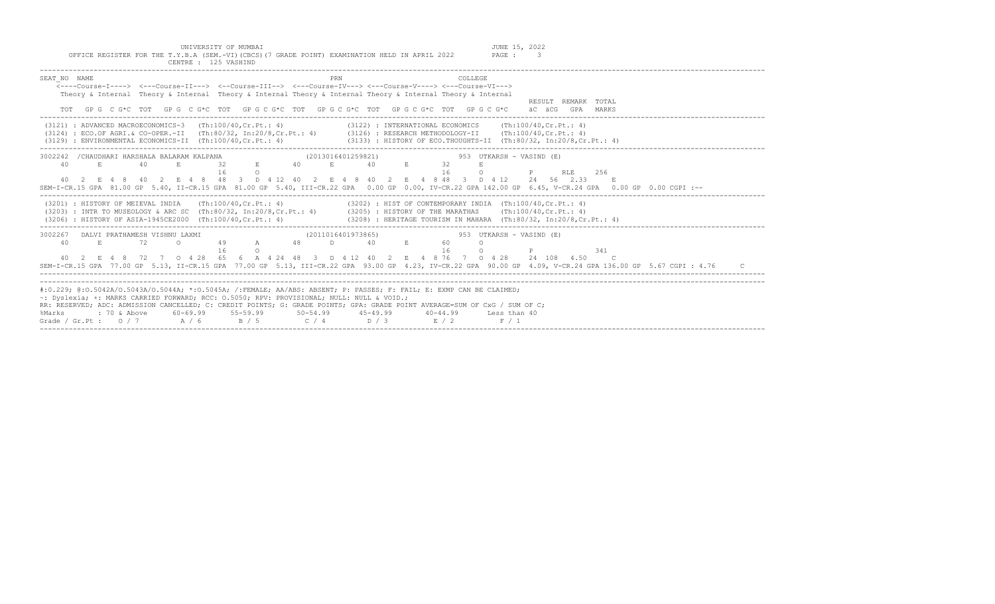UNIVERSITY OF MUMBAI JUNE 15, 2022<br>Y.B.A (SEM.-VI)(CBCS)(7 GRADE POINT) EXAMINATION HELD IN APRIL 2022 PAGE : 3 OFFICE REGISTER FOR THE T.Y.B.A (SEM.-VI)(CBCS)(7 GRADE POINT) EXAMINATION HELD IN APRIL 2022 CENTRE : 125 VASHIND

| SEAT NO NAME<br>PRN<br>COLLEGE                                                                                                                             |
|------------------------------------------------------------------------------------------------------------------------------------------------------------|
| <----Course-T----> <---Course-II---> <--Course-III--> <--Course-IV---> <---Course-V----> <---Course-VI--->                                                 |
| Theory & Internal Theory & Internal Theory & Internal Theory & Internal Theory & Internal Theory & Internal                                                |
| RESULT REMARK TOTAL                                                                                                                                        |
| GPG CG*C TOT GPG CG*C TOT GPGCG*C TOT GPGCG*C TOT GPGCG*C TOT GPGCG*C<br>äC äCG GPA MARKS                                                                  |
| (3122) : INTERNATIONAL ECONOMICS (Th:100/40, Cr. Pt.: 4)<br>$(3121)$ : ADVANCED MACROECONOMICS-3 $(Th:100/40, Cr.Pt.: 4)$                                  |
| (3124) : ECO.OF AGRI.& CO-OPER.-II (Th:80/32, In:20/8,Cr.Pt.: 4) (3126) : RESEARCH METHODOLOGY-II (Th:100/40,Cr.Pt.: 4)                                    |
| $(3129)$ : ENVIRONMENTAL ECONOMICS-II $(Th:100/40, Cr.Pt.: 4)$<br>$(3133)$ : HISTORY OF ECO.THOUGHTS-II (Th:80/32, In:20/8, Cr. Pt.: 4)                    |
|                                                                                                                                                            |
| 3002242 / CHAUDHARI HARSHALA BALARAM KALPANA<br>(2013016401259821)<br>953 UTKARSH - VASIND (E)                                                             |
| 1 NALLEANA (2013016401259821) 953<br>32 B 40 E 40 E 32<br>40<br>E.<br>40<br>E.                                                                             |
| 16<br>$\Omega$<br><b>P</b> RLE 256<br>16<br>$\circ$                                                                                                        |
| 40 2 E 4 8 40 2 E 4 8 48 3 D 4 12 40 2 E 4 8 40 2 E 4 8 48 3 D 4 12 24 56 2.33 E                                                                           |
| SEM-I-CR.15 GPA 81.00 GP 5.40, II-CR.15 GPA 81.00 GP 5.40, III-CR.22 GPA 0.00 GP 0.00, IV-CR.22 GPA 142.00 GP 6.45, V-CR.24 GPA 0.00 GP 0.00 CGPI :--      |
| (3201) : HISTORY OF MEIEVAL INDIA (Th:100/40, Cr.Pt.: 4) (3202) : HIST OF CONTEMPORARY INDIA (Th:100/40, Cr.Pt.: 4)                                        |
| (3203) : INTR TO MUSEOLOGY & ARC SC (Th:80/32, In:20/8, Cr. Pt.: 4) (3205) : HISTORY OF THE MARATHAS (Th:100/40, Cr. Pt.: 4)                               |
| (3206) : HISTORY OF ASIA-1945CE2000 (Th:100/40.Cr.Pt.: 4)<br>(3208) : HERITAGE TOURISM IN MAHARA (Th:80/32, In:20/8,Cr.Pt.: 4)                             |
|                                                                                                                                                            |
| 3002267 DALVI PRATHAMESH VISHNU LAXMI<br>(2011016401973865)<br>953 UTKARSH - VASIND (E)                                                                    |
| $\begin{array}{ccccccccccccccccc}\n49 & & A & & 48 & & D & & 40 & & E & & 60\n\end{array}$<br>$E_{\rm c}$<br>72<br>40<br>$\overline{a}$<br>$\Omega$        |
| 16<br>16<br>341<br>$\circ$<br>$\Omega$<br>$P$ and $P$ and $P$ and $P$ and $P$ and $P$                                                                      |
| 40 2 E 4 8 72 7 0 4 28 65 6 A 4 24 48 3 D 4 12 40 2 E 4 8 76 7 0 4 28 24 108 4.50 C                                                                        |
| SEM-I-CR.15 GPA 77.00 GP 5.13, II-CR.15 GPA 77.00 GP 5.13, III-CR.22 GPA 93.00 GP 4.23, IV-CR.22 GPA 90.00 GP 4.09, V-CR.24 GPA 136.00 GP 5.67 CGPI : 4.76 |
|                                                                                                                                                            |
|                                                                                                                                                            |
| #:0.229; @:0.5042A/0.5043A/0.5044A; *:0.5045A; /:FEMALE; AA/ABS: ABSENT; P: PASSES; F: FAIL; E: EXMP CAN BE CLAIMED;                                       |
| ~: Dyslexia; +: MARKS CARRIED FORWARD; RCC: 0.5050; RPV: PROVISIONAL; NULL: NULL & VOID.;                                                                  |
| RR: RESERVED; ADC: ADMISSION CANCELLED; C: CREDIT POINTS; G: GRADE POINTS; GPA: GRADE POINT AVERAGE=SUM OF CxG / SUM OF C;                                 |
| : 70 & Above       60-69.99      55-59.99        50-54.99       45-49.99       40-44.99      Less than 40<br>%Marks                                        |
| Grade / Gr. Pt : 0 / 7 A / 6 B / 5 C / 4 D / 3 E / 2 F / 1                                                                                                 |
|                                                                                                                                                            |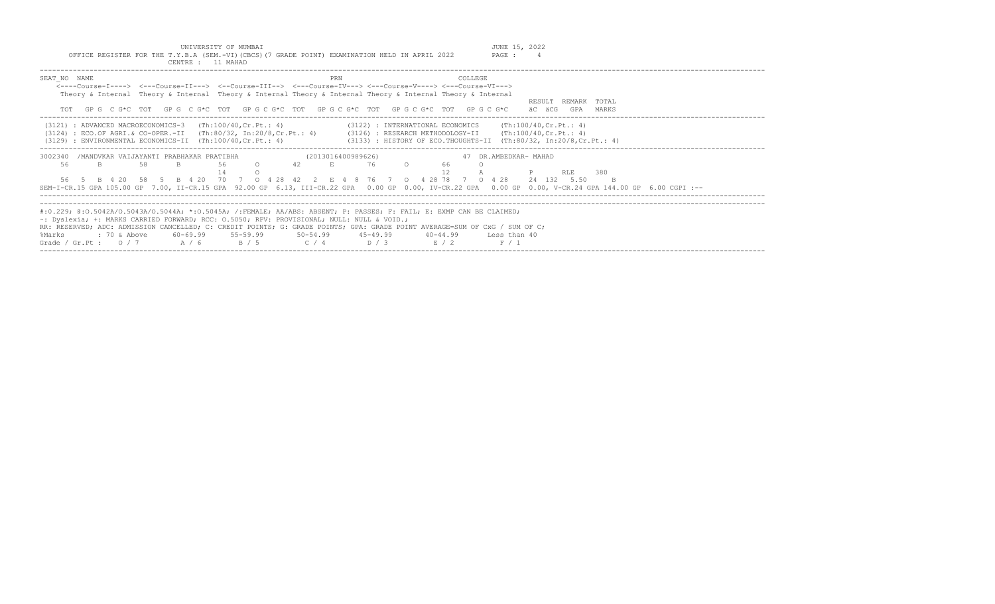JUNE 15, 2022<br>PAGE : 4

|  |  |                   |  | UNIVERSITY OF MUMBAI |  |                                                                                               |  |  |
|--|--|-------------------|--|----------------------|--|-----------------------------------------------------------------------------------------------|--|--|
|  |  |                   |  |                      |  | OFFICE REGISTER FOR THE T.Y.B.A (SEM.-VI)(CBCS)(7 GRADE POINT) EXAMINATION HELD IN APRIL 2022 |  |  |
|  |  | CENTRE : 11 MAHAD |  |                      |  |                                                                                               |  |  |

| SEAT NO NAME<br>PRN<br><b>COLLEGE</b><br><----Course-T----> <---Course-TT---> <--Course-TTT--> <---Course-TV---> <---Course-V----> <---Course-VT---><br>Theory & Internal Theory & Internal Theory & Internal Theory & Internal Theory & Internal Theory & Internal<br>RESULT REMARK<br>TOTAL<br>GP G C G*C TOT GP G C G*C TOT GP G C G*C TOT GP G C G*C TOT GP G C G*C TOT GP G C G*C<br>äC äCG<br>GPA<br>MARKS                                                                                                                           |
|--------------------------------------------------------------------------------------------------------------------------------------------------------------------------------------------------------------------------------------------------------------------------------------------------------------------------------------------------------------------------------------------------------------------------------------------------------------------------------------------------------------------------------------------|
| $(3122)$ : INTERNATIONAL ECONOMICS (Th:100/40, Cr. Pt.: 4)<br>(3121) : ADVANCED MACROECONOMICS-3<br>(Th:100/40,Cr.Pt.: 4)<br>(3124) : ECO.OF AGRI.& CO-OPER.-II (Th:80/32, In:20/8.Cr.Pt.: 4) (3126) : RESEARCH METHODOLOGY-II (Th:100/40.Cr.Pt.: 4)<br>(3133) : HISTORY OF ECO.THOUGHTS-II (Th:80/32, In:20/8, Cr. Pt.: 4)<br>$(3129)$ : ENVIRONMENTAL ECONOMICS-II $(Th:100/40, Cr.Pt.: 4)$                                                                                                                                              |
| /MANDVKAR VAIJAYANTI PRABHAKAR PRATIBHA<br>(2013016400989626)<br>47 DR.AMBEDKAR- MAHAD<br>3002340<br>58<br>56.<br>76<br>66<br>56<br>B<br>$\circ$<br>42<br>B<br>380<br>P<br>RT.E<br>B 4 20 58 5 B 4 20 70 7 0 4 28 42<br>2 F. 4 R. 76 7<br>4 28 78 7<br>$0 \t4 \t28$<br>24 132 5.50<br>56 5<br>$\cap$<br>SEM-I-CR.15 GPA 105.00 GP 7.00, II-CR.15 GPA 92.00 GP 6.13, III-CR.22 GPA 0.00 GP 0.00, IV-CR.22 GPA 0.00 GP 0.00, V-CR.24 GPA 144.00 GP 6.00 CGPI :--                                                                             |
| #:0.229; @:0.5042A/0.5043A/0.5044A; *:0.5045A; /:FEMALE; AA/ABS: ABSENT; P: PASSES; F: FAIL; E: EXMP CAN BE CLAIMED;<br>$\sim$ : Dyslexia; +: MARKS CARRIED FORWARD; RCC: 0.5050; RPV: PROVISIONAL; NULL: NULL & VOID.;<br>RR: RESERVED; ADC: ADMISSION CANCELLED; C: CREDIT POINTS; G: GRADE POINTS; GPA: GRADE POINT AVERAGE=SUM OF CxG / SUM OF C;<br>$60-69.99$ $55-59.99$ $50-54.99$ $45-49.99$<br>: 70 & Above<br>$40 - 44.99$<br>%Marks<br>Less than 40<br>$C/4$ $D/3$<br>A / 6<br>B / 5<br>Grade / Gr.Pt : $0/7$<br>E / 2<br>F / 1 |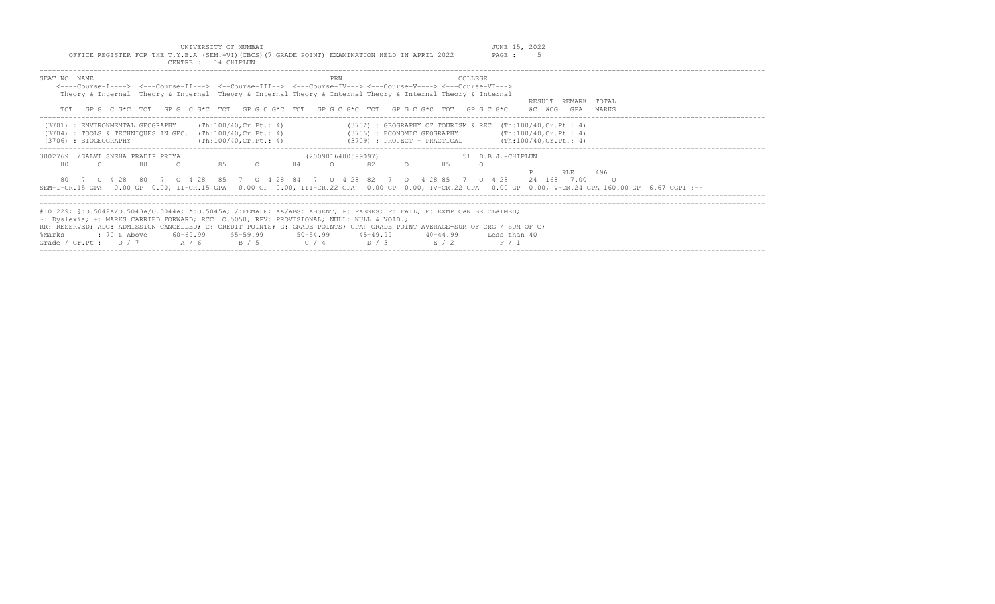| INTVERSTTY OF MIMBAT                                                                            | JUNE 15, | 2022 |
|-------------------------------------------------------------------------------------------------|----------|------|
| OFFICE REGISTER FOR THE T.Y.B.A (SEM.-VI) (CBCS) (7 GRADE POINT) EXAMINATION HELD IN APRIL 2022 | PAGE :   |      |
| 14 CHIPLIN<br>CENTRE .                                                                          |          |      |

| SEAT NO NAME                                                                                                                |              |                                                                                                                                                         | PRN<br><----Course-T----> <---Course-TT---> <--Course-TTT--> <---Course-TV---> <---Course-V----> <---Course-VT---><br>Theory & Internal Theory & Internal Theory & Internal Theory & Internal Theory & Internal Theory & Internal                                                        | COLLEGE                                                                                                                                                                                                    |       |
|-----------------------------------------------------------------------------------------------------------------------------|--------------|---------------------------------------------------------------------------------------------------------------------------------------------------------|------------------------------------------------------------------------------------------------------------------------------------------------------------------------------------------------------------------------------------------------------------------------------------------|------------------------------------------------------------------------------------------------------------------------------------------------------------------------------------------------------------|-------|
|                                                                                                                             |              |                                                                                                                                                         | TOT GPG CG*C TOT GPG CG*C TOT GPG CG*C TOT GPG CG*C TOT GPG CG*C TOT GPG CG*C                                                                                                                                                                                                            | RESULT REMARK TOTAL<br>äC äCG<br>GPA                                                                                                                                                                       | MARKS |
| (3701) : ENVIRONMENTAL GEOGRAPHY<br>$(3704)$ : TOOLS & TECHNIOUES IN GEO. $(Th:100/40, Cr.Pt.: 4)$<br>(3706) : BIOGEOGRAPHY |              | (Th:100/40,Cr.Pt.: 4)<br>(Th:100/40, Cr.Pt.: 4)                                                                                                         | (3709) : PROJECT - PRACTICAL                                                                                                                                                                                                                                                             | $(3702)$ : GEOGRAPHY OF TOURISM & REC $(Th:100/40, Cr.Pt.: 4)$<br>$(3705)$ : ECONOMIC GEOGRAPHY $(Th:100/40, Cr.Pt.: 4)$<br>(Th:100/40, Cr.Pt.: 4)                                                         |       |
| 3002769 /SALVI SNEHA PRADIP PRIYA<br>80<br>$\cap$                                                                           | 80<br>$\cap$ | 84<br>$\Omega$                                                                                                                                          | (2009016400599097)<br>82<br>85<br>$\cap$<br>80 7 0 4 28 80 7 0 4 28 85 7 0 4 28 84 7 0 4 28 82 7 0 4 28 85 7 0 4 28                                                                                                                                                                      | 51 D.B.J.-CHIPLUN<br>$\cap$<br>RT.F.<br>24 168 7.00<br>SEM-I-CR.15 GPA 0.00 GP 0.00, II-CR.15 GPA 0.00 GP 0.00, III-CR.22 GPA 0.00 GP 0.00, IV-CR.22 GPA 0.00 GP 0.00, V-CR.24 GPA 160.00 GP 6.67 CGPI :-- | 496   |
| : 70 & Above<br>%Marks<br>Grade / Gr.Pt: $0/7$ A / 6                                                                        |              | $\sim$ : Dyslexia; +: MARKS CARRIED FORWARD; RCC: 0.5050; RPV: PROVISIONAL; NULL: NULL & VOID.;<br>$60-69.99$ $55-59.99$ $50-54.99$ $45-49.99$<br>R / 5 | #:0.229; @:0.5042A/0.5043A/0.5044A; *:0.5045A; /:FEMALE; AA/ABS: ABSENT; P: PASSES; F: FAIL; E: EXMP CAN BE CLAIMED;<br>RR: RESERVED; ADC: ADMISSION CANCELLED; C: CREDIT POINTS; G: GRADE POINTS; GPA: GRADE POINT AVERAGE=SUM OF CxG / SUM OF C;<br>$40 - 44.99$<br>$C / 4$ D/3<br>R/2 | Less than 40<br>F / 1                                                                                                                                                                                      |       |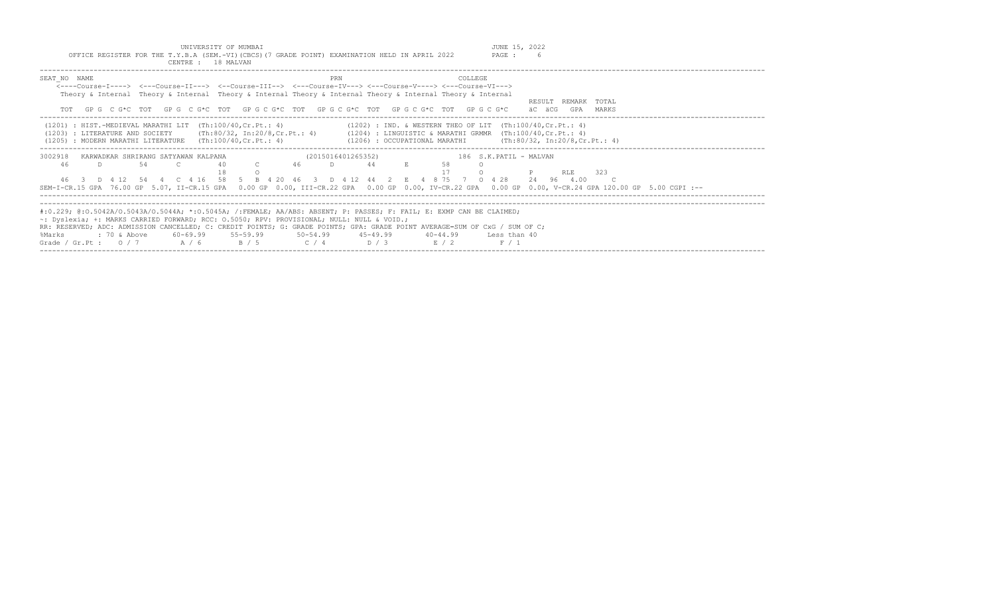| INTVERSTTY OF MIMBAT                                                                            | JUNE   | 1 E | 2022 |
|-------------------------------------------------------------------------------------------------|--------|-----|------|
| OFFICE REGISTER FOR THE T.Y.B.A (SEM.-VI) (CBCS) (7 GRADE POINT) EXAMINATION HELD IN APRIL 2022 | PAGE : |     |      |
| CENTRE<br>18 MAIVAN                                                                             |        |     |      |

| SEAT NO NAME                                                                                                                                                                | PRN<br><b>COLLEGE</b>                                          |                        |
|-----------------------------------------------------------------------------------------------------------------------------------------------------------------------------|----------------------------------------------------------------|------------------------|
| $\leftarrow$ ---Course-I----> $\leftarrow$ -Course-II---> $\leftarrow$ -Course-III--> $\leftarrow$ --Course-IV---> $\leftarrow$ --Course-V----> $\leftarrow$ -Course-VI---> |                                                                |                        |
| Theory & Internal Theory & Internal Theory & Internal Theory & Internal Theory & Internal Theory & Internal                                                                 |                                                                |                        |
|                                                                                                                                                                             |                                                                | RESULT REMARK TOTAL    |
| TOT GPG C G*C TOT GPG C G*C TOT GPG C G*C TOT GPG C G*C TOT GPG C G*C TOT GPG C G*C                                                                                         |                                                                | äC äCG<br>MARKS<br>GPA |
|                                                                                                                                                                             |                                                                |                        |
| $(1201)$ : HIST.-MEDIEVAL MARATHI LIT $(Th:100/40, Cr.Pt.: 4)$                                                                                                              | $(1202)$ : IND. & WESTERN THEO OF LIT $(Th:100/40, Cr.Pt.: 4)$ |                        |
| (1203) : LITERATURE AND SOCIETY (Th:80/32, In:20/8, Cr. Pt.: 4) (1204) : LINGUISTIC & MARATHI GRMMR (Th:100/40, Cr. Pt.: 4)                                                 |                                                                |                        |
| $(1205)$ : MODERN MARATHI LITERATURE $(Th:100/40, Cr.Pt.: 4)$                                                                                                               | (1206) : OCCUPATIONAL MARATHI (Th:80/32, In:20/8, Cr. Pt.: 4)  |                        |
|                                                                                                                                                                             |                                                                |                        |
| 3002918<br>KARWADKAR SHRIRANG SATYAWAN KALPANA                                                                                                                              | 186 S.K. PATIL - MALVAN<br>(2015016401265352)                  |                        |
| 46<br>54<br>46<br>40<br>D.<br>$\sim$ $\sim$                                                                                                                                 | 44<br>58<br>D.                                                 |                        |
|                                                                                                                                                                             |                                                                | 323<br>RT.E            |
| 46 3 D 4 12 54 4 C 4 16 58 5 B 4 20 46 3 D 4 12 44 2 E 4 8 75 7 0 4 28                                                                                                      |                                                                | 24 96 4.00             |
| SEM-I-CR.15 GPA 76.00 GP 5.07, II-CR.15 GPA 0.00 GP 0.00, III-CR.22 GPA 0.00 GP 0.00, IV-CR.22 GPA 0.00 GP 0.00, V-CR.24 GPA 120.00 GP 5.00 CGPI :--                        |                                                                |                        |
|                                                                                                                                                                             |                                                                |                        |
|                                                                                                                                                                             |                                                                |                        |
| #:0.229; @:0.5042A/O.5043A/O.5044A; *:0.5045A; /:FEMALE; AA/ABS: ABSENT; P: PASSES; F: FAIL; E: EXMP CAN BE CLAIMED;                                                        |                                                                |                        |
| ~: Dyslexia; +: MARKS CARRIED FORWARD; RCC: 0.5050; RPV: PROVISIONAL; NULL: NULL & VOID.;                                                                                   |                                                                |                        |
| RR: RESERVED; ADC: ADMISSION CANCELLED; C: CREDIT POINTS; G: GRADE POINTS; GPA: GRADE POINT AVERAGE=SUM OF CxG / SUM OF C;                                                  |                                                                |                        |
| %Marks                                                                                                                                                                      | $40 - 44.99$<br>Less than 40                                   |                        |
| Grade / Gr.Pt: $0/7$ A/6<br>R / 5                                                                                                                                           | $C / 4$ $D / 3$<br>E / 2<br>F / 1                              |                        |
|                                                                                                                                                                             |                                                                |                        |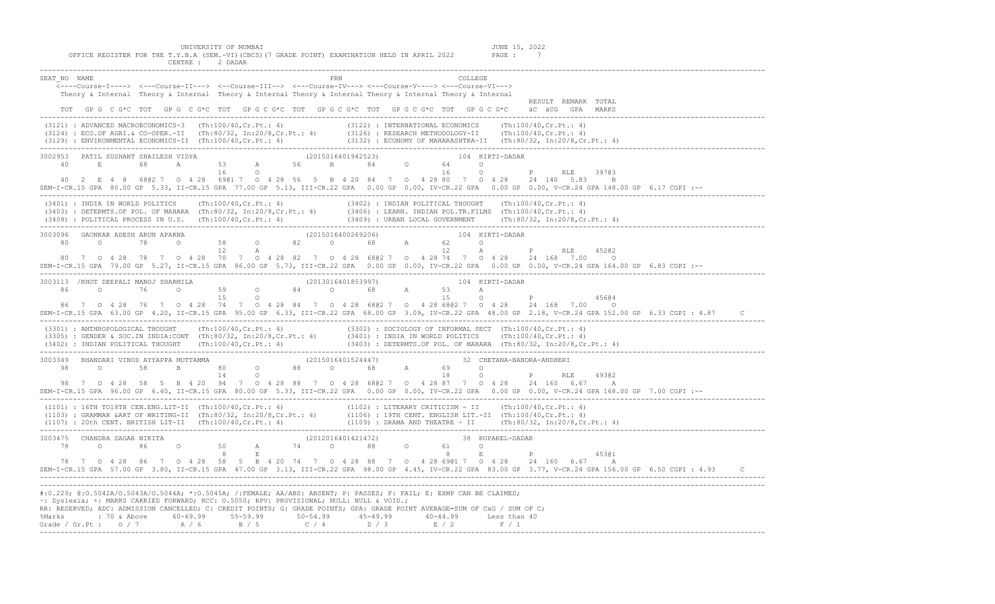UNIVERSITY OF MUMBAI<br>OFFICE REGISTER FOR THE T.Y.B.A (SEM.-VI)(CBCS)(7 GRADE POINT) EXAMINATION HELD IN APRIL 2022 PAGE : 7<br>CENTRE : 2 DADAR

| PRN<br>SEAT NO NAME<br>COLLEGE<br>Theory & Internal Theory & Internal Theory & Internal Theory & Internal Theory & Internal Theory & Internal<br>RESULT REMARK TOTAL                                                                                     |
|----------------------------------------------------------------------------------------------------------------------------------------------------------------------------------------------------------------------------------------------------------|
| TOT GPG CG*C TOT GPG CG*C TOT GPG CG*C TOT GPG CG*C TOT GPG CG*C TOT GPG CG*C äCGGGPA MARKS                                                                                                                                                              |
| (3121) : ADVANCED MACROECONOMICS-3 (Th:100/40,Cr.Pt.: 4) (3122) : INTERNATIONAL ECONOMICS (Th:100/40,Cr.Pt.: 4)<br>(3124) : ECO.OF AGRI.& CO-OPER.-II (Th:80/32, In:20/8,Cr.Pt.: 4) (3126) : RESEARCH METHODOLOGY-II (Th:100/40,                         |
| 3002953 PATIL SUSHANT SHAILESH VIDYA (2015016401942523)<br>104 KIRTI-DADAR                                                                                                                                                                               |
|                                                                                                                                                                                                                                                          |
| 39703<br>40  2  E  4  8  680  2  7  0  4  28  690  1  7  0  4  28  690  1  9  4  20  84  7  0  4  28  80  7  0  4  28  24  140  5.83  B                                                                                                                  |
| SEM-I-CR.15 GPA 80.00 GP 5.33, II-CR.15 GPA 77.00 GP 5.13, III-CR.22 GPA 0.00 GP 0.00, IV-CR.22 GPA 0.00 GP 0.00, V-CR.24 GPA 148.00 GP 6.17 CGPI :--                                                                                                    |
| (3401) : INDIA IN WORLD POLITICS (Th:100/40,Cr.Pt.: 4) (3402) : INDIAN POLITICAL THOUGHT (Th:100/40,Cr.Pt.: 4)<br>(3403) : DETERMTS.OF POL. OF MAHARA (Th:80/32, In:20/8,Cr.Pt.: 4) (3406) : LEARN. INDIAN POL.TR.FILMS (Th:100/                         |
|                                                                                                                                                                                                                                                          |
|                                                                                                                                                                                                                                                          |
| 45202<br>80 7 0 4 28 78 7 0 4 28 70 7 0 4 28 82 7 0 4 28 680 2 7 0 4 28 74 7 0 4 28 24 168 7 00 0                                                                                                                                                        |
| SEM-I-CR.15 GPA 79.00 GP 5.27, II-CR.15 GPA 86.00 GP 5.73, III-CR.22 GPA 0.00 GP 0.00, IV-CR.22 GPA 0.00 GP 0.00, V-CR.24 GPA 164.00 GP 6.83 CGPI :--                                                                                                    |
|                                                                                                                                                                                                                                                          |
| 3003113 /KHOT DEEPALI MANOJ SHARMILA<br>86 0 76 0 59 0 84 0 68 A 53 A P 2013016401853997)                                                                                                                                                                |
| 45604                                                                                                                                                                                                                                                    |
| 86 7 0 4 28 76 7 0 4 28 74 7 0 4 28 84 7 0 4 28 680 2 7 0 4 28 680 2 7 0 4 28 24 168 7 00 0<br>SEM-I-CR.15 GPA 63.00 GP 4.20, II-CR.15 GPA 95.00 GP 6.33, III-CR.22 GPA 68.00 GP 3.09, IV-CR.22 GPA 48.00 GP 2.18, V-CR.24 GPA 152.00 GP 6.33 CGPI: 4.87 |
| (3301) : ANTHROPOLOGICAL THOUGHT (Th:100/40,Cr.Pt.: 4) (3302) : SOCIOLOGY OF INFORMAL SECT (Th:100/40,Cr.Pt.: 4)<br>(3305) : GENDER & SOC.IN INDIA:CONT (Th:80/32, In:20/8,Cr.Pt.: 4) (3401) : INDIA IN WORLD POLITICS (Th:100/40                        |
|                                                                                                                                                                                                                                                          |
|                                                                                                                                                                                                                                                          |
| 49302<br>98 7 0 4 28 58 5 B 4 20 94 7 0 4 28 88 7 0 4 28 6802 7 0 4 28 87 7 0 4 28 24 160 6.67 A                                                                                                                                                         |
| SEM-I-CR.15 GPA 96.00 GP 6.40, II-CR.15 GPA 80.00 GP 5.33, III-CR.22 GPA 0.00 GP 0.00, IV-CR.22 GPA 0.00 GP 0.00, V-CR.24 GPA 168.00 GP 7.00 CGPI :--                                                                                                    |
| (1101) : 16TH TO18TH CEN.ENG.LIT-II (Th:100/40,Cr.Pt.: 4) (1102) : LITERARY CRITICISM - II (Th:100/40,Cr.Pt.: 4)<br>(1103) : GRAMMAR &ART OF WRITING-II (Th:80/32, In:20/8,Cr.Pt.: 4) (1106) : 19TH CENT. ENGLISH LIT.-II (Th:100                        |
|                                                                                                                                                                                                                                                          |
|                                                                                                                                                                                                                                                          |
| 78 7 0 4 28 86 7 0 4 28 58 5 B 4 20 74 7 0 4 28 88 7 0 4 28 6901 7 0 4 28 24 160 6.67 A                                                                                                                                                                  |
| SEM-I-CR.15 GPA 57.00 GP 3.80, II-CR.15 GPA 47.00 GP 3.13, III-CR.22 GPA 98.00 GP 4.45, IV-CR.22 GPA 83.00 GP 3.77, V-CR.24 GPA 156.00 GP 6.50 CGPI : 4.93 C                                                                                             |
|                                                                                                                                                                                                                                                          |
| #:0.229; @:0.5042A/0.5043A/0.5044A; *:0.5045A; /:FEMALE; AA/ABS: ABSENT; P: PASSES; F: FAIL; E: EXMP CAN BE CLAIMED;                                                                                                                                     |
| ~: Dyslexia; +: MARKS CARRIED FORWARD; RCC: 0.5050; RPV: PROVISIONAL; NULL: NULL & VOID.;                                                                                                                                                                |
| RR: RESERVED; ADC: ADMISSION CANCELLED; C: CREDIT POINTS; G: GRADE POINTS; GPA: GRADE POINT AVERAGE=SUM OF CxG / SUM OF C;                                                                                                                               |
| %Marks : 70 & Above 60-69.99 55-59.99 50-54.99 45-49.99 40-44.99 Less than 40<br>Grade / Gr.Pt : 0 / 7 A / 6 B / 5 C / 4 D / 3 E / 2 F / 1                                                                                                               |
|                                                                                                                                                                                                                                                          |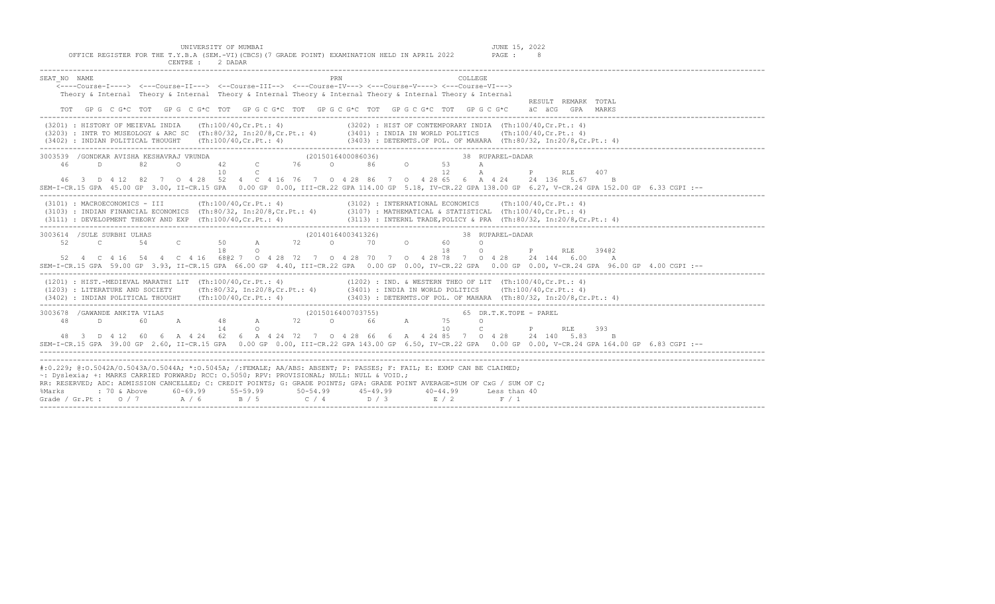UNIVERSITY OF MUMBAI

JUNE 15, 2022<br>PAGE : 8

|          | OFFICE REGISTER FOR THE T.Y.B.A (SEM.-VI)(CBCS)(7 GRADE POINT) EXAMINATION HELD IN APRIL 2022 |
|----------|-----------------------------------------------------------------------------------------------|
| CENTRE : | 2 DADAR                                                                                       |

| SEAT NO NAME | PRN<br><b>COLLEGE</b><br>Theory & Internal Theory & Internal Theory & Internal Theory & Internal Theory & Internal Theory & Internal<br>RESULT REMARK TOTAL<br>TOT GP G C G*C TOT GP G C G*C TOT GP G C G*C TOT GP G C G*C TOT GP G C G*C TOT GP G C G*C äC äCG GPA MARKS                                                                                                                                                                                                                                             |  |
|--------------|-----------------------------------------------------------------------------------------------------------------------------------------------------------------------------------------------------------------------------------------------------------------------------------------------------------------------------------------------------------------------------------------------------------------------------------------------------------------------------------------------------------------------|--|
|              | (3201) : HISTORY OF MEIEVAL INDIA (Th:100/40, Cr.Pt.: 4) (3202) : HIST OF CONTEMPORARY INDIA (Th:100/40, Cr.Pt.: 4)<br>(3203) : INTR TO MUSEOLOGY & ARC SC (Th:80/32, In:20/8, Cr.Pt.: 4) (3401) : INDIA IN WORLD POLITICS (Th:10                                                                                                                                                                                                                                                                                     |  |
|              | $\begin{array}{cccccccccccc} 3003539 & /GONDRAR AVISHA KESHAVRAJ VRUNDA & & & & & & (2015016400086036) & & & & 38 & RU \\ 46 & D & 82 & 0 & 42 & C & 76 & 0 & 86 & 0 & 53 & A \end{array}$<br>38 RUPAREL-DADAR<br>$10 \quad C$<br>12<br>A<br><b>P</b> RLE<br>407<br>46 3 D 4 12 82 7 0 4 28 52 4 C 4 16 76 7 0 4 28 86 7 0 4 28 65 6 A 4 24 24 136 5.67 B<br>SEM-I-CR.15 GPA 45.00 GP 3.00, II-CR.15 GPA 0.00 GP 0.00, III-CR.22 GPA 114.00 GP 5.18, IV-CR.22 GPA 138.00 GP 6.27, V-CR.24 GPA 152.00 GP 6.33 CGPI :-- |  |
|              | (3101) : MACROECONOMICS - III (Th:100/40,Cr.Pt.: 4) (3102) : INTERNATIONAL ECONOMICS (Th:100/40,Cr.Pt.: 4) (3103) : INDIAN FINANCIAL ECONOMICS (Th:80/32, In:20/8,Cr.Pt.: 4) (3107) : MATHEMATICAL & STATISTICAL (Th:100/40,C<br>(3111) : DEVELOPMENT THEORY AND EXP (Th:100/40,Cr.Pt.: 4) (3113) : INTERNL TRADE, POLICY & PRA (Th:80/32, In:20/8,Cr.Pt.: 4)                                                                                                                                                         |  |
|              | (2014016400341326)<br>3003614 /SULE SURBHI ULHAS<br>38 RUPAREL-DADAR<br>52 C 54 C 50 A 72 0 70 0 60 0<br>18<br>18<br>$\circ$<br>$\mathbb P$<br>$\circ$<br><b>RLE</b><br>39402<br>52  4  C  4  16  54  4  C  4  16  680  7  0  4  28  72  7  0  4  28  70  7  0  4  28  78  7  0  4  28  24  144  6.00  A<br>SEM-I-CR.15 GPA 59.00 GP 3.93, II-CR.15 GPA 66.00 GP 4.40, III-CR.22 GPA 0.00 GP 0.00, IV-CR.22 GPA 0.00 GP 0.00, V-CR.24 GPA 96.00 GP 4.00 CGPI :--                                                      |  |
|              | (1201) : HIST.-MEDIEVAL MARATHI LIT (Th:100/40,Cr.Pt.: 4) (1202) : IND. & WESTERN THEO OF LIT (Th:100/40,Cr.Pt.: 4)<br>(1203) : LITERATURE AND SOCIETY (Th:80/32, In:20/8,Cr.Pt.: 4) (3401) : INDIA IN WORLD POLITICS (Th:100/40,<br>(3402) : INDIAN POLITICAL THOUGHT (Th:100/40, Cr. Pt.: 4) (3403) : DETERMTS. OF POL. OF MAHARA (Th:80/32, In:20/8, Cr. Pt.: 4)                                                                                                                                                   |  |
|              | 10 C P RLE<br>14<br>$\circ$<br>393<br>48 3 D 4 12 60 6 A 4 24 62 6 A 4 24 72 7 0 4 28 66 6 A 4 24 85 7 0 4 28 24 140 5.83 B<br>SEM-I-CR.15 GPA 39.00 GP 2.60, II-CR.15 GPA 0.00 GP 0.00, III-CR.22 GPA 143.00 GP 6.50, IV-CR.22 GPA 0.00 GP 0.00, V-CR.24 GPA 164.00 GP 6.83 CGPI :--                                                                                                                                                                                                                                 |  |
| %Marks       | #:0.229; @:0.5042A/0.5043A/0.5044A; *:0.5045A; /:FEMALE; AA/ABS: ABSENT; P: PASSES; F: FAIL; E: EXMP CAN BE CLAIMED;<br>~: Dyslexia; +: MARKS CARRIED FORWARD; RCC: 0.5050; RPV: PROVISIONAL; NULL: NULL & VOID.;<br>RR: RESERVED: ADC: ADMISSION CANCELLED; C: CREDIT POINTS; G: GRADE POINTS; GPA: GRADE POINT AVERAGE=SUM OF CxG / SUM OF C;<br>: 70 & Above 60-69.99 55-59.99 50-54.99 45-49.99<br>40-44.99 Less than 40<br>Grade / Gr.Pt : $0/7$ $A/6$ $B/5$ $C/4$ $D/3$ $E/2$ $F/1$                             |  |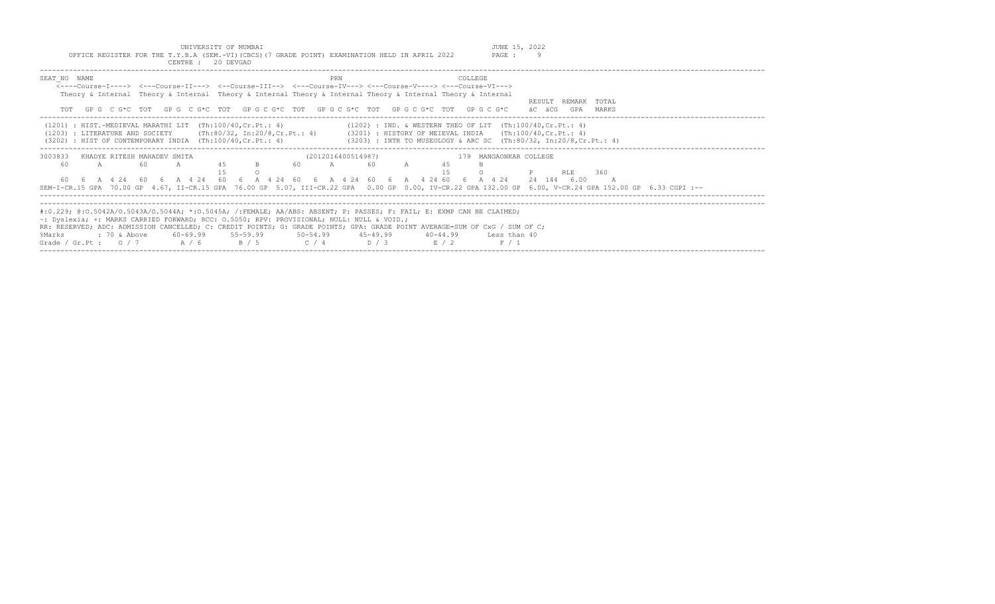UNIVERSITY OF MUMBAI (JUNE 15, 2022<br>OFFICE REGISTER FOR THE T.Y.B.A (SEM.-VI)(CBCS)(7 GRADE POINT) EXAMINATION HELD IN APRIL 2022 PAGE : 9

| CENTRE : 20 DEVGAD                                                                                                                                                                                                                                                                                                                                                                                                    |                                                                                                                                    |                                               |
|-----------------------------------------------------------------------------------------------------------------------------------------------------------------------------------------------------------------------------------------------------------------------------------------------------------------------------------------------------------------------------------------------------------------------|------------------------------------------------------------------------------------------------------------------------------------|-----------------------------------------------|
| SEAT NO NAME<br><----Course-T----> <---Course-TT---> <--Course-TTT--> <---Course-TV---> <---Course-V----> <---Course-VT---><br>Theory & Internal Theory & Internal Theory & Internal Theory & Internal Theory & Internal Theory & Internal<br>TOT GPG CG*C TOT GPG CG*C TOT GPG CG*C TOT GPG CG*C TOT GPG CG*C TOT GPG CG*C                                                                                           | <b>COLLEGE</b><br>PRN                                                                                                              | REMARK TOTAL<br>RESULT<br>äC äCG<br>GPA MARKS |
| $(1201)$ : HIST.-MEDIEVAL MARATHI LIT $(Th:100/40, Cr.Pt.: 4)$<br>(1203) : LITERATURE AND SOCIETY (Th:80/32, In:20/8, Cr.Pt.: 4) (3201) : HISTORY OF MEIEVAL INDIA (Th:100/40, Cr.Pt.: 4)<br>(3202) : HIST OF CONTEMPORARY INDIA (Th:100/40, Cr. Pt.: 4)                                                                                                                                                              | (1202) : IND. & WESTERN THEO OF LIT (Th:100/40,Cr.Pt.: 4)<br>$(3203)$ : INTR TO MUSEOLOGY & ARC SC (Th:80/32, In:20/8, Cr. Pt.: 4) |                                               |
| 3003833<br>KHADYE RITESH MAHADEV SMITA<br>45 B<br>60<br>60<br>$\mathbb{A}$ and $\mathbb{A}$<br>$\overline{A}$<br>60  6  A  4  24  60  6  A  4  24  60  6  A  4  24  42  60  6  A  4  24  60  6  A  4  24  24  144  6.00<br>SEM-I-CR.15 GPA 70.00 GP 4.67, II-CR.15 GPA 76.00 GP 5.07, III-CR.22 GPA 0.00 GP 0.00, IV-CR.22 GPA 132.00 GP 6.00, V-CR.24 GPA 152.00 GP 6.33 CGPI :--                                    | (2012016400514987)<br>179 MANGAONKAR COLLEGE<br>60 A 60 A<br>45<br>1.5                                                             | <b>P</b> RLE 360                              |
| #:0.229; @:0.5042A/0.5043A/0.5044A; *:0.5045A; /:FEMALE; AA/ABS: ABSENT; P: PASSES; F: FAIL; E: EXMP CAN BE CLAIMED;<br>$\sim$ : Dyslexia; +: MARKS CARRIED FORWARD; RCC: 0.5050; RPV: PROVISIONAL; NULL: NULL & VOID.;<br>RR: RESERVED; ADC: ADMISSION CANCELLED; C: CREDIT POINTS; G: GRADE POINTS; GPA: GRADE POINT AVERAGE=SUM OF CxG / SUM OF C;<br>%Marks<br>Grade / Gr.Pt: $0/7$ A / 6 B / 5 C / 4 D / 3 E / 2 | 40-44.99 Less than 40<br>F / 1                                                                                                     |                                               |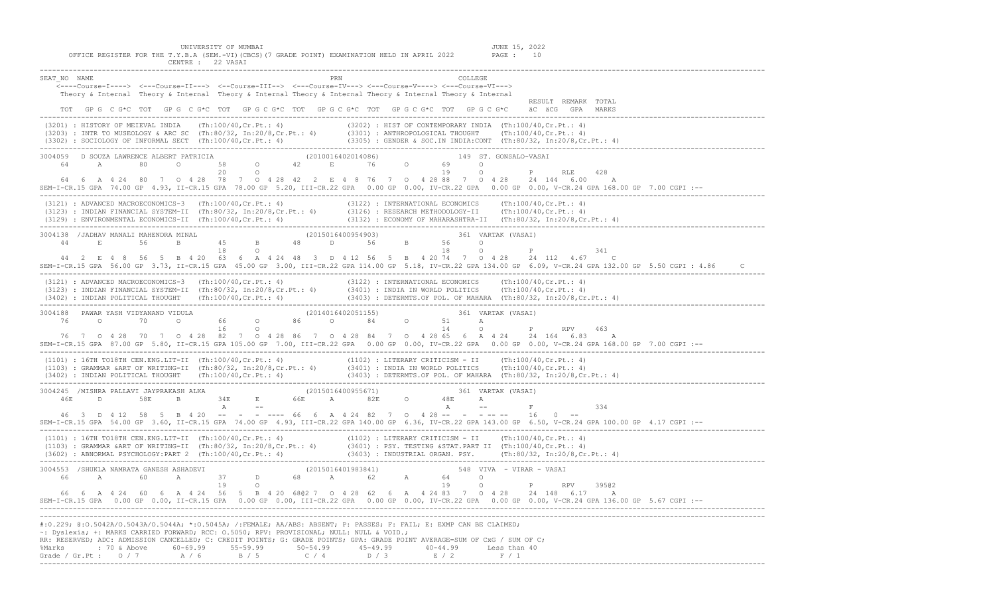UNIVERSITY OF MUMBAI JUNE 15, 2022 OFFICE REGISTER FOR THE T.Y.B.A (SEM.-VI)(CBCS)(7 GRADE POINT) EXAMINATION HELD IN APRIL 2022 PAGE : 10 CENTRE : 22 VASAI SEAT\_NO NAME PRN COLLEGE <----Course-I----> <---Course-II---> <--Course-III--> <---Course-IV---> <---Course-V----> <---Course-VI---> Theory & Internal Theory & Internal Theory & Internal Theory & Internal Theory & Internal Theory & Internal RESULT REMARK TOTAL TOT GP G C G\*C TOT GP G C G\*C TOT GP G C G\*C TOT GP G C G\*C TOT GP G C G\*C TOT GP G C G\*C äC äCG GPA MARKS ------------------------------------------------------------------------------------------------------------------------------------------------------------------------------- (3201) : HISTORY OF MEIEVAL INDIA (Th:100/40,Cr.Pt.: 4) (3202) : HIST OF CONTEMPORARY INDIA (Th:100/40,Cr.Pt.: 4)  $(3203)$  : INTR TO MUSEOLOGY & ARC SC  $(Th:80/32, In:20/8, Cr.Pt.: 4)$  (3302) : SOCIOLOGY OF INFORMAL SECT (Th:100/40,Cr.Pt.: 4) (3305) : GENDER & SOC.IN INDIA:CONT (Th:80/32, In:20/8,Cr.Pt.: 4) 3004059 D SOUZA LAWRENCE ALBERT PATRICIA (2010016402014086) 149 ST. GONSALO-VASAI 64 A 80 O 58 O 42 E 76 O 69 O 20 O 19 O P RLE 428 64 6 A 4 24 80 7 O 4 28 78 7 O 4 28 42 2 E 4 8 76 7 O 4 28 88 7 O 4 28 24 144 6.00 A SEM-I-CR.15 GPA 74.00 GP 4.93, II-CR.15 GPA 78.00 GP 5.20, III-CR.22 GPA 0.00 GP 0.00, IV-CR.22 GPA 0.00 GP 0.00, V-CR.24 GPA 168.00 GP 7.00 CGPI :-- ------------------------------------------------------------------------------------------------------------------------------------------------------------------------------- (3121) : ADVANCED MACROECONOMICS-3 (Th:100/40,Cr.Pt.: 4) (3122) : INTERNATIONAL ECONOMICS (Th:100/40,Cr.Pt.: 4) (3123) : INDIAN FINANCIAL SYSTEM-II (Th:80/32, In:20/8,Cr.Pt.: 4) (3126) : RESEARCH METHODOLOGY-II (Th:100/40,Cr.Pt.: 4) (3129) : ENVIRONMENTAL ECONOMICS-II (Th:100/40,Cr.Pt.: 4) (3132) : ECONOMY OF MAHARASHTRA-II (Th:80/32, In:20/8,Cr.Pt.: 4) ------------------------------------------------------------------------------------------------------------------------------------------------------------------------------- 3004138 /JADHAV MANALI MAHENDRA MINAL (2015016400954903) 361 VARTAK (VASAI) 44 E 56 B 45 B 48 D 56 B 56 O<br>18 O 18 O 18 O 18 O P 18 O P 341 44 2 E 4 8 56 5 B 4 20 63 6 A 4 24 48 3 D 4 12 56 5 B 4 20 74 7 O 4 28 24 112 4.67 C SEM-I-CR.15 GPA 56.00 GP 3.73, II-CR.15 GPA 45.00 GP 3.00, III-CR.22 GPA 114.00 GP 5.18, IV-CR.22 GPA 134.00 GP 6.09, V-CR.24 GPA 132.00 GP 5.50 CGPI : 4.86 C ------------------------------------------------------------------------------------------------------------------------------------------------------------------------------- (3121) : ADVANCED MACROECONOMICS-3 (Th:100/40,Cr.Pt.: 4) (3122) : INTERNATIONAL ECONOMICS (Th:100/40,Cr.Pt.: 4) (3123) : INDIAN FINANCIAL SYSTEM-II (Th:80/32, In:20/8,Cr.Pt.: 4) (3401) : INDIA IN WORLD POLITICS (Th:100/40,Cr.Pt.: 4) (3402) : INDIAN POLITICAL THOUGHT (Th:100/40,Cr.Pt.: 4) (3403) : DETERMTS.OF POL. OF MAHARA (Th:80/32, In:20/8,Cr.Pt.: 4) ------------------------------------------------------------------------------------------------------------------------------------------------------------------------------- 3004188 PAWAR YASH VIDYANAND VIDULA (2014016402051155) 361 VARTAK (VASAI) 76 O 70 O 66 O 86 O 84 O 51 A 16 O 14 O P RPV 463 76 7 O 4 28 70 7 O 4 28 82 7 O 4 28 86 7 O 4 28 84 7 O 4 28 65 6 A 4 24 24 164 6.83 A SEM-I-CR.15 GPA 87.00 GP 5.80, II-CR.15 GPA 105.00 GP 7.00, III-CR.22 GPA 0.00 GP 0.00, IV-CR.22 GPA 0.00 GP 0.00, V-CR.24 GPA 168.00 GP 7.00 CGPI :-- ------------------------------------------------------------------------------------------------------------------------------------------------------------------------------- (1101) : 16TH TO18TH CEN.ENG.LIT-II (Th:100/40,Cr.Pt.: 4) (1102) : LITERARY CRITICISM - II (Th:100/40,Cr.Pt.: 4) (1103) : GRAMMAR &ART OF WRITING-II (Th:80/32, In:20/8,Cr.Pt.: 4) (3401) : INDIA IN WORLD POLITICS (Th:100/40,Cr.Pt.: 4) (3402) : INDIAN POLITICAL THOUGHT (Th:100/40,Cr.Pt.: 4) (3403) : DETERMTS.OF POL. OF MAHARA (Th:80/32, In:20/8,Cr.Pt.: 4)

------------------------------------------------------------------------------------------------------------------------------------------------------------------------------- 3004245 /MISHRA PALLAVI JAYPRAKASH ALKA (2015016400955671) 361 VARTAK (VASAI) 46E D 58E B 34E E 66E A 82E O 48E A A -- A -- F 334 46 3 D 4 12 58 5 B 4 20 -- - - ---- 66 6 A 4 24 82 7 O 4 28 -- - - -- -- 16 0 -- SEM-I-CR.15 GPA 54.00 GP 3.60, II-CR.15 GPA 74.00 GP 4.93, III-CR.22 GPA 140.00 GP 6.36, IV-CR.22 GPA 143.00 GP 6.50, V-CR.24 GPA 100.00 GP 4.17 CGPI :-- ------------------------------------------------------------------------------------------------------------------------------------------------------------------------------- (1101) : 16TH TO18TH CEN.ENG.LIT-II (Th:100/40,Cr.Pt.: 4) (1102) : LITERARY CRITICISM - II (Th:100/40,Cr.Pt.: 4)  $(1103)$  : GRAMMAR &ART OF WRITING-II  $(Th:80/32, In:20/8, Cr.Pt.: 4)$  (3602) : ABNORMAL PSYCHOLOGY:PART 2 (Th:100/40,Cr.Pt.: 4) (3603) : INDUSTRIAL ORGAN. PSY. (Th:80/32, In:20/8,Cr.Pt.: 4) ------------------------------------------------------------------------------------------------------------------------------------------------------------------------------- 3004553 /SHUKLA NAMRATA GANESH ASHADEVI (2015016401983841) 548 VIVA - VIRAR - VASAI 66 A 60 A 37 D 68 A 62 A 64 O العادية العالمية العادية العادية العادية العام 2014 .<br>19 O P RPV 39502 66 6 A 4 24 60 6 A 4 24 56 5 B 4 20 68@2 7 O 4 28 62 6 A 4 24 83 7 O 4 28 24 148 6.17 A SEM-I-CR.15 GPA 0.00 GP 0.00, II-CR.15 GPA 0.00 GP 0.00, III-CR.22 GPA 0.00 GP 0.00, IV-CR.22 GPA 0.00 GP 0.00, V-CR.24 GPA 136.00 GP 5.67 CGPI :-- ------------------------------------------------------------------------------------------------------------------------------------------------------------------------------- #:0.229; @:O.5042A/O.5043A/O.5044A; \*:O.5045A; /:FEMALE; AA/ABS: ABSENT; P: PASSES; F: FAIL; E: EXMP CAN BE CLAIMED; ~: Dyslexia; +: MARKS CARRIED FORWARD; RCC: O.5050; RPV: PROVISIONAL; NULL: NULL & VOID.;

|  |  | , pictomedi ,, mando charated formandi nooi ciccoci in ,, finited to and hold a lottlin |  |                                                                                                                            |
|--|--|-----------------------------------------------------------------------------------------|--|----------------------------------------------------------------------------------------------------------------------------|
|  |  |                                                                                         |  | RR: RESERVED; ADC: ADMISSION CANCELLED; C: CREDIT POINTS; G: GRADE POINTS; GPA: GRADE POINT AVERAGE=SUM OF CxG / SUM OF C; |
|  |  |                                                                                         |  | %Marks : 70 & Above 60-69.99 55-59.99 50-54.99 45-49.99 40-44.99 Less than 40                                              |
|  |  | Grade / Gr.Pt: $0/7$ $A/6$ $B/5$ $C/4$ $D/3$ $E/2$ $F/1$                                |  |                                                                                                                            |
|  |  |                                                                                         |  |                                                                                                                            |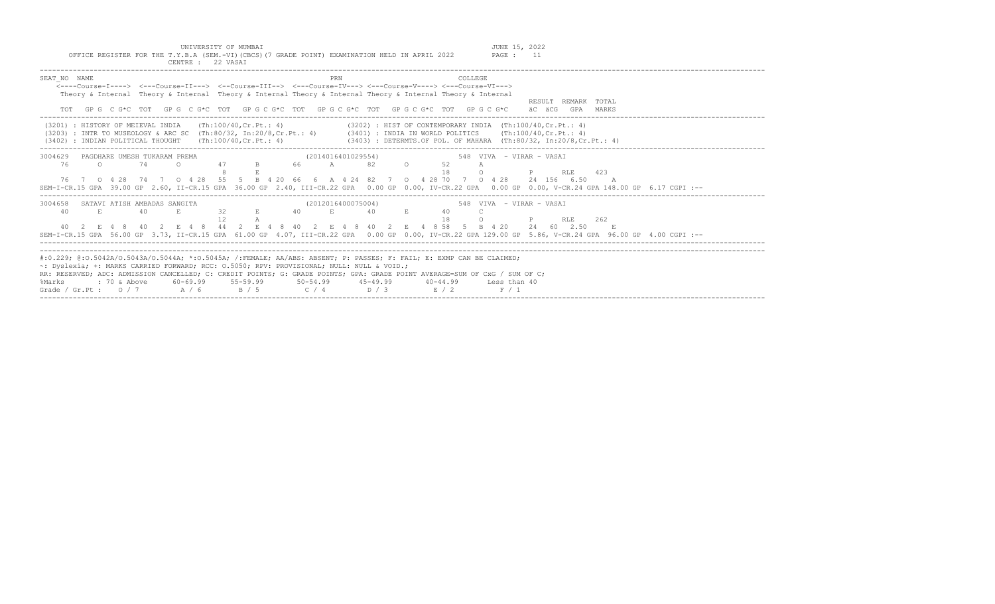| OFFICE REGISTER FOR THE T.Y.B.A (SEM.-VI) (CBCS) (7 GRADE POINT) EXAMINATION HELD IN APRIL 2022<br>PAGE : 11<br>CENTRE: 22 VASAI                                                                                                                                                                                                                                                                                                                                                                |
|-------------------------------------------------------------------------------------------------------------------------------------------------------------------------------------------------------------------------------------------------------------------------------------------------------------------------------------------------------------------------------------------------------------------------------------------------------------------------------------------------|
| SEAT NO NAME<br>COLLEGE<br>PRN<br>$\leftarrow$ ---Course-I----> $\leftarrow$ --Course-II---> $\leftarrow$ -Course-III--> $\leftarrow$ --Course-IV---> $\leftarrow$ -Course-V----> $\leftarrow$ -Course-VI---><br>Theory & Internal Theory & Internal Theory & Internal Theory & Internal Theory & Internal Theory & Internal<br>RESULT REMARK TOTAL<br>GP G C G*C TOT GP G C G*C TOT GP G C G*C TOT GP G C G*C TOT GP G C G*C TOT GP G C G*C<br>äC äCG GPA MARKS                                |
| (3201) : HISTORY OF MEIEVAL INDIA (Th:100/40, Cr. Pt.: 4)<br>$(3202)$ : HIST OF CONTEMPORARY INDIA $(Th:100/40, Cr.Pt.: 4)$<br>(3203) : INTR TO MUSEOLOGY & ARC SC (Th:80/32, In:20/8, Cr.Pt.: 4) (3401) : INDIA IN WORLD POLITICS (Th:100/40, Cr.Pt.: 4)<br>$(3403)$ : DETERMTS.OF POL. OF MAHARA (Th:80/32, In:20/8,Cr.Pt.: 4)<br>$(3402)$ : INDIAN POLITICAL THOUGHT $(Th:100/40, Cr.Pt.: 4)$                                                                                                |
| 3004629 PAGDHARE UMESH TUKARAM PREMA<br>(2014016401029554) 548 VIVA - VIRAR - VASAI<br>47 B 66 A 82 O<br>$\Omega$<br>76<br>74<br>52<br>$\Omega$<br>A<br>18<br><b>P</b> RLE 423<br>76 7 0 4 28 74 7 0 4 28 55 5 B 4 20 66 6 A 4 24 82 7 0 4 28 70 7 0 4 28 24 156 6 50 A<br>SEM-I-CR.15 GPA 39.00 GP 2.60, II-CR.15 GPA 36.00 GP 2.40, III-CR.22 GPA 0.00 GP 0.00, IV-CR.22 GPA 0.00 GP 0.00, V-CR.24 GPA 148.00 GP 6.17 CGPI :--                                                                |
| 3004658 SATAVI ATISH AMBADAS SANGITA<br>(2012016400075004)<br>548 VIVA - VIRAR - VASAI<br>$32$ E $40$ E $40$ E<br>40<br>E.<br>40<br>E.<br>40<br>1.8<br><b>P</b> RLE 262<br>$\Omega$<br>40 2 E 4 8 40 2 E 4 8 44 2 E 4 8 40 2 E 4 8 40 2 E 4 8 58 5 B 4 20 24 60 2.50<br>$E = \mathbf{E}$<br>SEM-I-CR.15 GPA 56.00 GP 3.73, II-CR.15 GPA 61.00 GP 4.07, III-CR.22 GPA 0.00 GP 0.00, IV-CR.22 GPA 129.00 GP 5.86, V-CR.24 GPA 96.00 GP 4.00 CGPI :--                                              |
| #:0.229; @:0.5042A/0.5043A/0.5044A; *:0.5045A; /:FEMALE; AA/ABS: ABSENT; P: PASSES; F: FAIL; E: EXMP CAN BE CLAIMED;<br>~: Dyslexia; +: MARKS CARRIED FORWARD; RCC: 0.5050; RPV: PROVISIONAL; NULL: NULL & VOID.;<br>RR: RESERVED; ADC: ADMISSION CANCELLED; C: CREDIT POINTS; G: GRADE POINTS; GPA: GRADE POINT AVERAGE=SUM OF CxG / SUM OF C;<br>: 70 & Above 60-69.99 55-59.99 50-54.99 45-49.99 40-44.99 Less than 40<br>%Marks<br>Grade / Gr.Pt: $0/7$ $A/6$ $B/5$ $C/4$ $D/3$ $E/2$ $F/1$ |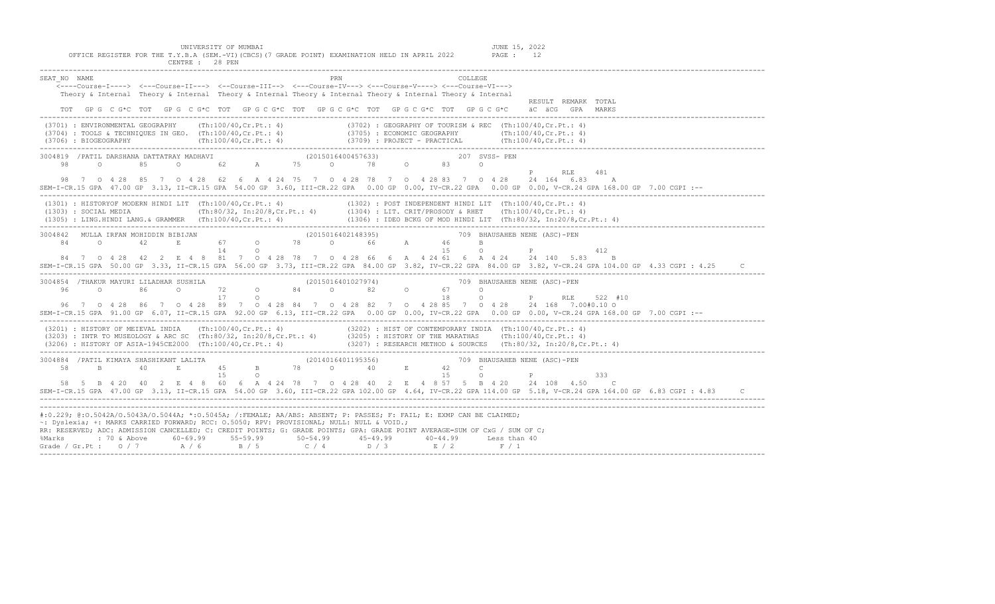| PRN<br>SEAT NO NAME<br><b>COLLEGE</b><br><---Course-I----> <---Course-II---> <--Course-III--> <---Course-IV---> <---Course-V----> <---Course-VI---><br>Theory & Internal Theory & Internal Theory & Internal Theory & Internal Theory & Internal Theory & Internal<br>RESULT REMARK TOTAL                                                                                                                                                                                                                                                                                           |
|-------------------------------------------------------------------------------------------------------------------------------------------------------------------------------------------------------------------------------------------------------------------------------------------------------------------------------------------------------------------------------------------------------------------------------------------------------------------------------------------------------------------------------------------------------------------------------------|
| TOT GPG CG*C TOT GPG CG*C TOT GPG CG*C TOT GPG CG*C TOT GPG CG*C TOT GPG CG*C TOT GPG CG*C äCG GPA MARKS                                                                                                                                                                                                                                                                                                                                                                                                                                                                            |
| (3701) : ENVIRONMENTAL GEOGRAPHY (Th:100/40, Cr. Pt.: 4) (3702) : GEOGRAPHY OF TOURISM & REC (Th:100/40, Cr. Pt.: 4)<br>(3704) : ECONOMIC GEOGRAPHY<br>(3704) : TOOLS & TECHNIQUES IN GEO. (Th:100/40, Cr.Pt.: 4)<br>(3706) : BIOGEOGRAPHY (Th:100/40, Cr.Pt.: 4) (3709) : PROJECT - PRACTICAL (Th:100/40, Cr.Pt.: 4)<br>(3706) : PROJECT - PRACTICAL (Th:10                                                                                                                                                                                                                        |
| 3004819 / PATIL DARSHANA DATTATRAY MADHAVI (2015016400457633) 207 SVSS- PEN<br>P RLE 481<br>98 7 0 4 28 85 7 0 4 28 62 6 A 4 24 75 7 0 4 28 78 7 0 4 28 83 7 0 4 28 24 164 6 83 A<br>SEM-I-CR.15 GPA 47.00 GP 3.13, II-CR.15 GPA 54.00 GP 3.60, III-CR.22 GPA 0.00 GP 0.00, IV-CR.22 GPA 0.00 GP 0.00, V-CR.24 GPA 168.00 GP 7.00 CGPI :--                                                                                                                                                                                                                                          |
| (1301) : HISTORYOF MODERN HINDI LIT (Th:100/40, Cr.Pt.: 4) (1302) : POST INDEPENDENT HINDI LIT (Th:100/40, Cr.Pt.: 4)                                                                                                                                                                                                                                                                                                                                                                                                                                                               |
| 3004842 MULLA IRFAN MOHIDDIN BIBIJAN (2015016402148395) 709 BHAUSAHEB NENE (ASC)-PEN<br>$\mathbf B$<br>P<br>$\Omega$<br>412<br>84 7 0 4 28 42 2 E 4 8 81 7 0 4 28 78 7 0 4 28 66 6 A 4 24 61 6 A 4 24 24 140 5.83 B<br>SEM-I-CR.15 GPA 50.00 GP 3.33, II-CR.15 GPA 56.00 GP 3.73, III-CR.22 GPA 84.00 GP 3.82, IV-CR.22 GPA 84.00 GP 3.82, V-CR.24 GPA 104.00 GP 4.33 CGPI : 4.25<br>$\mathsf{C}$                                                                                                                                                                                   |
| $\begin{array}{cccccccc} 3004854 & /{\tt THAKUR} & MAYURI & LILADHAR & SUSHILA & & & & & & & (2015016401027974) & & & & & & 709 & BH \\ 96 & & 0 & & 86 & & 0 & & 72 & & 0 & 84 & & 0 & 82 & & 0 & 67 & & 0 \\ & & & & & & & & 17 & & 0 & & & & & & 18 & & 0 \end{array}$<br>709 BHAUSAHEB NENE (ASC)-PEN<br>0 P RLE 522 #10<br>96 7 0 4 28 86 7 0 4 28 89 7 0 4 28 84 7 0 4 28 82 7 0 4 28 85 7 0 4 28 24 168 7.00#0.10 0<br>SEM-I-CR.15 GPA 91.00 GP 6.07, II-CR.15 GPA 92.00 GP 6.13, III-CR.22 GPA 0.00 GP 0.00, IV-CR.22 GPA 0.00 GP 0.00, V-CR.24 GPA 168.00 GP 7.00 CGPI :-- |
| (3201) : HISTORY OF MEIEVAL INDIA (Th:100/40,Cr.Pt.: 4) (3202) : HIST OF CONTEMPORARY INDIA (Th:100/40,Cr.Pt.: 4)<br>(3203) : INTR TO MUSEOLOGY & ARC SC (Th:80/32, In:20/8,Cr.Pt.: 4) (3205) : HISTORY OF THE MARATHAS (Th:100/                                                                                                                                                                                                                                                                                                                                                    |
| 15 0<br>15 0<br>$\mathbb P$ . In the set of $\mathbb P$<br>333<br>58 5 B 4 20 40 2 E 4 8 60 6 A 4 24 78 7 0 4 28 40 2 E 4 8 57 5 B 4 20 24 108 4.50 C<br>SEM-I-CR.15 GPA 47.00 GP 3.13, II-CR.15 GPA 54.00 GP 3.60, III-CR.22 GPA 102.00 GP 4.64, IV-CR.22 GPA 114.00 GP 5.18, V-CR.24 GPA 164.00 GP 6.83 CGPI: 4.83<br>$\mathbb{C}$                                                                                                                                                                                                                                                |
| #:0.229; @:0.5042A/O.5043A/O.5044A; *:0.5045A; /:FEMALE; AA/ABS: ABSENT; P: PASSES; F: FAIL; E: EXMP CAN BE CLAIMED;<br>~: Dyslexia; +: MARKS CARRIED FORWARD; RCC: 0.5050; RPV: PROVISIONAL; NULL: NULL & VOID.;<br>RR: RESERVED; ADC: ADMISSION CANCELLED; C: CREDIT POINTS; G: GRADE POINTS; GPA: GRADE POINT AVERAGE=SUM OF CxG / SUM OF C;<br>%Marks : 70 & Above 60-69.99 55-59.99 50-54.99 45-49.99 40-44.99 Less than 40<br>Grade / Gr.Pt : 0 / 7 A / 6 B / 5 C / 4 D / 3 E / 2 F / 1                                                                                       |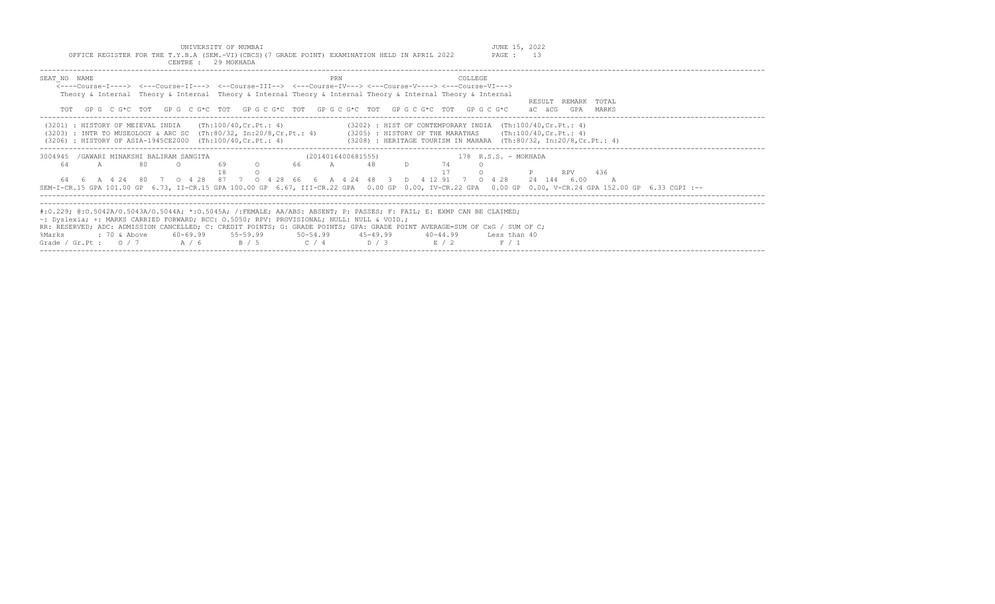UNIVERSITY OF MUMBAI<br>OFFICE REGISTER FOR THE T.Y.B.A (SEM.-VI)(CBCS)(7 GRADE POINT) EXAMINATION HELD IN APRIL 2022 PAGE : 13

|              |                                                                                                                                                                                                                                                                                                  |                                                            | CENTRE : 29 MOKHADA                                          |                                                                                                                                                                                                                                                                                                                    |                          |                                                                                                                                                                                                                                                                                      |                                                                                                                                                                    |
|--------------|--------------------------------------------------------------------------------------------------------------------------------------------------------------------------------------------------------------------------------------------------------------------------------------------------|------------------------------------------------------------|--------------------------------------------------------------|--------------------------------------------------------------------------------------------------------------------------------------------------------------------------------------------------------------------------------------------------------------------------------------------------------------------|--------------------------|--------------------------------------------------------------------------------------------------------------------------------------------------------------------------------------------------------------------------------------------------------------------------------------|--------------------------------------------------------------------------------------------------------------------------------------------------------------------|
| SEAT NO NAME |                                                                                                                                                                                                                                                                                                  |                                                            |                                                              | PRN<br><----Course-I----> <---Course-II---> <--Course-III--> <---Course-IV---> <---Course-V----> <---Course-VI---><br>Theory & Internal Theory & Internal Theory & Internal Theory & Internal Theory & Internal Theory & Internal<br>TOT GPG CG*C TOT GPG CG*C TOT GPG CG*C TOT GPG CG*C TOT GPG CG*C TOT GPG CG*C |                          | COLLEGE.                                                                                                                                                                                                                                                                             | RESULT REMARK TOTAL<br>äC äCG<br>GPA MARKS                                                                                                                         |
|              |                                                                                                                                                                                                                                                                                                  |                                                            | $(3201)$ : HISTORY OF MEIEVAL INDIA $(Th:100/40, Cr.Pt.: 4)$ |                                                                                                                                                                                                                                                                                                                    |                          | $(3202)$ : HIST OF CONTEMPORARY INDIA $(Th:100/40, Cr.Pt.: 4)$<br>(3203) : INTR TO MUSEOLOGY & ARC SC (Th:80/32, In:20/8, Cr. Pt.: 4) (3205) : HISTORY OF THE MARATHAS (Th:100/40, Cr. Pt.: 4)                                                                                       | (3206) : HISTORY OF ASIA-1945CE2000 (Th:100/40, Cr.Pt.: 4) (3208) : HERITAGE TOURISM IN MAHARA (Th:80/32, In:20/8, Cr.Pt.: 4)                                      |
| 64           | $\mathbb{A}$ and $\mathbb{A}$ and $\mathbb{A}$ and $\mathbb{A}$ and $\mathbb{A}$ and $\mathbb{A}$ and $\mathbb{A}$ and $\mathbb{A}$ and $\mathbb{A}$ and $\mathbb{A}$ and $\mathbb{A}$ and $\mathbb{A}$ and $\mathbb{A}$ and $\mathbb{A}$ and $\mathbb{A}$ and $\mathbb{A}$ and $\mathbb{A}$ and | 3004945 / GAWARI MINAKSHI BALIRAM SANGITA<br>80<br>$\circ$ | 69                                                           | O 66 A 48 D 74                                                                                                                                                                                                                                                                                                     | (2014016400681555)<br>17 | 178 R.S.S. - MOKHADA<br>$\overline{a}$<br>64  6  A  4  24  80  7  0  4  28  87  7  0  4  28  66  6  A  4  24  48  3  D  4  12  91  7  0  4  28  24  144  6.00                                                                                                                        | RPV 436<br>SEM-I-CR.15 GPA 101.00 GP 6.73, II-CR.15 GPA 100.00 GP 6.67, III-CR.22 GPA 0.00 GP 0.00, IV-CR.22 GPA 0.00 GP 0.00, V-CR.24 GPA 152.00 GP 6.33 CGPI :-- |
| %Marks       |                                                                                                                                                                                                                                                                                                  |                                                            |                                                              | ~: Dyslexia; +: MARKS CARRIED FORWARD; RCC: 0.5050; RPV: PROVISIONAL; NULL: NULL & VOID.;<br>Grade / Gr. Pt : $0/7$ $A/6$ $B/5$ $C/4$ $D/3$ $E/2$                                                                                                                                                                  |                          | #:0.229; @:0.5042A/0.5043A/0.5044A; *:0.5045A; /:FEMALE; AA/ABS: ABSENT; P: PASSES; F: FAIL; E: EXMP CAN BE CLAIMED;<br>RR: RESERVED; ADC: ADMISSION CANCELLED; C: CREDIT POINTS; G: GRADE POINTS; GPA: GRADE POINT AVERAGE=SUM OF CxG / SUM OF C;<br>40-44.99 Less than 40<br>F / 1 |                                                                                                                                                                    |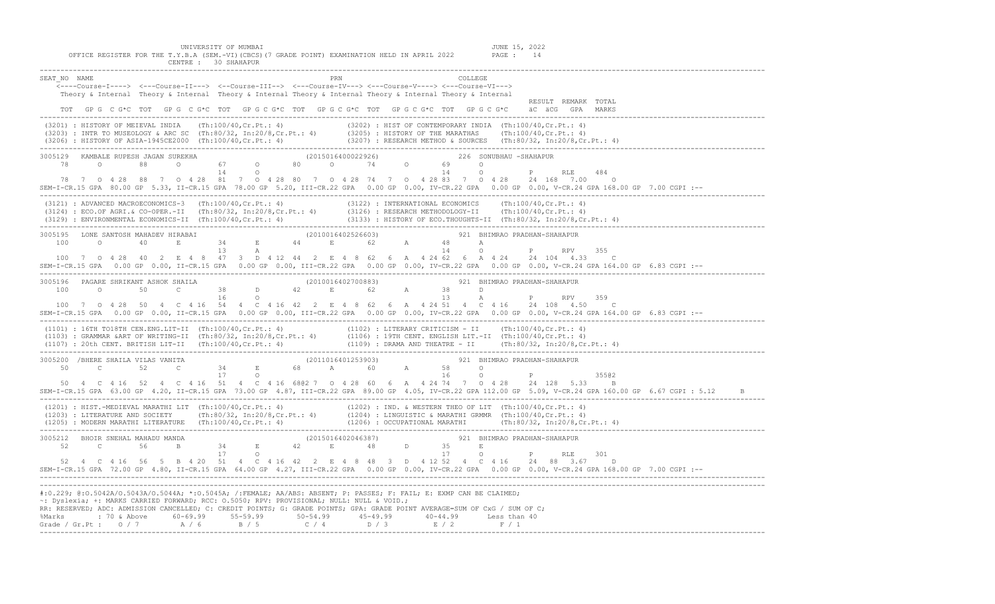UNIVERSITY OF MUMBAI JUNE 15, 2022

CENTRE : 30 SHAHAPUR

------------------------------------------------------------------------------------------------------------------------------------------------------------------------------- SEAT\_NO NAME PRN COLLEGE <----Course-I----> <---Course-II---> <--Course-III--> <---Course-IV---> <---Course-V----> <---Course-VI---> Theory & Internal Theory & Internal Theory & Internal Theory & Internal Theory & Internal Theory & Internal RESULT REMARK TOTAL TOT GP G C G\*C TOT GP G C G\*C TOT GP G C G\*C TOT GP G C G\*C TOT GP G C G\*C TOT GP G C G\*C äC äCG GPA MARKS ------------------------------------------------------------------------------------------------------------------------------------------------------------------------------- (3201) : HISTORY OF MEIEVAL INDIA (Th:100/40,Cr.Pt.: 4) (3202) : HIST OF CONTEMPORARY INDIA (Th:100/40,Cr.Pt.: 4) (3203) : INTR TO MUSEOLOGY & ARC SC (Th:80/32, In:20/8,Cr.Pt.: 4) (3205) : HISTORY OF THE MARATHAS (Th:100/40,Cr.Pt.: 4)<br>(3206) : HISTORY OF ASIA-1945CE2000 (Th:100/40,Cr.Pt.: 4) (3207) : RESEARCH METHOD & SOURCES (Th:80/3 ------------------------------------------------------------------------------------------------------------------------------------------------------------------------------- 3005129 KAMBALE RUPESH JAGAN SUREKHA (2015016400022926) 226 SONUBHAU -SHAHAPUR 78 O 88 O 67 O 80 O 74 O 69 O 14 O 14 O P RLE 484 78 7 O 4 28 88 7 O 4 28 81 7 O 4 28 80 7 O 4 28 74 7 O 4 28 83 7 O 4 28 24 168 7.00 O SEM-I-CR.15 GPA 80.00 GP 5.33, II-CR.15 GPA 78.00 GP 5.20, III-CR.22 GPA 0.00 GP 0.00, IV-CR.22 GPA 0.00 GP 0.00, V-CR.24 GPA 168.00 GP 7.00 CGPI :-- ------------------------------------------------------------------------------------------------------------------------------------------------------------------------------- (3121) : ADVANCED MACROECONOMICS-3 (Th:100/40,Cr.Pt.: 4) (3122) : INTERNATIONAL ECONOMICS (Th:100/40,Cr.Pt.: 4) (3124) : ECO.OF AGRI.& CO-OPER.-II (Th:80/32, In:20/8,Cr.Pt.: 4) (3126) : RESEARCH METHODOLOGY-II (Th:100/40,Cr.Pt.: 4) (3129) : ENVIRONMENTAL ECONOMICS-II (Th:100/40,Cr.Pt.: 4) (3133) : HISTORY OF ECO.THOUGHTS-II (Th:80/32, In:20/8,Cr.Pt.: 4) ------------------------------------------------------------------------------------------------------------------------------------------------------------------------------- 3005195 LONE SANTOSH MAHADEV HIRABAI (2010016402526603) 921 BHIMRAO PRADHAN-SHAHAPUR 100 O 40 E 34 E 44 E 62 A 48 A 13 A 14 O P RPV 355 100 7 O 4 28 40 2 E 4 8 47 3 D 4 12 44 2 E 4 8 62 6 A 4 24 62 6 A 4 24 24 104 4.33 C SEM-I-CR.15 GPA 0.00 GP 0.00, II-CR.15 GPA 0.00 GP 0.00, III-CR.22 GPA 0.00 GP 0.00, IV-CR.22 GPA 0.00 GP 0.00, V-CR.24 GPA 164.00 GP 6.83 CGPI :-- ------------------------------------------------------------------------------------------------------------------------------------------------------------------------------- 3005196 PAGARE SHRIKANT ASHOK SHAILA (2010016402700883) 921 BHIMRAO PRADHAN-SHAHAPUR  $100$  0 50 C 38 D 42 E 62 A 38 D D<br> $16$  0 16 O 13 A P RPV 359 100 7 O 4 28 50 4 C 4 16 54 4 C 4 16 42 2 E 4 8 62 6 A 4 24 51 4 C 4 16 24 108 4.50 C SEM-I-CR.15 GPA 0.00 GP 0.00, II-CR.15 GPA 0.00 GP 0.00, III-CR.22 GPA 0.00 GP 0.00, IV-CR.22 GPA 0.00 GP 0.00, V-CR.24 GPA 164.00 GP 6.83 CGPI :-- ------------------------------------------------------------------------------------------------------------------------------------------------------------------------------- (1101) : 16TH TO18TH CEN.ENG.LIT-II (Th:100/40,Cr.Pt.: 4) (1102) : LITERARY CRITICISM - II (Th:100/40,Cr.Pt.: 4) (1103) : GRAMMAR &ART OF WRITING-II (Th:80/32, In:20/8,Cr.Pt.: 4) (1106) : 19TH CENT. ENGLISH LIT.-II (Th:100/40,Cr.Pt.: 4) (1107) : 20th CENT. BRITISH LIT-II (Th:100/40,Cr.Pt.: 4) (1109) : DRAMA AND THEATRE - II (Th:80/32, In:20/8,Cr.Pt.: 4) ------------------------------------------------------------------------------------------------------------------------------------------------------------------------------- 3005200 /BHERE SHAILA VILAS VANITA (2011016401253903) 921 BHIMRAO PRADHAN-SHAHAPUR 50 C 52 C 34 E 68 A 60 A 58 O 17 O 16 O P 355@2 50 4 C 4 16 52 4 C 4 16 51 4 C 4 16 68@2 7 O 4 28 60 6 A 4 24 74 7 O 4 28 24 128 5.33 B SEM-I-CR.15 GPA 63.00 GP 4.20, II-CR.15 GPA 73.00 GP 4.87, III-CR.22 GPA 89.00 GP 4.05, IV-CR.22 GPA 112.00 GP 5.09, V-CR.24 GPA 160.00 GP 6.67 CGPI : 5.12 B ------------------------------------------------------------------------------------------------------------------------------------------------------------------------------- (1201) : HIST.-MEDIEVAL MARATHI LIT (Th:100/40,Cr.Pt.: 4) (1202) : IND. & WESTERN THEO OF LIT (Th:100/40,Cr.Pt.: 4) (1203) : LITERATURE AND SOCIETY (Th:80/32, In:20/8,Cr.Pt.: 4) (1204) : LINGUISTIC & MARATHI GRMMR (Th:100/40,Cr.Pt.: 4) (1205) : MODERN MARATHI LITERATURE (Th:100/40,Cr.Pt.: 4) (1206) : OCCUPATIONAL MARATHI (Th:80/32, In:20/8,Cr.Pt.: 4) -------------------------------------------------------------------------------------------------------------------------------------------------------------------------------  $3005212 \quad \text{BHOIR SNEHAL MAHADU MANDA} \quad \text{(2015016402046387)} \quad \text{921} \quad \text{BHHMRAO PRADHAN-SHAHAPUR} \quad \text{52} \quad \text{C} \quad \text{56} \quad \text{B} \quad \text{34} \quad \text{E} \quad \text{42} \quad \text{E} \quad \text{48} \quad \text{D} \quad \text{35} \quad \text{E}$ 52 C 56 B 34 E 42 E 48 D 17 O 17 O P RLE 301 52 4 C 4 16 56 5 B 4 20 51 4 C 4 16 42 2 E 4 8 48 3 D 4 12 52 4 C 4 16 24 88 3.67 D SEM-I-CR.15 GPA 72.00 GP 4.80, II-CR.15 GPA 64.00 GP 4.27, III-CR.22 GPA 0.00 GP 0.00, IV-CR.22 GPA 0.00 GP 0.00, V-CR.24 GPA 168.00 GP 7.00 CGPI :-- ------------------------------------------------------------------------------------------------------------------------------------------------------------------------------- ------------------------------------------------------------------------------------------------------------------------------------------------------------------------------- #:0.229; @:O.5042A/O.5043A/O.5044A; \*:O.5045A; /:FEMALE; AA/ABS: ABSENT; P: PASSES; F: FAIL; E: EXMP CAN BE CLAIMED; ~: Dyslexia; +: MARKS CARRIED FORWARD; RCC: O.5050; RPV: PROVISIONAL; NULL: NULL & VOID.; RR: RESERVED; ADC: ADMISSION CANCELLED; C: CREDIT POINTS; G: GRADE POINTS; GPA: GRADE POINT AVERAGE=SUM OF CxG / SUM OF C; %Marks : 70 & Above 60-69.99 55-59.99 50-54.99 45-49.99 40-44.99 Less than 40 Grade / Gr.Pt : 0 / 7 A / 6 B / 5 C / 4 D / 3 E / 2 F / 1 -------------------------------------------------------------------------------------------------------------------------------------------------------------------------------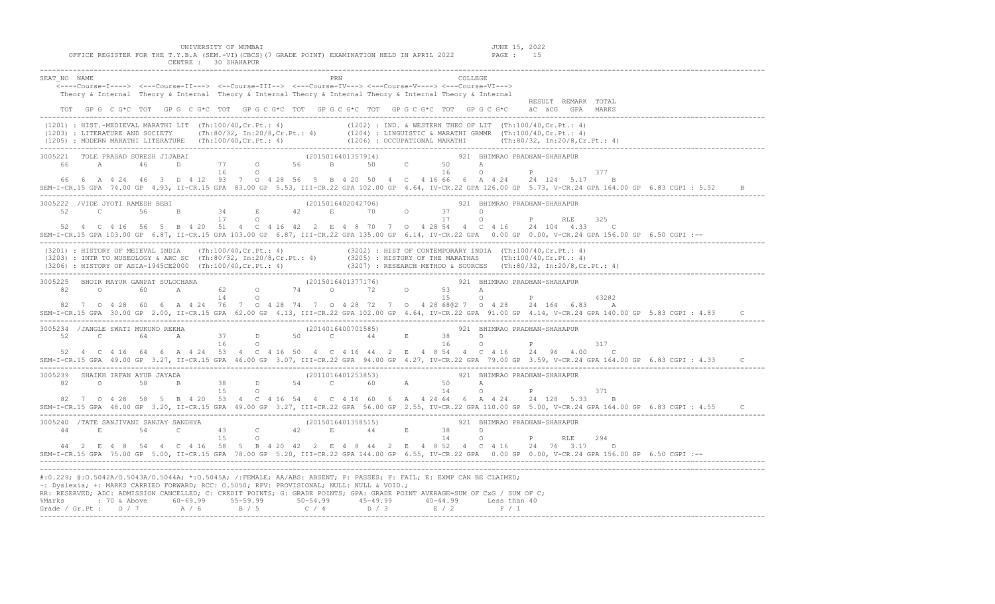UNIVERSITY OF MUMBAI **JUNE 15, 2022** 

 OFFICE REGISTER FOR THE T.Y.B.A (SEM.-VI)(CBCS)(7 GRADE POINT) EXAMINATION HELD IN APRIL 2022 PAGE : 15 CENTRE : 30 SHAHAPUR -------------------------------------------------------------------------------------------------------------------------------------------------------------------------------

| SEAT NO NAME                                                                                                                                                                                                                                                                                                                                                             | PRN | COLLEGE                                                                                                                                                      |
|--------------------------------------------------------------------------------------------------------------------------------------------------------------------------------------------------------------------------------------------------------------------------------------------------------------------------------------------------------------------------|-----|--------------------------------------------------------------------------------------------------------------------------------------------------------------|
| <----Course-I----> <---Course-II---> <--Course-III--> <---Course-IV---> <---Course-V----> <---Course-VI--->                                                                                                                                                                                                                                                              |     |                                                                                                                                                              |
| Theory & Internal Theory & Internal Theory & Internal Theory & Internal Theory & Internal Theory & Internal                                                                                                                                                                                                                                                              |     |                                                                                                                                                              |
| TOT GPG C G*C TOT GPG C G*C TOT GPG C G*C TOT GPG C G*C TOT GPG C G*C TOT GPG C G*C äC äCG GPA MARKS                                                                                                                                                                                                                                                                     |     | RESULT REMARK TOTAL                                                                                                                                          |
|                                                                                                                                                                                                                                                                                                                                                                          |     |                                                                                                                                                              |
| $(1201) : HIST.-MEDJEVAL MARATHI LIT (Th:100/40, Cr.Pt.: 4) (1202) : IND. & WESTERN THEO OF LIT (Th:100/40, Cr.Pt.: 4) (1203) : LITERATURE AND SOCIETY (Th:80/32, In:20/8, Cr.Pt.: 4) (1204) : LINGUISTIC & MARATHI GRMMR (Th:100/40, Cr.Pt.: 4) (1205) : MODERN MARATHI LITERATURE (Th:100/40, Cr.Pt.: 4) (1206) : OCCUPATIONAL MARATHI (Th:80/32, In:20/8, Cr.Pt.: 4)$ |     |                                                                                                                                                              |
|                                                                                                                                                                                                                                                                                                                                                                          |     |                                                                                                                                                              |
|                                                                                                                                                                                                                                                                                                                                                                          |     |                                                                                                                                                              |
|                                                                                                                                                                                                                                                                                                                                                                          |     |                                                                                                                                                              |
|                                                                                                                                                                                                                                                                                                                                                                          |     |                                                                                                                                                              |
|                                                                                                                                                                                                                                                                                                                                                                          |     | 377                                                                                                                                                          |
| 66  6  A  4  24  46  3  D  4  12  93  7  0  4  28  56  5  B  4  20  50  4  C  4  16  66  6  A  4  24  24  124  5.17                                                                                                                                                                                                                                                      |     | $\mathbf{B}$                                                                                                                                                 |
|                                                                                                                                                                                                                                                                                                                                                                          |     | SEM-I-CR.15 GPA 74.00 GP 4.93, II-CR.15 GPA 83.00 GP 5.53, III-CR.22 GPA 102.00 GP 4.64, IV-CR.22 GPA 126.00 GP 5.73, V-CR.24 GPA 164.00 GP 6.83 CGPI : 5.52 |
|                                                                                                                                                                                                                                                                                                                                                                          |     |                                                                                                                                                              |
|                                                                                                                                                                                                                                                                                                                                                                          |     |                                                                                                                                                              |
|                                                                                                                                                                                                                                                                                                                                                                          |     | 325                                                                                                                                                          |
| 52  4  C  4  16  56  5  B  4  20  51  4  C  4  16  42  2  E  4  8  70  7  0  4  28  54  4  C  4  16  24  104  4.33  C                                                                                                                                                                                                                                                    |     | SEM-I-CR.15 GPA 103.00 GP 6.87, II-CR.15 GPA 103.00 GP 6.87, III-CR.22 GPA 135.00 GP 6.14, IV-CR.22 GPA 0.00 GP 0.00, V-CR.24 GPA 156.00 GP 6.50 CGPI :--    |
|                                                                                                                                                                                                                                                                                                                                                                          |     |                                                                                                                                                              |
| (3201) : HISTORY OF MEIEVAL INDIA (Th:100/40,Cr.Pt.: 4) (3202) : HIST OF CONTEMPORARY INDIA (Th:100/40,Cr.Pt.: 4)<br>(3203) : INTR TO MUSEOLOGY & ARC SC (Th:80/32, In:20/8,Cr.Pt.: 4) (3205) : HISTORY OF THE MARATHAS (Th:100/4                                                                                                                                        |     |                                                                                                                                                              |
|                                                                                                                                                                                                                                                                                                                                                                          |     |                                                                                                                                                              |
|                                                                                                                                                                                                                                                                                                                                                                          |     |                                                                                                                                                              |
|                                                                                                                                                                                                                                                                                                                                                                          |     |                                                                                                                                                              |
|                                                                                                                                                                                                                                                                                                                                                                          |     |                                                                                                                                                              |
|                                                                                                                                                                                                                                                                                                                                                                          |     | 43202                                                                                                                                                        |
| 82 7 0 4 28 60 6 A 4 24 76 7 0 4 28 74 7 0 4 28 72 7 0 4 28 680 2 7 0 4 28 24 164 6.83 A                                                                                                                                                                                                                                                                                 |     |                                                                                                                                                              |
|                                                                                                                                                                                                                                                                                                                                                                          |     | SEM-I-CR.15 GPA 30.00 GP 2.00, II-CR.15 GPA 62.00 GP 4.13, III-CR.22 GPA 102.00 GP 4.64, IV-CR.22 GPA 91.00 GP 4.14, V-CR.24 GPA 140.00 GP 5.83 CGPI : 4.83  |
|                                                                                                                                                                                                                                                                                                                                                                          |     |                                                                                                                                                              |
|                                                                                                                                                                                                                                                                                                                                                                          |     |                                                                                                                                                              |
|                                                                                                                                                                                                                                                                                                                                                                          |     | $16$ 0 P<br>317                                                                                                                                              |
| 52  4  C  4  16  64  6  A  4  24  53  4  C  4  16  50  4  C  4  16  44  2  E  4  8  54  4  C  4  16  24  96  4.00                                                                                                                                                                                                                                                        |     | $\mathcal{C}$                                                                                                                                                |
|                                                                                                                                                                                                                                                                                                                                                                          |     | SEM-I-CR.15 GPA 49.00 GP 3.27, II-CR.15 GPA 46.00 GP 3.07, III-CR.22 GPA 94.00 GP 4.27, IV-CR.22 GPA 79.00 GP 3.59, V-CR.24 GPA 164.00 GP 6.83 CGPI : 4.33   |
|                                                                                                                                                                                                                                                                                                                                                                          |     |                                                                                                                                                              |
|                                                                                                                                                                                                                                                                                                                                                                          |     |                                                                                                                                                              |
| 15 0                                                                                                                                                                                                                                                                                                                                                                     |     | 14 O P<br>371                                                                                                                                                |
| 82 7 0 4 28 58 5 B 4 20 53 4 C 4 16 54 4 C 4 16 60 6 A 4 24 64 6 A 4 24 24 128 5.33                                                                                                                                                                                                                                                                                      |     | B                                                                                                                                                            |
|                                                                                                                                                                                                                                                                                                                                                                          |     | SEM-I-CR.15 GPA 48.00 GP 3.20, II-CR.15 GPA 49.00 GP 3.27, III-CR.22 GPA 56.00 GP 2.55, IV-CR.22 GPA 110.00 GP 5.00, V-CR.24 GPA 164.00 GP 6.83 CGPI : 4.55  |
| 3005240 /TATE SANJIVANI SANJAY SANDHYA (2015016401358515) 921 BHIMRAO PRADHAN-SHAHAPUR<br>44 E 54 C 43 C 42 E 44 E 38 D<br>15 O 14 O P RLE                                                                                                                                                                                                                               |     |                                                                                                                                                              |
|                                                                                                                                                                                                                                                                                                                                                                          |     |                                                                                                                                                              |
|                                                                                                                                                                                                                                                                                                                                                                          |     | 294                                                                                                                                                          |
| 44  2  E  4  8  54  4  C  4  16  58  5  B  4  20  42  2  E  4  8  44  2  E  4  8  52  4  C  4  16  24  76  3.17  D                                                                                                                                                                                                                                                       |     |                                                                                                                                                              |
|                                                                                                                                                                                                                                                                                                                                                                          |     | SEM-I-CR.15 GPA 75.00 GP 5.00, II-CR.15 GPA 78.00 GP 5.20, III-CR.22 GPA 144.00 GP 6.55, IV-CR.22 GPA 0.00 GP 0.00, V-CR.24 GPA 156.00 GP 6.50 CGPI :--      |
|                                                                                                                                                                                                                                                                                                                                                                          |     |                                                                                                                                                              |
|                                                                                                                                                                                                                                                                                                                                                                          |     |                                                                                                                                                              |
| #:0.229; @:0.5042A/0.5043A/0.5044A; *:0.5045A; /:FEMALE; AA/ABS: ABSENT; P: PASSES; F: FAIL; E: EXMP CAN BE CLAIMED;                                                                                                                                                                                                                                                     |     |                                                                                                                                                              |
| ~: Dyslexia; +: MARKS CARRIED FORWARD; RCC: 0.5050; RPV: PROVISIONAL; NULL: NULL & VOID.;                                                                                                                                                                                                                                                                                |     |                                                                                                                                                              |
| RR: RESERVED; ADC: ADMISSION CANCELLED; C: CREDIT POINTS; G: GRADE POINTS; GPA: GRADE POINT AVERAGE=SUM OF CxG / SUM OF C;                                                                                                                                                                                                                                               |     |                                                                                                                                                              |
|                                                                                                                                                                                                                                                                                                                                                                          |     |                                                                                                                                                              |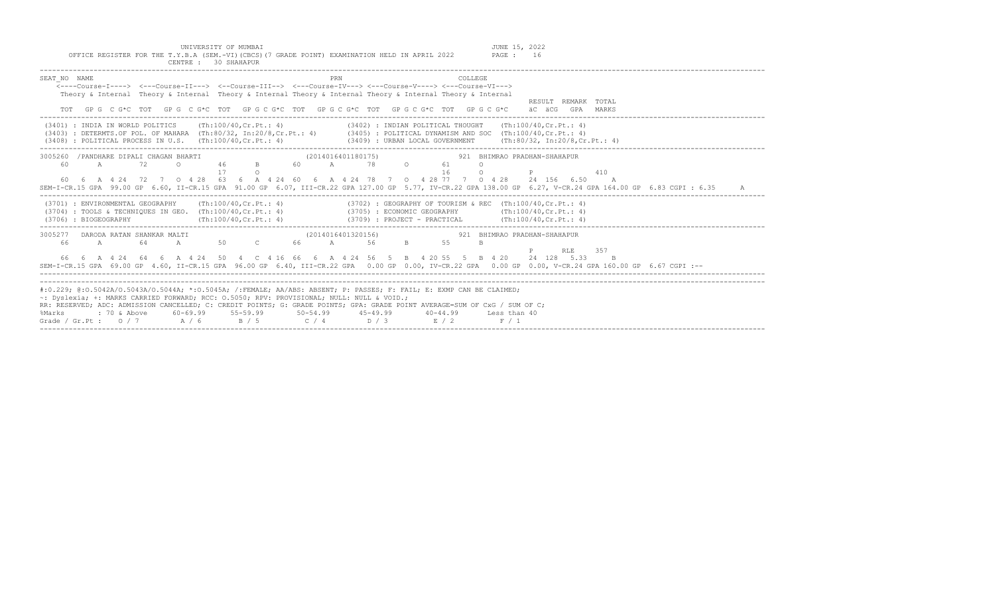|  |  |  | UNIVERSITY OF MUMBAI                                                                          |  |  |  | JUNE 15, 2022 |    |
|--|--|--|-----------------------------------------------------------------------------------------------|--|--|--|---------------|----|
|  |  |  | OFFICE REGISTER FOR THE T.Y.B.A (SEM.-VI)(CBCS)(7 GRADE POINT) EXAMINATION HELD IN APRIL 2022 |  |  |  | PAGE :        | 16 |
|  |  |  | CENTRE : 30 SHAHAPUR                                                                          |  |  |  |               |    |

| COLLEGE.<br>SEAT NO NAME<br><----Course-I----> <---Course-II---> <--Course-III--> <---Course-IV---> <---Course-V----> <---Course-VI---><br>Theory & Internal Theory & Internal Theory & Internal Theory & Internal Theory & Internal Theory & Internal<br>RESULT REMARK TOTAL                                                                                                                                                                                                                                                            |  |
|------------------------------------------------------------------------------------------------------------------------------------------------------------------------------------------------------------------------------------------------------------------------------------------------------------------------------------------------------------------------------------------------------------------------------------------------------------------------------------------------------------------------------------------|--|
| TOT GPG C G*C TOT GPG C G*C TOT GPG C G*C TOT GPG C G*C TOT GPG C G*C TOT GPG C G*C aC aCG GPA MARKS                                                                                                                                                                                                                                                                                                                                                                                                                                     |  |
| $(3401)$ : INDIA IN WORLD POLITICS (Th:100/40, Cr. Pt.: 4)<br>$(3402)$ : INDIAN POLITICAL THOUGHT (Th:100/40, Cr. Pt.: 4)<br>(3403) : DETERMTS.OF POL. OF MAHARA (Th:80/32, In:20/8,Cr.Pt.: 4) (3405) : POLITICAL DYNAMISM AND SOC (Th:100/40,Cr.Pt.: 4)<br>(3408) : POLITICAL PROCESS IN U.S. (Th:100/40, Cr.Pt.: 4) (3409) : URBAN LOCAL GOVERNMENT (Th:80/32, In:20/8, Cr.Pt.: 4)                                                                                                                                                     |  |
| 3005260 / PANDHARE DIPALI CHAGAN BHARTI<br>(2014016401180175)             921 BHIMRAO PRADHAN-SHAHAPUR                                                                                                                                                                                                                                                                                                                                                                                                                                   |  |
| <b>A</b> 72<br>60<br>$\circ$<br>$\Omega$                                                                                                                                                                                                                                                                                                                                                                                                                                                                                                 |  |
| ------<br>46 B 60 A 78 0 61<br>17 0 16<br>$\circ$<br>410<br>P                                                                                                                                                                                                                                                                                                                                                                                                                                                                            |  |
| 60  6  A  4  24  72  7  0  4  28  63  6  A  4  24  60  6  A  4  24  78  7  0  4  28  77  7  0  4  28  24  156  6.50  A<br>SEM-I-CR.15 GPA 99.00 GP 6.60, II-CR.15 GPA 91.00 GP 6.07, III-CR.22 GPA 127.00 GP 5.77, IV-CR.22 GPA 138.00 GP 6.27, V-CR.24 GPA 164.00 GP 6.83 CGPI : 6.35<br>A                                                                                                                                                                                                                                              |  |
| (3701) : ENVIRONMENTAL GEOGRAPHY (Th:100/40, Cr. Pt.: 4) (3702) : GEOGRAPHY OF TOURISM & REC (Th:100/40, Cr. Pt.: 4)<br>(3704) : TOOLS & TECHNIQUES IN GEO. (Th:100/40, Cr.Pt.: 4) (3705) : ECONOMIC GEOGRAPHY (Th:100/40, Cr.Pt.: 4)<br>$(\text{Th}:100/40, \text{Cr.Ft.}: 4)$<br>$(3709)$ : PROJECT - PRACTICAL $(Th:100/40, Cr.Pt.: 4)$<br>(3706) : BIOGEOGRAPHY                                                                                                                                                                      |  |
| (2014016401320156)<br>921 BHIMRAO PRADHAN-SHAHAPUR                                                                                                                                                                                                                                                                                                                                                                                                                                                                                       |  |
| $\begin{array}{cccccccccccc} 3005277 & \texttt{DARODA RATAN SHANKAR MALTI} & & & & & & & (2014016401320156) \\ 66 & \texttt{A} & \texttt{64} & \texttt{A} & \texttt{50} & \texttt{C} & \texttt{66} & \texttt{A} & \texttt{56} \end{array}$<br>$B = 1$<br>55<br>B.                                                                                                                                                                                                                                                                        |  |
| P RLE 357                                                                                                                                                                                                                                                                                                                                                                                                                                                                                                                                |  |
| 66  6  A  4  24  64  6  A  4  24  50  4  C  4  16  66  6  A  4  24  56  5  B  4  20  55  5  B  4  20  24  128  5.33<br>B                                                                                                                                                                                                                                                                                                                                                                                                                 |  |
|                                                                                                                                                                                                                                                                                                                                                                                                                                                                                                                                          |  |
| SEM-I-CR.15 GPA 69.00 GP 4.60, II-CR.15 GPA 96.00 GP 6.40, III-CR.22 GPA 0.00 GP 0.00, IV-CR.22 GPA 0.00 GP 0.00, V-CR.24 GPA 160.00 GP 6.67 CGPI :--                                                                                                                                                                                                                                                                                                                                                                                    |  |
|                                                                                                                                                                                                                                                                                                                                                                                                                                                                                                                                          |  |
| #:0.229; @:0.5042A/0.5043A/0.5044A; *:0.5045A; /:FEMALE; AA/ABS: ABSENT; P: PASSES; F: FAIL; E: EXMP CAN BE CLAIMED;<br>~: Dyslexia; +: MARKS CARRIED FORWARD; RCC: 0.5050; RPV: PROVISIONAL; NULL: NULL & VOID.;<br>RR: RESERVED; ADC: ADMISSION CANCELLED; C: CREDIT POINTS; G: GRADE POINTS; GPA: GRADE POINT AVERAGE=SUM OF CxG / SUM OF C;<br>: 70 & Above        60-69.99        55-59.99        50-54.99        45-49.99        40-44.99      Less than 40<br>%Marks<br>Grade / Gr.Pt : $0/7$ $A/6$ $B/5$ $C/4$ $D/3$ $E/2$ $F/1$ |  |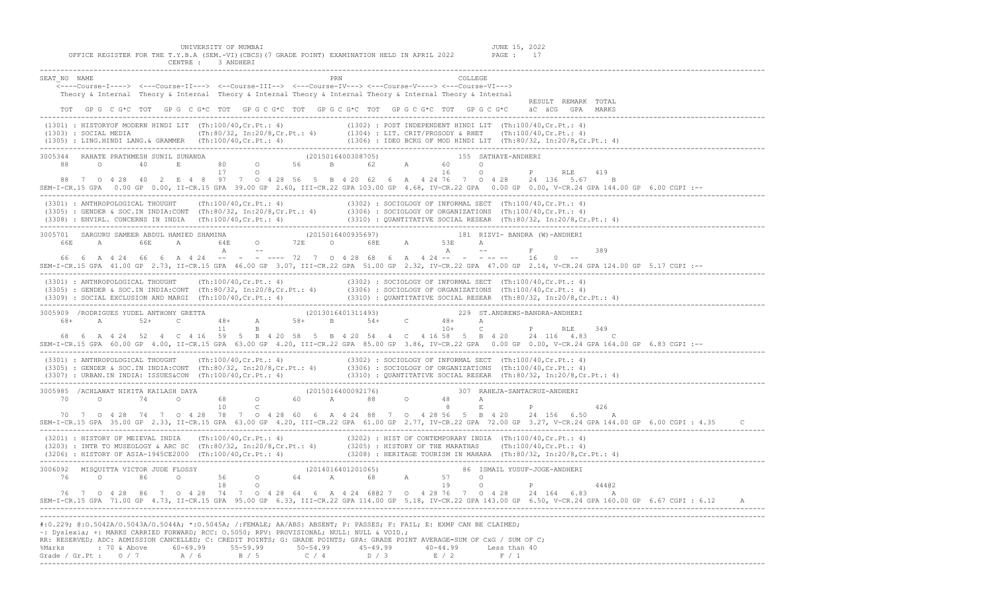UNIVERSITY OF MUMBAI<br>Y.B.A (SEM.-VI)(CBCS)(7 GRADE POINT) EXAMINATION HELD IN APRIL 2022 PAGE : 17 OFFICE REGISTER FOR THE T.Y.B.A (SEM.-VI)(CBCS)(7 GRADE POINT) EXAMINATION HELD IN APRIL 2022 CENTRE : 3 ANDHERI

|                                                                                                                                                                                                                                                                                                                                                                                                                                                                                               | _____________________ |                     |
|-----------------------------------------------------------------------------------------------------------------------------------------------------------------------------------------------------------------------------------------------------------------------------------------------------------------------------------------------------------------------------------------------------------------------------------------------------------------------------------------------|-----------------------|---------------------|
| SEAT NO NAME<br>______<br><----Course-I----> <---Course-II---> <--Course-III--> <---Course-IV---> <---Course-V----> <---Course-VI--->                                                                                                                                                                                                                                                                                                                                                         | PRN<br>COLLEGE        |                     |
| Theory & Internal Theory & Internal Theory & Internal Theory & Internal Theory & Internal Theory & Internal<br>TOT GPG CG*C TOT GPG CG*C TOT GPG CG*C TOT GPG CG*C TOT GPG CG*C TOT GPG CG*C äC äCG GPA MARKS                                                                                                                                                                                                                                                                                 |                       | RESULT REMARK TOTAL |
| (1301): HISTORYOF MODERN HINDI LIT (Th:100/40,Cr.Pt.: 4)<br>(1302): POST INDEPENDENT HINDI LIT (Th:100/40,Cr.Pt.: 4)<br>(1303): SOCIAL MEDIA (Th:80/32, In:20/8,Cr.Pt.: 4) (1304): LIT. CRIT/PROSODY & RHET (Th:100/40,Cr.Pt.: 4)<br>                                                                                                                                                                                                                                                         |                       |                     |
| 3005344 RAHATE PRATHMESH SUNIL SUNANDA<br>88 O 40 E 80 O 56 B 62 A 60 O P RLE 419<br>88 7 0 4 28 40 2 E 4 8 97 7 0 4 28 56 5 B 4 20 62 6 A 4 24 76 7 0 4 28 24 136 5.67 B<br>SEM-I-CR.15 GPA 0.00 GP 0.00, II-CR.15 GPA 39.00 GP 2.60, III-CR.22 GPA 103.00 GP 4.68, IV-CR.22 GPA 0.00 GP 0.00, V-CR.24 GPA 144.00 GP 6.00 CGPI :--                                                                                                                                                           |                       |                     |
| (3301): ANTHROPOLOGICAL THOUGHT (Th:100/40,Cr.Pt.: 4) (3302): SOCIOLOGY OF INFORMAL SECT (Th:100/40,Cr.Pt.: 4)<br>(3305): GENDER & SOC.IN INDIA:CONT (Th:80/32, In:20/8,Cr.Pt.: 4) (3306): SOCIOLOGY OF ORGANIZATIONS (Th:100/40,                                                                                                                                                                                                                                                             |                       |                     |
| SEM-I-CR.15 GPA 41.00 GP 2.73, II-CR.15 GPA 46.00 GP 3.07, III-CR.22 GPA 51.00 GP 2.32, IV-CR.22 GPA 47.00 GP 2.14, V-CR.24 GPA 124.00 GP 5.17 CGPI :--                                                                                                                                                                                                                                                                                                                                       |                       | 389                 |
| (3301) : ANTHROPOLOGICAL THOUGHT (Th:100/40,Cr.Pt.: 4) (3302) : SOCIOLOGY OF INFORMAL SECT (Th:100/40,Cr.Pt.: 4)<br>(3305) : GENDER & SOC.IN INDIA:CONT (Th:80/32, In:20/8,Cr.Pt.: 4) (3306) : SOCIOLOGY OF ORGANIZATIONS (Th:10                                                                                                                                                                                                                                                              |                       |                     |
| 68  6  A  4  24  52  4  C  4  16  59  5  B  4  20  58  5  B  4  20  54  4  C  4  16  58  5  B  4  20  24  116  4.83  C<br>SEM-I-CR.15 GPA 60.00 GP 4.00, II-CR.15 GPA 63.00 GP 4.20, III-CR.22 GPA 85.00 GP 3.86, IV-CR.22 GPA 0.00 GP 0.00, V-CR.24 GPA 164.00 GP 6.83 CGPI :--                                                                                                                                                                                                              |                       |                     |
| (3301): ANTHROPOLOGICAL THOUGHT (Th:100/40,Cr.Pt.: 4) (3302): SOCIOLOGY OF INFORMAL SECT (Th:100/40,Cr.Pt.: 4)<br>(3305): GENDER & SOC.IN INDIA:CONT (Th:80/32, In:20/8,Cr.Pt.: 4) (3306): SOCIOLOGY OF ORGANIZATIONS (Th:100/40,                                                                                                                                                                                                                                                             |                       |                     |
| 70 7 0 4 28 74 7 0 4 28 78 7 0 4 28 60 6 A 4 24 88 7 0 4 28 56 5 B 4 20 24 156 6.50 A<br>SEM-I-CR.15 GPA 35.00 GP 2.33, II-CR.15 GPA 63.00 GP 4.20, III-CR.22 GPA 61.00 GP 2.77, IV-CR.22 GPA 72.00 GP 3.27, V-CR.24 GPA 144.00 GP 6.00 CGPI: 4.35 C                                                                                                                                                                                                                                          |                       |                     |
| (3201) : HISTORY OF MEIEVAL INDIA (Th:100/40,Cr.Pt.: 4) (3202) : HIST OF CONTEMPORARY INDIA (Th:100/40,Cr.Pt.: 4)<br>(3203) : INTR TO MUSEOLOGY & ARC SC (Th:80/32, In:20/8,Cr.Pt.: 4) (3205) : HISTORY OF THE MARATHAS (Th:100/4                                                                                                                                                                                                                                                             |                       |                     |
| 3006092 MISQUITTA VICTOR JUDE FLOSSY (2014016401201065) 86 ISMAIL YUSUF-JOGE-ANDHERI<br>76 0 86 0 56 0 64 A 68 A 57 0<br>18 0<br>76 7 0 4 28 86 7 0 4 28 74 7 0 4 28 64 6 A 4 24 6802 7 0 4 28 76 7 0 4 28 24 164 6.83 A<br>SEM-I-CR.15 GPA 71.00 GP 4.73, II-CR.15 GPA 95.00 GP 6.33, III-CR.22 GPA 114.00 GP 5.18, IV-CR.22 GPA 143.00 GP 6.50, V-CR.24 GPA 160.00 GP 6.67 CGPI: 6.12 A                                                                                                     |                       | 44402               |
| #:0.229; @:0.5042A/O.5043A/O.5044A; *:0.5045A; /:FEMALE; AA/ABS: ABSENT; P: PASSES; F: FAIL; E: EXMP CAN BE CLAIMED;<br>-: Dyslexia; +: MARKS CARRIED FORWARD; RCC: 0.5050; RPV: PROVISIONAL; NULL: NULL & VOID.;<br>RR: RESERVED; ADC: ADMISSION CANCELLED; C: CREDIT POINTS; G: GRADE POINTS; GPA: GRADE POINT AVERAGE=SUM OF CxG / SUM OF C;<br>%Marks : 70 & Above 60-69.99 55-59.99 50-54.99 45-49.99 40-44.99 Less than 40<br>Grade / Gr.Pt : 0 / 7 A / 6 B / 5 C / 4 D / 3 E / 2 F / 1 |                       |                     |

-------------------------------------------------------------------------------------------------------------------------------------------------------------------------------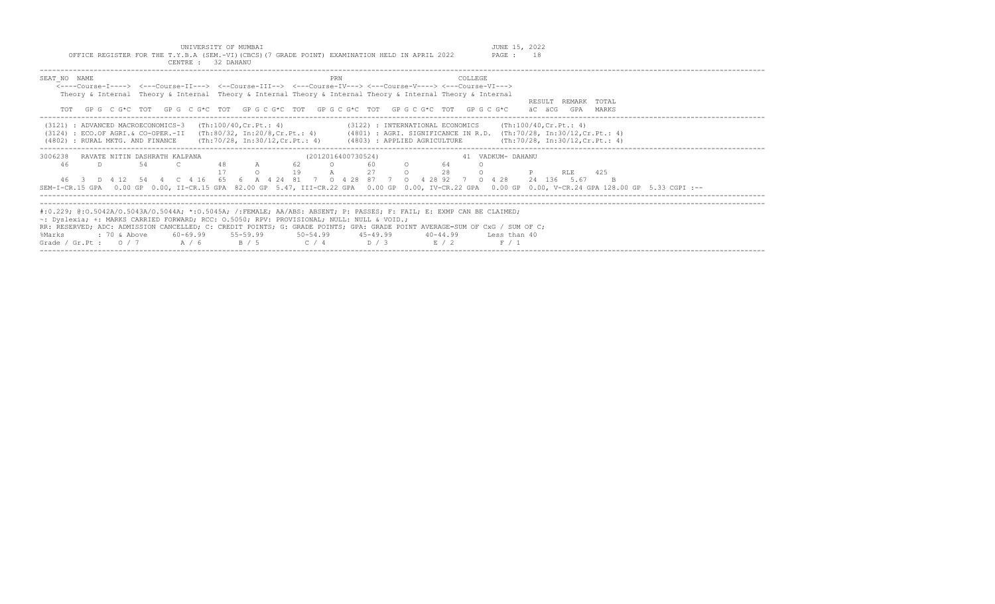|                                                                                               | UNIVERSITY OF MUMBAI |  |  |        | JUNE 15, 2022 |
|-----------------------------------------------------------------------------------------------|----------------------|--|--|--------|---------------|
| OFFICE REGISTER FOR THE T.Y.B.A (SEM.-VI)(CBCS)(7 GRADE POINT) EXAMINATION HELD IN APRIL 2022 |                      |  |  | PAGE : |               |
|                                                                                               | CENTRE : 32 DAHANU   |  |  |        |               |

| SEAT NO NAME<br><----Course-I----> <---Course-II---> <--Course-III--> <---Course-IV---> <---Course-V----> <---Course-VI--->         | PRN                      | COLLEGE                                                                                                                                              |
|-------------------------------------------------------------------------------------------------------------------------------------|--------------------------|------------------------------------------------------------------------------------------------------------------------------------------------------|
| Theory & Internal Theory & Internal Theory & Internal Theory & Internal Theory & Internal Theory & Internal                         |                          |                                                                                                                                                      |
|                                                                                                                                     |                          | RESULT REMARK TOTAL                                                                                                                                  |
| TOT GPG C G*C TOT GPG C G*C TOT GPG C G*C TOT GPG C G*C TOT GPG C G*C TOT GPG C G*C                                                 |                          | äC äCG<br>GPA MARKS                                                                                                                                  |
| $(3121)$ : ADVANCED MACROECONOMICS-3 $(Th:100/40, Cr.Pt.: 4)$                                                                       |                          | $(3122)$ : INTERNATIONAL ECONOMICS (Th:100/40, Cr. Pt.: 4)                                                                                           |
| (3124) : ECO.OF AGRI.& CO-OPER.-II (Th:80/32, In:20/8,Cr.Pt.: 4) (4801) : AGRI. SIGNIFICANCE IN R.D. (Th:70/28, In:30/12,Cr.Pt.: 4) |                          |                                                                                                                                                      |
| (4802) : RURAL MKTG. AND FINANCE (Th:70/28, In:30/12, Cr. Pt.: 4) (4803) : APPLIED AGRICULTURE                                      |                          | (Th:70/28, In:30/12, Cr.Pt.: 4)                                                                                                                      |
| 3006238<br>RAVATE NITIN DASHRATH KALPANA                                                                                            | (2012016400730524)       | 41 VADKUM- DAHANU                                                                                                                                    |
| A 62<br>54<br>- C<br>-46<br>D.                                                                                                      | 0 60 0 64<br>A 27 0 28   |                                                                                                                                                      |
| $\Omega$                                                                                                                            | 19                       | $\circ$<br><b>P</b> RLE 425                                                                                                                          |
| 46 3 D 4 12 54 4 C 4 16 65 6 A 4 24 81 7 0 4 28 87 7 0 4 28 92 7 0 4 28                                                             |                          | 24 136 5.67                                                                                                                                          |
|                                                                                                                                     |                          | SEM-I-CR.15 GPA 0.00 GP 0.00, II-CR.15 GPA 82.00 GP 5.47, III-CR.22 GPA 0.00 GP 0.00, IV-CR.22 GPA 0.00 GP 0.00, V-CR.24 GPA 128.00 GP 5.33 CGPI :-- |
|                                                                                                                                     |                          |                                                                                                                                                      |
| #:0.229; @:0.5042A/0.5043A/0.5044A; *:0.5045A; /:FEMALE; AA/ABS: ABSENT; P: PASSES; F: FAIL; E: EXMP CAN BE CLAIMED;                |                          |                                                                                                                                                      |
| ~: Dyslexia; +: MARKS CARRIED FORWARD; RCC: 0.5050; RPV: PROVISIONAL; NULL: NULL & VOID.;                                           |                          |                                                                                                                                                      |
| RR: RESERVED; ADC: ADMISSION CANCELLED; C: CREDIT POINTS; G: GRADE POINTS; GPA: GRADE POINT AVERAGE=SUM OF CxG / SUM OF C;          |                          |                                                                                                                                                      |
| %Marks                                                                                                                              | $40 - 44.99$             | Less than 40                                                                                                                                         |
| Grade / Gr.Pt: $0/7$ A / 6 B / 5                                                                                                    | $C / 4$ $D / 3$<br>E / 2 | F / 1                                                                                                                                                |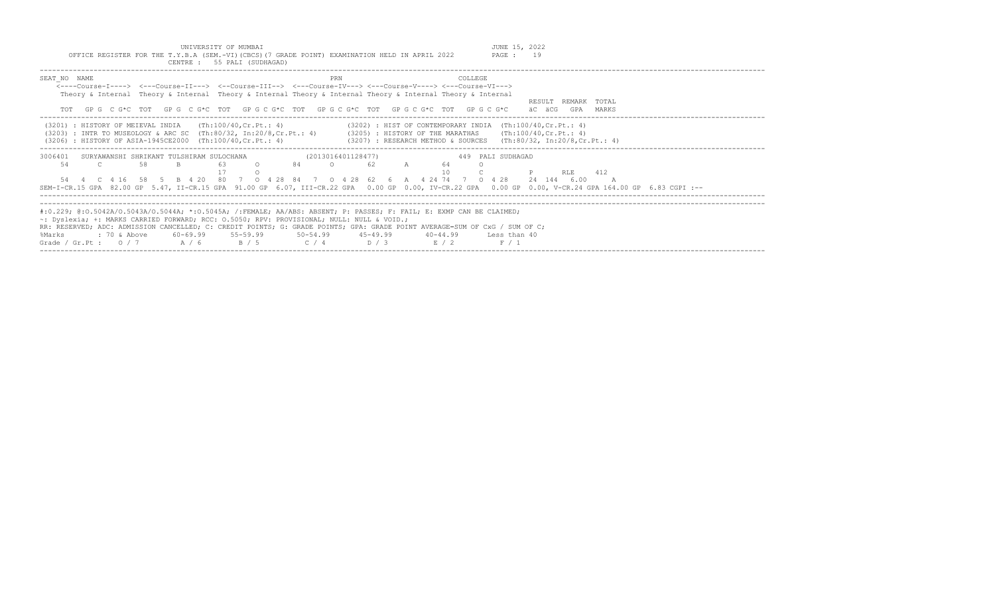| UNIVERSITY OF MUMBAI<br>OFFICE REGISTER FOR THE T.Y.B.A (SEM.-VI) (CBCS) (7 GRADE POINT) EXAMINATION HELD IN APRIL 2022<br>CENTRE : 55 PALI (SUDHAGAD)                                                                                                                                                                                                                                                                                                      | JUNE 15, 2022<br>PAGE : 19                                                                                                                                                                                                                                             |
|-------------------------------------------------------------------------------------------------------------------------------------------------------------------------------------------------------------------------------------------------------------------------------------------------------------------------------------------------------------------------------------------------------------------------------------------------------------|------------------------------------------------------------------------------------------------------------------------------------------------------------------------------------------------------------------------------------------------------------------------|
| SEAT NO NAME<br><----Course-T----> <---Course-TT---> <--Course-TTT--> <---Course-TV---> <---Course-V----> <---Course-VT---><br>Theory & Internal Theory & Internal Theory & Internal Theory & Internal Theory & Internal Theory & Internal<br>TOT GPG CG*C TOT GPG CG*C TOT GPG CG*C TOT GPG CG*C TOT GPG CG*C TOT GPG CG*C                                                                                                                                 | COLLEGE<br>PRN<br>RESULT REMARK TOTAL<br>äC äCG<br>GPA MARKS                                                                                                                                                                                                           |
| $(3201)$ : HISTORY OF MEIEVAL INDIA (Th:100/40.Cr.Pt.: 4)<br>$(3203)$ : INTR TO MUSEOLOGY & ARC SC (Th:80/32, In:20/8, Cr. Pt.: 4)<br>(3206) : HISTORY OF ASIA-1945CE2000 (Th:100/40, Cr. Pt.: 4)                                                                                                                                                                                                                                                           | $(3202)$ : HIST OF CONTEMPORARY INDIA $(Th:100/40, Cr.Pt.: 4)$<br>$(3205)$ : HISTORY OF THE MARATHAS (Th:100/40, Cr. Pt.: 4)<br>$(3207)$ : RESEARCH METHOD & SOURCES (Th:80/32, In:20/8,Cr.Pt.: 4)                                                                     |
| 3006401 SURYAWANSHI SHRIKANT TULSHIRAM SULOCHANA<br>58<br>84 84<br>54<br>B.<br>63<br>$\cap$<br>$\overline{c}$<br>54  4  C  4  16  58  5  B  4  20  80  7  0  4  28  84  7  0  4  28  62  6  A  4  24  74  7  0  4  28  24  144  6.00                                                                                                                                                                                                                        | 449 PALI SUDHAGAD<br>(2013016401128477)<br>64<br>$\circ$<br>62 A<br>10<br>412<br><b>RLE</b><br>$\overline{A}$<br>SEM-I-CR.15 GPA 82.00 GP 5.47, II-CR.15 GPA 91.00 GP 6.07, III-CR.22 GPA 0.00 GP 0.00, IV-CR.22 GPA 0.00 GP 0.00, V-CR.24 GPA 164.00 GP 6.83 CGPI :-- |
| #:0.229; @:0.5042A/0.5043A/0.5044A; *:0.5045A; /:FEMALE; AA/ABS: ABSENT; P: PASSES; F: FAIL; E: EXMP CAN BE CLAIMED;<br>$\sim$ : Dyslexia; +: MARKS CARRIED FORWARD; RCC: 0.5050; RPV: PROVISIONAL; NULL: NULL & VOID.;<br>RR: RESERVED; ADC: ADMISSION CANCELLED; C: CREDIT POINTS; G: GRADE POINTS; GPA: GRADE POINT AVERAGE=SUM OF CxG / SUM OF C;<br>: 70 & Above<br>60-69.99 55-59.99<br>%Marks<br>Grade / Gr.Pt : $0/7$ A / 6<br>B / 5<br>$C / 4$ D/3 | $50 - 54.99$ $45 - 49.99$ $40 - 44.99$<br>Less than 40<br>R/2<br>F / 1                                                                                                                                                                                                 |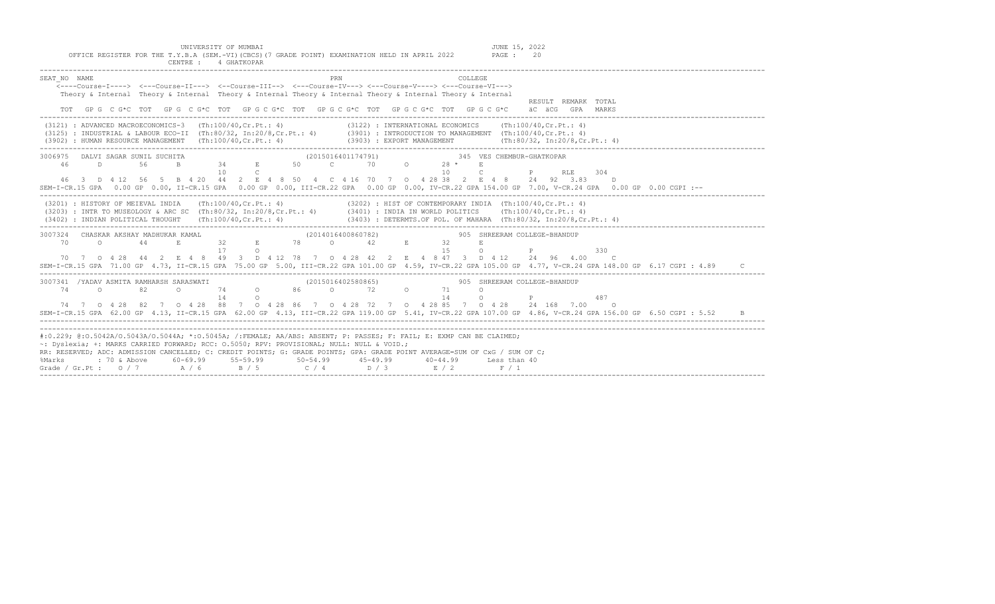| UNIVERSITY OF MUMBAI<br>OFFICE REGISTER FOR THE T.Y.B.A (SEM.-VI) (CBCS) (7 GRADE POINT) EXAMINATION HELD IN APRIL 2022<br>CENTRE : 4 GHATKOPAR                                                                                                                                                                                                                                                                                                                                                                                                                              | JUNE 15, 2022<br>PAGE :<br>20                                                                                                                                                                                                                                                                                                          |
|------------------------------------------------------------------------------------------------------------------------------------------------------------------------------------------------------------------------------------------------------------------------------------------------------------------------------------------------------------------------------------------------------------------------------------------------------------------------------------------------------------------------------------------------------------------------------|----------------------------------------------------------------------------------------------------------------------------------------------------------------------------------------------------------------------------------------------------------------------------------------------------------------------------------------|
| SEAT NO NAME<br>PRN<br>COLLEGE<br>$\overline{\leftarrow}$ ----Course-I----> $\leftarrow$ --Course-II---> $\leftarrow$ -Course-III--> $\leftarrow$ --Course-IV---> $\leftarrow$ --Course-V----> $\leftarrow$ --Course-VI---><br>Theory & Internal Theory & Internal Theory & Internal Theory & Internal Theory & Internal Theory & Internal<br>TOT GPG CG*C TOT GPG CG*C TOT GPG CG*C TOT GPG CG*C TOT GPG CG*C TOT GPG CG*C äCGCGCAC ACGGPA MARKS                                                                                                                            | RESULT REMARK TOTAL                                                                                                                                                                                                                                                                                                                    |
| (3121) : ADVANCED MACROECONOMICS-3 (Th:100/40,Cr.Pt.: 4) (3122) : INTERNATIONAL ECONOMICS (Th:100/40,Cr.Pt.: 4)<br>(3125) : INDUSTRIAL & LABOUR ECO-II (Th:80/32, In:20/8, Cr.Pt.: 4) (3901) : INTRODUCTION TO MANAGEMENT (Th:100/40, Cr.Pt.: 4)<br>(3902) : HUMAN RESOURCE MANAGEMENT (Th:100/40, Cr. Pt.: 4)<br>(3903) : EXPORT MANAGEMENT                                                                                                                                                                                                                                 | $(\text{Th}:80/32, \text{In}:20/8,\text{Cr.Pt.}: 4)$                                                                                                                                                                                                                                                                                   |
| 10<br>10<br>$\mathbb{C}$<br>$\mathbb{C}$ . The set of $\mathbb{C}$<br>46 3 D 4 12 56 5 B 4 20 44 2 E 4 8 50 4 C 4 16 70 7 0 4 28 38 2 E 4 8 24 92 3.83<br>SEM-I-CR.15 GPA 0.00 GP 0.00, II-CR.15 GPA 0.00 GP 0.00, III-CR.22 GPA 0.00 GP 0.00, IV-CR.22 GPA 154.00 GP 7.00, V-CR.24 GPA 0.00 GP 0.00 CGPI :--                                                                                                                                                                                                                                                                | P RLE<br>304<br>D.                                                                                                                                                                                                                                                                                                                     |
| (3201) : HISTORY OF MEIEVAL INDIA (Th:100/40,Cr.Pt.: 4) (3202) : HIST OF CONTEMPORARY INDIA (Th:100/40,Cr.Pt.: 4)<br>(3203) : INTR TO MUSEOLOGY & ARC SC (Th:80/32, In:20/8,Cr.Pt.: 4) (3401) : INDIA IN WORLD POLITICS (Th:100/4                                                                                                                                                                                                                                                                                                                                            |                                                                                                                                                                                                                                                                                                                                        |
| 3007324 CHASKAR AKSHAY MADHUKAR KAMAL<br>324 CHASKAR AKSHAY MADHUKAR KAMAL (2014016400860782)<br>70 0 44 E 32 E 78 0 42 E 32<br>15<br>E<br>70 7 0 4 28 44 2 E 4 8 49 3 D 4 12 78 7 0 4 28 42 2 E 4 8 47 3 D 4 12 24 96 4.00 C<br>SEM-I-CR.15 GPA 71.00 GP 4.73, II-CR.15 GPA 75.00 GP 5.00, III-CR.22 GPA 101.00 GP 4.59, IV-CR.22 GPA 105.00 GP 4.77, V-CR.24 GPA 148.00 GP 6.17 CGPI : 4.89                                                                                                                                                                                | 905 SHREERAM COLLEGE-BHANDUP<br>$O$ $P$<br>330<br>$\mathcal{C}$                                                                                                                                                                                                                                                                        |
| $\begin{array}{cccccccccc} \texttt{SARASWATI} & & & & & (2015016402580865) & & & & & 905 & \texttt{SHREERAM COLLEGE-BHANDUP} \\ \texttt{O} & & & 74 & & \texttt{O} & & 72 & & \texttt{O} & & 71 & & \texttt{O} \end{array}$<br>3007341 /YADAV ASMITA RAMHARSH SARASWATI<br>$74$ 0<br>14<br>14<br>$\circ$<br>$\circ$<br>74 7 0 4 28 82 7 0 4 28 88 7 0 4 28 86 7 0 4 28 72 7 0 4 28 85 7 0 4 28 24 168 7 00 0<br>SEM-I-CR.15 GPA 62.00 GP 4.13, II-CR.15 GPA 62.00 GP 4.13, III-CR.22 GPA 119.00 GP 5.41, IV-CR.22 GPA 107.00 GP 4.86, V-CR.24 GPA 156.00 GP 6.50 CGPI : 5.52 | $\mathbb P$ and $\mathbb P$ and $\mathbb P$ and $\mathbb P$ and $\mathbb P$ and $\mathbb P$ and $\mathbb P$ and $\mathbb P$ and $\mathbb P$ and $\mathbb P$ and $\mathbb P$ and $\mathbb P$ and $\mathbb P$ and $\mathbb P$ and $\mathbb P$ and $\mathbb P$ and $\mathbb P$ and $\mathbb P$ and $\mathbb P$ and $\mathbb P$ and<br>487 |
| #:0.229; @:0.5042A/0.5043A/0.5044A; *:0.5045A; /:FEMALE; AA/ABS: ABSENT; P: PASSES; F: FAIL; E: EXMP CAN BE CLAIMED;<br>~: Dyslexia; +: MARKS CARRIED FORWARD; RCC: 0.5050; RPV: PROVISIONAL; NULL: NULL & VOID.;<br>RR: RESERVED; ADC: ADMISSION CANCELLED; C: CREDIT POINTS; G: GRADE POINTS; GPA: GRADE POINT AVERAGE=SUM OF CxG / SUM OF C;<br>% Marks : 70 & Above  60-69.99  55-59.99  50-54.99  45-49.99<br>Grade / Gr.Pt : 0 / 7  A / 6  B / 5  C / 4  D / 3<br>$40 - 44.99$<br>$E/2$ $F/1$                                                                          | Less than 40                                                                                                                                                                                                                                                                                                                           |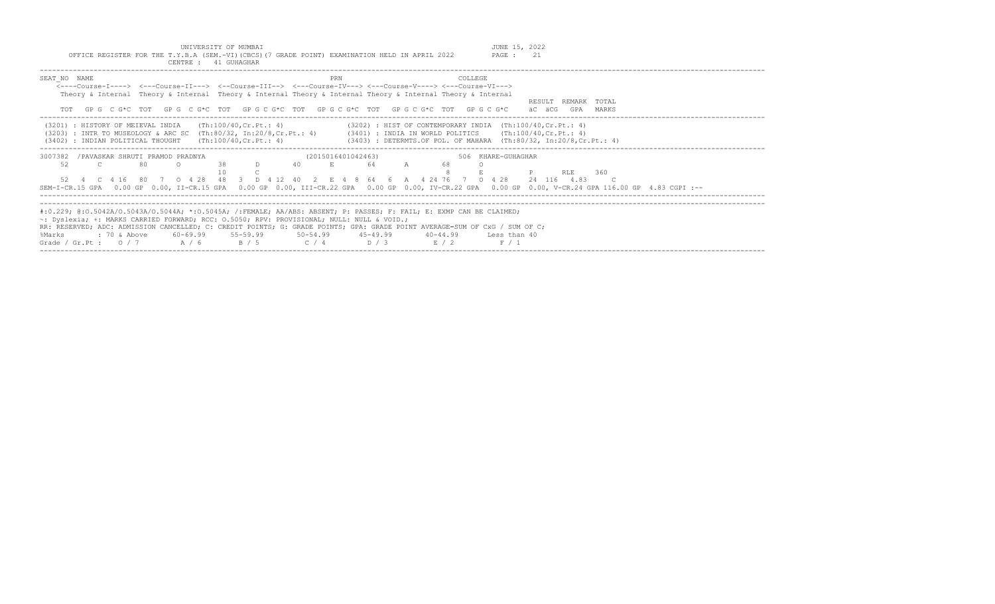UNIVERSITY OF MUMBAI JUNE 15, 2022 OFFICE REGISTER FOR THE T.Y.B.A (SEM.-VI)(CBCS)(7 GRADE POINT) EXAMINATION HELD IN APRIL 2022 PAGE : 21

| CENTRE : 41 GUHAGHAR                                                                                                                                                                                                                                                                                                                             |                                                                                                                                                                                                                                                                 |  |
|--------------------------------------------------------------------------------------------------------------------------------------------------------------------------------------------------------------------------------------------------------------------------------------------------------------------------------------------------|-----------------------------------------------------------------------------------------------------------------------------------------------------------------------------------------------------------------------------------------------------------------|--|
| SEAT NO NAME<br><----Course-I----> <---Course-II---> <--Course-III--> <---Course-IV---> <---Course-V----> <---Course-VI---><br>Theory & Internal Theory & Internal Theory & Internal Theory & Internal Theory & Internal Theory & Internal<br>TOT GPG CG*C TOT GPG CG*C TOT GPG CG*C TOT GPG CG*C TOT GPG CG*C TOT GPG CG*C                      | COLLEGE<br>PRN<br>TOTAL<br>RESULT REMARK<br>äC äCG<br>GPA<br>MARKS                                                                                                                                                                                              |  |
| (3201) : HISTORY OF MEIEVAL INDIA<br>(Th:100/40,Cr.Pt.: 4)<br>(3402) : INDIAN POLITICAL THOUGHT (Th:100/40, Cr. Pt.: 4)                                                                                                                                                                                                                          | $(3202)$ : HIST OF CONTEMPORARY INDIA $(Th:100/40, Cr.Pt.: 4)$<br>(3203) : INTR TO MUSEOLOGY & ARC SC (Th:80/32, In:20/8,Cr.Pt.: 4) (3401) : INDIA IN WORLD POLITICS (Th:100/40,Cr.Pt.: 4)<br>(3403) : DETERMTS.OF POL. OF MAHARA (Th:80/32, In:20/8,Cr.Pt.: 4) |  |
| 3007382<br>/PAVASKAR SHRUTI PRAMOD PRADNYA<br>52<br>38<br>80<br>D<br>52  4  C  4  16  80  7  0  4  28  48  3  D  4  12  40  2  E  4  8  64  6  A  4  24  76  7  0  4  28                                                                                                                                                                         | (2015016401042463)<br>506 KHARE-GUHAGHAR<br>40<br>64<br>RLE<br>360<br>24 116 4.83<br>SEM-I-CR.15 GPA 0.00 GP 0.00, II-CR.15 GPA 0.00 GP 0.00, III-CR.22 GPA 0.00 GP 0.00, IV-CR.22 GPA 0.00 GP 0.00, V-CR.24 GPA 116.00 GP 4.83 CGPI :--                        |  |
| #:0.229; @:0.5042A/0.5043A/0.5044A; *:0.5045A; /:FEMALE; AA/ABS: ABSENT; P: PASSES; F: FAIL; E: EXMP CAN BE CLAIMED;<br>$\sim$ : Dyslexia; +: MARKS CARRIED FORWARD; RCC: 0.5050; RPV: PROVISIONAL; NULL: NULL & VOID.;<br>$60-69.99$ $55-59.99$ $50-54.99$ $45-49.99$<br>%Marks<br>: 70 & Above<br>Grade / Gr.Pt: $0/7$ $A/6$ $B/5$ $C/4$ $D/3$ | RR: RESERVED; ADC: ADMISSION CANCELLED; C: CREDIT POINTS; G: GRADE POINTS; GPA: GRADE POINT AVERAGE=SUM OF CxG / SUM OF C;<br>40-44.99 Less than 40<br>E / 2<br>F/1                                                                                             |  |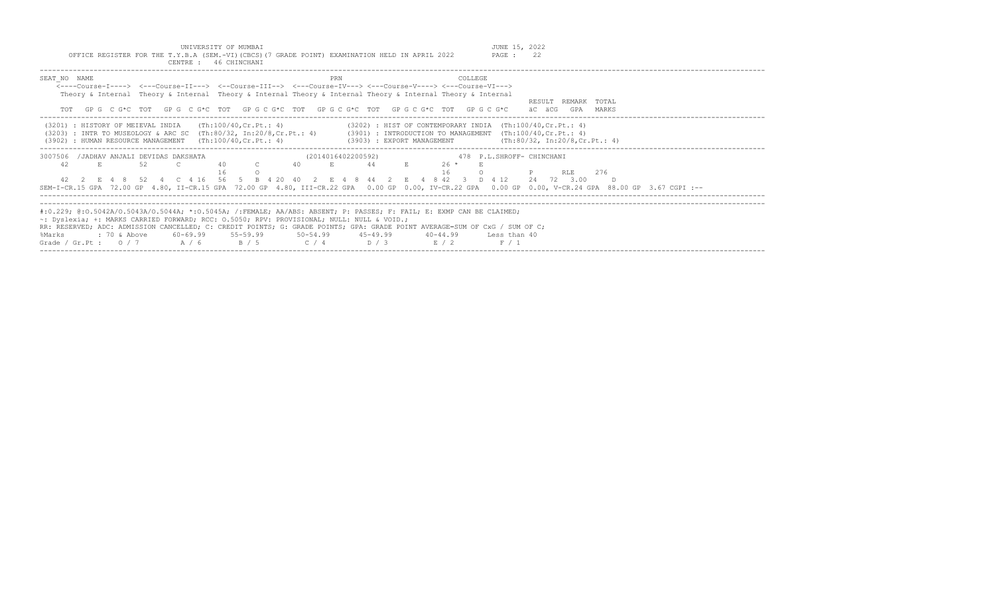OFFICE REGISTER FOR THE T.Y.B.A (SEM.-VI)(CBCS)(7 GRADE POINT) EXAMINATION HELD IN APRIL 2022

| CENTRE : 46 CHINCHANI                                                                                                                                                                                                                                                                                                                                                                                                                                            |                                                                                                                                                                                                                                                                                                |
|------------------------------------------------------------------------------------------------------------------------------------------------------------------------------------------------------------------------------------------------------------------------------------------------------------------------------------------------------------------------------------------------------------------------------------------------------------------|------------------------------------------------------------------------------------------------------------------------------------------------------------------------------------------------------------------------------------------------------------------------------------------------|
| SEAT NO NAME<br><----Course-I----> <---Course-II---> <--Course-III--> <---Course-IV---> <---Course-V----> <---Course-VI---><br>Theory & Internal Theory & Internal Theory & Internal Theory & Internal Theory & Internal Theory & Internal                                                                                                                                                                                                                       | PRN<br>COLLEGE<br>RESULT REMARK TOTAL<br>GPGCG*CTOTGPGCG*CTOTGPGCG*CTOTGPGCG*CTOTGPGCG*CTOTGPGCG*CTOTGPGCG*C<br>äC äCG<br>GPA<br>MARKS                                                                                                                                                         |
| (Th:100/40,Cr.Pt.: 4)<br>(3201) : HISTORY OF MEIEVAL INDIA<br>: HUMAN RESOURCE MANAGEMENT $(Th:100/40, Cr.Pt.: 4)$<br>(3902)                                                                                                                                                                                                                                                                                                                                     | $(3202)$ : HIST OF CONTEMPORARY INDIA $(Th:100/40, Cr.Pt.: 4)$<br>(3203) : INTR TO MUSEOLOGY & ARC SC (Th:80/32, In:20/8,Cr.Pt.: 4) (3901) : INTRODUCTION TO MANAGEMENT (Th:100/40,Cr.Pt.: 4)<br>(Th:80/32, In:20/8, Cr.Pt.: 4)<br>(3903) : EXPORT MANAGEMENT                                  |
| 3007506<br>/JADHAV ANJALI DEVIDAS DAKSHATA<br>42<br>52<br>E.<br>40<br>42  2  E  4  8  52  4  C  4  16  56  5  B  4  20  40                                                                                                                                                                                                                                                                                                                                       | (2014016402200592)<br>478 P.L.SHROFF- CHINCHANI<br>44<br>26 *<br>E<br>16<br>276<br>RLE<br>2 E 4 8 44 2 E 4 8 42 3 D 4 12<br>24 72 3.00<br>SEM-I-CR.15 GPA 72.00 GP 4.80, II-CR.15 GPA 72.00 GP 4.80, III-CR.22 GPA 0.00 GP 0.00, IV-CR.22 GPA 0.00 GP 0.00, V-CR.24 GPA 88.00 GP 3.67 CGPI :-- |
| #:0.229; @:0.5042A/0.5043A/0.5044A; *:0.5045A; /:FEMALE; AA/ABS: ABSENT; P: PASSES; F: FAIL; E: EXMP CAN BE CLAIMED;<br>~: Dyslexia; +: MARKS CARRIED FORWARD; RCC: 0.5050; RPV: PROVISIONAL; NULL: NULL & VOID.;<br>RR: RESERVED; ADC: ADMISSION CANCELLED; C: CREDIT POINTS; G: GRADE POINTS; GPA: GRADE POINT AVERAGE=SUM OF CxG / SUM OF C;<br>60-69.99 55-59.99 50-54.99 45-49.99<br>%Marks<br>: 70 & Above<br>Grade / Gr.Pt: $0/7$ $A/6$ $B/5$ $C/4$ $D/3$ | 40-44.99 Less than 40<br>$\mathbb{E}$ / 2<br>F / 1                                                                                                                                                                                                                                             |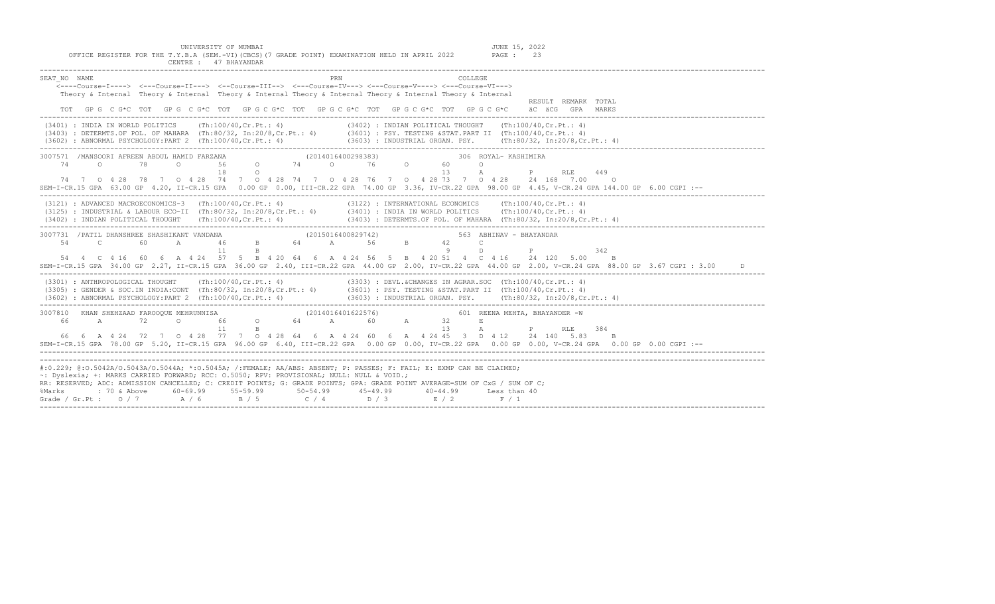| UNIVERSITY OF MUMBAI<br>JUNE 15, 2022<br>OFFICE REGISTER FOR THE T.Y.B.A (SEM.-VI) (CBCS) (7 GRADE POINT) EXAMINATION HELD IN APRIL 2022<br>PAGE : 23<br>CENTRE : 47 BHAYANDAR                                                                                                                                                                                                                                                                                                                                 |
|----------------------------------------------------------------------------------------------------------------------------------------------------------------------------------------------------------------------------------------------------------------------------------------------------------------------------------------------------------------------------------------------------------------------------------------------------------------------------------------------------------------|
| PRN<br>SEAT NO NAME<br>COLLEGE.<br><---Course-I----> <---Course-II---> <--Course-III--> <---Course-IV---> <---Course-V----> <---Course-VI---><br>Theory & Internal Theory & Internal Theory & Internal Theory & Internal Theory & Internal Theory & Internal<br>RESULT REMARK TOTAL<br>TOT GPG C G*C TOT GPG C G*C TOT GPG C G*C TOT GPG C G*C TOT GPG C G*C TOT GPG C G*C äC äCG GPA MARKS                                                                                                                    |
| (3401) : INDIA IN WORLD POLITICS (Th:100/40, Cr. Pt.: 4) (3402) : INDIAN POLITICAL THOUGHT (Th:100/40, Cr. Pt.: 4)<br>(3403) : DETERMTS.OF POL. OF MAHARA (Th:80/32, In:20/8, Cr.Pt.: 4) (3601) : PSY. TESTING &STAT.PART II (Th:100/40, Cr.Pt.: 4)<br>$(3602)$ : ABNORMAL PSYCHOLOGY:PART 2 (Th:100/40,Cr.Pt.: 4) $(3603)$ : INDUSTRIAL ORGAN. PSY. $(Th:80/32, In:20/8, Cr.Pt.: 4)$                                                                                                                          |
| 3007571 /MANSOORI AFREEN ABDUL HAMID FARZANA<br>HAMID FARZANA (2014016400298383) 306<br>0 56 0 74 0 76 0 60<br>306 ROYAL- KASHIMIRA<br>74 0 78<br>$\circ$<br>18<br>$\circ$<br>13<br>$\mathbb{A}$<br>449<br>P<br>RLE<br>74 7 0 4 28 78 7 0 4 28 74 7 0 4 28 74 7 0 4 28 76 7 0 4 28 73 7 0 4 28 24 168 7.00 0<br>SEM-I-CR.15 GPA 63.00 GP 4.20, II-CR.15 GPA 0.00 GP 0.00, III-CR.22 GPA 74.00 GP 3.36, IV-CR.22 GPA 98.00 GP 4.45, V-CR.24 GPA 144.00 GP 6.00 CGPI :--                                         |
| (3121) : ADVANCED MACROECONOMICS-3 (Th:100/40, Cr. Pt.: 4) (3122) : INTERNATIONAL ECONOMICS (Th:100/40, Cr. Pt.: 4)<br>(3125) : INDUSTRIAL & LABOUR ECO-II (Th:80/32, In:20/8, Cr.Pt.: 4) (3401) : INDIA IN WORLD POLITICS (Th:100/40, Cr.Pt.: 4)<br>$(3402)$ : INDIAN POLITICAL THOUGHT (Th:100/40,Cr.Pt.: 4) $(3403)$ : DETERMTS.OF POL. OF MAHARA (Th:80/32, In:20/8,Cr.Pt.: 4)                                                                                                                             |
| 3007731 /PATIL DHANSHREE SHASHIKANT VANDANA 54 C 60 A 46 B<br>(2015016400829742)<br>563 ABHINAV - BHAYANDAR<br>64 A 56 B 42 C<br>$\overline{9}$<br>11<br>D<br>$P$ and $P$<br>342<br>B<br>54  4  C  4  16  60  6  A  4  24  57  5  B  4  20  64  6  A  4  24  56  5  B  4  20  51  4  C  4  16  24  120  5.00<br>$\mathbb{B}$<br>SEM-I-CR.15 GPA 34.00 GP 2.27, II-CR.15 GPA 36.00 GP 2.40, III-CR.22 GPA 44.00 GP 2.00, IV-CR.22 GPA 44.00 GP 2.00, V-CR.24 GPA 88.00 GP 3.67 CGPI : 3.00                      |
| (3303) : DEVL. & CHANGES IN AGRAR. SOC (Th:100/40, Cr. Pt.: 4)<br>(3301) : ANTHROPOLOGICAL THOUGHT (Th:100/40, Cr. Pt.: 4)<br>(3305) : GENDER & SOC.IN INDIA:CONT (Th:80/32, In:20/8, Cr.Pt.: 4) (3601) : PSY. TESTING &STAT.PART II (Th:100/40, Cr.Pt.: 4)<br>$(3602)$ : ABNORMAL PSYCHOLOGY:PART 2 (Th:100/40,Cr.Pt.: 4) $(3603)$ : INDUSTRIAL ORGAN. PSY.  (Th:80/32, In:20/8,Cr.Pt.: 4)                                                                                                                    |
| 3007810 KHAN SHEHZAAD FAROOQUE MEHRUNNISA<br>66 A 72 O 66 O<br>(2014016401622576)<br>601 REENA MEHTA, BHAYANDER -W<br>$64$ A $60$ A $32$<br>$\mathbf E$<br>13<br>11<br>$\mathbb{A}$<br>384<br>B<br>P<br>RLE<br>66  6  A  4  24  72  7  0  4  28  77  7  0  4  28  64  6  A  4  24  60  6  A  4  24  45  3  D  4  12  24  140  5.83<br>$\mathbb{R}$<br>SEM-I-CR.15 GPA 78.00 GP 5.20, II-CR.15 GPA 96.00 GP 6.40, III-CR.22 GPA 0.00 GP 0.00, IV-CR.22 GPA 0.00 GP 0.00, V-CR.24 GPA 0.00 GP 0.00 CGPI :--      |
| #:0.229; @:0.5042A/0.5043A/0.5044A; *:0.5045A; /:FEMALE; AA/ABS: ABSENT; P: PASSES; F: FAIL; E: EXMP CAN BE CLAIMED;<br>~: Dyslexia; +: MARKS CARRIED FORWARD; RCC: 0.5050; RPV: PROVISIONAL; NULL: NULL & VOID.;<br>RR: RESERVED; ADC: ADMISSION CANCELLED; C: CREDIT POINTS; G: GRADE POINTS; GPA: GRADE POINT AVERAGE=SUM OF CxG / SUM OF C;<br>%Marks : 70 & Above 60-69.99 55-59.99 50-54.99 45-49.99<br>Grade / Gr.Pt : 0 / 7 A / 6 B / 5 C / 4 D / 3<br>$40 - 44.99$<br>Less than 40<br>$E / 2$ $F / 1$ |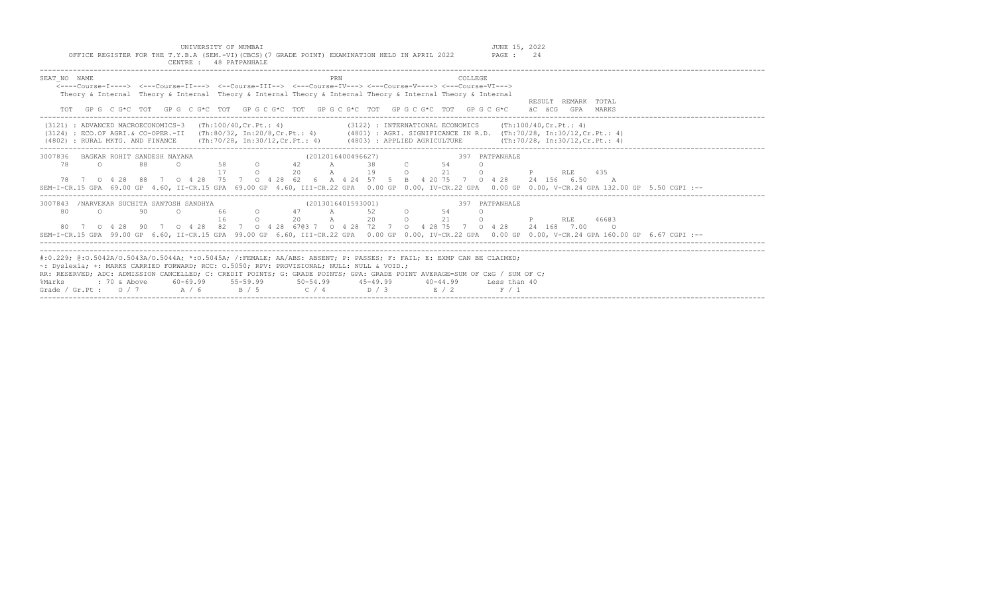UNIVERSITY OF MUMBAI JUNE 15, 2022 OFFICE REGISTER FOR THE T.Y.B.A (SEM.-VI)(CBCS)(7 GRADE POINT) EXAMINATION HELD IN APRIL 2022 PAGE : 24

| CENTRE : 48 PATPANHALE                                                                                                                                                                                                                                                                                                                                                                                                                                                                                                                          |  |
|-------------------------------------------------------------------------------------------------------------------------------------------------------------------------------------------------------------------------------------------------------------------------------------------------------------------------------------------------------------------------------------------------------------------------------------------------------------------------------------------------------------------------------------------------|--|
| SEAT NO NAME<br>PRN<br>COLLEGE<br>$\leftarrow--$ Course-T----> $\leftarrow$ --Course-TT---> $\leftarrow$ -Course-TTT--> $\leftarrow$ --Course-TV---> $\leftarrow$ -Course-V----> $\leftarrow$ -Course-VT---><br>Theory & Internal Theory & Internal Theory & Internal Theory & Internal Theory & Internal Theory & Internal<br>RESULT REMARK TOTAL<br>GP G C G*C TOT GP G C G*C TOT GP G C G*C TOT GP G C G*C TOT GP G C G*C TOT GP G C G*C<br>äC äCG<br>GPA MARKS                                                                              |  |
| (3121) : ADVANCED MACROECONOMICS-3 (Th:100/40, Cr. Pt.: 4)<br>(3122) : INTERNATIONAL ECONOMICS (Th:100/40, Cr. Pt.: 4)<br>(3124) : ECO.OF AGRI.& CO-OPER.-II (Th:80/32, In:20/8,Cr.Pt.: 4) (4801) : AGRI. SIGNIFICANCE IN R.D. (Th:70/28, In:30/12,Cr.Pt.: 4)<br>(4802) : RURAL MKTG. AND FINANCE (Th:70/28, In:30/12, Cr.Pt.: 4) (4803) : APPLIED AGRICULTURE (Th:70/28, In:30/12, Cr.Pt.: 4)                                                                                                                                                  |  |
| (2012016400496627)<br>3007836<br>BAGKAR ROHIT SANDESH NAYANA<br>397 PATPANHALE<br>78<br>42<br>$\Omega$<br>88<br>58<br>A<br>-38<br>- 54<br>$\circ$<br>$\circ$<br>$\circ$ 21<br>$20$ A<br>19<br>$\Omega$<br>RLE 435<br>$\Omega$<br>78 7 0 4 28 88 7 0 4 28 75 7 0 4 28 62 6 A 4 24 57 5 B 4 20 75 7 0 4 28<br>24 156 6.50<br>$\overline{A}$<br>SEM-I-CR.15 GPA 69.00 GP 4.60, II-CR.15 GPA 69.00 GP 4.60, III-CR.22 GPA 0.00 GP 0.00, IV-CR.22 GPA 0.00 GP 0.00, V-CR.24 GPA 132.00 GP 5.50 CGPI :--                                              |  |
| 3007843 /NARVEKAR SUCHITA SANTOSH SANDHYA<br>397 PATPANHALE<br>(2013016401593001)<br>52 0 54<br>80<br>$\circ$<br>90<br>47 A<br>66<br>$\cap$<br>$\circ$<br>20 0 21<br>$20 \quad A$<br>$\cap$<br>$\Omega$<br>46603<br><b>RLE</b><br>80 7 0 4 28 90 7 0 4 28 82 7 0 4 28 6703 7 0 4 28 72 7 0 4 28 75 7 0 4 28 24 168 7.00<br>$\circ$ 0<br>SEM-I-CR.15 GPA 99.00 GP 6.60, II-CR.15 GPA 99.00 GP 6.60, III-CR.22 GPA 0.00 GP 0.00, IV-CR.22 GPA 0.00 GP 0.00, V-CR.24 GPA 160.00 GP 6.67 CGPI :--                                                   |  |
| #:0.229; @:0.5042A/0.5043A/0.5044A; *:0.5045A; /:FEMALE; AA/ABS: ABSENT; P: PASSES; F: FAIL; E: EXMP CAN BE CLAIMED;<br>~: Dyslexia; +: MARKS CARRIED FORWARD; RCC: 0.5050; RPV: PROVISIONAL; NULL: NULL & VOID.;<br>RR: RESERVED; ADC: ADMISSION CANCELLED; C: CREDIT POINTS; G: GRADE POINTS; GPA: GRADE POINT AVERAGE=SUM OF CxG / SUM OF C;<br>60-69.99<br>$55 - 59.99$<br>$50 - 54.99$ $45 - 49.99$<br>%Marks<br>: 70 & Above<br>$40 - 44.99$<br>Less than 40<br>B / 5<br>Grade / Gr. Pt: $0/7$ A / 6<br>$C / 4$ $D / 3$<br>E / 2<br>F / 1 |  |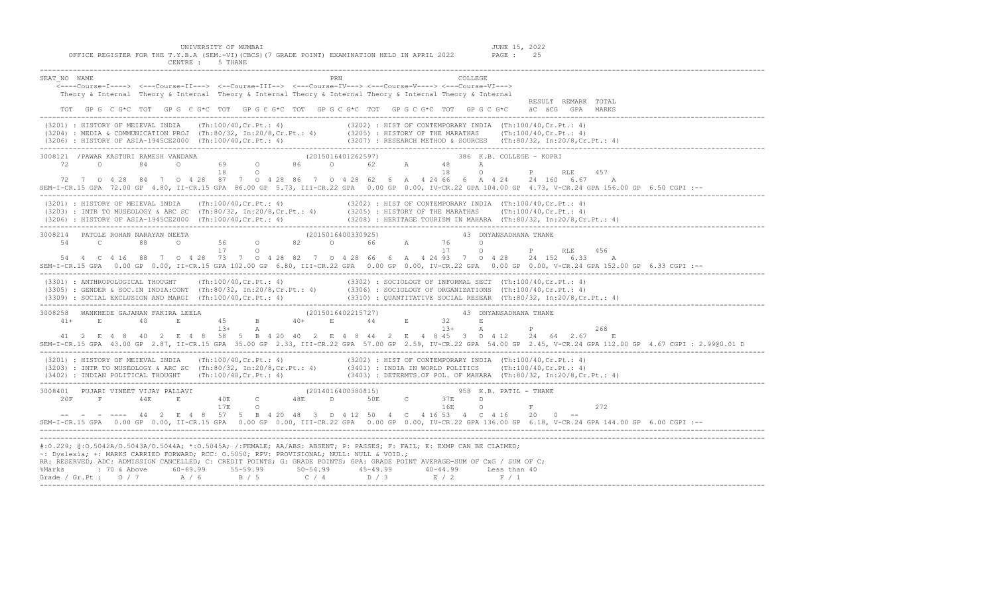UNIVERSITY OF MUMBAI JUNE 15, 2022<br>Y.B.A (SEM.-VI)(CBCS)(7 GRADE POINT) EXAMINATION HELD IN APRIL 2022 PAGE: 25 OFFICE REGISTER FOR THE T.Y.B.A (SEM.-VI)(CBCS)(7 GRADE POINT) EXAMINATION HELD IN APRIL 2022 CENTRE : 5 THANE

| PRN<br>SEAT NO NAME<br>COLLEGE<br><----Course-I----> <---Course-II---> <--Course-III--> <---Course-IV---> <---Course-V----> <---Course-VI---><br>Theory & Internal Theory & Internal Theory & Internal Theory & Internal Theory & Internal Theory & Internal<br>RESULT REMARK TOTAL<br>TOT GPG CG*C TOT GPG CG*C TOT GPG CG*C TOT GPG CG*C TOT GPG CG*C TOT GPG CG*C<br>äC äCG GPA MARKS                                                                                                                                                                                                                                                                                                            |
|-----------------------------------------------------------------------------------------------------------------------------------------------------------------------------------------------------------------------------------------------------------------------------------------------------------------------------------------------------------------------------------------------------------------------------------------------------------------------------------------------------------------------------------------------------------------------------------------------------------------------------------------------------------------------------------------------------|
| (3201) : HISTORY OF MEIEVAL INDIA (Th:100/40,Cr.Pt.: 4) (3202) : HIST OF CONTEMPORARY INDIA (Th:100/40,Cr.Pt.: 4)<br>(3204) : MEDIA & COMMUNICATION PROJ (Th:80/32, In:20/8,Cr.Pt.: 4) (3205) : HISTORY OF THE MARATHAS (Th:100/4                                                                                                                                                                                                                                                                                                                                                                                                                                                                   |
| 3008121 /PAWAR KASTURI RAMESH VANDANA (2015016401262597) 386 K.B. COLLEGE – KOPRI 72 0 84 0 69 0 86 0 62 A 48 A 218 0 P RLE<br>457<br>72 7 0 4 28 84 7 0 4 28 87 7 0 4 28 86 7 0 4 28 62 6 A 4 24 66 6 A 4 24 24 160 6.67 A<br>SEM-I-CR.15 GPA 72.00 GP 4.80, II-CR.15 GPA 86.00 GP 5.73, III-CR.22 GPA 0.00 GP 0.00, IV-CR.22 GPA 104.00 GP 4.73, V-CR.24 GPA 156.00 GP 6.50 CGPI :--                                                                                                                                                                                                                                                                                                              |
| (3201) : HISTORY OF MEIEVAL INDIA (Th:100/40,Cr.Pt.: 4) (3202) : HIST OF CONTEMPORARY INDIA (Th:100/40,Cr.Pt.: 4)<br>(3203) : INTR TO MUSEOLOGY & ARC SC (Th:80/32, In:20/8,Cr.Pt.: 4) (3205) : HISTORY OF THE MARATHAS (Th:100/4                                                                                                                                                                                                                                                                                                                                                                                                                                                                   |
| 54  4  C  4  16  88  7  0  4  28  73  7  0  4  28  82  7  0  4  28  66  6  A  4  24  93  7  0  4  28  24  152  6.33  A<br>SEM-I-CR.15 GPA 0.00 GP 0.00, II-CR.15 GPA 102.00 GP 6.80, III-CR.22 GPA 0.00 GP 0.00, IV-CR.22 GPA 0.00 GP 0.00, V-CR.24 GPA 152.00 GP 6.33 CGPI :--                                                                                                                                                                                                                                                                                                                                                                                                                     |
| (3301) : ANTHROPOLOGICAL THOUGHT (Th:100/40,Cr.Pt.: 4) (3302) : SOCIOLOGY OF INFORMAL SECT (Th:100/40,Cr.Pt.: 4)<br>(3305) : GENDER & SOC.IN INDIA:CONT (Th:80/32, In:20/8,Cr.Pt.: 4) (3306) : SOCIOLOGY OF ORGANIZATIONS (Th:100<br>$(3309)$ : SOCIAL EXCLUSION AND MARGI (Th:100/40,Cr.Pt.: 4) $(3310)$ : QUANTITATIVE SOCIAL RESEAR (Th:80/32, In:20/8,Cr.Pt.: 4) $(3309)$ : $(3310)$ : $(3310)$ : $(3310)$ : $(3310)$ : $(3310)$ : $(3310)$ : $(3310)$ : $(3310)$ :                                                                                                                                                                                                                             |
| 268<br>41 2 E 4 8 40 2 E 4 8 58 5 B 4 20 40 2 E 4 8 44 2 E 4 8 45 3 D 4 12 24 64 2.67 E<br>SEM-I-CR.15 GPA 43.00 GP 2.87, II-CR.15 GPA 35.00 GP 2.33, III-CR.22 GPA 57.00 GP 2.59, IV-CR.22 GPA 54.00 GP 2.45, V-CR.24 GPA 112.00 GP 4.67 CGPI: 2.9900.01 D                                                                                                                                                                                                                                                                                                                                                                                                                                         |
| (3201) : HISTORY OF MEIEVAL INDIA (Th:100/40, Cr.Pt.: 4) (3202) : HIST OF CONTEMPORARY INDIA (Th:100/40, Cr.Pt.: 4)<br>(3203) : INTR TO MUSEOLOGY & ARC SC (Th:80/32, In:20/8, Cr.Pt.: 4) (3401) : INDIA IN WORLD POLITICS (Th:10<br>$(3402)$ : INDIAN POLITICAL THOUGHT (Th:100/40,Cr.Pt.: 4) $(3403)$ : DETERMTS.OF POL. OF MAHARA (Th:80/32, In:20/8,Cr.Pt.: 4)                                                                                                                                                                                                                                                                                                                                  |
| $\begin{array}{cccccccccccc} 3008401 & & & & & & & & & 958 & \text{K.B.} & \text{PATH} - \text{THANE} \\ & & & & & & & & & & & & & 208 & \text{N.B.} & \text{PATH} - \text{THANE} \\ & & & & & & & & & & & & 208 & \text{N.B.} & \text{PATH} - \text{THANE} \\ & & & & & & & & & & & 44\text{E} & \text{E} & & & & 40\text{E} & \text{C} & & & 48\text{E} & \text{D} & & & 50\text{E} & & \text{C} & & & 37\text{E} & \$<br>$\circ$ F and $\circ$<br>272<br>-- - - ---- 44 2 E 4 8 57 5 B 4 20 48 3 D 4 12 50 4 C 4 16 53 4 C 4 16 20 0 --<br>SEM-I-CR.15 GPA 0.00 GP 0.00, II-CR.15 GPA 0.00 GP 0.00, III-CR.22 GPA 0.00 GP 0.00, IV-CR.22 GPA 136.00 GP 6.18, V-CR.24 GPA 144.00 GP 6.00 CGPI :-- |
| #:0.229; @:0.5042A/0.5043A/0.5044A; *:0.5045A; /:FEMALE; AA/ABS: ABSENT; P: PASSES; F: FAIL; E: EXMP CAN BE CLAIMED;<br>~: Dyslexia; +: MARKS CARRIED FORWARD; RCC: 0.5050; RPV: PROVISIONAL; NULL: NULL & VOID.;<br>RR: RESERVED; ADC: ADMISSION CANCELLED; C: CREDIT POINTS; G: GRADE POINTS; GPA: GRADE POINT AVERAGE=SUM OF CxG / SUM OF C;<br>%Marks : 70 & Above 60-69.99 55-59.99 50-54.99 45-49.99 40-44.99 Less than 40<br>Grade / Gr.Pt : 0 / 7 A / 6 B / 5 C / 4 D / 3 E / 2 F / 1                                                                                                                                                                                                       |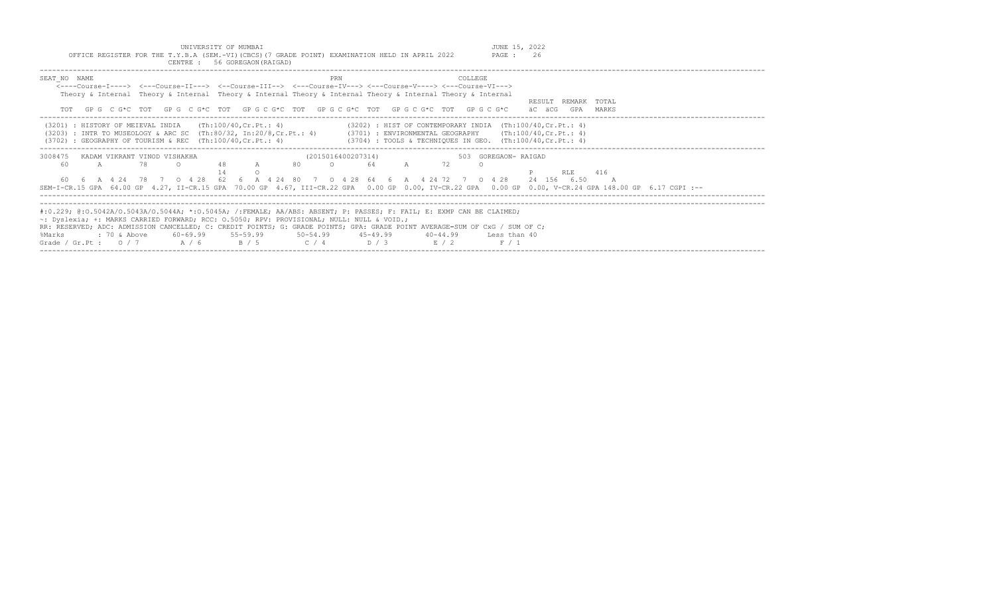UNIVERSITY OF MUMBAI<br>OFFICE REGISTER FOR THE T.Y.B.A (SEM.-VI)(CBCS)(7 GRADE POINT) EXAMINATION HELD IN APRIL 2022 PAGE : 26

| CENTRE: 56 GOREGAON (RAIGAD)                                                                                                                                                                                                                                                                                                                                                                                                                            |                                                                                                                                                                                                                                                              |
|---------------------------------------------------------------------------------------------------------------------------------------------------------------------------------------------------------------------------------------------------------------------------------------------------------------------------------------------------------------------------------------------------------------------------------------------------------|--------------------------------------------------------------------------------------------------------------------------------------------------------------------------------------------------------------------------------------------------------------|
| SEAT NO NAME<br><----Course-I----> <---Course-II---> <--Course-III--> <---Course-IV---> <---Course-V----> <---Course-VI---><br>Theory & Internal Theory & Internal Theory & Internal Theory & Internal Theory & Internal Theory & Internal                                                                                                                                                                                                              | COLLEGE<br>PRN<br>RESULT REMARK TOTAL<br>GPG CG*C TOT GPG CG*C TOT GPG CG*C TOT GPG CG*C TOT GPG CG*C TOT GPG CG*C<br>äC äCG<br>GPA<br>MARKS                                                                                                                 |
| (Th:100/40,Cr.Pt.: 4)<br>(3201) : HISTORY OF MEIEVAL INDIA<br>: GEOGRAPHY OF TOURISM & REC $(Th:100/40, Cr.Pt.: 4)$<br>(3702)                                                                                                                                                                                                                                                                                                                           | $(3202)$ : HIST OF CONTEMPORARY INDIA $(Th:100/40, Cr.Pt.: 4)$<br>(3203) : INTR TO MUSEOLOGY & ARC SC (Th:80/32, In:20/8,Cr.Pt.: 4) (3701) : ENVIRONMENTAL GEOGRAPHY (Th:100/40,Cr.Pt.: 4)<br>$(3704)$ : TOOLS & TECHNIOUES IN GEO. $(Th:100/40, Cr.Pt.: 4)$ |
| 3008475<br>KADAM VIKRANT VINOD VISHAKHA<br>$\mathbb{A}$<br>60<br>78<br>A<br>60  6  A  4  24  78  7  0  4  28  62  6  A  4  24  80  7  0  4  28  64  6  A  4  24  72  7  0  4  28                                                                                                                                                                                                                                                                        | (2015016400207314)<br>503 GOREGAON- RAIGAD<br>-80<br>72<br>64<br>416<br><b>RLE</b><br>24 156 6.50<br>SEM-I-CR.15 GPA 64.00 GP 4.27, II-CR.15 GPA 70.00 GP 4.67, III-CR.22 GPA 0.00 GP 0.00, IV-CR.22 GPA 0.00 GP 0.00, V-CR.24 GPA 148.00 GP 6.17 CGPI :--   |
| #:0.229; @:0.5042A/0.5043A/0.5044A; *:0.5045A; /:FEMALE; AA/ABS: ABSENT; P: PASSES; F: FAIL; E: EXMP CAN BE CLAIMED;<br>~: Dyslexia; +: MARKS CARRIED FORWARD; RCC: 0.5050; RPV: PROVISIONAL; NULL: NULL & VOID.;<br>RR: RESERVED; ADC: ADMISSION CANCELLED; C: CREDIT POINTS; G: GRADE POINTS; GPA: GRADE POINT AVERAGE=SUM OF CxG / SUM OF C;<br>: 70 & Above<br>60-69.99 55-59.99 50-54.99 45-49.99<br>%Marks<br>Grade / Gr.Pt: $0/7$ A / 6<br>B / 5 | $40 - 44.99$<br>Less than 40<br>$C / 4$ $D / 3$<br>E / 2<br>F / 1                                                                                                                                                                                            |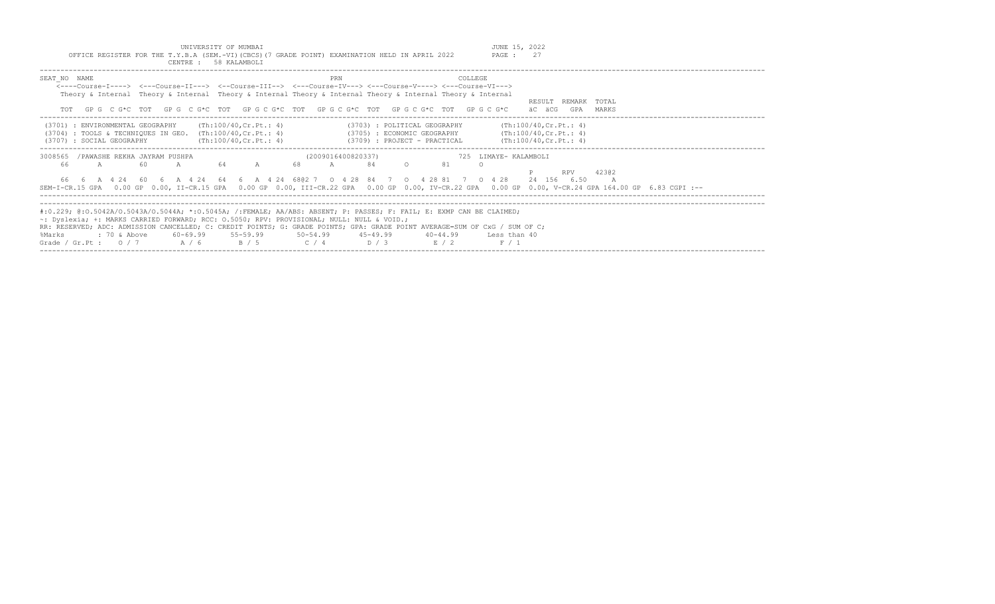|                                                                                               |  | UNIVERSITY OF MUMBAI  |  |  |  | JUNE 15, 2022 |  |
|-----------------------------------------------------------------------------------------------|--|-----------------------|--|--|--|---------------|--|
| OFFICE REGISTER FOR THE T.Y.B.A (SEM.-VI)(CBCS)(7 GRADE POINT) EXAMINATION HELD IN APRIL 2022 |  |                       |  |  |  | PAGE :        |  |
|                                                                                               |  | CENTRE : 58 KALAMBOLI |  |  |  |               |  |

| SEAT NO NAME<br><b>PRN</b><br><b>COLLEGE</b><br><---Course-I----> <---Course-II---> <--Course-III--> <---Course-IV---> <---Course-V----> <---Course-VI---><br>Theory & Internal Theory & Internal Theory & Internal Theory & Internal Theory & Internal Theory & Internal                                                                                                                                                                                                                                                             |  |
|---------------------------------------------------------------------------------------------------------------------------------------------------------------------------------------------------------------------------------------------------------------------------------------------------------------------------------------------------------------------------------------------------------------------------------------------------------------------------------------------------------------------------------------|--|
| TOTAL<br>RESULT REMARK<br>TOT GPG CG*C TOT GPG CG*C TOT GPG CG*C TOT GPG CG*C TOT GPG CG*C TOT GPG CG*C<br>äC äCG<br>GPA<br>MARKS                                                                                                                                                                                                                                                                                                                                                                                                     |  |
| (Th:100/40,Cr.Pt.: 4)<br>(Th:100/40, Cr. Pt.: 4)<br>(3701) : ENVIRONMENTAL GEOGRAPHY<br>(3703) : POLITICAL GEOGRAPHY<br>$(3705)$ : ECONOMIC GEOGRAPHY $(\text{Th:100/40, Cr.Pt.}: 4)$<br>$(3704)$ : TOOLS & TECHNIQUES IN GEO. $(Th:100/40, Cr.Pt.: 4)$<br>(Th:100/40, Cr.Pt.: 4)<br>$(3709)$ : PROJECT - PRACTICAL $(Th:100/40, Cr.Pt.: 4)$<br>(3707) : SOCIAL GEOGRAPHY                                                                                                                                                             |  |
| /PAWASHE REKHA JAYRAM PUSHPA<br>(2009016400820337)<br>725 LIMAYE- KALAMBOLI<br>3008565<br>60<br>64 A<br>68<br>81<br>A<br>84<br>$\cap$<br>-66<br>A<br>$\overline{A}$<br>42302<br>RPV<br>66  6  A  4  24  60  6  A  4  24  64  6  A  4  24  6802  7  0  4  28  84  7  0  4  28  81  7  0  4  28<br>24 156 6.50<br>$\overline{A}$<br>SEM-I-CR.15 GPA 0.00 GP 0.00, II-CR.15 GPA 0.00 GP 0.00, III-CR.22 GPA 0.00 GP 0.00, IV-CR.22 GPA 0.00 GP 0.00, V-CR.24 GPA 164.00 GP 6.83 CGPI :--                                                 |  |
| #:0.229; @:0.5042A/0.5043A/0.5044A; *:0.5045A; /:FEMALE; AA/ABS: ABSENT; P: PASSES; F: FAIL; E: EXMP CAN BE CLAIMED;<br>~: Dyslexia; +: MARKS CARRIED FORWARD; RCC: 0.5050; RPV: PROVISIONAL; NULL: NULL & VOID.;<br>RR: RESERVED; ADC: ADMISSION CANCELLED; C: CREDIT POINTS; G: GRADE POINTS; GPA: GRADE POINT AVERAGE=SUM OF CxG / SUM OF C;<br>$60-69.99$ $55-59.99$ $50-54.99$ $45-49.99$<br>%Marks<br>: 70 & Above<br>$40 - 44.99$<br>Less than 40<br>$C / 4$ $D / 3$<br>E / 2<br>Grade / Gr.Pt : $0/7$ A / 6<br>B / 5<br>F / 1 |  |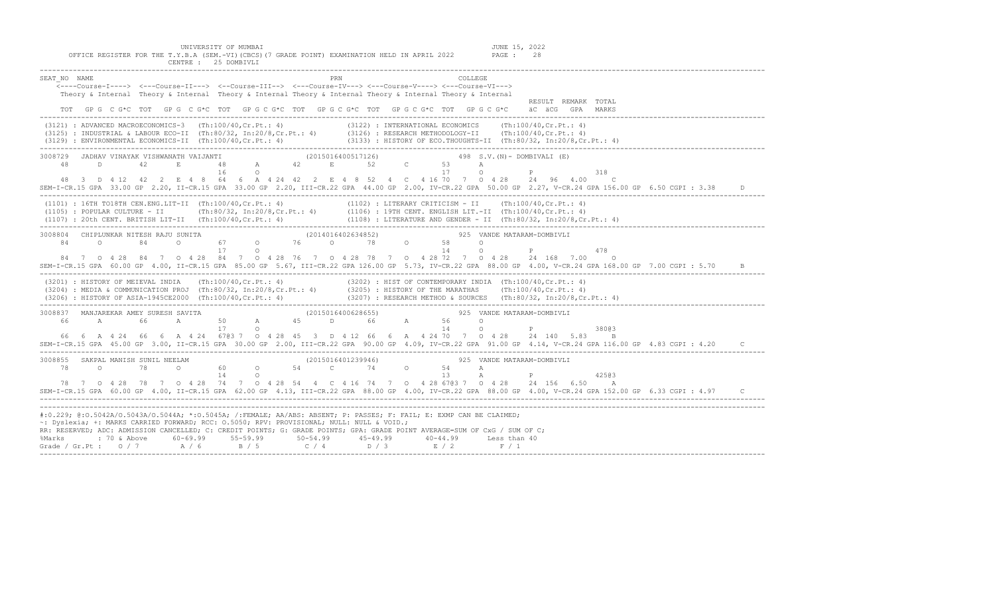| PRN<br>COLLEGE<br>SEAT NO NAME<br><---Course-I----> <---Course-II---> <--Course-III--> <---Course-IV---> <---Course-V----> <---Course-VI---><br>Theory & Internal Theory & Internal Theory & Internal Theory & Internal Theory & Internal Theory & Internal<br>RESULT REMARK TOTAL                                                                                                                                                                                                                            |
|---------------------------------------------------------------------------------------------------------------------------------------------------------------------------------------------------------------------------------------------------------------------------------------------------------------------------------------------------------------------------------------------------------------------------------------------------------------------------------------------------------------|
| TOT GPG CG*C TOT GPG CG*C TOT GPG CG*C TOT GPG CG*C TOT GPG CG*C TOT GPG CG*C TOT GPG CG*C aCGCG GPA MARKS                                                                                                                                                                                                                                                                                                                                                                                                    |
| (3122) : INTERNATIONAL ECONOMICS (Th:100/40, Cr.Pt.: 4)<br>(3121) : ADVANCED MACROECONOMICS-3 (Th:100/40, Cr. Pt.: 4)<br>$(3125) : INDUSTRIAL \& LABOUR ECO-II \& (Th:80/32, In:20/8, Cr.Pt.: 4) \qquad (3126) : RESEARCH METHODOLOGY-II \& (Th:100/40, Cr.Pt.: 4) \qquad (3129) : ENVIRONMENTAL ECONOMICS-II \& (Th:100/40, Cr.Pt.: 4) \qquad (3133) : HISTORY OF ECO. THOUTHTS-II \& (Th:80/32, In:20/8, Cr.Pt.: 4) \qquad (3129) : ENITONY OF ECO. THOUTHTS-II \& (Th:80/32, In:20/8, Cr.Pt.: 4) \qquad ($ |
| 3008729 JADHAV VINAYAK VISHWANATH VAIJANTI (2015016400517126) 49<br>48 D 42 E 48 A 42 E 52 C 53<br>16 O 17<br>498 $S.V. (N)$ - DOMBIVALI (E)<br>$\mathbb A$<br>P<br>$\circ$<br>318<br>48 3 D 4 12 42 2 E 4 8 64 6 A 4 24 42 2 E 4 8 52 4 C 4 16 70 7 0 4 28 24 96 4.00 C<br>SEM-I-CR.15 GPA 33.00 GP 2.20, II-CR.15 GPA 33.00 GP 2.20, III-CR.22 GPA 44.00 GP 2.00, IV-CR.22 GPA 50.00 GP 2.27, V-CR.24 GPA 156.00 GP 6.50 CGPI : 3.38                                                                        |
| (1101): 16TH TO18TH CEN.ENG.LIT-II (Th:100/40,Cr.Pt.: 4) (1102): LITERARY CRITICISM - II (Th:100/40,Cr.Pt.: 4)<br>(1105): POPULAR CULTURE - II (Th:80/32, In:20/8,Cr.Pt.: 4) (1106): 19TH CENT. ENGLISH LIT.-II (Th:100/40,Cr.Pt                                                                                                                                                                                                                                                                              |
| 3008804 CHIPLUNKAR NITESH RAJU SUNITA<br>(2014016402634852) 325 VANDE MATARAM-DOMBIVLI<br>84 0 84 0 67 0 76 0 78 0 58 0<br>17<br>$14$ 0<br>P<br>$\Omega$<br>478<br>84 7 0 4 28 84 7 0 4 28 84 7 0 4 28 76 7 0 4 28 78 7 0 4 28 72 7 0 4 28 24 168 7.00 0                                                                                                                                                                                                                                                      |
| SEM-I-CR.15 GPA 60.00 GP 4.00, II-CR.15 GPA 85.00 GP 5.67, III-CR.22 GPA 126.00 GP 5.73, IV-CR.22 GPA 88.00 GP 4.00, V-CR.24 GPA 168.00 GP 7.00 CGPI : 5.70<br>$\overline{B}$                                                                                                                                                                                                                                                                                                                                 |
| (3201) : HISTORY OF MEIEVAL INDIA (Th:100/40,Cr.Pt.: 4) (3202) : HIST OF CONTEMPORARY INDIA (Th:100/40,Cr.Pt.: 4)<br>(3204) : MEDIA & COMMUNICATION PROJ (Th:80/32, In:20/8,Cr.Pt.: 4) (3205) : HISTORY OF THE MARATHAS (Th:100/4                                                                                                                                                                                                                                                                             |
| 925 VANDE MATARAM-DOMBIVLI<br>14<br>$\overline{O}$<br>P<br>17<br>$\circ$<br>38003                                                                                                                                                                                                                                                                                                                                                                                                                             |
| 66  6  A  4  24  66  6  A  4  24  6703  7  0  4  28  45  3  D  4  12  66  6  A  4  24  70  7  0  4  28  24  140  5.83<br>B<br>SEM-I-CR.15 GPA 45.00 GP 3.00, II-CR.15 GPA 30.00 GP 2.00, III-CR.22 GPA 90.00 GP 4.09, IV-CR.22 GPA 91.00 GP 4.14, V-CR.24 GPA 116.00 GP 4.83 CGPI : 4.20                                                                                                                                                                                                                      |
| (2015016401239946)  925  VANDE MATARAM-DOMBIVLI<br>3008855 SAKPAL MANISH SUNIL NEELAM<br>13 A<br>14 0<br>$\mathbb{P}$ and $\mathbb{P}$<br>42503                                                                                                                                                                                                                                                                                                                                                               |
| 78 7 0 4 28 78 7 0 4 28 74 7 0 4 28 54 4 C 4 16 74 7 0 4 28 67@3 7 0 4 28 24 156 6.50 A<br>SEM-I-CR.15 GPA 60.00 GP 4.00, II-CR.15 GPA 62.00 GP 4.13, III-CR.22 GPA 88.00 GP 4.00, IV-CR.22 GPA 88.00 GP 4.00, V-CR.24 GPA 152.00 GP 6.33 CGPI: 4.97 C                                                                                                                                                                                                                                                        |
| #:0.229; @:0.5042A/O.5043A/O.5044A; *:0.5045A; /:FEMALE; AA/ABS: ABSENT; P: PASSES; F: FAIL; E: EXMP CAN BE CLAIMED;<br>~: Dyslexia; +: MARKS CARRIED FORWARD; RCC: 0.5050; RPV: PROVISIONAL; NULL: NULL & VOID.;<br>RR: RESERVED; ADC: ADMISSION CANCELLED; C: CREDIT POINTS; G: GRADE POINTS; GPA: GRADE POINT AVERAGE=SUM OF CxG / SUM OF C;<br>% Marks : 70 & Above 60-69.99 55-59.99 50-54.99 45-49.99 40-44.99 Less than 40<br>Grade / Gr.Pt : 0 / 7 A / 6 B / 5 C / 4 D / 3 E / 2 F / 1                |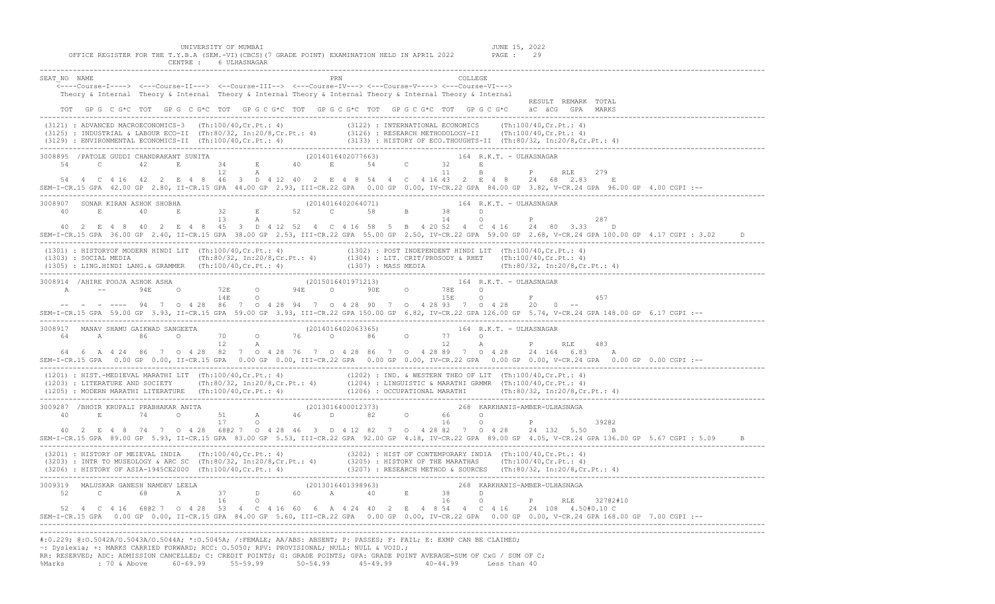| UNIVERSITY OF MUMBAI<br>JUNE 15, 2022<br>OFFICE REGISTER FOR THE T.Y.B.A (SEM.-VI) (CBCS) (7 GRADE POINT) EXAMINATION HELD IN APRIL 2022<br>PAGE : 29<br>CENTRE : 6 ULHASNAGAR                                                                                                                                                                                                                                                                                                                                                                |
|-----------------------------------------------------------------------------------------------------------------------------------------------------------------------------------------------------------------------------------------------------------------------------------------------------------------------------------------------------------------------------------------------------------------------------------------------------------------------------------------------------------------------------------------------|
| SEAT NO NAME<br>COLLEGE<br><----Course-I----> <---Course-II---> <--Course-III--> <---Course-IV---> <---Course-V----> <---Course-VI---><br>Theory & Internal Theory & Internal Theory & Internal Theory & Internal Theory & Internal Theory & Internal<br>RESULT REMARK TOTAL<br>TOT GPG C G*C TOT GPG C G*C TOT GPG C G*C TOT GPG C G*C TOT GPG C G*C TOT GPG C G*C äC äCG GPA MARKS                                                                                                                                                          |
| (3121) : ADVANCED MACROECONOMICS-3 (Th:100/40,Cr.Pt.: 4) (3122) : INTERNATIONAL ECONOMICS (Th:100/40,Cr.Pt.: 4)<br>(3125) : INDUSTRIAL & LABOUR ECO-II (Th:80/32, In:20/8,Cr.Pt.: 4) (3126) : RESEARCH METHODOLOGY-II (Th:100/40,                                                                                                                                                                                                                                                                                                             |
| $\begin{array}{cccccccccccc} 3008895 & /PATOLE GUDDI CHANDRAKANT SUNITTA & & & & & (2014016402077663) & & & 164 R.K.T. - ULHASNAGAR & & & \\ 54 & C & 42 & E & 34 & E & 40 & E & 54 & C & 32 & E \\ & & 12 & A & & & & & 11 & B & P \\ \end{array}$<br>RLE 279<br>54  4  C  4  16  42  2  E  4  8  46  3  D  4  12  40  2  E  4  8  54  4  C  4  16  43  2  E  4  8  24  68  2.83  E<br>SEM-I-CR.15 GPA 42.00 GP 2.80, II-CR.15 GPA 44.00 GP 2.93, III-CR.22 GPA 0.00 GP 0.00, IV-CR.22 GPA 84.00 GP 3.82, V-CR.24 GPA 96.00 GP 4.00 CGPI :-- |
| 40 2 E 4 8 40 2 E 4 8 45 3 D 4 12 52 4 C 4 16 58 5 B 4 20 52 4 C 4 16 24 80 3.33 D<br>SEM-I-CR.15 GPA 36.00 GP 2.40, II-CR.15 GPA 38.00 GP 2.53, III-CR.22 GPA 55.00 GP 2.50, IV-CR.22 GPA 59.00 GP 2.68, V-CR.24 GPA 100.00 GP 4.17 CGPI : 3.02                                                                                                                                                                                                                                                                                              |
| (1301) : HISTORYOF MODERN HINDI LIT (Th:100/40, Cr.Pt.: 4) (1302) : POST INDEPENDENT HINDI LIT (Th:100/40, Cr.Pt.: 4)<br>(1303) : SOCIAL MEDIA (Th:80/32, In:20/8, Cr.Pt.: 4) (1304) : LIT. CRIT/PROSODY & RHET (Th:100/40, Cr.P                                                                                                                                                                                                                                                                                                              |
| 457<br>-- - - ---- 94 7 0 4 28 86 7 0 4 28 94 7 0 4 28 90 7 0 4 28 93 7 0 4 28 20 0 --<br>SEM-I-CR.15 GPA 59.00 GP 3.93, II-CR.15 GPA 59.00 GP 3.93, III-CR.22 GPA 150.00 GP 6.82, IV-CR.22 GPA 126.00 GP 5.74, V-CR.24 GPA 148.00 GP 6.17 CGPI :--                                                                                                                                                                                                                                                                                           |
| 64  6  A  4  24  86  7  0  4  28  82  7  0  4  28  76  7  0  4  28  86  7  0  4  28  89  7  0  4  28  24  164  6.83  A<br>--: SEM-I-CR.15 GPA 0.00 GP 0.00, II-CR.15 GPA 0.00 GP 0.00, III-CR.22 GPA 0.00 GP 0.00, IV-CR.22 GPA 0.00 GP 0.00, V-CR.24 GPA 0.00 GP 0.00 CGPI                                                                                                                                                                                                                                                                   |
| (1201) : HIST.-MEDIEVAL MARATHI LIT (Th:100/40,Cr.Pt.: 4) (1202) : IND. & WESTERN THEO OF LIT (Th:100/40,Cr.Pt.: 4)<br>(1203) : LITERATURE AND SOCIETY (Th:80/32, In:20/8,Cr.Pt.: 4) (1204) : LINGUISTIC & MARATHI GRMMR (Th:100/                                                                                                                                                                                                                                                                                                             |
| 3009287 /BHOIR KRUPALI PRABHAKAR ANITA (2013016400012373) 268 KARKHANIS-AMBER-ULHASNAGA<br>40 2 E 4 8 74 7 0 4 28 680 2 7 0 4 28 46 3 D 4 12 82 7 0 4 28 82 7 0 4 28 24 132 5.50 B<br>SEM-I-CR.15 GPA 89.00 GP 5.93, II-CR.15 GPA 83.00 GP 5.53, III-CR.22 GPA 92.00 GP 4.18, IV-CR.22 GPA 89.00 GP 4.05, V-CR.24 GPA 136.00 GP 5.67 CGPI: 5.09 B                                                                                                                                                                                             |
| (3201) : HISTORY OF MEIEVAL INDIA (Th:100/40,Cr.Pt.: 4) (3202) : HIST OF CONTEMPORARY INDIA (Th:100/40,Cr.Pt.: 4)<br>(3203) : INTR TO MUSEOLOGY & ARC SC (Th:80/32, In:20/8,Cr.Pt.: 4) (3205) : HISTORY OF THE MARATHAS (Th:100/4                                                                                                                                                                                                                                                                                                             |
| 32702#10<br>52  4  C  4  16  680 2  7  0  4  28  53  4  C  4  16  60  6  A  4  24  40  2  E  4  8  54  4  C  4  16  24  108  4.50#0.10  C<br>--: SEM-I-CR.15 GPA 0.00 GP 0.00, II-CR.15 GPA 84.00 GP 5.60, III-CR.22 GPA 0.00 GP 0.00, IV-CR.22 GPA 0.00 GP 0.00, V-CR.24 GPA 168.00 GP 7.00 CGPI                                                                                                                                                                                                                                             |
| #:0.229; @:0.5042A/0.5043A/0.5044A; *:0.5045A; /:FEMALE; AA/ABS: ABSENT; P: PASSES; F: FAIL; E: EXMP CAN BE CLAIMED;<br>t Dyslexia; +: MARKS CARRIED FORWARD; RCC: 0.5050; RPV: PROVISIONAL; NULL: NULL & VOID.; ~                                                                                                                                                                                                                                                                                                                            |

%: Dyslexia; +: MARKS CARRIED FORWARD; RCC: 0.5050; RPV: PROVISIONAL; NULL: NULL & VOID.;<br>RR: RESERVED; ADC: ADMISSION CANCELLED; C: CREDIT POINTS; G: GRADE POINTS; GPA: GRADE POINT AVERAGE=SUM OF CxG<br>%Marks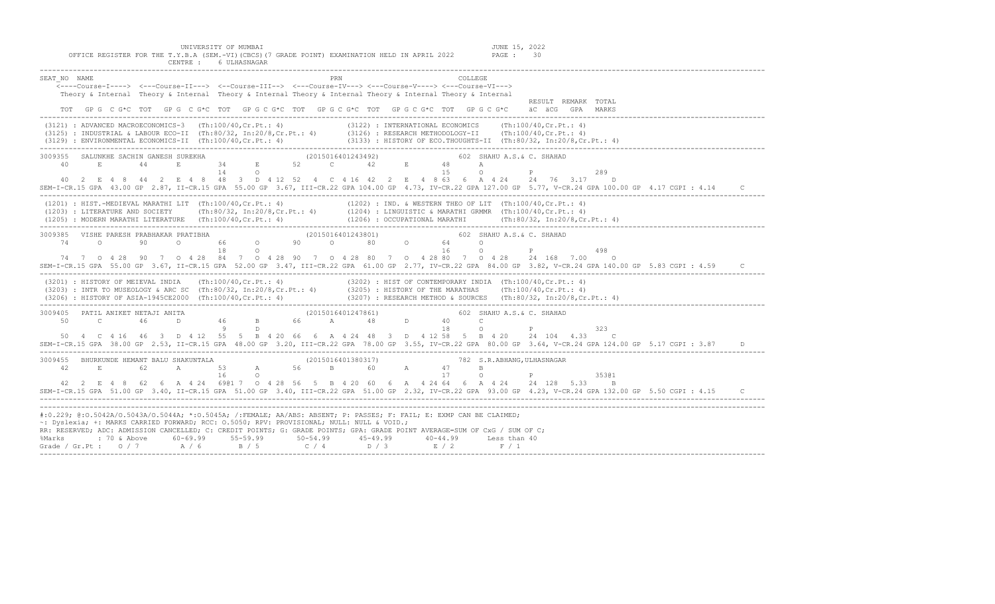| OFFICE REGISTER FOR THE T.Y.B.A (SEM.-VI)(CBCS)(7 GRADE POINT) EXAMINATION HELD IN APRIL 2022<br>CENTRE :<br>6 ULHASNAGAR                                                                                                                                                                                                                         | PAGE: 30                                                                                                                                                                                                                                                            |
|---------------------------------------------------------------------------------------------------------------------------------------------------------------------------------------------------------------------------------------------------------------------------------------------------------------------------------------------------|---------------------------------------------------------------------------------------------------------------------------------------------------------------------------------------------------------------------------------------------------------------------|
| PRN<br>SEAT NO NAME<br><----Course-I----> <---Course-II---> <--Course-III--> <---Course-IV---> <---Course-V----> <---Course-VI---><br>Theory & Internal Theory & Internal Theory & Internal Theory & Internal Theory & Internal Theory & Internal<br>GP G C G*C TOT GP G C G*C TOT GP G C G*C TOT GP G C G*C TOT GP G C G*C TOT GP G C G*C<br>TOT | COLLEGE<br>RESULT REMARK TOTAL<br>äC äCG<br>GPA<br>MARKS                                                                                                                                                                                                            |
| $(3121)$ : ADVANCED MACROECONOMICS-3 $(Th:100/40, Cr.Pt.: 4)$<br>: INDUSTRIAL & LABOUR ECO-II (Th:80/32, In:20/8,Cr.Pt.: 4) (3126) : RESEARCH METHODOLOGY-II (Th:100/40,Cr.Pt.: 4)<br>(3125)<br>$(3129)$ : ENVIRONMENTAL ECONOMICS-II $(Th:100/40, Cr.Pt.: 4)$                                                                                    | $(3122)$ : INTERNATIONAL ECONOMICS (Th:100/40, Cr. Pt.: 4)<br>$(3133)$ : HISTORY OF ECO.THOUGHTS-II $(Th:80/32, In:20/8, Cr.Pt.: 4)$                                                                                                                                |
| 3009355<br>SALUNKHE SACHIN GANESH SUREKHA<br>(2015016401243492)<br>52 C<br>-34<br>40<br>E<br>E<br>44<br>E.<br>14<br>48<br>3 D 4 12 52 4 C 4 16 42 2<br>40 2 E 4 8 44 2 E 4 8                                                                                                                                                                      | 602 SHAHU A.S.& C. SHAHAD<br>42<br>48<br>А<br>1.5<br>289<br>4 8 63 6 A 4 24<br>24 76 3.17<br>$\Box$<br>SEM-I-CR.15 GPA 43.00 GP 2.87, II-CR.15 GPA 55.00 GP 3.67, III-CR.22 GPA 104.00 GP 4.73, IV-CR.22 GPA 127.00 GP 5.77, V-CR.24 GPA 100.00 GP 4.17 CGPI : 4.14 |
| $(1201)$ : HIST.-MEDIEVAL MARATHI LIT $(Th:100/40, Cr.Pt.: 4)$<br>$(1203)$ : LITERATURE AND SOCIETY (Th:80/32, In:20/8, Cr. Pt.: 4)<br>(Th:100/40,Cr.Pt.: 4)<br>(1205) : MODERN MARATHI LITERATURE                                                                                                                                                | $(1202)$ : IND. & WESTERN THEO OF LIT $(Th:100/40, Cr.Pt.: 4)$<br>$(1204)$ : LINGUISTIC & MARATHI GRMMR $(Th:100/40, Cr.Pt.: 4)$<br>(Th:80/32, In:20/8,Cr.Pt.: 4)<br>(1206) : OCCUPATIONAL MARATHI                                                                  |

| 3009385                                                                                                                                                    | VISHE PARESH PRABHAKAR PRATIBHA                                       |             |      |        |                       |        |            |     |     | (2015016401243801) |                  |       |         |                                     |     | 602 SHAHU A.S.& C. SHAHAD  |        |      |                                 |  |  |    |
|------------------------------------------------------------------------------------------------------------------------------------------------------------|-----------------------------------------------------------------------|-------------|------|--------|-----------------------|--------|------------|-----|-----|--------------------|------------------|-------|---------|-------------------------------------|-----|----------------------------|--------|------|---------------------------------|--|--|----|
| 74                                                                                                                                                         | $\cap$                                                                |             | 90   | $\cap$ |                       | 66     | $\cap$     |     | 90  | $\cap$             |                  | -80   | $\cap$  | 64                                  |     |                            |        |      |                                 |  |  |    |
|                                                                                                                                                            |                                                                       |             |      |        |                       |        |            |     |     |                    |                  |       |         |                                     |     |                            |        |      | 498                             |  |  |    |
| 74 7                                                                                                                                                       | $\circ$ 4                                                             | - 28        | 90 7 |        | $0 \t 4 \t 28$        | 84     | $\Omega$ 4 | 28. | 90. |                    | -28<br>$\circ$ 4 | 80    | $\circ$ | 2880                                |     | $0 \t 4 \t 28$             | 24 168 | 7.00 |                                 |  |  |    |
| SEM-I-CR.15 GPA 55.00 GP 3.67, II-CR.15 GPA 52.00 GP 3.47, III-CR.22 GPA 61.00 GP 2.77, IV-CR.22 GPA 84.00 GP 3.82, V-CR.24 GPA 140.00 GP 5.83 CGPI : 4.59 |                                                                       |             |      |        |                       |        |            |     |     |                    |                  |       |         |                                     |     |                            |        |      |                                 |  |  |    |
|                                                                                                                                                            | (3201) : HISTORY OF MEIEVAL INDIA                                     |             |      |        | (Th:100/40,Cr.Pt.: 4) |        |            |     |     |                    |                  |       |         | (3202) : HIST OF CONTEMPORARY INDIA |     | (Th:100/40, Cr. Pt.: 4)    |        |      |                                 |  |  |    |
|                                                                                                                                                            | $(3203)$ : INTR TO MUSEOLOGY & ARC SC (Th:80/32, In:20/8, Cr. Pt.: 4) |             |      |        |                       |        |            |     |     |                    |                  |       |         | (3205) : HISTORY OF THE MARATHAS    |     | (Th:100/40, Cr.Pt.: 4)     |        |      |                                 |  |  |    |
|                                                                                                                                                            | (3206) : HISTORY OF ASIA-1945CE2000                                   |             |      |        | (Th:100/40,Cr.Pt.: 4) |        |            |     |     |                    |                  |       |         | (3207) : RESEARCH METHOD & SOURCES  |     |                            |        |      | (Th:80/32, In:20/8, Cr. Pt.: 4) |  |  |    |
|                                                                                                                                                            |                                                                       |             |      |        |                       |        |            |     |     |                    |                  |       |         |                                     |     |                            |        |      |                                 |  |  |    |
| 3009405                                                                                                                                                    | PATIL ANIKET NETAJI ANITA                                             |             |      |        |                       |        |            |     |     | (2015016401247861) |                  |       |         |                                     | 602 | SHAHU A.S.& C. SHAHAD      |        |      |                                 |  |  |    |
| 50                                                                                                                                                         |                                                                       |             | 46   |        |                       | 46     |            |     | 66. |                    |                  | 48    | D.      | 40                                  |     |                            |        |      |                                 |  |  |    |
|                                                                                                                                                            |                                                                       |             |      |        |                       |        |            |     |     |                    |                  |       |         | 18                                  |     |                            |        |      | 323                             |  |  |    |
| 50                                                                                                                                                         |                                                                       | C 4 16 46 3 |      |        | D 4 12                | 55     |            | 20  | 66  |                    | - 24             | 48    |         | 12 58                               |     | B 4 20                     | 24 104 | 4.33 |                                 |  |  |    |
| SEM-I-CR.15 GPA 38.00 GP 2.53, II-CR.15 GPA 48.00 GP 3.20, III-CR.22 GPA 78.00 GP 3.55, IV-CR.22 GPA 80.00 GP 3.64, V-CR.24 GPA 124.00 GP 5.17 CGPI : 3.87 |                                                                       |             |      |        |                       |        |            |     |     |                    |                  |       |         |                                     |     |                            |        |      |                                 |  |  | D. |
| 3009455                                                                                                                                                    | BHURKUNDE HEMANT BALU SHAKUNTALA                                      |             |      |        |                       |        |            |     |     | (2015016401380317) |                  |       |         |                                     |     | 782 S.R.ABHANG, ULHASNAGAR |        |      |                                 |  |  |    |
| 42                                                                                                                                                         |                                                                       |             | 62   | A      |                       | 53     | А          |     | 56  | B.                 |                  | 60    | A       | 47                                  |     |                            |        |      |                                 |  |  |    |
|                                                                                                                                                            |                                                                       |             |      |        |                       |        |            |     |     |                    |                  |       |         |                                     |     |                            |        |      | 35301                           |  |  |    |
|                                                                                                                                                            |                                                                       |             | -62  |        | A 424                 | 6901 7 |            |     | -56 |                    | B 4              | 20 60 |         | 2464                                |     | A 4 24                     | 24 128 | 5.33 |                                 |  |  |    |

|  |  | SEM-I-CR.15 GPA 51.00 GP 3.40, II-CR.15 GPA 51.00 GP 3.40, III-CR.22 GPA 51.00 GP 2.32, IV-CR.22 GPA 93.00 GP 4.23, V-CR.24 GPA 132.00 GP 5.50 CGPI : 4.15 |  |  |  |  |  |  |
|--|--|------------------------------------------------------------------------------------------------------------------------------------------------------------|--|--|--|--|--|--|
|  |  |                                                                                                                                                            |  |  |  |  |  |  |

| #:0.229; @:0.5042A/0.5043A/0.5044A; *:0.5045A; /:FEMALE; AA/ABS: ABSENT; P: PASSES; F: FAIL; E: EXMP CAN BE CLAIMED;       |  |  |              |  |  |
|----------------------------------------------------------------------------------------------------------------------------|--|--|--------------|--|--|
| $\sim$ : Dyslexia; +: MARKS CARRIED FORWARD; RCC: 0.5050; RPV: PROVISIONAL; NULL: NULL & VOID.;                            |  |  |              |  |  |
| RR: RESERVED; ADC: ADMISSION CANCELLED; C: CREDIT POINTS; G: GRADE POINTS; GPA: GRADE POINT AVERAGE=SUM OF CxG / SUM OF C; |  |  |              |  |  |
| %Marks                                                                                                                     |  |  | Less than 40 |  |  |
| Grade / Gr.Pt: $0/7$ $A/6$ $B/5$ $C/4$ $D/3$ $E/2$                                                                         |  |  | F/1          |  |  |
|                                                                                                                            |  |  |              |  |  |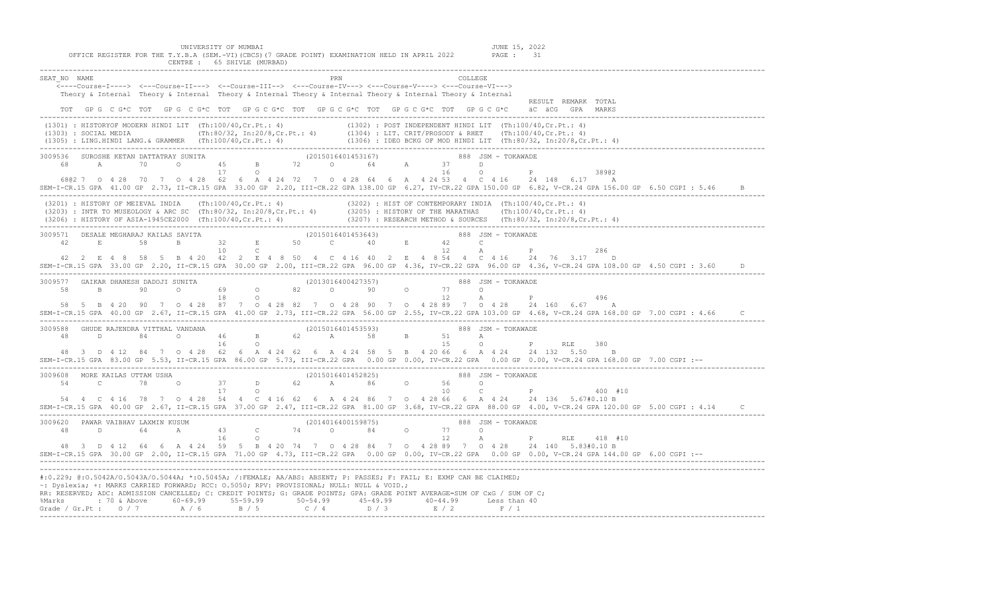| CENTRE : 65 SHIVLE (MURBAD)                                                                                                                                                                                                                                                                                                                                                                                                                                                                   |  |  |  |  |  |  |  |  |
|-----------------------------------------------------------------------------------------------------------------------------------------------------------------------------------------------------------------------------------------------------------------------------------------------------------------------------------------------------------------------------------------------------------------------------------------------------------------------------------------------|--|--|--|--|--|--|--|--|
| SEAT NO NAME<br>PRN<br><----Course-I----> <---Course-II---> <--Course-III--> <--Course-IV---> <---Course-V----> <---Course-VI---><br>Theory & Internal Theory & Internal Theory & Internal Theory & Internal Theory & Internal Theory & Internal<br>RESULT REMARK TOTAL<br>TOT GPG CG*C TOT GPG CG*C TOT GPG CG*C TOT GPG CG*C TOT GPG CG*C TOT GPG CG*C ÄC ÄCGG GPA MARKS                                                                                                                    |  |  |  |  |  |  |  |  |
|                                                                                                                                                                                                                                                                                                                                                                                                                                                                                               |  |  |  |  |  |  |  |  |
| 3009536 SUROSHE KETAN DATTATRAY SUNITA (2015016401453167) 888 JSM – TOKAWADE 68 A 70 0 45 B 72 0 64 A 37 D<br>38902<br>68@2 7 0 4 28 70 7 0 4 28 62 6 A 4 24 72 7 0 4 28 64 6 A 4 24 53 4 C 4 16 24 148 6.17 A<br>SEM-I-CR.15 GPA 41.00 GP 2.73, II-CR.15 GPA 33.00 GP 2.20, III-CR.22 GPA 138.00 GP 6.27, IV-CR.22 GPA 150.00 GP 6.82, V-CR.24 GPA 156.00 GP 6.50 CGPI : 5.46<br>$\overline{B}$                                                                                              |  |  |  |  |  |  |  |  |
| (3201) : HISTORY OF MEIEVAL INDIA (Th:100/40,Cr.Pt.: 4)<br>(3203) : INTR TO MUSEOLOGY & ARC SC (Th:80/32, In:20/8,Cr.Pt.: 4) (3205) : HISTORY OF THE MARATHAS (Th:100/40,Cr.Pt.: 4)<br>(3206) : HISTORY OF ASIA-1945CE2000 (Th:100/4                                                                                                                                                                                                                                                          |  |  |  |  |  |  |  |  |
| 3009571 DESALE MEGHARAJ KAILAS SAVITA<br>42 E 58 B 32 E 50 C 40 E 42 C<br>10<br>$\mathbb{C}$ and $\mathbb{C}$<br>12<br>P<br>286<br>A<br>42  2  E   4  8  58  5  B  4  20  42  2  E  4  8  50  4  C  4  16  40  2  E  4  8  54  4  C  4  16  24  76  3.17  D<br>SEM-I-CR.15 GPA 33.00 GP 2.20, II-CR.15 GPA 30.00 GP 2.00, III-CR.22 GPA 96.00 GP 4.36, IV-CR.22 GPA 96.00 GP 4.36, V-CR.24 GPA 108.00 GP 4.50 CGPI : 3.60                                                                     |  |  |  |  |  |  |  |  |
| 3009577 GAIKAR DHANESH DADOJI SUNITA (2013016400427357) 888 JSM – TOKAWADE (2013016400427357) 888 JSM – TOKAWADE (2013016400427357) 888 JSM – TOKAWADE<br>496<br>58 5 B 4 20 90 7 0 4 28 87 7 0 4 28 82 7 0 4 28 90 7 0 4 28 89 7 0 4 28 24 160 6 67 A<br>SEM-I-CR.15 GPA 40.00 GP 2.67, II-CR.15 GPA 41.00 GP 2.73, III-CR.22 GPA 56.00 GP 2.55, IV-CR.22 GPA 103.00 GP 4.68, V-CR.24 GPA 168.00 GP 7.00 CGPI : 4.66                                                                         |  |  |  |  |  |  |  |  |
| 0 PRLE<br>380<br>48 3 D 4 12 84 7 0 4 28 62 6 A 4 24 62 6 A 4 24 58 5 B 4 20 66 6 A 4 24 24 132 5.50 B<br>SEM-I-CR.15 GPA 83.00 GP 5.53, II-CR.15 GPA 86.00 GP 5.73, III-CR.22 GPA 0.00 GP 0.00, IV-CR.22 GPA 0.00 GP 0.00, V-CR.24 GPA 168.00 GP 7.00 CGPI :--                                                                                                                                                                                                                               |  |  |  |  |  |  |  |  |
| 3009608 MORE KAILAS UTTAM USHA (2015016401452825) 3009608 MORE KAILAS UTTAM USHA<br>C 78 0 37 D 62 A 86 0 56 0<br>17 0<br>54<br>C $P$ 400 #10<br>54  4  C  4  16  78  7  0  4  28  54  4  C  4  16  62  6  A  4  24  86  7  0  4  28  66  6  A  4  24  24  136  5.67#0.10  B<br>SEM-I-CR.15 GPA 40.00 GP 2.67, II-CR.15 GPA 37.00 GP 2.47, III-CR.22 GPA 81.00 GP 3.68, IV-CR.22 GPA 88.00 GP 4.00, V-CR.24 GPA 120.00 GP 5.00 CGPI : 4.14                                                    |  |  |  |  |  |  |  |  |
| 3009620 PAWAR VAIBHAV LAXMIN KUSUM (2014016400159875) 3009620 2014016400159875)<br>48<br>D<br>48 3 D 4 12 64 6 A 4 24 59 5 B 4 20 74 7 0 4 28 84 7 0 4 28 89 7 0 4 28 24 140 5.83#0.10 B<br>SEM-I-CR.15 GPA 30.00 GP 2.00, II-CR.15 GPA 71.00 GP 4.73, III-CR.22 GPA 0.00 GP 0.00, IV-CR.22 GPA 0.00 GP 0.00, V-CR.24 GPA 144.00 GP 6.00 CGPI :--                                                                                                                                             |  |  |  |  |  |  |  |  |
| #:0.229; @:0.5042A/O.5043A/O.5044A; *:0.5045A; /:FEMALE; AA/ABS: ABSENT; P: PASSES; F: FAIL; E: EXMP CAN BE CLAIMED;<br>~: Dyslexia; +: MARKS CARRIED FORWARD; RCC: 0.5050; RPV: PROVISIONAL; NULL: NULL & VOID.;<br>RR: RESERVED; ADC: ADMISSION CANCELLED; C: CREDIT POINTS; G: GRADE POINTS; GPA: GRADE POINT AVERAGE=SUM OF CxG / SUM OF C;<br>%Marks : 70 & Above 60-69.99 55-59.99 50-54.99 45-49.99 40-44.99 Less than 40<br>Grade / Gr.Pt : 0 / 7 A / 6 B / 5 C / 4 D / 3 E / 2 F / 1 |  |  |  |  |  |  |  |  |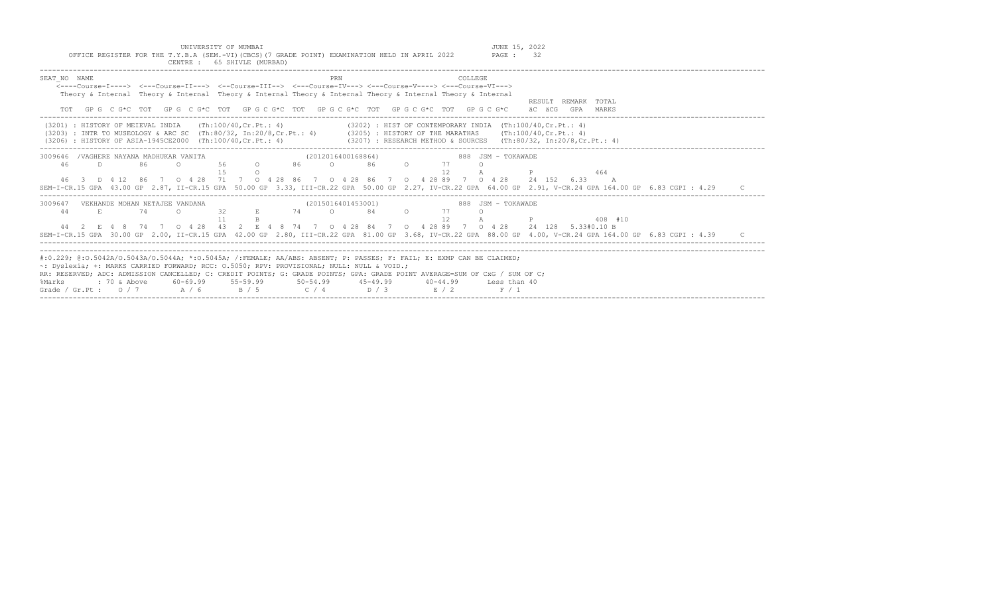UNIVERSITY OF MUMBAI<br>Y.B.A (SEM.-VI)(CBCS)(7 GRADE POINT) EXAMINATION HELD IN APRIL 2022 PAGE : 32

| OFFICE REGISTER FOR THE T.Y.B.A (SEM.-VI) (CBCS) (7 GRADE POINT) EXAMINATION HELD IN APRIL 2022<br>PAGE: 32<br>CENTRE : 65 SHIVLE (MURBAD)                                                                                                                                                                                                                                                                                                                                                                                             |
|----------------------------------------------------------------------------------------------------------------------------------------------------------------------------------------------------------------------------------------------------------------------------------------------------------------------------------------------------------------------------------------------------------------------------------------------------------------------------------------------------------------------------------------|
| SEAT NO NAME<br>PRN<br>COLLEGE.<br>$\leftarrow$ ---Course-T----> $\leftarrow$ --Course-TT---> $\leftarrow$ -Course-TTT--> $\leftarrow$ --Course-TV---> $\leftarrow$ -Course-V----> $\leftarrow$ -Course-VT---><br>Theory & Internal Theory & Internal Theory & Internal Theory & Internal Theory & Internal Theory & Internal<br>RESULT REMARK TOTAL<br>GP G C G*C TOT GP G C G*C TOT GP G C G*C TOT GP G C G*C TOT GP G C G*C TOT GP G C G*C<br>äC äCG<br>GPA MARKS<br>TOT                                                            |
| (3202) : HIST OF CONTEMPORARY INDIA (Th:100/40.Cr.Pt.: 4)<br>$(3201)$ : HISTORY OF MEIEVAL INDIA (Th:100/40, Cr. Pt.: 4)<br>(3203) : INTR TO MUSEOLOGY & ARC SC (Th:80/32, In:20/8,Cr.Pt.: 4) (3205) : HISTORY OF THE MARATHAS (Th:100/40,Cr.Pt.: 4)<br>(3207) : RESEARCH METHOD & SOURCES (Th:80/32, In:20/8,Cr.Pt.: 4)<br>(3206) : HISTORY OF ASIA-1945CE2000 (Th:100/40, Cr. Pt.: 4)                                                                                                                                                |
| /VAGHERE NAYANA MADHUKAR VANITA<br>(2012016400168864)<br>888 JSM - TOKAWADE<br>3009646<br>46<br>56 0<br>86 - 10<br>$\Omega$<br>$86$ 0<br>77<br>D.<br>86<br>$\cap$<br>12<br>464<br>∩<br>46 3 D 4 12 86 7 0 4 28 71 7 0 4 28 86 7 0 4 28 86 7 0 4 28 89 7 0 4 28 24 152 6.33<br>$\overline{A}$<br>SEM-I-CR.15 GPA 43.00 GP 2.87, II-CR.15 GPA 50.00 GP 3.33, III-CR.22 GPA 50.00 GP 2.27, IV-CR.22 GPA 64.00 GP 2.91, V-CR.24 GPA 164.00 GP 6.83 CGPI : 4.29                                                                             |
| (2015016401453001)<br>888 JSM - TOKAWADE<br>3009647<br>VEKHANDE MOHAN NETAJEE VANDANA<br>32<br>74 — 200<br>$\circ$ 84<br>$\overline{a}$<br>44<br>E.<br>74<br>77<br>$\cap$<br>E.<br>12<br>408 #10<br>44 2 E 4 8 74 7 0 4 28 43 2 E 4 8 74 7 0 4 28 84 7 0 4 28 89 7 0 4 28 24 128 5.33#0.10 B<br>SEM-I-CR.15 GPA 30.00 GP 2.00, II-CR.15 GPA 42.00 GP 2.80, III-CR.22 GPA 81.00 GP 3.68, IV-CR.22 GPA 88.00 GP 4.00, V-CR.24 GPA 164.00 GP 6.83 CGPI : 4.39                                                                             |
| #:0.229; @:0.5042A/0.5043A/0.5044A; *:0.5045A; /:FEMALE; AA/ABS: ABSENT; P: PASSES; F: FAIL; E: EXMP CAN BE CLAIMED;<br>~: Dyslexia; +: MARKS CARRIED FORWARD; RCC: 0.5050; RPV: PROVISIONAL; NULL: NULL & VOID.;<br>RR: RESERVED; ADC: ADMISSION CANCELLED; C: CREDIT POINTS; G: GRADE POINTS; GPA: GRADE POINT AVERAGE=SUM OF CxG / SUM OF C;<br>60-69.99 55-59.99<br>%Marks<br>$50 - 54.99$ $45 - 49.99$<br>: 70 & Above<br>$40 - 44.99$<br>Less than 40<br>Grade / Gr.Pt: $0/7$ A / 6<br>B / 5<br>$C / 4$ $D / 3$ $E / 2$<br>F / 1 |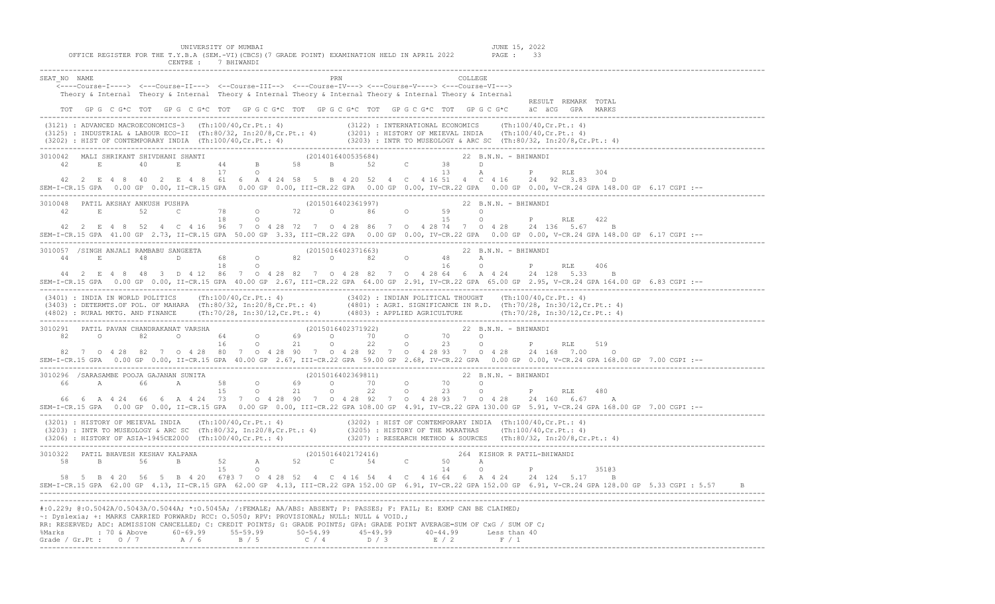| UNIVERSITY OF MUMBAI<br>JUNE 15, 2022<br>OFFICE REGISTER FOR THE T.Y.B.A (SEM.-VI)(CBCS)(7 GRADE POINT) EXAMINATION HELD IN APRIL 2022<br>PAGE : 33<br>CENTRE : 7 BHIWANDI                                                                                                                                                                                                                                                                                                                                                                                                                                                                                             |
|------------------------------------------------------------------------------------------------------------------------------------------------------------------------------------------------------------------------------------------------------------------------------------------------------------------------------------------------------------------------------------------------------------------------------------------------------------------------------------------------------------------------------------------------------------------------------------------------------------------------------------------------------------------------|
| SEAT NO NAME<br>COLLEGE<br><----Course-I----> <---Course-II---> <--Course-III--> <---Course-IV---> <---Course-V----> <---Course-VI---><br>Theory & Internal Theory & Internal Theory & Internal Theory & Internal Theory & Internal Theory & Internal<br>RESULT REMARK TOTAL<br>TOT GPG C G*C TOT GPG C G*C TOT GPG C G*C TOT GPG C G*C TOT GPG C G*C TOT GPG C G*C äC äCG GPA MARKS                                                                                                                                                                                                                                                                                   |
| (3121) : ADVANCED MACROECONOMICS-3 (Th:100/40,Cr.Pt.: 4) (3122) : INTERNATIONAL ECONOMICS (Th:100/40,Cr.Pt.: 4)<br>(3125) : INDUSTRIAL & LABOUR ECO-II (Th:80/32, In:20/8,Cr.Pt.: 4) (3201) : HISTORY OF MEIEVAL INDIA (Th:100/40                                                                                                                                                                                                                                                                                                                                                                                                                                      |
| $\begin{array}{cccccccccccc} 3010042 & \text{MALI SHRIKANT SHIVDHANI SHANTI} & & & & & & (2014016400535684) & & & & 22 B.N.N. - BHIMANDI & & & \\ & & 42 & E & 40 & E & 44 & B & 58 & B & 52 & C & 38 & D & \\ & & & 17 & O & & & & & 13 & A & P & RLE & 304 \end{array}$<br>42  2  E   4  8  40  2  E   4  8  61  6  A  4  24  58  5  B  4  20  52  4  C  4  16  51  4  C  4  16  24  92  3.83  D<br>SEM-I-CR.15 GPA 0.00 GP 0.00, II-CR.15 GPA 0.00 GP 0.00, III-CR.22 GPA 0.00 GP 0.00, IV-CR.22 GPA 0.00 GP 0.00, V-CR.24 GPA 148.00 GP 6.17 CGPI :--                                                                                                              |
| 42  2  E  4  8  52  4  C  4  16  96  7  0  4  28  72  7  0  4  28  86  7  0  4  28  74  7  0  4  28  24  136  5.67  B<br>--: SEM-I-CR.15 GPA 41.00 GP 2.73, II-CR.15 GPA 50.00 GP 3.33, III-CR.22 GPA 0.00 GP 0.00, IV-CR.22 GPA 0.00 GP 0.00, V-CR.24 GPA 148.00 GP 6.17 CGPI                                                                                                                                                                                                                                                                                                                                                                                         |
| $\begin{array}{cccccccc} 3010057 & / \text{SINGH} & \text{ANJALI} & \text{RAMBABU} & \text{SANGEETA} & & & & & & (2015016402371663) & & & & & 22 & \text{B.N.N.} & - & \text{BHIWANDI} \\ 44 & E & 48 & D & 68 & O & 82 & O & 82 & O & 48 & A \\ & & & 18 & O & & & & & 16 & O & P \\ \end{array}$<br>P RLE 406<br>44  2  E  4  8  48  3  D  4  12  86  7  0  4  28  82  7  0  4  28  82  7  0  4  28  64  6  A  4  24  24  128  5.33  B<br>--: SEM-I-CR.15 GPA 0.00 GP 0.00, II-CR.15 GPA 40.00 GP 2.67, III-CR.22 GPA 64.00 GP 2.91, IV-CR.22 GPA 65.00 GP 2.95, V-CR.24 GPA 164.00 GP 6.83 CGPI                                                                     |
| (3401) : INDIA IN WORLD POLITICS (Th:100/40, Cr.Pt.: 4) (3402) : INDIAN POLITICAL THOUGHT (Th:100/40, Cr.Pt.: 4)<br>(3403) : DETERMTS.OF POL. OF MAHARA (Th:80/32, In:20/8, Cr.Pt.: 4) (4801) : AGRI. SIGNIFICANCE IN R.D. (Th:70<br>(4802) : EURAL MKTG. AND FINANCE (Th:70/28, In:30/12, Cr. Pt.: 4) (4803) : APPLIED AGRICULTURE (Th:70/28, In:30/12, Cr. Pt.: 4)                                                                                                                                                                                                                                                                                                   |
| 3010291 PATIL PAVAN CHANDRAKANAT VARSHA                             (2015016402371922)                        22 B.N.N. - BHIWANDI<br>--: SEM-I-CR.15 GPA 0.00 GP 0.00, II-CR.15 GPA 40.00 GP 2.67, III-CR.22 GPA 59.00 GP 2.68, IV-CR.22 GPA 0.00 GP 0.00, V-CR.24 GPA 168.00 GP 7.00 CGPI                                                                                                                                                                                                                                                                                                                                                                            |
| 66  6  A  4  24  66  6  A  4  24  73  7  0  4  28  90  7  0  4  28  92  7  0  4  28  93  7  0  4  28  24  160  6.67  A<br>SEM-I-CR.15 GPA 0.00 GP 0.00, II-CR.15 GPA 0.00 GP 0.00, III-CR.22 GPA 108.00 GP 4.91, IV-CR.22 GPA 130.00 GP 5.91, V-CR.24 GPA 168.00 GP 7.00 CGPI :--                                                                                                                                                                                                                                                                                                                                                                                      |
| (3201): HISTORY OF MEIEVAL INDIA (Th:100/40,Cr.Pt.: 4)<br>(3203): INTR TO MUSEOLOGY & ARC SC (Th:80/32, In:20/8,Cr.Pt.: 4) (3205): HISTORY OF THE MARATHAS (Th:100/40,Cr.Pt.: 4)<br>(3206): HISTORY OF ASIA-1945CE2000 (Th:100/40,Cr                                                                                                                                                                                                                                                                                                                                                                                                                                   |
| $\begin{array}{cccccccccccc} 3010322 & \texttt{PATH BHAVESH KESHAV KALPANA} & & & & & (2015016402172416) & & & & 264 & \texttt{KISHOR R PATH-BHIWANDI} \\ 58 & \texttt{B} & \texttt{56} & \texttt{B} & \texttt{52} & \texttt{A} & \texttt{52} & \texttt{C} & \texttt{54} & \texttt{C} & \texttt{50} & \texttt{A} & \\ & & & & & 15 & \texttt{O} & & & & 14 & \texttt{O} & \texttt{P} \end{array}$<br>35103<br>58 5 B 4 20 56 5 B 4 20 6703 7 0 4 28 52 4 C 4 16 54 4 C 4 16 64 6 A 4 24 24 124 5.17 B<br>SEM-I-CR.15 GPA 62.00 GP 4.13, II-CR.15 GPA 62.00 GP 4.13, III-CR.22 GPA 152.00 GP 6.91, IV-CR.22 GPA 152.00 GP 6.91, V-CR.24 GPA 128.00 GP 5.33 CGPI: 5.57 B |
| #:0.229; @:0.5042A/O.5043A/O.5044A; *:0.5045A; /:FEMALE; AA/ABS: ABSENT; P: PASSES; F: FAIL; E: EXMP CAN BE CLAIMED;<br>~: Dyslexia; +: MARKS CARRIED FORWARD; RCC: 0.5050; RPV: PROVISIONAL; NULL: NULL & VOID.;<br>RR: RESERVED; ADC: ADMISSION CANCELLED; C: CREDIT POINTS; G: GRADE POINTS; GPA: GRADE POINT AVERAGE=SUM OF CxG / SUM OF C;<br>%Marks : 70 & Above 60-69.99 55-59.99 50-54.99 45-49.99 40-44.99 Less than 40<br>Grade / Gr.Pt : $0/7$ $A/6$ $B/5$ $C/4$ $D/3$ $E/2$ $F/1$                                                                                                                                                                          |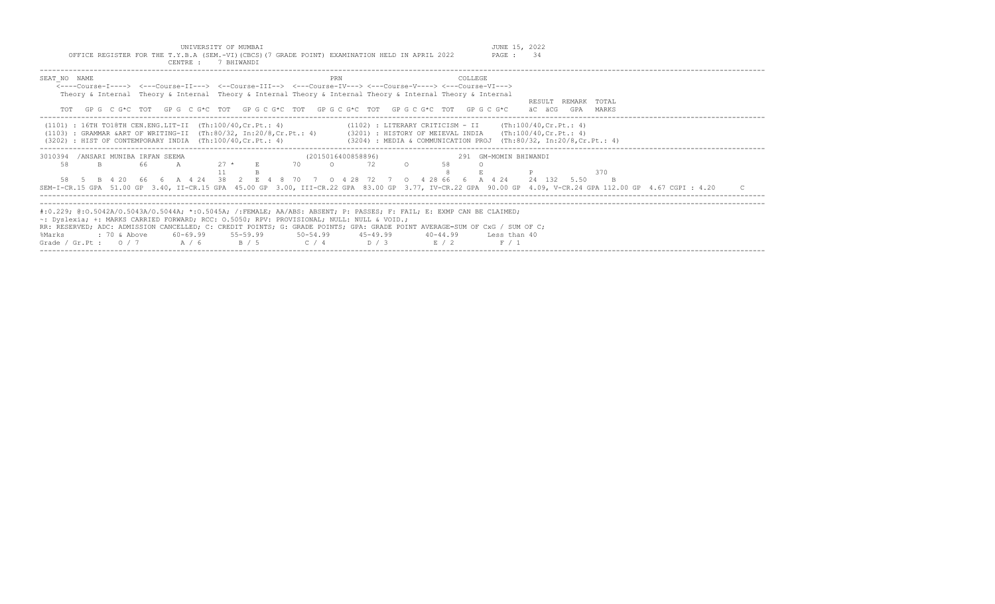UNIVERSITY OF MUMBAI JUNE 15, 2022 OFFICE REGISTER FOR THE T.Y.B.A (SEM.-VI)(CBCS)(7 GRADE POINT) EXAMINATION HELD IN APRIL 2022 PAGE : 34

|                                                   | CENTRE :<br>7 BHIWANDI                                                                                                                                                                         |                                                                                                                                                                                                                                                                                                                                                                                   |  |
|---------------------------------------------------|------------------------------------------------------------------------------------------------------------------------------------------------------------------------------------------------|-----------------------------------------------------------------------------------------------------------------------------------------------------------------------------------------------------------------------------------------------------------------------------------------------------------------------------------------------------------------------------------|--|
| SEAT NO NAME                                      |                                                                                                                                                                                                | PRN<br><b>COLLEGE</b><br><----Course-I----> <---Course-II---> <--Course-III--> <---Course-IV---> <---Course-V----> <---Course-VI---><br>Theory & Internal Theory & Internal Theory & Internal Theory & Internal Theory & Internal Theory & Internal<br>RESULT REMARK TOTAL<br>GPG CG*C TOT GPG CG*C TOT GPG CG*C TOT GPG CG*C TOT GPG CG*C TOT GPG CG*C<br>äC äCG<br>GPA<br>MARKS |  |
|                                                   | $(1101)$ : 16TH TO18TH CEN.ENG.LIT-II $(Th:100/40, Cr.Pt.: 4)$<br>(3202) : HIST OF CONTEMPORARY INDIA (Th:100/40, Cr.Pt.: 4)                                                                   | $(1102)$ : LITERARY CRITICISM - II $(Th:100/40, Cr.Pt.: 4)$<br>(1103) : GRAMMAR &ART OF WRITING-II (Th:80/32, In:20/8,Cr.Pt.: 4) (3201) : HISTORY OF MEIEVAL INDIA (Th:100/40,Cr.Pt.: 4)<br>(3204) : MEDIA & COMMUNICATION PROJ (Th:80/32, In:20/8, Cr. Pt.: 4)                                                                                                                   |  |
| /ANSARI MUNIBA IRFAN SEEMA<br>3010394<br>58<br>B. | $27 *$<br>66                                                                                                                                                                                   | (2015016400858896)<br>291 GM-MOMIN BHIWANDI<br>70<br>72<br>$\Omega$<br>370<br>B 4 20 66 6 A 4 24 38 2 E 4 8 70 7 0 4 28 72 7 0 4 28 66 6 A 4 24 24 132 5.50<br>SEM-I-CR.15 GPA 51.00 GP 3.40, II-CR.15 GPA 45.00 GP 3.00, III-CR.22 GPA 83.00 GP 3.77, IV-CR.22 GPA 90.00 GP 4.09, V-CR.24 GPA 112.00 GP 4.67 CGPI : 4.20                                                         |  |
| %Marks<br>: 70 & Above                            | $\sim$ : Dyslexia; +: MARKS CARRIED FORWARD; RCC: 0.5050; RPV: PROVISIONAL; NULL: NULL & VOID.;<br>$60-69.99$ $55-59.99$ $50-54.99$ $45-49.99$<br>Grade / Gr.Pt: $0/7$ $A/6$ $B/5$ $C/4$ $D/3$ | #:0.229; @:0.5042A/0.5043A/0.5044A; *:0.5045A; /:FEMALE; AA/ABS: ABSENT; P: PASSES; F: FAIL; E: EXMP CAN BE CLAIMED;<br>RR: RESERVED; ADC: ADMISSION CANCELLED; C: CREDIT POINTS; G: GRADE POINTS; GPA: GRADE POINT AVERAGE=SUM OF CxG / SUM OF C;<br>$40 - 44.99$<br>Less than 40<br>R/2<br>F / 1                                                                                |  |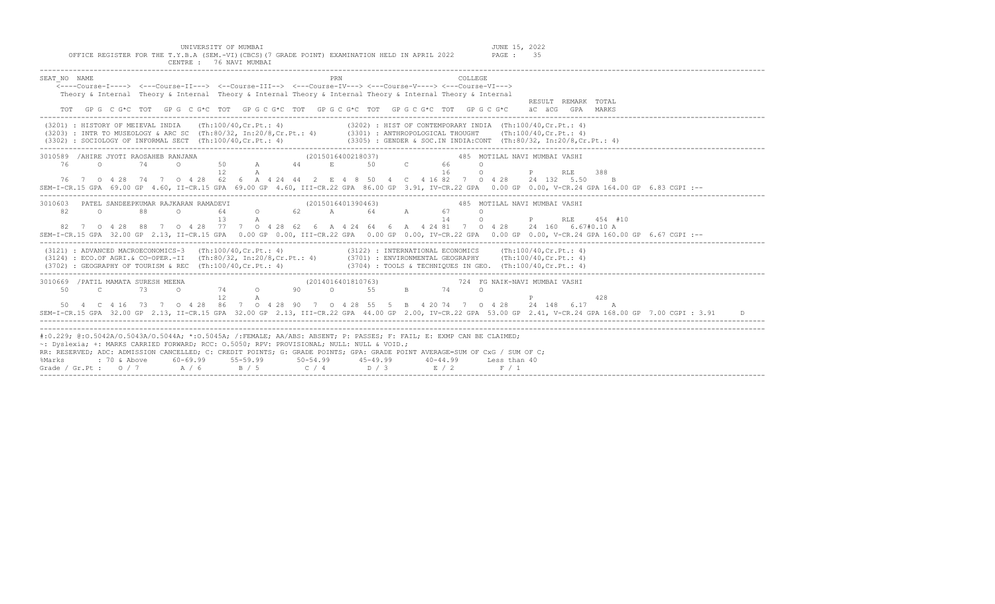| UNIVERSITY OF MUMBAI<br>OFFICE REGISTER FOR THE T.Y.B.A (SEM.-VI) (CBCS) (7 GRADE POINT) EXAMINATION HELD IN APRIL 2022<br>CENTRE : 76 NAVI MUMBAI                                                                                                                                                                                                                                                                                                                                                                                 | JUNE 15, 2022<br>PAGE : 35                                         |
|------------------------------------------------------------------------------------------------------------------------------------------------------------------------------------------------------------------------------------------------------------------------------------------------------------------------------------------------------------------------------------------------------------------------------------------------------------------------------------------------------------------------------------|--------------------------------------------------------------------|
| SEAT NO NAME<br>PRN<br>COLLEGE<br><----Course-I----> <---Course-II---> <--Course-III--> <---Course-IV---> <---Course-V----> <---Course-VI---><br>Theory & Internal Theory & Internal Theory & Internal Theory & Internal Theory & Internal Theory & Internal<br>GPG CG*C TOT GPG CG*C TOT GPGCG*C TOT GPGCG*C TOT GPGCG*C TOT GPGCG*C                                                                                                                                                                                              | RESULT REMARK TOTAL<br>äC äCG GPA MARKS                            |
| (3201) : HISTORY OF MEIEVAL INDIA (Th:100/40,Cr.Pt.: 4) (3202) : HIST OF CONTEMPORARY INDIA (Th:100/40,Cr.Pt.: 4)<br>(3203) : INTR TO MUSEOLOGY & ARC SC (Th:80/32, In:20/8,Cr.Pt.: 4) (3301) : ANTHROPOLOGICAL THOUGHT (Th:100/4<br>(3302) : SOCIOLOGY OF INFORMAL SECT (Th:100/40, Cr. Pt.: 4) (3305) : GENDER & SOC. IN INDIA:CONT (Th:80/32, In:20/8, Cr. Pt.: 4)                                                                                                                                                              |                                                                    |
| 3010589 / AHIRE JYOTI RAOSAHEB RANJANA<br>(2015016400218037)<br>50 A 44 E 50 C<br>66 - 10<br>76<br>$\circ$ 0<br>74<br>$\Omega$<br>$\cap$<br>16<br>12 <sup>°</sup><br>$\mathbb{A}$<br>$\circ$<br>76 7 0 4 28 74 7 0 4 28 62 6 A 4 24 44 2 E 4 8 50 4 C 4 16 82 7 0 4 28 24 132 5.50<br>SEM-I-CR.15 GPA 69.00 GP 4.60, II-CR.15 GPA 69.00 GP 4.60, III-CR.22 GPA 86.00 GP 3.91, IV-CR.22 GPA 0.00 GP 0.00, V-CR.24 GPA 164.00 GP 6.83 CGPI :--                                                                                       | 485 MOTILAL NAVI MUMBAI VASHI<br>P<br>388<br>RLE<br>$\overline{B}$ |
| 3010603 PATEL SANDEEPKUMAR RAJKARAN RAMADEVI<br>(2015016401390463)<br>82<br>$\circ$<br>88<br>$\circ$<br>$\circ$<br>67 — 1<br>14<br>13<br>$\circ$<br>A<br>82 7 0 4 28 88 7 0 4 28 77 7 0 4 28 62 6 A 4 24 64 6 A 4 24 81 7 0 4 28 24 160 6.67#0.10 A<br>SEM-I-CR.15 GPA 32.00 GP 2.13, II-CR.15 GPA 0.00 GP 0.00, III-CR.22 GPA 0.00 GP 0.00, IV-CR.22 GPA 0.00 GP 0.00, V-CR.24 GPA 160.00 GP 6.67 CGPI :--                                                                                                                        | 485 MOTILAL NAVI MUMBAI VASHI<br>$P$ and $P$<br>RLE<br>454 #10     |
| $(3121)$ : ADVANCED MACROECONOMICS-3 (Th:100/40, Cr.Pt.: 4) (3122) : INTERNATIONAL ECONOMICS (Th:100/40, Cr.Pt.: 4)<br>(3124) : ECO.OF AGRI.& CO-OPER.-II (Th:80/32, In:20/8,Cr.Pt.: 4) (3701) : ENVIRONMENTAL GEOGRAPHY (Th:100/40,Cr.Pt.: 4)<br>$(3704)$ : TOOLS & TECHNIQUES IN GEO. (Th:100/40, Cr.Pt.: 4)<br>$(3702)$ : GEOGRAPHY OF TOURISM & REC $(Th:100/40, Cr.Pt.: 4)$                                                                                                                                                   |                                                                    |
| 3010669 / PATIL MAMATA SURESH MEENA<br>(2014016401810763)<br>73 0 74 0 90 0 55 B 74<br>50<br>$\mathbb{C}$<br>$\circ$<br>12<br>A<br>50  4  C  4  16  73  7  0  4  28  86  7  0  4  28  90  7  0  4  28  55  5  B  4  20  74  7  0  4  28  24  148  6.17  A<br>SEM-I-CR.15 GPA 32.00 GP 2.13, II-CR.15 GPA 32.00 GP 2.13, III-CR.22 GPA 44.00 GP 2.00, IV-CR.22 GPA 53.00 GP 2.41, V-CR.24 GPA 168.00 GP 7.00 CGPI: 3.91                                                                                                             | 724 FG NAIK-NAVI MUMBAI VASHI<br>428<br>$P \qquad \qquad$          |
| #:0.229; @:0.5042A/0.5043A/0.5044A; *:0.5045A; /:FEMALE; AA/ABS: ABSENT; P: PASSES; F: FAIL; E: EXMP CAN BE CLAIMED;<br>~: Dyslexia; +: MARKS CARRIED FORWARD; RCC: 0.5050; RPV: PROVISIONAL; NULL: NULL & VOID.;<br>RR: RESERVED; ADC: ADMISSION CANCELLED; C: CREDIT POINTS; G: GRADE POINTS; GPA: GRADE POINT AVERAGE=SUM OF CxG / SUM OF C;<br>: 70 & Above<br>$60 - 69.99$<br>$55 - 59.99$<br>$50 - 54.99$<br>$45 - 49.99$<br>%Marks<br>$40 - 44.99$<br>A / 6<br>$C \neq 4$<br>Grade / Gr.Pt : $0/7$<br>B / 5<br>D/3<br>E / 2 | Less than 40<br>F / 1                                              |

-------------------------------------------------------------------------------------------------------------------------------------------------------------------------------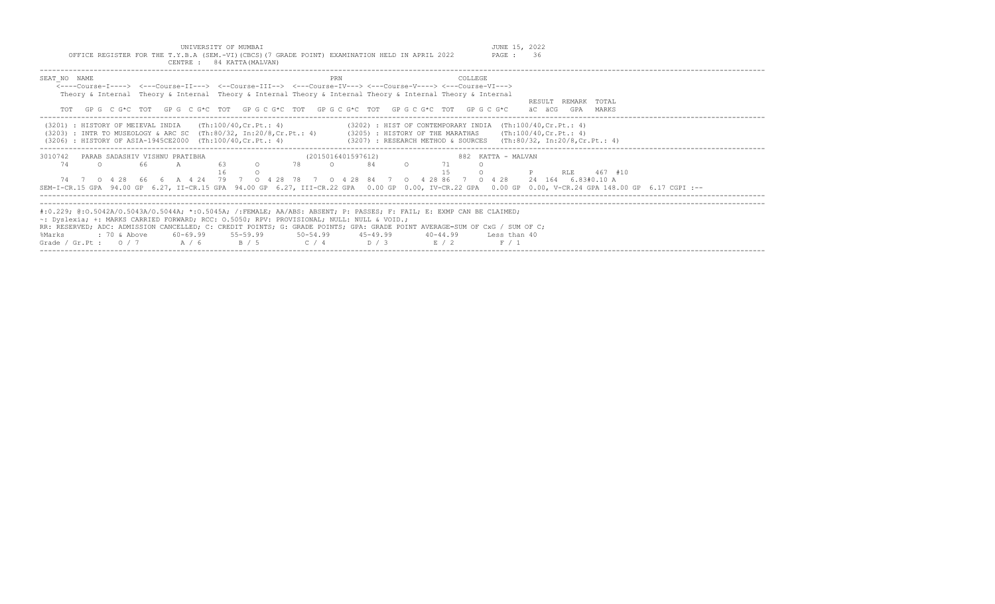UNIVERSITY OF MUMBAI JUNE 15, 2022<br>Y.B.A (SEM.-VI)(CBCS)(7 GRADE POINT) EXAMINATION HELD IN APRIL 2022 PAGE: 36 OFFICE REGISTER FOR THE T.Y.B.A (SEM.-VI)(CBCS)(7 GRADE POINT) EXAMINATION HELD IN APRIL 2022

| CENTRE : 84 KATTA (MALVAN)                                                                                                                                                                                                                                                                                                                                                                                                                                   |                                                                                                                                                                                                                                                                                                                            |                                               |
|--------------------------------------------------------------------------------------------------------------------------------------------------------------------------------------------------------------------------------------------------------------------------------------------------------------------------------------------------------------------------------------------------------------------------------------------------------------|----------------------------------------------------------------------------------------------------------------------------------------------------------------------------------------------------------------------------------------------------------------------------------------------------------------------------|-----------------------------------------------|
| SEAT NO NAME                                                                                                                                                                                                                                                                                                                                                                                                                                                 | PRN<br>COLLEGE.<br><----Course-I----> <---Course-II---> <--Course-III--> <---Course-IV---> <---Course-V----> <---Course-VI---><br>Theory & Internal Theory & Internal Theory & Internal Theory & Internal Theory & Internal Theory & Internal<br>GPG CG*C TOT GPG CG*C TOT GPG CG*C TOT GPG CG*C TOT GPG CG*C TOT GPG CG*C | RESULT REMARK TOTAL<br>äC äCG<br>GPA<br>MARKS |
| (Th:100/40,Cr.Pt.: 4)<br>(3201) : HISTORY OF MEIEVAL INDIA<br>(3206) : HISTORY OF ASIA-1945CE2000 (Th:100/40, Cr. Pt.: 4)                                                                                                                                                                                                                                                                                                                                    | $(3202)$ : HIST OF CONTEMPORARY INDIA $(Th:100/40, Cr.Pt.: 4)$<br>(3203) : INTR TO MUSEOLOGY & ARC SC (Th:80/32, In:20/8,Cr.Pt.: 4) (3205) : HISTORY OF THE MARATHAS (Th:100/40,Cr.Pt.: 4)<br>(3207) : RESEARCH METHOD & SOURCES (Th:80/32, In:20/8,Cr.Pt.: 4)                                                             |                                               |
| 3010742<br>PARAB SADASHIV VISHNU PRATIBHA<br>74<br>-63<br>66<br>A<br>$\Omega$<br>$\cap$<br>SEM-I-CR.15 GPA 94.00 GP 6.27, II-CR.15 GPA 94.00 GP 6.27, III-CR.22 GPA 0.00 GP 0.00, IV-CR.22 GPA 0.00 GP 0.00, V-CR.24 GPA 148.00 GP 6.17 CGPI :--                                                                                                                                                                                                             | 882 KATTA - MALVAN<br>(2015016401597612)<br>78<br>84<br>$\Omega$<br>15<br>74 7 0 4 28 66 6 A 4 24 79 7 0 4 28 78 7 0 4 28 84 7 0 4 28 86 7 0 4 28 24 164 6 83#0.10 A                                                                                                                                                       | 467 #10<br>RLE                                |
| #:0.229; @:0.5042A/0.5043A/0.5044A; *:0.5045A; /:FEMALE; AA/ABS: ABSENT; P: PASSES; F: FAIL; E: EXMP CAN BE CLAIMED;<br>$\sim$ : Dyslexia; +: MARKS CARRIED FORWARD; RCC: 0.5050; RPV: PROVISIONAL; NULL: NULL & VOID.;<br>RR: RESERVED; ADC: ADMISSION CANCELLED; C: CREDIT POINTS; G: GRADE POINTS; GPA: GRADE POINT AVERAGE=SUM OF CxG / SUM OF C;<br>$60-69.99$ $55-59.99$ $50-54.99$ $45-49.99$<br>%Marks<br>: 70 & Above<br>Grade / Gr.Pt: $0/7$ A / 6 | $40 - 44.99$<br>Less than 40<br>$B / 5$ $C / 4$ $D / 3$<br>R/2<br>F / 1                                                                                                                                                                                                                                                    |                                               |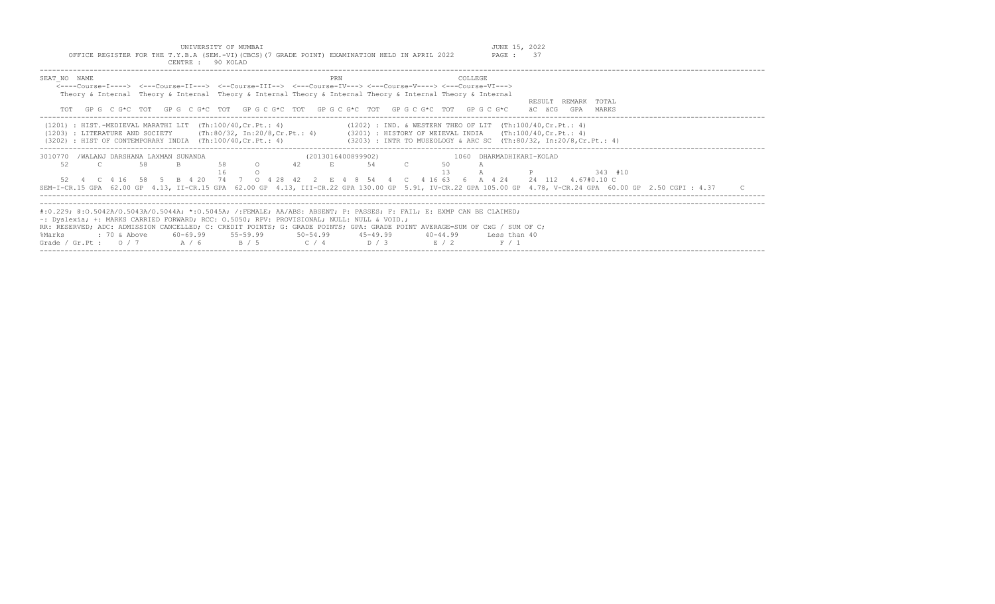UNIVERSITY OF MUMBAI JUNE 15, 2022 OFFICE REGISTER FOR THE T.Y.B.A (SEM.-VI)(CBCS)(7 GRADE POINT) EXAMINATION HELD IN APRIL 2022 PAGE : 37

|                                                                                                   | CENTRE : 90 KOLAD                                                                                                                                                  |                                                                                                                                                                                                                                                                                                                           |                                                                                                                                                                                 |
|---------------------------------------------------------------------------------------------------|--------------------------------------------------------------------------------------------------------------------------------------------------------------------|---------------------------------------------------------------------------------------------------------------------------------------------------------------------------------------------------------------------------------------------------------------------------------------------------------------------------|---------------------------------------------------------------------------------------------------------------------------------------------------------------------------------|
| SEAT NO NAME                                                                                      | PRN                                                                                                                                                                | <b>COLLEGE</b><br><----Course-I----> <---Course-II---> <--Course-III--> <---Course-IV---> <---Course-V----> <---Course-VI---><br>Theory & Internal Theory & Internal Theory & Internal Theory & Internal Theory & Internal Theory & Internal<br>GPG CG*C TOT GPG CG*C TOT GPG CG*C TOT GPG CG*C TOT GPG CG*C TOT GPG CG*C | RESULT REMARK TOTAL<br>äC äCG<br>GPA<br>MARKS                                                                                                                                   |
| $(1201)$ : HIST.-MEDIEVAL MARATHI LIT $(Th:100/40, Cr.Pt.: 4)$<br>(1203) : LITERATURE AND SOCIETY |                                                                                                                                                                    | $(1202)$ : IND. & WESTERN THEO OF LIT $(Th:100/40, Cr.Pt.: 4)$<br>(Th:80/32, In:20/8,Cr.Pt.: 4)     (3201) : HISTORY OF MEIEVAL INDIA   (Th:100/40,Cr.Pt.: 4)<br>(3202) : HIST OF CONTEMPORARY INDIA (Th:100/40, Cr.Pt.: 4) (3203) : INTR TO MUSEOLOGY & ARC SC (Th:80/32, In:20/8, Cr.Pt.: 4)                            |                                                                                                                                                                                 |
| /WALANJ DARSHANA LAXMAN SUNANDA<br>3010770<br>52<br>58                                            | (2013016400899902)<br>58<br>42<br>$\Omega$<br>E.<br>52  4  C  4  16  58  5  B  4  20  74  7  0  4  28  42                                                          | 1060 DHARMADHIKARI-KOLAD<br>54<br>2 E 4 8 54 4 C 4 16 63 6 A 4 24 24 112 4.67#0.10 C                                                                                                                                                                                                                                      | $343 + 10$<br>SEM-I-CR.15 GPA 62.00 GP 4.13, II-CR.15 GPA 62.00 GP 4.13, III-CR.22 GPA 130.00 GP 5.91, IV-CR.22 GPA 105.00 GP 4.78, V-CR.24 GPA 60.00 GP 2.50 CGPI : 4.37<br>C. |
| : 70 & Above<br>%Marks<br>Grade / Gr.Pt: $0/7$ A / 6                                              | $\sim$ : Dyslexia; +: MARKS CARRIED FORWARD; RCC: 0.5050; RPV: PROVISIONAL; NULL: NULL & VOID.;<br>60-69.99 55-59.99 50-54.99 45-49.99<br>$C / 4$ $D / 3$<br>B / 5 | #:0.229; @:0.5042A/0.5043A/0.5044A; *:0.5045A; /:FEMALE; AA/ABS: ABSENT; P: PASSES; F: FAIL; E: EXMP CAN BE CLAIMED;<br>RR: RESERVED; ADC: ADMISSION CANCELLED; C: CREDIT POINTS; G: GRADE POINTS; GPA: GRADE POINT AVERAGE=SUM OF CxG / SUM OF C;<br>$40 - 44.99$<br>Less than 40<br>E / 2<br>F / 1                      |                                                                                                                                                                                 |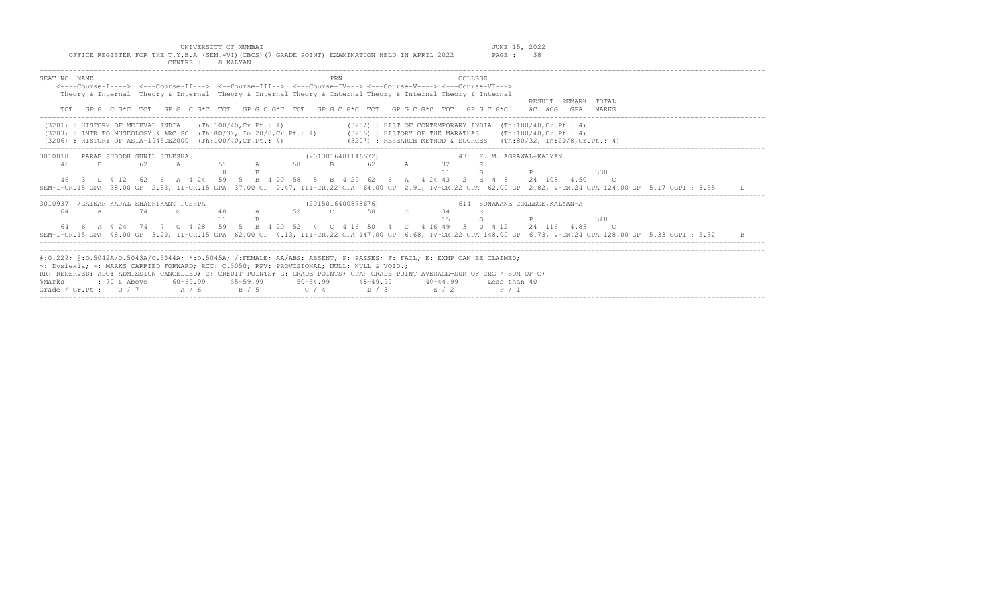| UNIVERSITY OF MUMBAI<br>OFFICE REGISTER FOR THE T.Y.B.A (SEM.-VI) (CBCS) (7 GRADE POINT) EXAMINATION HELD IN APRIL 2022<br>CENTRE :<br>8 KALYAN                                                                                                                                                                                                                                                                                                                                                                             | JUNE 15, 2022<br>PAGE: 38                               |
|-----------------------------------------------------------------------------------------------------------------------------------------------------------------------------------------------------------------------------------------------------------------------------------------------------------------------------------------------------------------------------------------------------------------------------------------------------------------------------------------------------------------------------|---------------------------------------------------------|
| SEAT NO NAME<br>COLLEGE.<br>PRN<br>$\leftarrow$ ---Course-I----> $\leftarrow$ --Course-II---> $\leftarrow$ -Course-III--> $\leftarrow$ --Course-IV---> $\leftarrow$ -Course-V----> $\leftarrow$ -Course-VI---><br>Theory & Internal Theory & Internal Theory & Internal Theory & Internal Theory & Internal Theory & Internal<br>TOT GPG C G*C TOT GPG C G*C TOT GPG C G*C TOT GPG C G*C TOT GPG C G*C TOT GPG C G*C                                                                                                        | RESULT REMARK TOTAL<br>äC äCG<br>GPA MARKS              |
| (3201) : HISTORY OF MEIEVAL INDIA (Th:100/40, Cr. Pt.: 4)<br>(3202) : HIST OF CONTEMPORARY INDIA (Th:100/40, Cr. Pt.: 4)<br>(3203) : INTR TO MUSEOLOGY & ARC SC (Th:80/32, In:20/8, Cr. Pt.: 4) (3205) : HISTORY OF THE MARATHAS (Th:100/40, Cr. Pt.: 4)<br>$(3207)$ : RESEARCH METHOD & SOURCES $(Th:80/32, In:20/8, Cr.Pt.: 4)$<br>$(3206)$ : HISTORY OF ASIA-1945CE2000 (Th:100/40, Cr. Pt.: 4)                                                                                                                          |                                                         |
| PARAB SUBODH SUNIL SULESHA<br>(2013016401146572)<br>3010818<br>58<br>$\mathbf{B}$<br>46<br>62<br>51 A<br>62<br>D.<br>$\mathbb A$<br>32<br>A<br>11<br>46 3 D 4 12 62 6 A 4 24 59 5 B 4 20 58 5 B 4 20 62 6 A 4 24 43 2 E 4 8 24 108 4.50<br>SEM-I-CR.15 GPA 38.00 GP 2.53, II-CR.15 GPA 37.00 GP 2.47, III-CR.22 GPA 64.00 GP 2.91, IV-CR.22 GPA 62.00 GP 2.82, V-CR.24 GPA 124.00 GP 5.17 CGPI : 3.55                                                                                                                       | 435 K. M. AGRAWAL-KALYAN<br>330<br>$\overline{c}$       |
| /GAIKAR KAJAL SHASHIKANT PUSHPA<br>(2015016400878676)<br>3010937<br>52 C<br>64<br>$\overline{A}$<br>74<br>48<br>50<br>34<br>$\cap$<br>$\mathbb A$<br>64  6  A  4  24  74  7  0  4  28  59  5  B  4  20  52  4  C  4  16  50  4  C  4  16  49  3  D  4  12  24  116  4.83<br>SEM-I-CR.15 GPA 48.00 GP 3.20, II-CR.15 GPA 62.00 GP 4.13, III-CR.22 GPA 147.00 GP 6.68, IV-CR.22 GPA 148.00 GP 6.73, V-CR.24 GPA 128.00 GP 5.33 CGPI : 5.32                                                                                    | 614 SONAWANE COLLEGE, KALYAN-A<br>348<br>$\overline{c}$ |
| #:0.229; @:0.5042A/0.5043A/0.5044A; *:0.5045A; /:FEMALE; AA/ABS: ABSENT; P: PASSES; F: FAIL; E: EXMP CAN BE CLAIMED;<br>~: Dyslexia; +: MARKS CARRIED FORWARD; RCC: 0.5050; RPV: PROVISIONAL; NULL: NULL & VOID.;<br>RR: RESERVED; ADC: ADMISSION CANCELLED; C: CREDIT POINTS; G: GRADE POINTS; GPA: GRADE POINT AVERAGE=SUM OF CxG / SUM OF C;<br>60-69.99<br>$55 - 59.99$<br>$50 - 54.99$<br>: 70 & Above<br>$45 - 49.99$<br>$40 - 44.99$<br>%Marks<br>A / 6<br>Grade / Gr.Pt : $0/7$<br>B / 5<br>C / 4<br>D / 3<br>E / 2 | Less than 40<br>F / 1                                   |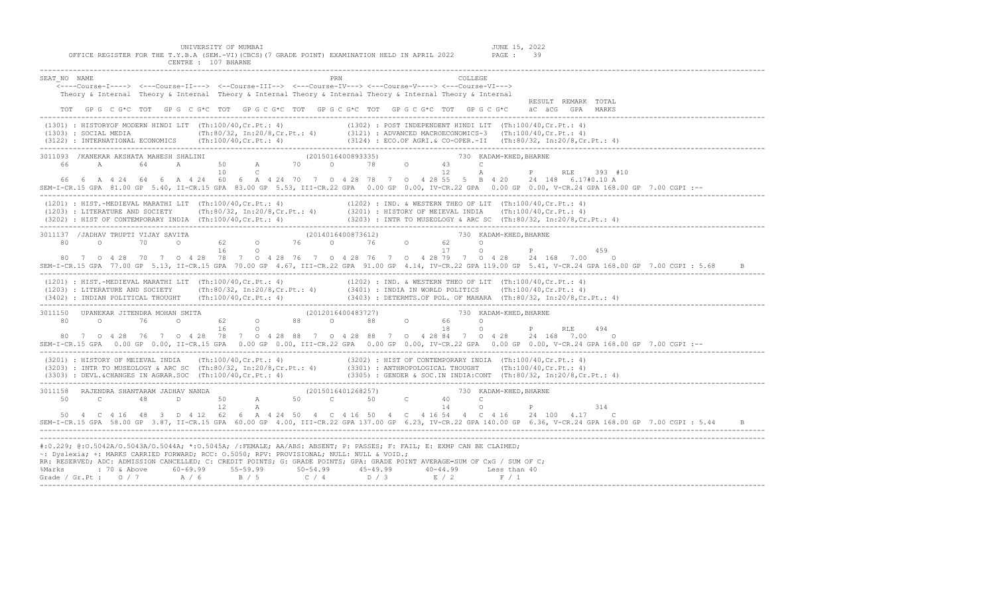UNIVERSITY OF MUMBAI JUNE 15, 2022<br>Y.B.A (SEM.-VI)(CBCS)(7 GRADE POINT) EXAMINATION HELD IN APRIL 2022 PAGE: 39 OFFICE REGISTER FOR THE T.Y.B.A (SEM.-VI)(CBCS)(7 GRADE POINT) EXAMINATION HELD IN APRIL 2022 CENTRE : 107 BHARNE

|                                                                                           | ____________________________                                                                                                                                                                                                                                                                                                                                                                                                                                             |
|-------------------------------------------------------------------------------------------|--------------------------------------------------------------------------------------------------------------------------------------------------------------------------------------------------------------------------------------------------------------------------------------------------------------------------------------------------------------------------------------------------------------------------------------------------------------------------|
| SEAT NO NAME                                                                              | PRN<br>COLLEGE<br><---Course-I----> <---Course-II---> <--Course-III--> <---Course-IV---> <---Course-V----> <---Course-VI---><br>Theory & Internal Theory & Internal Theory & Internal Theory & Internal Theory & Internal Theory & Internal<br>RESULT REMARK TOTAL                                                                                                                                                                                                       |
|                                                                                           | TOT GPG C G*C TOT GPG C G*C TOT GPG C G*C TOT GPG C G*C TOT GPG C G*C TOT GPG C G*C äC äCG GPA MARKS                                                                                                                                                                                                                                                                                                                                                                     |
|                                                                                           | (1301) : HISTORYOF MODERN HINDI LIT (Th:100/40,Cr.Pt.: 4)<br>(1302) : POST INDEPENDENT HINDI LIT (Th:100/40,Cr.Pt.: 4)<br>(3121) : ADVANCED MACROECONOMICS-3 (Th:100/40,Cr.Pt.: 4)<br>(3122) : INTERNATIONAL ECONOMICS (Th:100/40,C                                                                                                                                                                                                                                      |
|                                                                                           | 3011093 /KANEKAR AKSHATA MAHESH SHALINI (2015016400893335) 30 730 KADAM-KHED, BHARNE                                                                                                                                                                                                                                                                                                                                                                                     |
|                                                                                           |                                                                                                                                                                                                                                                                                                                                                                                                                                                                          |
|                                                                                           | $12$ A P<br>RLE 393 #10<br>66 6 A 4 24 64 6 A 4 24 60 6 A 4 24 70 7 0 4 28 78 7 0 4 28 55 5 B 4 20 24 148 6.17#0.10 A<br>SEM-I-CR.15 GPA 81.00 GP 5.40, II-CR.15 GPA 83.00 GP 5.53, III-CR.22 GPA 0.00 GP 0.00, IV-CR.22 GPA 0.00 GP 0.00, V-CR.24 GPA 168.00 GP 7.00 CGPI :--                                                                                                                                                                                           |
|                                                                                           | (1201) : HIST.-MEDIEVAL MARATHI LIT (Th:100/40,Cr.Pt.: 4) (1202) : IND. & WESTERN THEO OF LIT (Th:100/40,Cr.Pt.: 4)<br>(1203) : LITERATURE AND SOCIETY (Th:80/32, In:20/8,Cr.Pt.: 4) (3201) : HISTORY OF MEIEVAL INDIA (Th:100/40                                                                                                                                                                                                                                        |
|                                                                                           | 3011137 /JADHAV TRUPTI VIJAY SAVITA (2014016400873612) 2014016400873612) 730 KADAM-KHED, BHARNE                                                                                                                                                                                                                                                                                                                                                                          |
|                                                                                           | $137$ / JADRAY IRUFIT VIORI SAVITA<br>$80$ 0 70 0 62 0 76 0 76 0 62 0 p<br>$16$ 0 76 0 62 0 P<br>459                                                                                                                                                                                                                                                                                                                                                                     |
|                                                                                           | 80 7 0 4 28 70 7 0 4 28 78 7 0 4 28 76 7 0 4 28 76 7 0 4 28 79 7 0 4 28 24 168 7.00<br>$\overline{a}$<br>SEM-I-CR.15 GPA 77.00 GP 5.13, II-CR.15 GPA 70.00 GP 4.67, III-CR.22 GPA 91.00 GP 4.14, IV-CR.22 GPA 119.00 GP 5.41, V-CR.24 GPA 168.00 GP 7.00 CGPI : 5.68                                                                                                                                                                                                     |
|                                                                                           | (1201) : HIST.-MEDIEVAL MARATHI LIT (Th:100/40,Cr.Pt.: 4) (1202) : IND. & WESTERN THEO OF LIT (Th:100/40,Cr.Pt.: 4)<br>(1203) : LITERATURE AND SOCIETY (Th:80/32, In:20/8,Cr.Pt.: 4) (3401) : INDIA IN WORLD POLITICS (Th:100/40,<br>(3403) : БЕТЕRМТS.OF POL. OF MAHARA (Th:80/32, In:20/8,Cr.Pt.: 4)<br>- (3402) : INDIAN POLITICAL THOUGHT (Th:100/40,Cr.Pt.: 4) (3403) : DETERMTS.OF POL. OF MAHARA (Th:80/32, In:20/8,Cr.Pt.: 4)<br>------------------------------- |
|                                                                                           | 3011150 UPANEKAR JITENDRA MOHAN SMITA (2012016400483727) 730 KADAM-KHED, BHARNE (2012016400483727) 730 KADAM-KHED, BHARNE<br>0 P RLE 494<br>80 7 0 4 28 76 7 0 4 28 78 7 0 4 28 88 7 0 4 28 88 7 0 4 28 84 7 0 4 28 24 168 7.00 0<br>SEM-I-CR.15 GPA 0.00 GP 0.00, II-CR.15 GPA 0.00 GP 0.00, III-CR.22 GPA 0.00 GP 0.00, IV-CR.22 GPA 0.00 GP 0.00, V-CR.24 GPA 168.00 GP 7.00 CGPI :--                                                                                 |
|                                                                                           | (3201) : HISTORY OF MEIEVAL INDIA (Th:100/40,Cr.Pt.: 4) (3202) : HIST OF CONTEMPORARY INDIA (Th:100/40,Cr.Pt.: 4)<br>(3203) : INTR TO MUSEOLOGY & ARC SC (Th:80/32, In:20/8,Cr.Pt.: 4) (3301) : ANTHROPOLOGICAL THOUGHT (Th:100/<br>$(3303)$ : DEVL.&CHANGES IN AGRAR.SOC (Th:100/40,Cr.Pt.: 4) $(3305)$ : GENDER & SOC.IN INDIA:CONT (Th:80/32, In:20/8,Cr.Pt.: 4)                                                                                                      |
|                                                                                           | 3011158 RAJENDRA SHANTARAM JADHAV NANDA (2015016401268257) 730 KADAM-KHED, BHARNE (2015016401268257) 730 KADAM-KHED, BHARNE<br>$\overline{Q}$ <b>P</b><br>314<br>50  4  C  4  16  48  3  D  4  12  62  6  A  4  24  50  4  C  4  16  50  4  C  4  16  54  4  C  4  16  24  100  4.17  C                                                                                                                                                                                  |
|                                                                                           | SEM-I-CR.15 GPA 58.00 GP 3.87, II-CR.15 GPA 60.00 GP 4.00, III-CR.22 GPA 137.00 GP 6.23, IV-CR.22 GPA 140.00 GP 6.36, V-CR.24 GPA 168.00 GP 7.00 CGPI: 5.44                                                                                                                                                                                                                                                                                                              |
| ~: Dyslexia; +: MARKS CARRIED FORWARD; RCC: 0.5050; RPV: PROVISIONAL; NULL: NULL & VOID.; | #:0.229; @:0.5042A/O.5043A/O.5044A; *:0.5045A; /:FEMALE; AA/ABS: ABSENT; P: PASSES; F: FAIL; E: EXMP CAN BE CLAIMED;<br>RR: RESERVED; ADC: ADMISSION CANCELLED; C: CREDIT POINTS; G: GRADE POINTS; GPA: GRADE POINT AVERAGE=SUM OF CxG / SUM OF C;<br>% Marks : 70 & Above 60-69.99 55-59.99 50-54.99 45-49.99 40-44.99 Less than 40<br>Grade / Gr.Pt : 0 / 7 A / 6 B / 5 C / 4 D / 3 E / 2 F / 1                                                                        |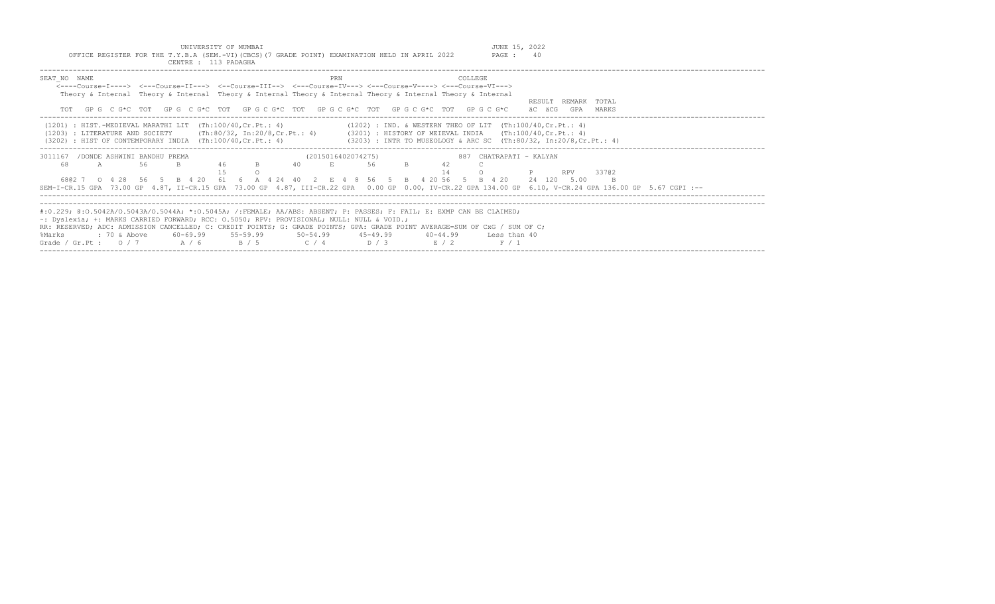| UNIVERSITY OF MUMBAI<br>OFFICE REGISTER FOR THE T.Y.B.A (SEM.-VI) (CBCS) (7 GRADE POINT) EXAMINATION HELD IN APRIL 2022<br>CENTRE : 113 PADAGHA                                                                                                                                                                                                                                                                                                               |                                                                                                                                       | JUNE 15, 2022<br>PAGE: 40                                     |
|---------------------------------------------------------------------------------------------------------------------------------------------------------------------------------------------------------------------------------------------------------------------------------------------------------------------------------------------------------------------------------------------------------------------------------------------------------------|---------------------------------------------------------------------------------------------------------------------------------------|---------------------------------------------------------------|
| SEAT NO NAME<br><----Course-I----> <---Course-II---> <--Course-III--> <---Course-IV---> <---Course-V----> <---Course-VI---><br>Theory & Internal Theory & Internal Theory & Internal Theory & Internal Theory & Internal Theory & Internal<br>GP G C G*C TOT GP G C G*C TOT GP G C G*C TOT GP G C G*C TOT GP G C G*C TOT GP G C G*C                                                                                                                           | COLLEGE<br>PRN                                                                                                                        | RESULT REMARK TOTAL<br>äC äCG<br>GPA MARKS                    |
| $(1201)$ : HIST.-MEDIEVAL MARATHI LIT $(Th:100/40, Cr.Pt.: 4)$<br>(1203) : LITERATURE AND SOCIETY (Th:80/32, In:20/8, Cr.Pt.: 4) (3201) : HISTORY OF MEIEVAL INDIA (Th:100/40, Cr.Pt.: 4)<br>$(3202)$ : HIST OF CONTEMPORARY INDIA $(Th:100/40, Cr.Pt.: 4)$                                                                                                                                                                                                   | $(1202)$ : IND. & WESTERN THEO OF LIT $(Th:100/40, Cr.Pt.: 4)$<br>(3203) : INTR TO MUSEOLOGY & ARC SC (Th:80/32, In:20/8, Cr. Pt.: 4) |                                                               |
| 3011167 / DONDE ASHWINI BANDHU PREMA<br>46<br>56<br>B.<br>68<br>40<br>A<br>6802 7 0 4 28 56 5 B 4 20 61<br>SEM-I-CR.15 GPA 73.00 GP 4.87, II-CR.15 GPA 73.00 GP 4.87, III-CR.22 GPA 0.00 GP 0.00, IV-CR.22 GPA 134.00 GP 6.10, V-CR.24 GPA 136.00 GP 5.67 CGPI :--                                                                                                                                                                                            | (2015016402074275)<br>56<br>B.<br>42<br>E.<br>6 A 4 24 40 2 E 4 8 56 5 B 4 20 56 5 B 4 20                                             | 887 CHATRAPATI - KALYAN<br>33702<br><b>RPV</b><br>24 120 5.00 |
| #:0.229; @:0.5042A/0.5043A/0.5044A; *:0.5045A; /:FEMALE; AA/ABS: ABSENT; P: PASSES; F: FAIL; E: EXMP CAN BE CLAIMED;<br>$\sim$ : Dyslexia; +: MARKS CARRIED FORWARD; RCC: 0.5050; RPV: PROVISIONAL; NULL: NULL & VOID.;<br>RR: RESERVED; ADC: ADMISSION CANCELLED; C: CREDIT POINTS; G: GRADE POINTS; GPA: GRADE POINT AVERAGE=SUM OF CxG / SUM OF C;<br>$60 - 69.99$ $55 - 59.99$ $50 - 54.99$<br>: 70 & Above<br>%Marks<br>Grade / Gr.Pt: $0/7$ A / 6 B / 5 | $45 - 49.99$<br>$40 - 44.99$<br>$C / 4$ D/3<br>E / 2<br>F / 1                                                                         | Less than 40                                                  |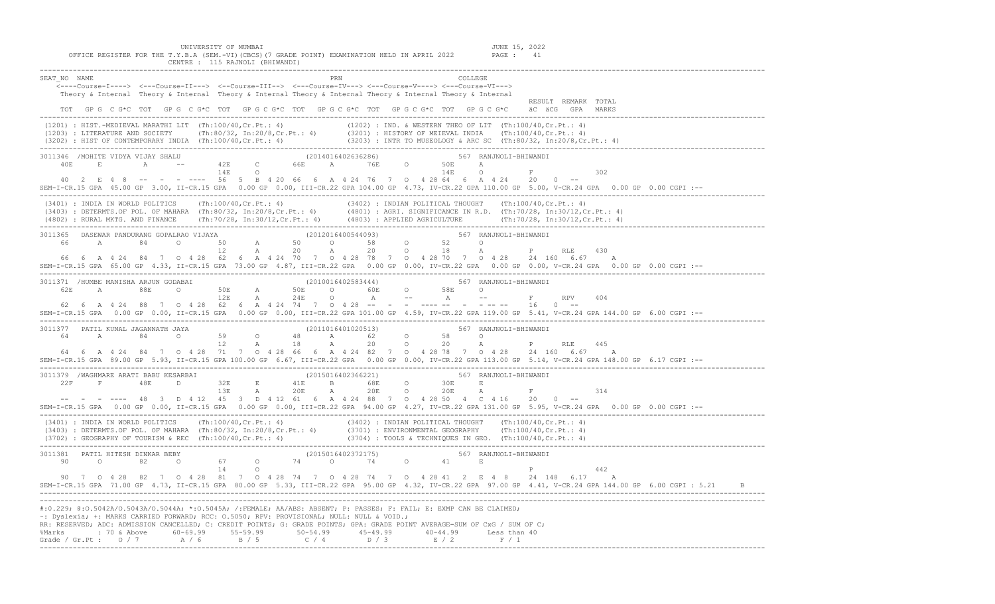| UNIVERSITY OF MUMBAI<br>JUNE 15, 2022<br>OFFICE REGISTER FOR THE T.Y.B.A (SEM.-VI)(CBCS)(7 GRADE POINT) EXAMINATION HELD IN APRIL 2022<br>PAGE : 41<br>CENTRE : 115 RAJNOLI (BHIWANDI)                                                                                                                                                                                                                                                                                                                                                                                                                                                                                                                                                                |
|-------------------------------------------------------------------------------------------------------------------------------------------------------------------------------------------------------------------------------------------------------------------------------------------------------------------------------------------------------------------------------------------------------------------------------------------------------------------------------------------------------------------------------------------------------------------------------------------------------------------------------------------------------------------------------------------------------------------------------------------------------|
| SEAT NO NAME<br>COLLEGE<br><---Course-I----> <---Course-II---> <--Course-III--> <---Course-IV---> <---Course-V----> <---Course-VI---><br>Theory & Internal Theory & Internal Theory & Internal Theory & Internal Theory & Internal Theory & Internal<br>RESULT REMARK TOTAL                                                                                                                                                                                                                                                                                                                                                                                                                                                                           |
| TOT GPG CG*C TOT GPG CG*C TOT GPG CG*C TOT GPG CG*C TOT GPG CG*C TOT GPG CG*C äC äCG GPA MARKS<br>(1201) : HIST.-MEDIEVAL MARATHI LIT (Th:100/40,Cr.Pt.: 4) (1202) : IND. & WESTERN THEO OF LIT (Th:100/40,Cr.Pt.: 4)<br>(1203) : LITERATURE AND SOCIETY (Th:80/32, In:20/8,Cr.Pt.: 4) (3201) : HISTORY OF MEIEVAL INDIA (Th:100/40                                                                                                                                                                                                                                                                                                                                                                                                                   |
| 302<br>40 2 E 4 8 -- - - ---- 56 5 B 4 20 66 6 A 4 24 76 7 0 4 28 64 6 A 4 24 20 0 --<br>SEM-I-CR.15 GPA 45.00 GP 3.00, II-CR.15 GPA 0.00 GP 0.00, III-CR.22 GPA 104.00 GP 4.73, IV-CR.22 GPA 110.00 GP 5.00, V-CR.24 GPA 0.00 GP 0.00 CGPI :--                                                                                                                                                                                                                                                                                                                                                                                                                                                                                                       |
| (3402): INDIA IN WORLD POLITICS (Th:100/40,Cr.Pt.: 4)<br>(3402): DETERMTS.OF POL. OF MAHARA (Th:80/32, In:20/8,Cr.Pt.: 4) (4801): AGRI. SIGNIFICANCE IN R.D. (Th:70/28, In:30/12,Cr.Pt.: 4)<br>(3403): DETERMTS.OF POL. OF MAHARA (T                                                                                                                                                                                                                                                                                                                                                                                                                                                                                                                  |
| 3011365 DASEWAR PANDURANG GOPALRAO VIJAYA (2012016400544093) 3011365 - 2012016400544093) 567 RANJNOLI-BHIWANDI<br>66  6  A  4  24  84  7  0  4  28  62  6  A  4  24  70  7  0  4  28  78  7  0  4  28  70  7  0  4  28  24  160  6.67  A<br>--: SEM-I-CR.15 GPA 65.00 GP 4.33, II-CR.15 GPA 73.00 GP 4.87, III-CR.22 GPA 0.00 GP 0.00, IV-CR.22 GPA 0.00 GP 0.00, V-CR.24 GPA 0.00 GP 0.00 CGPI                                                                                                                                                                                                                                                                                                                                                       |
| 404<br><b>RPV</b><br>SEM-I-CR.15 GPA 0.00 GP 0.00, II-CR.15 GPA 0.00 GP 0.00, III-CR.22 GPA 101.00 GP 4.59, IV-CR.22 GPA 119.00 GP 5.41, V-CR.24 GPA 144.00 GP 6.00 CGPI :--                                                                                                                                                                                                                                                                                                                                                                                                                                                                                                                                                                          |
| 3011377 PATIL KUNAL JAGANNATH JAYA                                   (2011016401020513)                       567 RANJNOLI-BHIWANDI<br>A 84 0 59 0 48 A 62 0 58 0<br>12 A 18 A 20 0 20 A P RLE 445<br>64<br>64  6  A  4  24  84  7  0  4  28  71  7  0  4  28  66  6  A  4  24  82  7  0  4  28  78  7  0  4  28  29  160  6.67  A<br>--: SEM-I-CR.15 GPA 89.00 GP 5.93, II-CR.15 GPA 100.00 GP 6.67, III-CR.22 GPA 0.00 GP 0.00, IV-CR.22 GPA 113.00 GP 5.14, V-CR.24 GPA 148.00 GP 6.17 CGPI                                                                                                                                                                                                                                                        |
| 3011379 /WAGHMARE ARATI BABU KESARBAI                                 (2015016402366221)                     567 RANJNOLI-BHIWANDI<br>$32E \t E \t 41E \t B \t 68E \t O \t 30E \t E$<br>$13E \t A \t 20E \t A \t 20E \t O \t 20E \t A$<br>$22F$ F 48E D 32E E<br>$\mathbb F$ . The set of the set of the set of the set of the set of the set of the set of the set of the set of the set of the set of the set of the set of the set of the set of the set of the set of the set of the set of the<br>314<br>-- - - ---- 48 3 D 4 12 45 3 D 4 12 61 6 A 4 24 88 7 0 4 28 50 4 C 4 16 20 0 --<br>--: SEM-I-CR.15 GPA 0.00 GP 0.00, II-CR.15 GPA 0.00 GP 0.00, III-CR.22 GPA 94.00 GP 4.27, IV-CR.22 GPA 131.00 GP 5.95, V-CR.24 GPA 0.00 GP 0.00 CGPI |
| (3401) : INDIA IN WORLD POLITICS (Th:100/40,Cr.Pt.: 4) (3402) : INDIAN POLITICAL THOUGHT (Th:100/40,Cr.Pt.: 4)<br>(3403) : DETERMTS.OF POL. OF MAHARA (Th:80/32, In:20/8,Cr.Pt.: 4) (3701) : ENVIRONMENTAL GEOGRAPHY (Th:100/40,C                                                                                                                                                                                                                                                                                                                                                                                                                                                                                                                     |
| 3011381 PATIL HITESH DINKAR BEBY (2015016402372175) 567 RANJNOLI-BHIWANDI 90 0 82 0 67 0 74 0 74 0 81<br>P 442<br>90 7 0 4 28 82 7 0 4 28 81 7 0 4 28 74 7 0 4 28 74 7 0 4 28 41 2 E 4 8 24 148 6.17 A<br>SEM-I-CR.15 GPA 71.00 GP 4.73, II-CR.15 GPA 80.00 GP 5.33, III-CR.22 GPA 95.00 GP 4.32, IV-CR.22 GPA 97.00 GP 4.41, V-CR.24 GPA 144.00 GP 6.00 CGPI : 5.21                                                                                                                                                                                                                                                                                                                                                                                  |
| #:0.229; @:0.5042A/O.5043A/O.5044A; *:0.5045A; /:FEMALE; AA/ABS: ABSENT; P: PASSES; F: FAIL; E: EXMP CAN BE CLAIMED;<br>~: Dyslexia; +: MARKS CARRIED FORWARD; RCC: 0.5050; RPV: PROVISIONAL; NULL: NULL & VOID.;<br>RR: RESERVED; ADC: ADMISSION CANCELLED; C: CREDIT POINTS; G: GRADE POINTS; GPA: GRADE POINT AVERAGE=SUM OF CxG / SUM OF C;<br>%Marks : 70 & Above 60-69.99 55-59.99 50-54.99 45-49.99 40-44.99 Less than 40<br>Grade / Gr. Pt : 0 / 7 $A / 6$ $B / 5$ $C / 4$ $D / 3$ $E / 2$ $F / 1$                                                                                                                                                                                                                                            |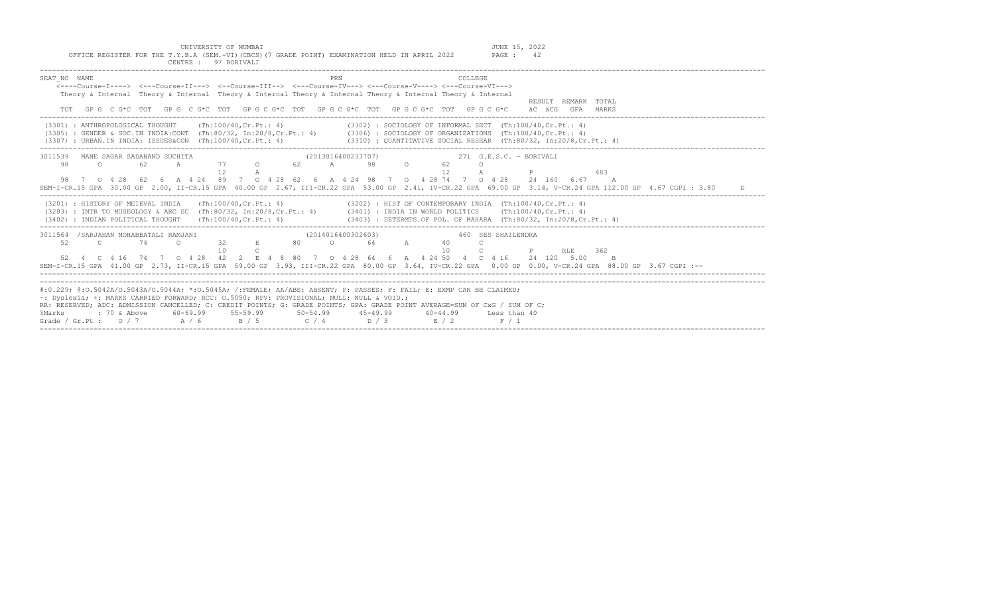|  |  | UNIVERSITY OF MUMBAI                                                                            |  |  |  | JUNE 15, 2022 |    |
|--|--|-------------------------------------------------------------------------------------------------|--|--|--|---------------|----|
|  |  | OFFICE REGISTER FOR THE T.Y.B.A (SEM.-VI) (CBCS) (7 GRADE POINT) EXAMINATION HELD IN APRIL 2022 |  |  |  | PAGE :        | 42 |
|  |  | CENTRE : 97 BORIVALI                                                                            |  |  |  |               |    |

| SEAT NO NAME |                                                                                                                                                                                        |     |        |                     |   |  | PRN                |  |    | COLLEGE                  |                    |                                                           |                                                                       |     |                                                                                                                                                            |    |
|--------------|----------------------------------------------------------------------------------------------------------------------------------------------------------------------------------------|-----|--------|---------------------|---|--|--------------------|--|----|--------------------------|--------------------|-----------------------------------------------------------|-----------------------------------------------------------------------|-----|------------------------------------------------------------------------------------------------------------------------------------------------------------|----|
|              | $\overline{\leftarrow}$ ---Course-T----> $\leftarrow$ --Course-II---> $\leftarrow$ -Course-III--> $\leftarrow$ --Course-IV---> $\leftarrow$ -Course-V----> $\leftarrow$ -Course-VI---> |     |        |                     |   |  |                    |  |    |                          |                    |                                                           |                                                                       |     |                                                                                                                                                            |    |
|              | Theory & Internal Theory & Internal Theory & Internal Theory & Internal Theory & Internal Theory & Internal                                                                            |     |        |                     |   |  |                    |  |    |                          |                    |                                                           |                                                                       |     |                                                                                                                                                            |    |
|              |                                                                                                                                                                                        |     |        |                     |   |  |                    |  |    |                          |                    |                                                           | RESULT REMARK TOTAL                                                   |     |                                                                                                                                                            |    |
|              | TOT GPG C G*C TOT GPG C G*C TOT GPG C G*C TOT GPG C G*C TOT GPG C G*C TOT GPG C G*C äC äCG GPA MARKS                                                                                   |     |        |                     |   |  |                    |  |    |                          |                    |                                                           |                                                                       |     |                                                                                                                                                            |    |
|              | (3301) : ANTHROPOLOGICAL THOUGHT (Th:100/40.Cr.Pt.: 4)                                                                                                                                 |     |        |                     |   |  |                    |  |    |                          |                    | (3302) : SOCIOLOGY OF INFORMAL SECT (Th:100/40.Cr.Pt.: 4) |                                                                       |     |                                                                                                                                                            |    |
|              | (3305) : GENDER & SOC.IN INDIA:CONT (Th:80/32, In:20/8,Cr.Pt.: 4) (3306) : SOCIOLOGY OF ORGANIZATIONS (Th:100/40,Cr.Pt.: 4)                                                            |     |        |                     |   |  |                    |  |    |                          |                    |                                                           |                                                                       |     |                                                                                                                                                            |    |
|              | $(3307)$ : URBAN.IN INDIA: ISSUES&CON $(Th:100/40, Cr.Pt.: 4)$                                                                                                                         |     |        |                     |   |  |                    |  |    |                          |                    |                                                           | $(3310)$ : OUANTITATIVE SOCIAL RESEAR (Th:80/32, In:20/8, Cr. Pt.: 4) |     |                                                                                                                                                            |    |
|              |                                                                                                                                                                                        |     |        |                     |   |  |                    |  |    |                          |                    |                                                           |                                                                       |     |                                                                                                                                                            |    |
|              | 3011539 MANE SAGAR SADANAND SUCHITA                                                                                                                                                    |     |        | A 77 0 62 A 98 0 62 |   |  | (2013016400233707) |  |    |                          |                    | 271 G.E.S.C. - BORIVALI                                   |                                                                       |     |                                                                                                                                                            |    |
| 98           | $\Omega$                                                                                                                                                                               | 62. |        |                     |   |  |                    |  | 12 | $\Omega$<br>$\mathbb{A}$ |                    |                                                           |                                                                       | 483 |                                                                                                                                                            |    |
|              |                                                                                                                                                                                        |     |        |                     | A |  |                    |  |    |                          |                    |                                                           |                                                                       |     |                                                                                                                                                            |    |
|              | 98 7 0 4 28 62 6 A 4 24 89 7 0 4 28 62 6 A 4 24 98 7 0 4 28 74 7 0 4 28 24 160 6 67 A                                                                                                  |     |        |                     |   |  |                    |  |    |                          |                    |                                                           |                                                                       |     |                                                                                                                                                            |    |
|              |                                                                                                                                                                                        |     |        |                     |   |  |                    |  |    |                          |                    |                                                           |                                                                       |     | SEM-I-CR.15 GPA 30.00 GP 2.00, II-CR.15 GPA 40.00 GP 2.67, III-CR.22 GPA 53.00 GP 2.41, IV-CR.22 GPA 69.00 GP 3.14, V-CR.24 GPA 112.00 GP 4.67 CGPI : 3.80 | D. |
|              | (3201) : HISTORY OF MEIEVAL INDIA (Th:100/40, Cr.Pt.: 4) (3202) : HIST OF CONTEMPORARY INDIA (Th:100/40, Cr.Pt.: 4)                                                                    |     |        |                     |   |  |                    |  |    |                          |                    |                                                           |                                                                       |     |                                                                                                                                                            |    |
|              | (3203) : INTR TO MUSEOLOGY & ARC SC (Th:80/32, In:20/8, Cr. Pt.: 4) (3401) : INDIA IN WORLD POLITICS (Th:100/40, Cr. Pt.: 4)                                                           |     |        |                     |   |  |                    |  |    |                          |                    |                                                           |                                                                       |     |                                                                                                                                                            |    |
|              | $(3402)$ : INDIAN POLITICAL THOUGHT (Th:100/40, Cr. Pt.: 4)                                                                                                                            |     |        |                     |   |  |                    |  |    |                          |                    |                                                           | (3403) : DETERMTS.OF POL. OF MAHARA (Th:80/32, In:20/8,Cr.Pt.: 4)     |     |                                                                                                                                                            |    |
|              |                                                                                                                                                                                        |     |        |                     |   |  |                    |  |    |                          |                    |                                                           |                                                                       |     |                                                                                                                                                            |    |
|              | 3011564 /SARJAHAN MOHABBATALI RAMJANI                                                                                                                                                  |     |        |                     |   |  | (2014016400302603) |  |    |                          | 460 SES SHAILENDRA |                                                           |                                                                       |     |                                                                                                                                                            |    |
| 52           | $\sim$ $\sim$ 74                                                                                                                                                                       |     | $\cap$ | 32 E 80 0 64 A      |   |  |                    |  | 40 |                          |                    |                                                           |                                                                       |     |                                                                                                                                                            |    |
|              |                                                                                                                                                                                        |     |        | 1 O                 |   |  |                    |  | 10 | $\overline{C}$           |                    | P                                                         | RLE 362                                                               |     |                                                                                                                                                            |    |
|              | 52  4  C  4  16  74  7  0  4  28  42  2  E  4  8  80  7  0  4  28  64  6  A  4  24  50  4  C  4  16  24  120  5.00                                                                     |     |        |                     |   |  |                    |  |    |                          |                    |                                                           |                                                                       |     |                                                                                                                                                            |    |
|              |                                                                                                                                                                                        |     |        |                     |   |  |                    |  |    |                          |                    |                                                           |                                                                       |     | SEM-I-CR.15 GPA 41.00 GP 2.73, II-CR.15 GPA 59.00 GP 3.93, III-CR.22 GPA 80.00 GP 3.64, IV-CR.22 GPA 0.00 GP 0.00, V-CR.24 GPA 88.00 GP 3.67 CGPI :--      |    |
|              |                                                                                                                                                                                        |     |        |                     |   |  |                    |  |    |                          |                    |                                                           |                                                                       |     |                                                                                                                                                            |    |
|              |                                                                                                                                                                                        |     |        |                     |   |  |                    |  |    |                          |                    |                                                           |                                                                       |     |                                                                                                                                                            |    |
|              | #:0.229; @:0.5042A/0.5043A/0.5044A; *:0.5045A; /:FEMALE; AA/ABS: ABSENT; P: PASSES; F: FAIL; E: EXMP CAN BE CLAIMED;                                                                   |     |        |                     |   |  |                    |  |    |                          |                    |                                                           |                                                                       |     |                                                                                                                                                            |    |
|              | ~: Dyslexia; +: MARKS CARRIED FORWARD; RCC: 0.5050; RPV: PROVISIONAL; NULL: NULL & VOID.;                                                                                              |     |        |                     |   |  |                    |  |    |                          |                    |                                                           |                                                                       |     |                                                                                                                                                            |    |
|              | RR: RESERVED; ADC: ADMISSION CANCELLED; C: CREDIT POINTS; G: GRADE POINTS; GPA: GRADE POINT AVERAGE=SUM OF CxG / SUM OF C;                                                             |     |        |                     |   |  |                    |  |    |                          |                    |                                                           |                                                                       |     |                                                                                                                                                            |    |
| %Marks       |                                                                                                                                                                                        |     |        |                     |   |  |                    |  |    |                          |                    |                                                           |                                                                       |     |                                                                                                                                                            |    |
|              | Grade / Gr. Pt : $0/7$ $A/6$ $B/5$ $C/4$ $D/3$ $E/2$ $F/1$                                                                                                                             |     |        |                     |   |  |                    |  |    |                          |                    |                                                           |                                                                       |     |                                                                                                                                                            |    |
|              |                                                                                                                                                                                        |     |        |                     |   |  |                    |  |    |                          |                    |                                                           |                                                                       |     |                                                                                                                                                            |    |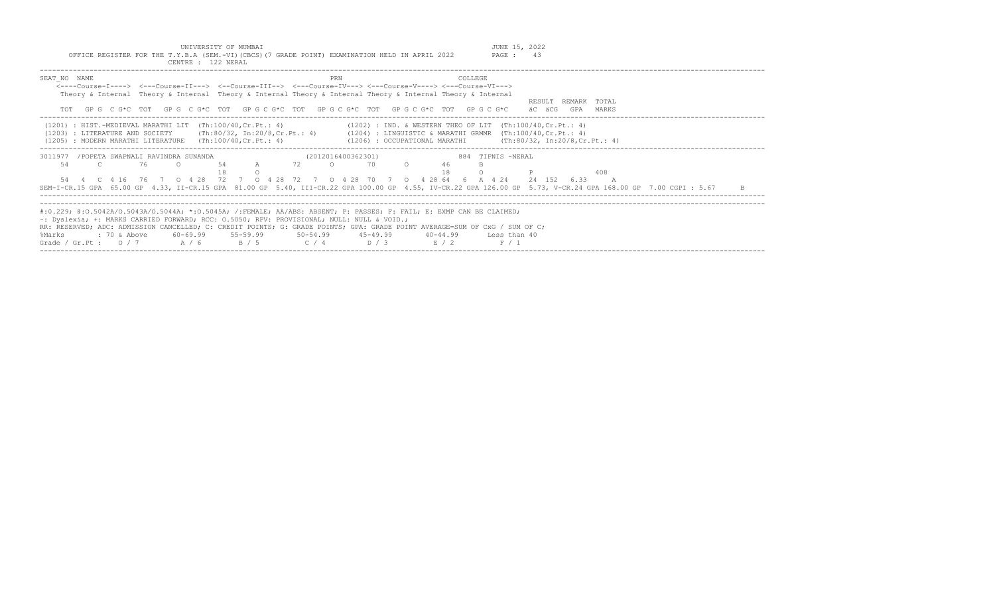| ת בתעוניים.                                                                                                                                                                                                                                                                                                                                                                                            | TETATI-<br>2022<br>UUINIA |
|--------------------------------------------------------------------------------------------------------------------------------------------------------------------------------------------------------------------------------------------------------------------------------------------------------------------------------------------------------------------------------------------------------|---------------------------|
| 2022<br>GRADE<br>$\sim$ $\sim$ $\sim$ $\sim$ $\sim$<br>the contract of the contract of the contract of the contract of the contract of<br>and the contract of the contract of the contract of the contract of the contract of the contract of the contract of the contract of the contract of the contract of the contract of the contract of the contract of the contra<br>$\lambda$ MED <sup>2</sup> | PAGE                      |
|                                                                                                                                                                                                                                                                                                                                                                                                        |                           |

| SEAT NO NAME                                                                         |                                                                                                                             | PRN<br><----Course-I----> <---Course-II---> <--Course-III--> <---Course-IV---> <---Course-V----> <---Course-VI---><br>Theory & Internal Theory & Internal Theory & Internal Theory & Internal Theory & Internal Theory & Internal<br>TOT GPG CG*C TOT GPG CG*C TOT GPG CG*C TOT GPG CG*C TOT GPG CG*C TOT GPG CG*C                                                                         | COLLEGE.<br>TOTAL<br>RESULT<br>REMARK<br>äC äCG<br>GPA<br>MARKS                                                                                                                                                                                                |  |
|--------------------------------------------------------------------------------------|-----------------------------------------------------------------------------------------------------------------------------|--------------------------------------------------------------------------------------------------------------------------------------------------------------------------------------------------------------------------------------------------------------------------------------------------------------------------------------------------------------------------------------------|----------------------------------------------------------------------------------------------------------------------------------------------------------------------------------------------------------------------------------------------------------------|--|
|                                                                                      | $(1201)$ : HIST.-MEDIEVAL MARATHI LIT $(Th:100/40, Cr.Pt.: 4)$<br>(1205) : MODERN MARATHI LITERATURE (Th:100/40, Cr.Pt.: 4) |                                                                                                                                                                                                                                                                                                                                                                                            | $(1202)$ : IND. & WESTERN THEO OF LIT $(Th:100/40, Cr.Pt.: 4)$<br>(1203) : LITERATURE AND SOCIETY (Th:80/32, In:20/8, Cr. Pt.: 4) (1204) : LINGUISTIC & MARATHI GRMMR (Th:100/40, Cr. Pt.: 4)<br>(1206) : OCCUPATIONAL MARATHI (Th:80/32, In:20/8, Cr. Pt.: 4) |  |
| 3011977 / POPETA SWAPNALI RAVINDRA SUNANDA<br>76<br>54<br>4 C 4 16 76 7 0 4 28<br>54 | 54                                                                                                                          | (2012016400362301)<br>A 72 0<br>70<br>$\circ$<br>72 7 0 4 28 72 7 0 4 28 70 7                                                                                                                                                                                                                                                                                                              | 884 TIPNIS -NERAL<br>46<br>408<br>0 4 28 64 6 A 4 24<br>24 152 6.33<br>SEM-I-CR.15 GPA 65.00 GP 4.33, II-CR.15 GPA 81.00 GP 5.40, III-CR.22 GPA 100.00 GP 4.55, IV-CR.22 GPA 126.00 GP 5.73, V-CR.24 GPA 168.00 GP 7.00 CGPI : 5.67<br>-B                      |  |
| %Marks<br>Grade / Gr.Pt : $0/7$                                                      | ~: Dyslexia; +: MARKS CARRIED FORWARD; RCC: 0.5050; RPV: PROVISIONAL; NULL: NULL & VOID.;<br>A/6 B/5                        | #:0.229; @:0.5042A/0.5043A/0.5044A; *:0.5045A; /:FEMALE; AA/ABS: ABSENT; P: PASSES; F: FAIL; E: EXMP CAN BE CLAIMED;<br>RR: RESERVED; ADC: ADMISSION CANCELLED; C: CREDIT POINTS; G: GRADE POINTS; GPA: GRADE POINT AVERAGE=SUM OF CxG / SUM OF C;<br>: 70 & Above          60-69.99          55-59.99          50-54.99          45-49.99            40-44.99<br>$C / 4$ $D / 3$<br>E / 2 | Less than 40<br>F / 1                                                                                                                                                                                                                                          |  |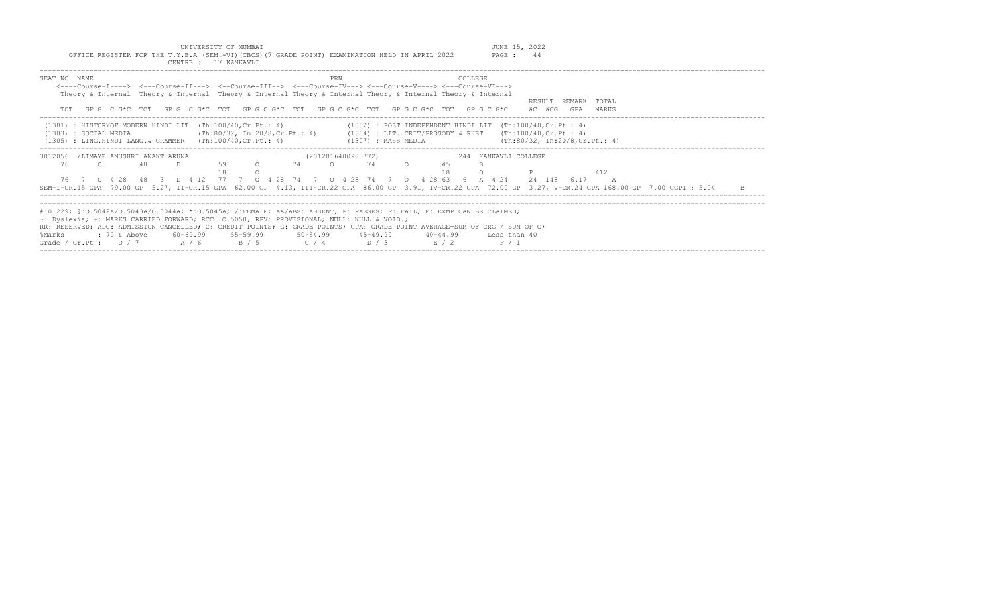Grade / Gr.Pt :  $0/7$   $A/6$   $B/5$   $C/4$   $D/3$   $E/2$   $F/1$ 

| UNIVERSITY OF MUMBAI<br>OFFICE REGISTER FOR THE T.Y.B.A (SEM.-VI)(CBCS)(7 GRADE POINT) EXAMINATION HELD IN APRIL 2022<br>CENTRE : 17 KANKAVLI                                                                                                                                |                                                                                                                                                                                      | JUNE 15, 2022<br>PAGE : 44                            |
|------------------------------------------------------------------------------------------------------------------------------------------------------------------------------------------------------------------------------------------------------------------------------|--------------------------------------------------------------------------------------------------------------------------------------------------------------------------------------|-------------------------------------------------------|
| SEAT NO NAME<br><----Course-I----> <---Course-II---> <--Course-III--> <---Course-IV---> <---Course-V----> <---Course-VI---><br>Theory & Internal Theory & Internal Theory & Internal Theory & Internal Theory & Internal Theory & Internal                                   | PRN<br><b>COLLEGE</b>                                                                                                                                                                | RESULT REMARK TOTAL                                   |
| TOT GPG CG*C TOT GPG CG*C TOT GPG CG*C TOT GPG CG*C TOT GPG CG*C TOT GPG CG*C<br>$(1301)$ : HISTORYOF MODERN HINDI LIT $(Th:100/40, Cr.Pt.: 4)$<br>(1303) : SOCIAL MEDIA<br>$(1305)$ : LING.HINDI LANG.& GRAMMER $(Th:100/40, Cr.Pt.: 4)$                                    | $(1302)$ : POST INDEPENDENT HINDI LIT $(Th:100/40, Cr.Pt.: 4)$<br>(Th:80/32, In:20/8,Cr.Pt.: 4)     (1304) : LIT. CRIT/PROSODY & RHET   (Th:100/40,Cr.Pt.: 4)<br>(1307) : MASS MEDIA | äC äCG<br>GPA MARKS<br>(Th:80/32, In:20/8, Cr.Pt.: 4) |
| 3012056 /LIMAYE ANUSHRI ANANT ARUNA                                                                                                                                                                                                                                          | (2012016400983772)                                                                                                                                                                   | 244 KANKAVLI COLLEGE                                  |
| 59<br>$\circ$<br>76<br>48<br>$\cap$<br>76 7 0 4 28 48 3 D 4 12 77 7 0 4 28 74 7 0 4 28 74 7 0 4 28 63 6 A 4 24<br>SEM-I-CR.15 GPA 79.00 GP 5.27, II-CR.15 GPA 62.00 GP 4.13, III-CR.22 GPA 86.00 GP 3.91, IV-CR.22 GPA 72.00 GP 3.27, V-CR.24 GPA 168.00 GP 7.00 CGPI : 5.04 | 74<br>$\circ$<br>45<br>$\cap$<br>74                                                                                                                                                  | 412<br>24 148 6.17                                    |
| #:0.229; @:0.5042A/0.5043A/0.5044A; *:0.5045A; /:FEMALE; AA/ABS: ABSENT; P: PASSES; F: FAIL; E: EXMP CAN BE CLAIMED;<br>$\sim$ : Dyslexia; +: MARKS CARRIED FORWARD; RCC: 0.5050; RPV: PROVISIONAL; NULL: NULL & VOID.;                                                      |                                                                                                                                                                                      |                                                       |
| RR: RESERVED; ADC: ADMISSION CANCELLED; C: CREDIT POINTS; G: GRADE POINTS; GPA: GRADE POINT AVERAGE=SUM OF CxG / SUM OF C;<br>60-69.99 55-59.99<br>%Marks<br>: 70 & Above                                                                                                    | $50 - 54.99$<br>$45 - 49.99$<br>$40 - 44.99$                                                                                                                                         | Less than 40                                          |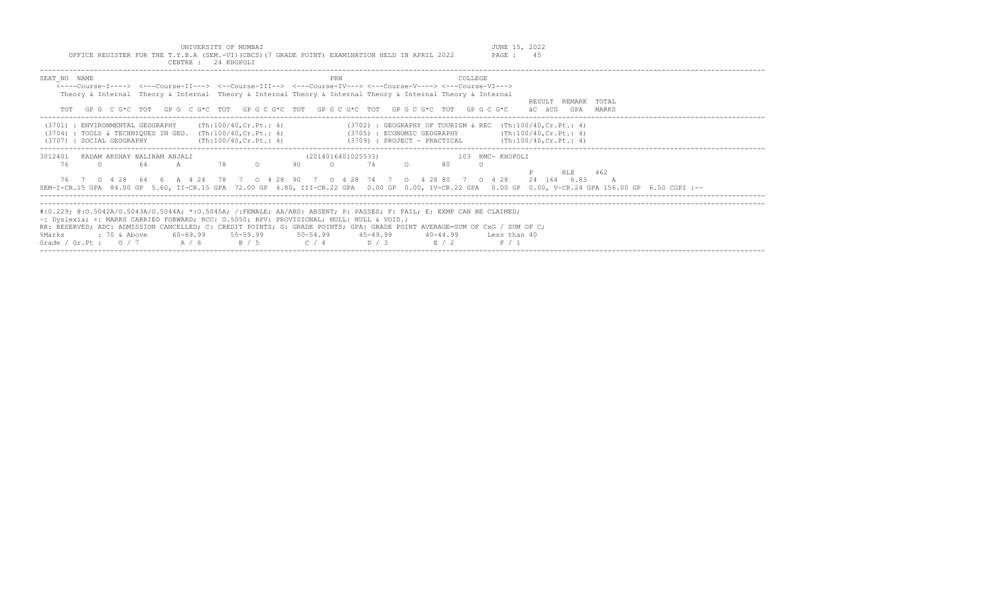| UNIVERSITY OF MUMBAI<br>OFFICE REGISTER FOR THE T.Y.B.A (SEM.-VI)(CBCS)(7 GRADE POINT) EXAMINATION HELD IN APRIL 2022<br>CENTRE : 24 KHOPOLI                                                                                                                                                                                                                                                                                                                                                                     | JUNE 15, 2022<br>PAGE: 45                                       |
|------------------------------------------------------------------------------------------------------------------------------------------------------------------------------------------------------------------------------------------------------------------------------------------------------------------------------------------------------------------------------------------------------------------------------------------------------------------------------------------------------------------|-----------------------------------------------------------------|
| SEAT NO NAME<br>COLLEGE<br>PRN<br><----Course-T----> <---Course-TT---> <--Course-TTT--> <---Course-TV---> <---Course-V----> <---Course-VT---><br>Theory & Internal Theory & Internal Theory & Internal Theory & Internal Theory & Internal Theory & Internal<br>GPGCG*CTOTGPGCG*CTOTGPGCG*CTOTGPGCG*CTOTGPGCG*CTOTGPGCG*CTOTGPGCG                                                                                                                                                                                | RESULT REMARK TOTAL<br>äC äCG<br>GPA<br>MARKS                   |
| (Th:100/40,Cr.Pt.: 4)<br>$(3702)$ : GEOGRAPHY OF TOURISM & REC $(Th:100/40, Cr.Pt.: 4)$<br>(3701) : ENVIRONMENTAL GEOGRAPHY<br>$(3704)$ : TOOLS & TECHNIQUES IN GEO. $(Th:100/40, Cr.Pt.: 4)$<br>$(3705)$ : ECONOMIC GEOGRAPHY (Th:100/40, Cr. Pt.: 4)<br>$(3709)$ : PROJECT - PRACTICAL $(\text{Th:100/40, Cr.Pt.}: 4)$<br>(3707) : SOCIAL GEOGRAPHY<br>(Th:100/40, Cr.Pt.: 4)                                                                                                                                  |                                                                 |
| 3012401<br>KADAM AKSHAY BALIRAM ANJALI<br>(2014016401025533)<br>76<br>78 —<br>64<br>$\overline{A}$<br>$\circ$<br>90<br>74<br>$\cap$<br>80<br>$\cap$<br>$\Omega$<br>$\bigcirc$<br>76 7 0 4 28 64 6 A 4 24 78 7 0 4 28 90 7 0 4 28 74 7 0 4 28 80 7 0 4 28<br>SEM-I-CR.15 GPA 84.00 GP 5.60, II-CR.15 GPA 72.00 GP 4.80, III-CR.22 GPA 0.00 GP 0.00, IV-CR.22 GPA 0.00 GP 0.00, V-CR.24 GPA 156.00 GP 6.50 CGPI :--                                                                                                | 103 KMC- KHOPOLI<br>RLE<br>462<br>24 164 6.83<br>$\overline{A}$ |
| #:0.229; @:0.5042A/0.5043A/0.5044A; *:0.5045A; /:FEMALE; AA/ABS: ABSENT; P: PASSES; F: FAIL; E: EXMP CAN BE CLAIMED;<br>$\sim$ : Dyslexia; +: MARKS CARRIED FORWARD; RCC: 0.5050; RPV: PROVISIONAL; NULL: NULL & VOID.;<br>RR: RESERVED; ADC: ADMISSION CANCELLED; C: CREDIT POINTS; G: GRADE POINTS; GPA: GRADE POINT AVERAGE=SUM OF CxG / SUM OF C;<br>$60-69.99$ $55-59.99$ $50-54.99$ $45-49.99$<br>%Marks<br>: 70 & Above<br>$40 - 44.99$<br>$C / 4$ $D / 3$ $E / 2$<br>Grade / Gr.Pt: $0/7$ A / 6<br>B / 5 | Less than 40<br>F / 1                                           |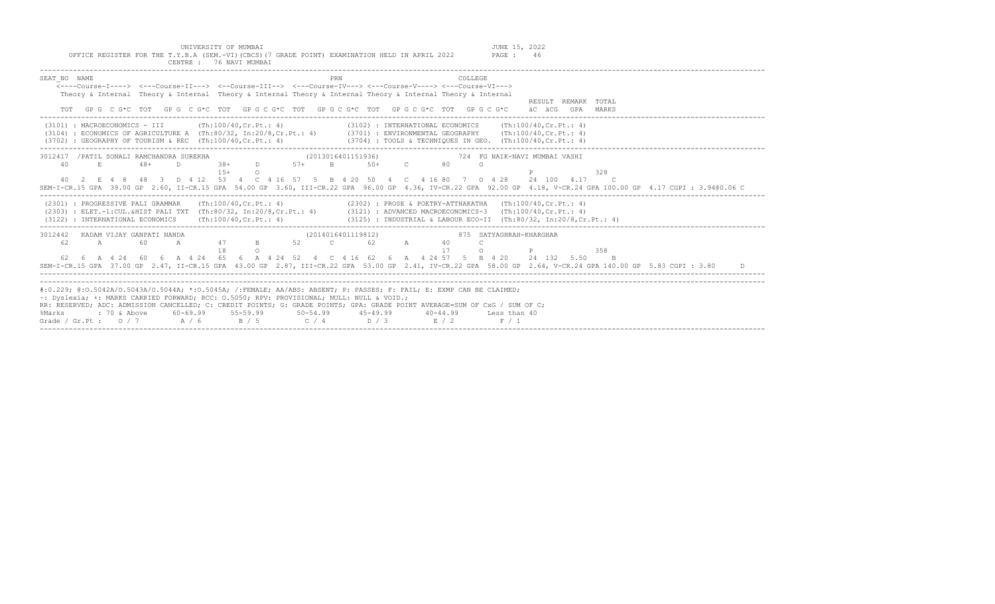| OFFICE REGISTER FOR THE T.Y.B.A (SEM.-VI) (CBCS) (7 GRADE POINT) EXAMINATION HELD IN APRIL 2022<br>PAGE: 46<br>CENTRE : 76 NAVI MUMBAI                                                                                                                                                                                                                                                                                                                                                                                   |
|--------------------------------------------------------------------------------------------------------------------------------------------------------------------------------------------------------------------------------------------------------------------------------------------------------------------------------------------------------------------------------------------------------------------------------------------------------------------------------------------------------------------------|
| PRN<br>COLLEGE<br>SEAT NO NAME<br><----Course-I----> <---Course-II---> <--Course-III--> <---Course-IV---> <---Course-V----> <---Course-VI---><br>Theory & Internal Theory & Internal Theory & Internal Theory & Internal Theory & Internal Theory & Internal<br>RESULT REMARK TOTAL<br>TOT GPG CG*C TOT GPG CG*C TOT GPG CG*C TOT GPG CG*C TOT GPG CG*C TOT GPG CG*C<br>äC äCG GPA MARKS                                                                                                                                 |
| (3101) : MACROECONOMICS - III<br>(Th:100/40, Cr.Pt.: 4)<br>$(3102)$ : INTERNATIONAL ECONOMICS (Th:100/40, Cr. Pt.: 4)<br>(3104) : ECONOMICS OF AGRICULTURE A (Th:80/32, In:20/8,Cr.Pt.: 4) (3701) : ENVIRONMENTAL GEOGRAPHY (Th:100/40,Cr.Pt.: 4)<br>$(3702)$ : GEOGRAPHY OF TOURISM & REC (Th:100/40.Cr.Pt.: 4)<br>$(3704)$ : TOOLS & TECHNIQUES IN GEO. $(Th:100/40, Cr.Pt.: 4)$                                                                                                                                       |
| 3012417 / PATIL SONALI RAMCHANDRA SUREKHA<br>B 50+ C<br>$-38+$<br>$D \sim 1$<br>$57+$<br>80<br>40<br>E<br>$48+$<br>D.<br>$\circ$<br>$1.5+$<br>328<br>$\Omega$<br>40  2  E  4  8  48  3  D  4  12  53  4  C  4  16  57  5  B  4  20  50  4  C  4  16  80  7  0  4  28  24  100  4.17  C<br>SEM-I-CR.15 GPA 39.00 GP 2.60, II-CR.15 GPA 54.00 GP 3.60, III-CR.22 GPA 96.00 GP 4.36, IV-CR.22 GPA 92.00 GP 4.18, V-CR.24 GPA 100.00 GP 4.17 CGPI: 3.9400.06 C                                                               |
| $(2301)$ : PROGRESSIVE PALI GRAMMAR $(Th:100/40, Cr.Pt.: 4)$<br>(2302) : PROSE & POETRY-ATTHAKATHA (Th:100/40, Cr. Pt.: 4)<br>(2303) : ELET.-1:CUL.&HIST PALI TXT (Th:80/32, In:20/8,Cr.Pt.: 4) (3121) : ADVANCED MACROECONOMICS-3 (Th:100/40,Cr.Pt.: 4)<br>$(3125)$ : INDUSTRIAL & LABOUR ECO-II (Th:80/32, In:20/8, Cr. Pt.: 4)<br>$(3122)$ : INTERNATIONAL ECONOMICS $(Th:100/40, Cr.Pt.: 4)$                                                                                                                         |
| 3012442 KADAM VIJAY GANPATI NANDA<br>(2014016401119812)<br>875 SATYAGHRAH-KHARGHAR<br>A 47 B<br>52 C 62 A 40<br>62<br>A<br>60<br>$\mathcal{C}$<br>18<br>17<br>$\Omega$<br>$\Omega$<br>358<br>62 6 A 4 24 60 6 A 4 24 65 6 A 4 24 52 4 C 4 16 62 6 A 4 24 57 5 B 4 20 24 132 5.50 B<br>SEM-I-CR.15 GPA 37.00 GP 2.47, II-CR.15 GPA 43.00 GP 2.87, III-CR.22 GPA 53.00 GP 2.41, IV-CR.22 GPA 58.00 GP 2.64, V-CR.24 GPA 140.00 GP 5.83 CGPI : 3.80                                                                         |
| #:0.229; @:0.5042A/0.5043A/0.5044A; *:0.5045A; /:FEMALE; AA/ABS: ABSENT; P: PASSES; F: FAIL; E: EXMP CAN BE CLAIMED;<br>~: Dyslexia; +: MARKS CARRIED FORWARD; RCC: 0.5050; RPV: PROVISIONAL; NULL: NULL & VOID.;<br>RR: RESERVED; ADC: ADMISSION CANCELLED; C: CREDIT POINTS; G: GRADE POINTS; GPA: GRADE POINT AVERAGE=SUM OF CxG / SUM OF C;<br>$60-69.99$ $55-59.99$ $50-54.99$ $45-49.99$<br>: 70 & Above<br>$40 - 44.99$<br>Less than 40<br>%Marks<br>Grade / Gr.Pt : $0/7$ A / 6 B / 5 C / 4 D / 3 E / 2<br>F / 1 |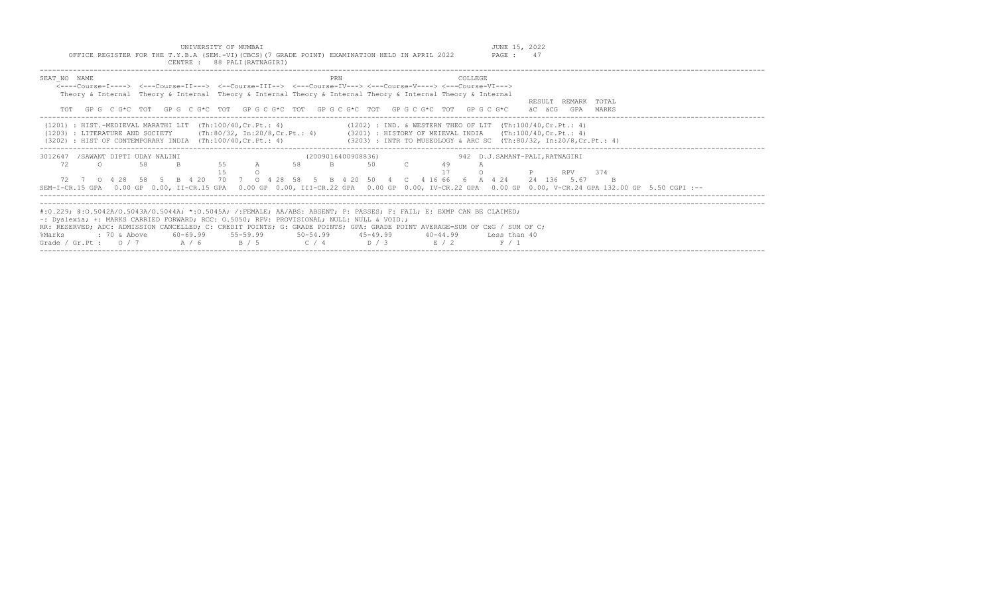UNIVERSITY OF MUMBAI<br>Y.B.A (SEM.-VI)(CBCS)(7 GRADE POINT) EXAMINATION HELD IN APRIL 2022 PAGE : 47

| OFFICE REGISTER FOR THE T.Y.B.A (SEM.-VI)(CBCS)(7 GRADE POINT) EXAMINATION HELD IN APRIL 2022<br>CENTRE : 88 PALI (RATNAGIRI)                                                                                                                                                                                                                                                                                                                                                | PAGE: 47                                                                                                                                                                                                                                                                                                                     |
|------------------------------------------------------------------------------------------------------------------------------------------------------------------------------------------------------------------------------------------------------------------------------------------------------------------------------------------------------------------------------------------------------------------------------------------------------------------------------|------------------------------------------------------------------------------------------------------------------------------------------------------------------------------------------------------------------------------------------------------------------------------------------------------------------------------|
| SEAT NO NAME<br><----Course-T----> <---Course-TT---> <--Course-TTT--> <---Course-TV---> <---Course-V----> <---Course-VT---><br>Theory & Internal Theory & Internal Theory & Internal Theory & Internal Theory & Internal Theory & Internal<br>TOT GPG CG*C TOT GPG CG*C TOT GPG CG*C TOT GPG CG*C TOT GPG CG*C TOT GPG CG*C                                                                                                                                                  | PRN<br>COLLEGE<br>RESULT REMARK TOTAL<br>äC äCG<br>GPA MARKS                                                                                                                                                                                                                                                                 |
| $(1201)$ : HIST.-MEDIEVAL MARATHI LIT $(Th:100/40, Cr.Pt.: 4)$                                                                                                                                                                                                                                                                                                                                                                                                               | $(1202)$ : IND. & WESTERN THEO OF LIT $(Th:100/40, Cr.Pt.: 4)$<br>(1203) : LITERATURE AND SOCIETY (Th:80/32, In:20/8, Cr. Pt.: 4) (3201) : HISTORY OF MEIEVAL INDIA (Th:100/40, Cr. Pt.: 4)<br>(3202) : HIST OF CONTEMPORARY INDIA (Th:100/40, Cr.Pt.: 4) (3203) : INTR TO MUSEOLOGY & ARC SC (Th:80/32, In:20/8, Cr.Pt.: 4) |
| 3012647 /SAWANT DIPTI UDAY NALINI<br>55<br>58<br>72<br>58<br>$\Omega$<br>B.<br>$\overline{A}$<br>72 7 0 4 28 58 5 B 4 20 70 7 0 4 28 58 5 B 4 20 50 4 C 4 16 66 6 A 4 24                                                                                                                                                                                                                                                                                                     | (2009016400908836)<br>942 D.J.SAMANT-PALI, RATNAGIRI<br>$\overline{B}$<br>50<br>49<br>RPV 374<br>24 136 5.67<br>B.<br>SEM-I-CR.15 GPA 0.00 GP 0.00, II-CR.15 GPA 0.00 GP 0.00, III-CR.22 GPA 0.00 GP 0.00, IV-CR.22 GPA 0.00 GP 0.00, V-CR.24 GPA 132.00 GP 5.50 CGPI :--                                                    |
| #:0.229; @:0.5042A/0.5043A/0.5044A; *:0.5045A; /:FEMALE; AA/ABS: ABSENT; P: PASSES; F: FAIL; E: EXMP CAN BE CLAIMED;<br>$\sim$ : Dyslexia; +: MARKS CARRIED FORWARD; RCC: 0.5050; RPV: PROVISIONAL; NULL: NULL & VOID.;<br>RR: RESERVED; ADC: ADMISSION CANCELLED; C: CREDIT POINTS; G: GRADE POINTS; GPA: GRADE POINT AVERAGE=SUM OF CxG / SUM OF C;<br>: 70 & Above<br>60-69.99 55-59.99 50-54.99 45-49.99<br>%Marks<br>Grade / Gr.Pt: $0/7$ $A/6$ $B/5$ $C/4$ $D/3$ $E/2$ | $40 - 44.99$<br>Less than 40<br>F / 1                                                                                                                                                                                                                                                                                        |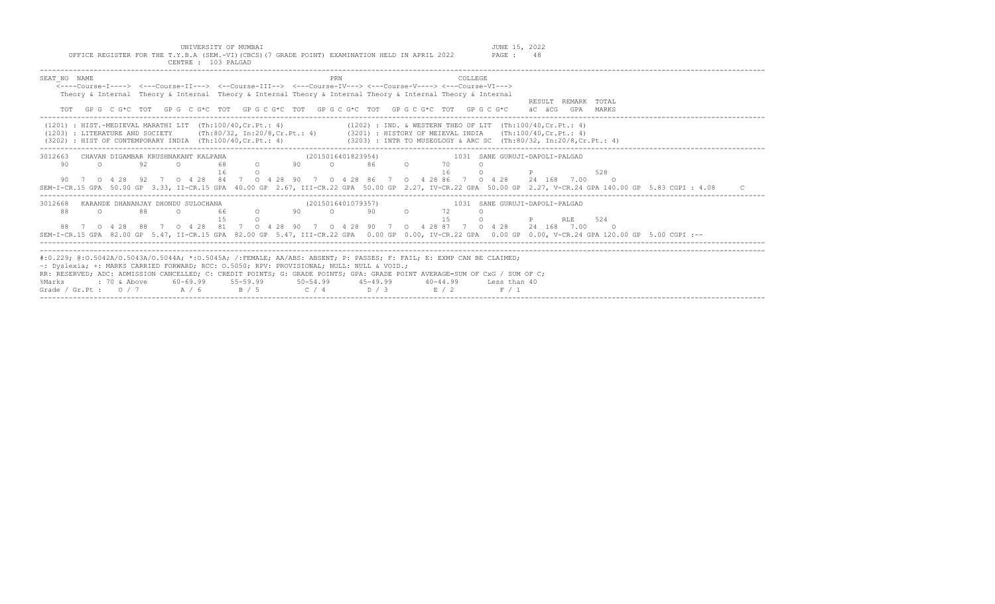|                                                                                                                            | OFFICE REGISTER FOR THE T.Y.B.A (SEM.-VI) (CBCS) (7 GRADE POINT) EXAMINATION HELD IN APRIL 2022             |    |        | CENTRE : 103 PALGAD |                   |          |                                             |     |  |  |    |                | PAGE: 48                                                                                                                            |  |                          |                                                                                                                                                            |  |
|----------------------------------------------------------------------------------------------------------------------------|-------------------------------------------------------------------------------------------------------------|----|--------|---------------------|-------------------|----------|---------------------------------------------|-----|--|--|----|----------------|-------------------------------------------------------------------------------------------------------------------------------------|--|--------------------------|------------------------------------------------------------------------------------------------------------------------------------------------------------|--|
| SEAT NO NAME                                                                                                               |                                                                                                             |    |        |                     |                   |          |                                             | PRN |  |  |    | <b>COLLEGE</b> |                                                                                                                                     |  |                          |                                                                                                                                                            |  |
|                                                                                                                            | <----Course-T----> <---Course-TT---> <--Course-TTT--> <---Course-TV---> <---Course-V----> <---Course-VT---> |    |        |                     |                   |          |                                             |     |  |  |    |                |                                                                                                                                     |  |                          |                                                                                                                                                            |  |
|                                                                                                                            | Theory & Internal Theory & Internal Theory & Internal Theory & Internal Theory & Internal Theory & Internal |    |        |                     |                   |          |                                             |     |  |  |    |                |                                                                                                                                     |  |                          |                                                                                                                                                            |  |
|                                                                                                                            |                                                                                                             |    |        |                     |                   |          |                                             |     |  |  |    |                |                                                                                                                                     |  | RESULT REMARK TOTAL      |                                                                                                                                                            |  |
|                                                                                                                            |                                                                                                             |    |        |                     |                   |          |                                             |     |  |  |    |                | TOT GPG CG*C TOT GPG CG*C TOT GPG CG*C TOT GPG CG*C TOT GPG CG*C TOT GPG CG*C äCGCG GPA MARKS                                       |  |                          |                                                                                                                                                            |  |
|                                                                                                                            |                                                                                                             |    |        |                     |                   |          |                                             |     |  |  |    |                | (1201) : HIST.-MEDIEVAL MARATHI LIT (Th:100/40,Cr.Pt.: 4) (1202) : IND. & WESTERN THEO OF LIT (Th:100/40,Cr.Pt.: 4)                 |  |                          |                                                                                                                                                            |  |
|                                                                                                                            |                                                                                                             |    |        |                     |                   |          |                                             |     |  |  |    |                | (1203) : LITERATURE AND SOCIETY (Th:80/32, In:20/8, Cr.Pt.: 4) (3201) : HISTORY OF MEIEVAL INDIA (Th:100/40, Cr.Pt.: 4)             |  |                          |                                                                                                                                                            |  |
|                                                                                                                            |                                                                                                             |    |        |                     |                   |          |                                             |     |  |  |    |                | (3202) : HIST OF CONTEMPORARY INDIA (Th:100/40, Cr. Pt.: 4) (3203) : INTR TO MUSEOLOGY & ARC SC (Th:80/32, In:20/8, Cr. Pt.: 4)     |  |                          |                                                                                                                                                            |  |
| 3012663 CHAVAN DIGAMBAR KRUSHNAKANT KALPANA                                                                                |                                                                                                             |    |        |                     |                   |          |                                             |     |  |  |    |                | 1031 SANE GURUJI-DAPOLI-PALGAD                                                                                                      |  |                          |                                                                                                                                                            |  |
| 90                                                                                                                         | $\cap$                                                                                                      | 92 | $\cap$ |                     |                   |          | 4NA (2015016401823954)<br>68 0 90 0 86 0 70 |     |  |  |    |                |                                                                                                                                     |  |                          |                                                                                                                                                            |  |
|                                                                                                                            |                                                                                                             |    |        |                     | 16                | $\Omega$ |                                             |     |  |  | 16 | $\Omega$       | $\mathsf{P}$ and $\mathsf{P}$ are the set of $\mathsf{P}$                                                                           |  | 528                      |                                                                                                                                                            |  |
|                                                                                                                            |                                                                                                             |    |        |                     |                   |          |                                             |     |  |  |    |                | 90 7 0 4 28 92 7 0 4 28 84 7 0 4 28 90 7 0 4 28 86 7 0 4 28 86 7 0 4 28 24 168 7.00                                                 |  | $\overline{\phantom{a}}$ |                                                                                                                                                            |  |
|                                                                                                                            |                                                                                                             |    |        |                     |                   |          |                                             |     |  |  |    |                |                                                                                                                                     |  |                          | SEM-I-CR.15 GPA 50.00 GP 3.33, II-CR.15 GPA 40.00 GP 2.67, III-CR.22 GPA 50.00 GP 2.27, IV-CR.22 GPA 50.00 GP 2.27, V-CR.24 GPA 140.00 GP 5.83 CGPI : 4.08 |  |
| 3012668                                                                                                                    |                                                                                                             |    |        |                     |                   |          |                                             |     |  |  |    |                | KARANDE DHANANJAY DHONDU SULOCHANA                          (2015016401079357)                      1031  SANE GURUJI-DAPOLI-PALGAD |  |                          |                                                                                                                                                            |  |
| 88                                                                                                                         | $\circ$                                                                                                     | 88 |        | $\cap$              | 66 0 90 0 90 0 72 |          |                                             |     |  |  |    | $\Omega$       |                                                                                                                                     |  |                          |                                                                                                                                                            |  |
|                                                                                                                            |                                                                                                             |    |        |                     |                   |          |                                             |     |  |  | 15 | $\cap$         | <b>P</b> RLE                                                                                                                        |  | 524                      |                                                                                                                                                            |  |
|                                                                                                                            |                                                                                                             |    |        |                     |                   |          |                                             |     |  |  |    |                | 88 7 0 4 28 88 7 0 4 28 81 7 0 4 28 90 7 0 4 28 90 7 0 4 28 87 7 0 4 28 24 168 7.00                                                 |  | $\circ$ 0                |                                                                                                                                                            |  |
|                                                                                                                            |                                                                                                             |    |        |                     |                   |          |                                             |     |  |  |    |                |                                                                                                                                     |  |                          | SEM-I-CR.15 GPA 82.00 GP 5.47, II-CR.15 GPA 82.00 GP 5.47, III-CR.22 GPA 0.00 GP 0.00, IV-CR.22 GPA 0.00 GP 0.00, V-CR.24 GPA 120.00 GP 5.00 CGPI :--      |  |
|                                                                                                                            |                                                                                                             |    |        |                     |                   |          |                                             |     |  |  |    |                |                                                                                                                                     |  |                          |                                                                                                                                                            |  |
| #:0.229; @:0.5042A/0.5043A/0.5044A; *:0.5045A; /:FEMALE; AA/ABS: ABSENT; P: PASSES; F: FAIL; E: EXMP CAN BE CLAIMED;       |                                                                                                             |    |        |                     |                   |          |                                             |     |  |  |    |                |                                                                                                                                     |  |                          |                                                                                                                                                            |  |
| ~: Dyslexia; +: MARKS CARRIED FORWARD; RCC: 0.5050; RPV: PROVISIONAL; NULL: NULL & VOID.;                                  |                                                                                                             |    |        |                     |                   |          |                                             |     |  |  |    |                |                                                                                                                                     |  |                          |                                                                                                                                                            |  |
| RR: RESERVED; ADC: ADMISSION CANCELLED; C: CREDIT POINTS; G: GRADE POINTS; GPA: GRADE POINT AVERAGE=SUM OF CxG / SUM OF C; |                                                                                                             |    |        |                     |                   |          |                                             |     |  |  |    |                |                                                                                                                                     |  |                          |                                                                                                                                                            |  |
| %Marks                                                                                                                     |                                                                                                             |    |        |                     |                   |          |                                             |     |  |  |    |                | 40-44.99 Less than 40                                                                                                               |  |                          |                                                                                                                                                            |  |
| Grade / Gr.Pt: $0/7$ $A/6$ $B/5$ $C/4$ $D/3$ $E/2$                                                                         |                                                                                                             |    |        |                     |                   |          |                                             |     |  |  |    |                | F / 1                                                                                                                               |  |                          |                                                                                                                                                            |  |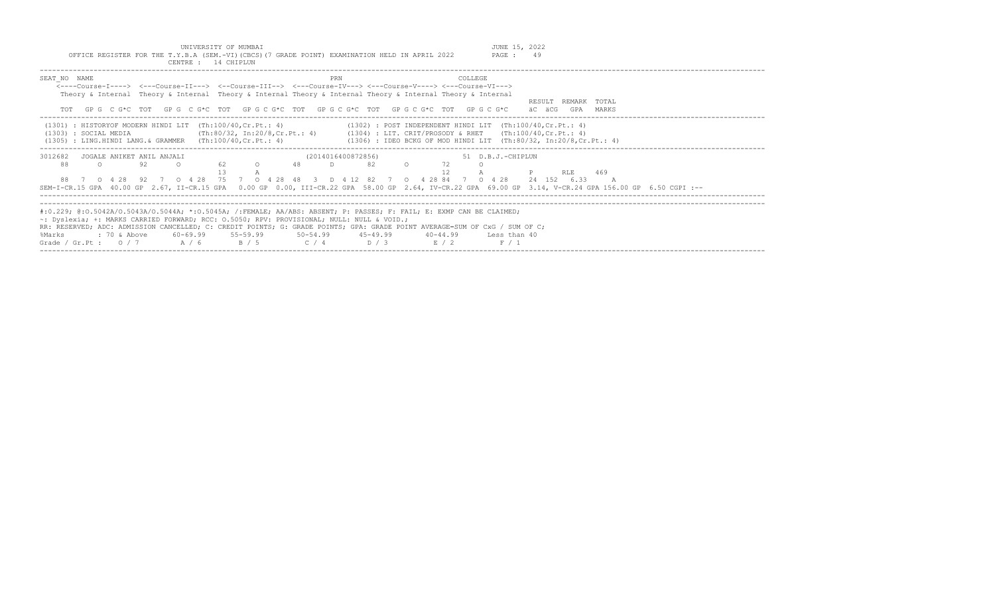| UNIVERSITY OF MUMBAI<br>OFFICE REGISTER FOR THE T.Y.B.A (SEM.-VI) (CBCS) (7 GRADE POINT) EXAMINATION HELD IN APRIL 2022<br>CENTRE : 14 CHIPLUN                                                                                                                                                                                                                                                                                                   |                                                                                                                                                                                                                                    | JUNE 15, 2022<br>PAGE: 49                                         |
|--------------------------------------------------------------------------------------------------------------------------------------------------------------------------------------------------------------------------------------------------------------------------------------------------------------------------------------------------------------------------------------------------------------------------------------------------|------------------------------------------------------------------------------------------------------------------------------------------------------------------------------------------------------------------------------------|-------------------------------------------------------------------|
| SEAT NO NAME<br><----Course-I----> <---Course-II---> <--Course-III--> <---Course-IV---> <---Course-V----> <---Course-VI---><br>Theory & Internal Theory & Internal Theory & Internal Theory & Internal Theory & Internal Theory & Internal<br>TOT GPG CG*C TOT GPG CG*C TOT GPG CG*C TOT GPG CG*C TOT GPG CG*C TOT GPG CG*C                                                                                                                      | COLLEGE.                                                                                                                                                                                                                           | REMARK TOTAL<br>RESULT.<br>äC äCG<br>MARKS<br>GPA                 |
| $(1301)$ : HISTORYOF MODERN HINDI LIT $(Th:100/40, Cr.Pt.: 4)$<br>(1303) : SOCIAL MEDIA<br>$(1305)$ : LING.HINDI LANG.& GRAMMER $(Th:100/40, Cr.Pt.: 4)$                                                                                                                                                                                                                                                                                         | $(1302)$ : POST INDEPENDENT HINDI LIT $(Th:100/40, Cr.Pt.: 4)$<br>(Th:80/32, In:20/8, Cr. Pt.: 4) (1304) : LIT. CRIT/PROSODY & RHET (Th:100/40, Cr. Pt.: 4)<br>(1306) : IDEO BCKG OF MOD HINDI LIT (Th:80/32, In:20/8, Cr. Pt.: 4) |                                                                   |
| 3012682<br>JOGALE ANIKET ANIL ANJALI<br>92<br>88<br>62<br>$\Omega$<br>$\Omega$<br>0 4 28 92 7 0 4 28 75 7 0 4 28 48<br>88<br>SEM-I-CR.15 GPA 40.00 GP 2.67, II-CR.15 GPA 0.00 GP 0.00, III-CR.22 GPA 58.00 GP 2.64, IV-CR.22 GPA 69.00 GP 3.14, V-CR.24 GPA 156.00 GP 6.50 CGPI :--                                                                                                                                                              | (2014016400872856)<br>48<br>82<br>D<br>D 4 12 82 7 0 4 28 84 7 0 4 28<br>$\mathcal{S}$                                                                                                                                             | 51 D.B.J.-CHIPLUN<br>469<br>RLE.<br>24 152 6.33<br>$\overline{A}$ |
| #:0.229; @:0.5042A/0.5043A/0.5044A; *:0.5045A; /:FEMALE; AA/ABS: ABSENT; P: PASSES; F: FAIL; E: EXMP CAN BE CLAIMED;<br>~: Dyslexia; +: MARKS CARRIED FORWARD; RCC: 0.5050; RPV: PROVISIONAL; NULL: NULL & VOID.;<br>RR: RESERVED; ADC: ADMISSION CANCELLED; C: CREDIT POINTS; G: GRADE POINTS; GPA: GRADE POINT AVERAGE=SUM OF CxG / SUM OF C;<br>$: 70$ & Above<br>60-69.99<br>55-59.99<br>%Marks<br>Grade / Gr.Pt : $0 / 7$<br>A / 6<br>B / 5 | $50 - 54.99$<br>45-49.99<br>40-44.99<br>D / 3<br>C / 4<br>E / 2                                                                                                                                                                    | Less than 40<br>F / 1                                             |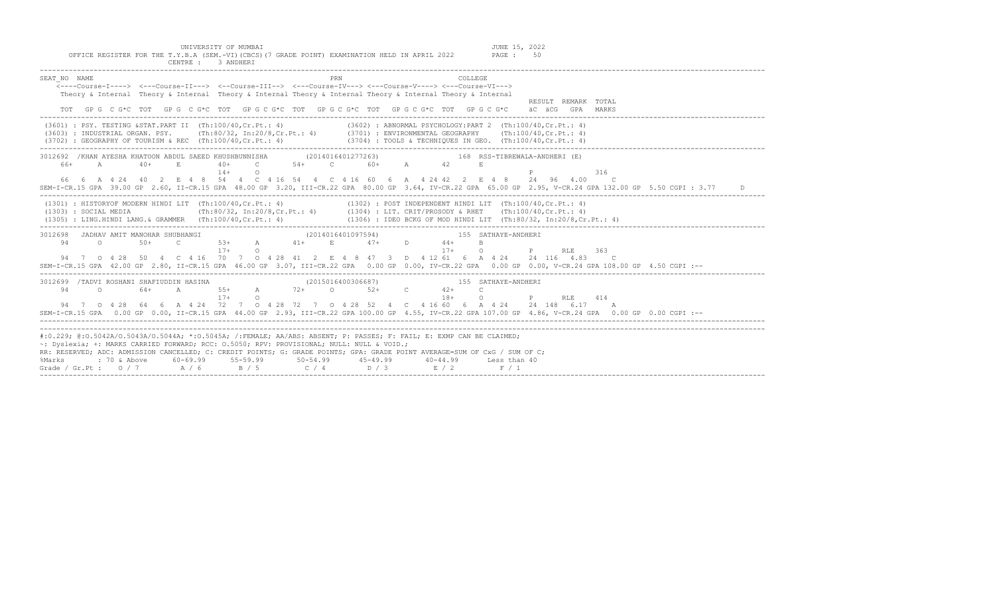| OFFICE REGISTER FOR THE T.Y.B.A (SEM.-VI)(CBCS)(7 GRADE POINT) EXAMINATION HELD IN APRIL 2022 PAGE : 50<br>CENTRE : 3 ANDHERT                                                                                                                                                                                                                                                                                                                                                                                     |
|-------------------------------------------------------------------------------------------------------------------------------------------------------------------------------------------------------------------------------------------------------------------------------------------------------------------------------------------------------------------------------------------------------------------------------------------------------------------------------------------------------------------|
| SEAT NO NAME<br>COLLEGE.<br>PRN<br>$\overline{\langle}\text{---Course-I--->}$ $\langle-\text{Course-II---}\rangle$ $\langle-\text{Course-IIII---}\rangle$ $\langle-\text{Course-IV---}\rangle$ $\langle-\text{Course-V---}\rangle$ $\langle-\text{Course-V---}\rangle$<br>Theory & Internal Theory & Internal Theory & Internal Theory & Internal Theory & Internal Theory & Internal<br>RESULT REMARK TOTAL<br>TOT GPG CG*C TOT GPG CG*C TOT GPG CG*C TOT GPG CG*C TOT GPG CG*C TOT GPG CG*C<br>äC äCG GPA MARKS |
| (3601) : PSY. TESTING &STAT.PART II (Th:100/40,Cr.Pt.: 4) (3602) : ABNORMAL PSYCHOLOGY:PART 2 (Th:100/40,Cr.Pt.: 4)<br>(3603) : INDUSTRIAL ORGAN. PSY. (Th:80/32, In:20/8, Cr.Pt.: 4) (3701) : ENVIRONMENTAL GEOGRAPHY (Th:100/40, Cr.Pt.: 4)<br>(3702) : GEOGRAPHY OF TOURISM & REC (Th:100/40, Cr.Pt.: 4) (3704) : TOOLS & TECHNIQUES IN GEO. (Th:100/                                                                                                                                                          |
| 3012692 /KHAN AYESHA KHATOON ABDUL SAEED KHUSHBUNNISHA (2014016401277263) 5012692 /KHAN AYESHALA-ANDHERI (E)<br>$40+$ C $54+$ C $60+$ A $42$<br>66+ A<br>$40+$<br><b>E.</b><br>E<br>$14+$<br>$\circ$<br>316<br>66  6  A  4  24  40  2  E  4  8  54  4  C  4  16  54  4  C  4  16  60  6  A  4  24  42  2  E  4  8  24  96  4.00  C<br>SEM-I-CR.15 GPA 39.00 GP 2.60, II-CR.15 GPA 48.00 GP 3.20, III-CR.22 GPA 80.00 GP 3.64, IV-CR.22 GPA 65.00 GP 2.95, V-CR.24 GPA 132.00 GP 5.50 CGPI : 3.77<br>D.            |
| (1301) : HISTORYOF MODERN HINDI LIT (Th:100/40,Cr.Pt.: 4) (1302) : POST INDEPENDENT HINDI LIT (Th:100/40,Cr.Pt.: 4)<br>(1303) : SOCIAL MEDIA (Th:80/32, In:20/8,Cr.Pt.: 4) (1304) : LIT. CRIT/PROSODY & RHET (Th:100/40,Cr.Pt.: 4<br>(1305) : LING.HINDI LANG. & GRAMMER (Th:100/40, Cr.Pt.: 4) (1306) : IDEO BCKG OF MOD HINDI LIT (Th:80/32, In:20/8, Cr.Pt.: 4)                                                                                                                                                |
| R SHUBHANGI (2014016401097594) 155 SATHAYE-ANDHERI C 53+ A 41+ E 47+ D 44+ B<br>3012698 JADHAV AMIT MANOHAR SHUBHANGI<br>94 0 50+<br>$\overline{O}$<br>$17+$ 0<br><b>P</b> RLE 363<br>$17+$<br>94 7 0 4 28 50 4 C 4 16 70 7 0 4 28 41 2 E 4 8 47 3 D 4 12 61 6 A 4 24 24 116 4.83 C<br>SEM-I-CR.15 GPA 42.00 GP 2.80, II-CR.15 GPA 46.00 GP 3.07, III-CR.22 GPA 0.00 GP 0.00, IV-CR.22 GPA 0.00 GP 0.00, V-CR.24 GPA 108.00 GP 4.50 CGPI :--                                                                      |
| (2015016400306687)<br>3012699 /TADVI ROSHANI SHAFIUDDIN HASINA<br>155 SATHAYE-ANDHERI<br>64+ A 55+ A 72+ 0 52+ C 42+<br>94<br>$\Omega$<br>$\overline{c}$<br>P<br>$17+$<br>$\Omega$<br>$18+$<br>$\Omega$<br>RLE 414<br>94 7 0 4 28 64 6 A 4 24 72 7 0 4 28 72 7 0 4 28 52 4 C 4 16 60 6 A 4 24 24 148 6.17 A<br>SEM-I-CR.15 GPA 0.00 GP 0.00, II-CR.15 GPA 44.00 GP 2.93, III-CR.22 GPA 100.00 GP 4.55, IV-CR.22 GPA 107.00 GP 4.86, V-CR.24 GPA 0.00 GP 0.00 CGPI :--                                             |
| #:0.229; @:0.5042A/0.5043A/0.5044A; *:0.5045A; /:FEMALE; AA/ABS: ABSENT; P: PASSES; F: FAIL; E: EXMP CAN BE CLAIMED;<br>~: Dyslexia; +: MARKS CARRIED FORWARD; RCC: 0.5050; RPV: PROVISIONAL; NULL: NULL & VOID.;<br>RR: RESERVED; ADC: ADMISSION CANCELLED; C: CREDIT POINTS; G: GRADE POINTS; GPA: GRADE POINT AVERAGE=SUM OF CxG / SUM OF C;<br>: 70 & Above<br>60-69.99 55-59.99<br>$50 - 54.99$ $45 - 49.99$<br>%Marks<br>40-44.99 Less than 40<br>Grade / Gr.Pt: $0/7$ $A/6$ $B/5$ $C/4$ $D/3$ $E/2$ $F/1$  |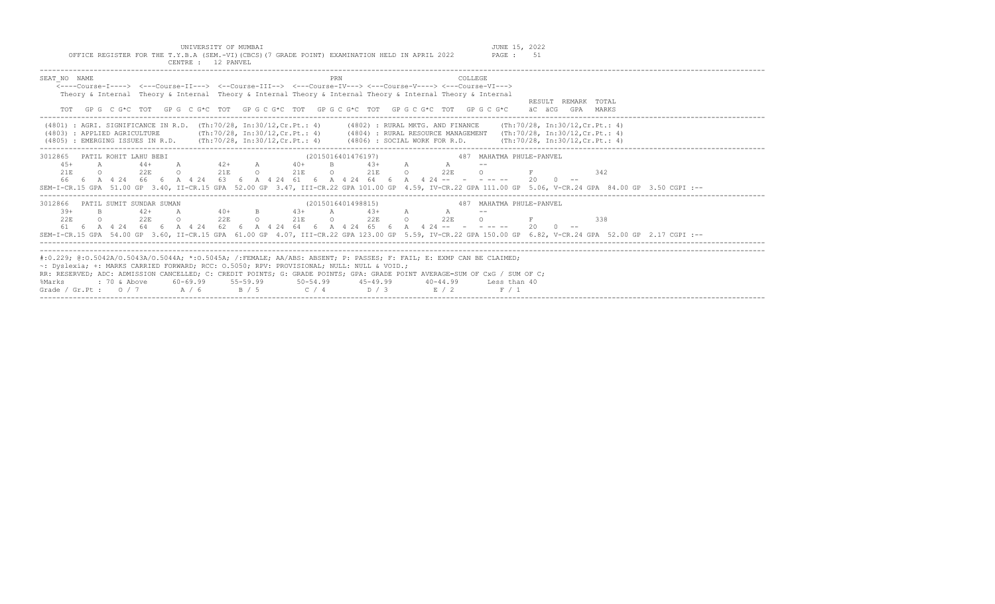| UNIVERSITY OF MUMBAI                                                                                                                                                                                                                                                                                                                                                                                                                                                                                    | JUNE 15, 2022                   |
|---------------------------------------------------------------------------------------------------------------------------------------------------------------------------------------------------------------------------------------------------------------------------------------------------------------------------------------------------------------------------------------------------------------------------------------------------------------------------------------------------------|---------------------------------|
| OFFICE REGISTER FOR THE T.Y.B.A (SEM.-VI) (CBCS) (7 GRADE POINT) EXAMINATION HELD IN APRIL 2022<br>CENTRE : 12 PANVEL                                                                                                                                                                                                                                                                                                                                                                                   | <b>PAGE : 51</b>                |
| SEAT NO NAME<br>PRN<br><b>COLLEGE</b><br><----Course-T----> <---Course-II---> <--Course-III--> <--Course-IV---> <---Course-V----> <---Course-VI--->                                                                                                                                                                                                                                                                                                                                                     |                                 |
| Theory & Internal Theory & Internal Theory & Internal Theory & Internal Theory & Internal Theory & Internal<br>GP G C G*C TOT GP G C G*C TOT GP G C G*C TOT GP G C G*C TOT GP G C G*C TOT GP G C G*C aC aCG GPA MARKS<br>TOT                                                                                                                                                                                                                                                                            | RESULT REMARK TOTAL             |
| (4801) : AGRI. SIGNIFICANCE IN R.D. (Th:70/28, In:30/12, Cr.Pt.: 4) (4802) : RURAL MKTG. AND FINANCE (Th:70/28, In:30/12, Cr.Pt.: 4)<br>(Th:70/28, In:30/12, Cr.Pt.: 4) (4804) : RURAL RESOURCE MANAGEMENT (Th:70/28, In:30/12, Cr.Pt.: 4)<br>(4803) : APPLIED AGRICULTURE<br>(4805) : EMERGING ISSUES IN R.D. (Th:70/28, In:30/12, Cr.Pt.: 4) (4806) : SOCIAL WORK FOR R.D. (Th:70/28, In:30/12, Cr.Pt.: 4)                                                                                            |                                 |
| 3012865 PATIL ROHIT LAHU BEBI<br>(2015016401476197)<br>$44+$ A $42+$ A $40+$ B $43+$ A A A<br>$4.5+$<br>$\mathbb{A}$<br>0 22E 0 21E 0 21E 0 21E 0 22E 0<br>21E<br>66  6  A  4  24  66  6  A  4  24  63  6  A  4  24  61  6  A  4  24  64  64  A  4  24  -- - - - -- - - - - - - 20  0 --<br>SEM-I-CR.15 GPA 51.00 GP 3.40, II-CR.15 GPA 52.00 GP 3.47, III-CR.22 GPA 101.00 GP 4.59, IV-CR.22 GPA 111.00 GP 5.06, V-CR.24 GPA 84.00 GP 3.50 CGPI :--                                                    | 487 MAHATMA PHULE-PANVEL<br>342 |
| (2015016401498815)<br>3012866 PATIL SUMIT SUNDAR SUMAN<br>$42+$ A $40+$ B $43+$ A $43+$ A A<br>$39+$<br>B.<br>0 22F 0 21F 0 22F 0 22F<br>22E<br>$\circ$<br>2.2E<br>$\circ$ $\circ$<br>61 6 A 4 24 64 6 A 4 24 62 6 A 4 24 64 6 A 4 24 65 6 A 4 24 -- - - - -- - 20 0 --<br>SEM-I-CR.15 GPA 54.00 GP 3.60, II-CR.15 GPA 61.00 GP 4.07, III-CR.22 GPA 123.00 GP 5.59, IV-CR.22 GPA 150.00 GP 6.82, V-CR.24 GPA 52.00 GP 2.17 CGPI :--                                                                     | 487 MAHATMA PHULE-PANVEL<br>338 |
| #:0.229; @:0.5042A/0.5043A/0.5044A; *:0.5045A; /:FEMALE; AA/ABS: ABSENT; P: PASSES; F: FAIL; E: EXMP CAN BE CLAIMED;<br>$\sim$ : Dyslexia; +: MARKS CARRIED FORWARD; RCC: 0.5050; RPV: PROVISIONAL; NULL: NULL & VOID.;<br>RR: RESERVED; ADC: ADMISSION CANCELLED; C: CREDIT POINTS; G: GRADE POINTS; GPA: GRADE POINT AVERAGE=SUM OF CxG / SUM OF C;<br>%<br>Marks : 70 & Above 60–69.99 55–59.99 50–54.99 45–49.99 40–44.99 Less than 40<br>Grade / Gr.Pt : 0 / 7 A / 6 B / 5 C / 4 D / 3 E / 2 F / 1 |                                 |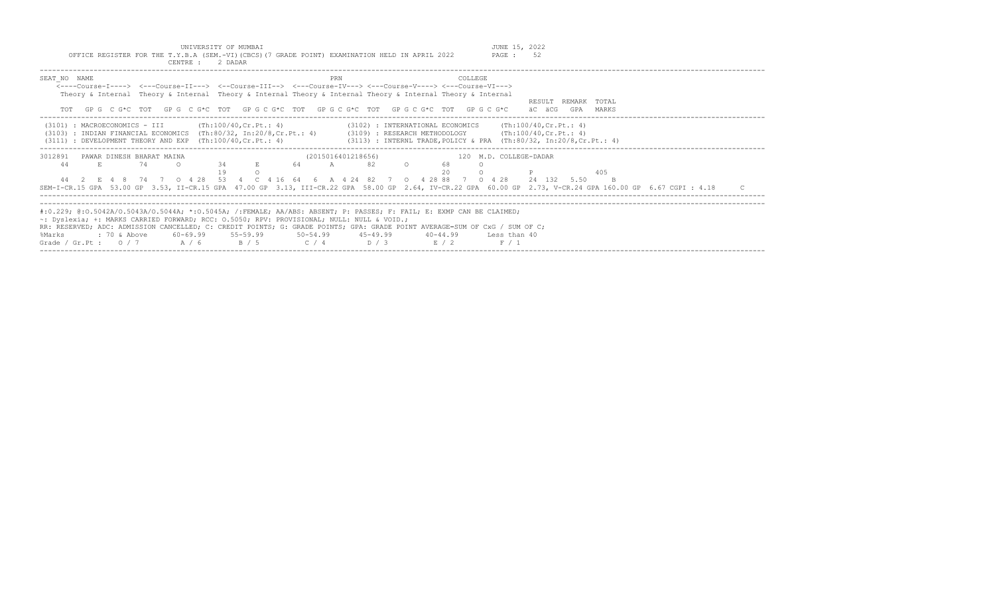| UNIVERSITY OF MUMBAI<br>OFFICE REGISTER FOR THE T.Y.B.A (SEM.-VI) (CBCS) (7 GRADE POINT) EXAMINATION HELD IN APRIL 2022<br>CENTRE : 2 DADAR                                                                                                                                                                                                                                                                                                                                                                                             | JUNE 15, 2022<br>52<br>PAGE :                      |
|-----------------------------------------------------------------------------------------------------------------------------------------------------------------------------------------------------------------------------------------------------------------------------------------------------------------------------------------------------------------------------------------------------------------------------------------------------------------------------------------------------------------------------------------|----------------------------------------------------|
| SEAT NO NAME<br><b>COLLEGE</b><br>PRN<br><----Course-I----> <---Course-II---> <--Course-III--> <---Course-IV---> <---Course-V----> <---Course-VI---><br>Theory & Internal Theory & Internal Theory & Internal Theory & Internal Theory & Internal Theory & Internal<br>GP G C G*C TOT GP G C G*C TOT GP G C G*C TOT GP G C G*C TOT GP G C G*C TOT GP G C G*C<br>TOT                                                                                                                                                                     | RESULT REMARK TOTAL<br>äC äCG<br>GPA<br>MARKS      |
| (Th:100/40.Cr.Pt.: 4)<br>(3102) : INTERNATIONAL ECONOMICS<br>(3101) : MACROECONOMICS - III<br>: INDIAN FINANCIAL ECONOMICS (Th:80/32, In:20/8,Cr.Pt.: 4) (3109) : RESEARCH METHODOLOGY (Th:100/40,Cr.Pt.: 4)<br>(3103)<br>: DEVELOPMENT THEORY AND EXP $(Th:100/40, Cr.Pt.: 4)$<br>(3113) : INTERNL TRADE, POLICY & PRA (Th:80/32, In:20/8, Cr. Pt.: 4)<br>(3111)                                                                                                                                                                       | (Th:100/40.Cr.Pt.: 4)                              |
| 3012891<br>PAWAR DINESH BHARAT MAINA<br>(2015016401218656)<br>$\circ$<br>74<br>34<br>A 82<br>68<br>44<br>E<br>$\Omega$<br>64<br>E 4 8 74 7 0 4 28 53 4 C 4 16 64 6 A 4 24 82 7 0 4 28 88 7 0 4 28<br>SEM-I-CR.15 GPA 53.00 GP 3.53, II-CR.15 GPA 47.00 GP 3.13, III-CR.22 GPA 58.00 GP 2.64, IV-CR.22 GPA 60.00 GP 2.73, V-CR.24 GPA 160.00 GP 6.67 CGPI : 4.18                                                                                                                                                                         | 120 M.D. COLLEGE-DADAR<br>405<br>24 132 5.50<br>B. |
| #:0.229; @:0.5042A/0.5043A/0.5044A; *:0.5045A; /:FEMALE; AA/ABS: ABSENT; P: PASSES; F: FAIL; E: EXMP CAN BE CLAIMED;<br>$\sim$ : Dyslexia; +: MARKS CARRIED FORWARD; RCC: 0.5050; RPV: PROVISIONAL; NULL: NULL & VOID.;<br>RR: RESERVED; ADC: ADMISSION CANCELLED; C: CREDIT POINTS; G: GRADE POINTS; GPA: GRADE POINT AVERAGE=SUM OF CxG / SUM OF C;<br>$55 - 59.99$<br>$50 - 54.99$<br>%Marks<br>$: 70$ & Above<br>60-69.99<br>$45 - 49.99$<br>40-44.99<br>Grade / Gr.Pt: $0/7$ A / 6<br>$\overline{B}/5$<br>$C / 4$ $D / 3$<br>E / 2 | Less than 40<br>F / 1                              |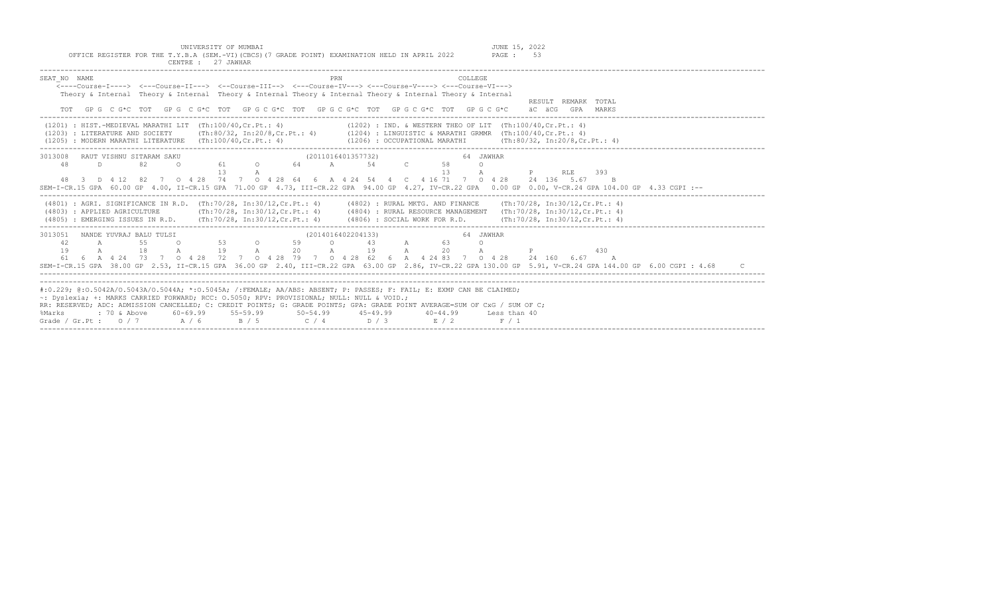UNIVERSITY OF MUMBAI<br>Y.B.A (SEM.-VI)(CBCS)(7 GRADE POINT) EXAMINATION HELD IN APRIL 2022 PAGE : 53

| OFFICE REGISTER FOR THE T.Y.B.A (SEM.-VI)(CBCS) (7 GRADE POINT) EXAMINATION HELD IN APRIL 2022<br>PAGE : 53<br>CENTRE: 27 JAWHAR                                                                                                                                                                                                                                                                                                                                                                                                                                                                                                                                                                                                                                    |
|---------------------------------------------------------------------------------------------------------------------------------------------------------------------------------------------------------------------------------------------------------------------------------------------------------------------------------------------------------------------------------------------------------------------------------------------------------------------------------------------------------------------------------------------------------------------------------------------------------------------------------------------------------------------------------------------------------------------------------------------------------------------|
| PRN<br><b>COLLEGE</b><br>SEAT NO NAME<br>$\leftarrow--$ Course-T----> $\leftarrow--$ Course-TT---> $\leftarrow--$ Course-TTT--> $\leftarrow--$ Course-TV---> $\leftarrow--$ Course-V----> $\leftarrow--$ Course-VT---><br>Theory & Internal Theory & Internal Theory & Internal Theory & Internal Theory & Internal Theory & Internal<br>RESULT REMARK TOTAL<br>GPG C G*C TOT GPG C G*C TOT GPG C G*C TOT GPG C G*C TOT GPG C G*C TOT GPG C G*C<br>äC äCG GPA<br>MARKS                                                                                                                                                                                                                                                                                              |
| $(1201)$ : HIST.-MEDIEVAL MARATHI LIT $(Th:100/40, Cr.Pt.: 4)$<br>(1202) : IND. & WESTERN THEO OF LIT (Th:100/40, Cr. Pt.: 4)<br>(1203) : LITERATURE AND SOCIETY (Th:80/32, In:20/8, Cr.Pt.: 4) (1204) : LINGUISTIC & MARATHI GRMMR (Th:100/40, Cr.Pt.: 4)<br>(1205) : MODERN MARATHI LITERATURE (Th:100/40, Cr. Pt.: 4)<br>(1206) : OCCUPATIONAL MARATHI (Th:80/32, In:20/8, Cr. Pt.: 4)                                                                                                                                                                                                                                                                                                                                                                           |
| (2011016401357732)<br>64 JAWHAR<br>3013008<br>RAUT VISHNU SITARAM SAKU<br>61 O 64 A 54 C<br>48<br>58<br>D<br>82<br>$\Omega$<br>$\Omega$<br>13<br>13<br><b>RLE</b><br>393<br>$\mathbb P$ and $\mathbb P$ and $\mathbb P$ and $\mathbb P$ and $\mathbb P$ and $\mathbb P$ and $\mathbb P$ and $\mathbb P$ and $\mathbb P$ and $\mathbb P$ and $\mathbb P$ and $\mathbb P$ and $\mathbb P$ and $\mathbb P$ and $\mathbb P$ and $\mathbb P$ and $\mathbb P$ and $\mathbb P$ and $\mathbb P$ and $\mathbb P$ and<br>А<br>48 3 D 4 12 82 7 0 4 28 74 7 0 4 28 64 6 A 4 24 54 4 C 4 16 71 7 0 4 28 24 136 5.67 B<br>SEM-I-CR.15 GPA 60.00 GP 4.00, II-CR.15 GPA 71.00 GP 4.73, III-CR.22 GPA 94.00 GP 4.27, IV-CR.22 GPA 0.00 GP 0.00, V-CR.24 GPA 104.00 GP 4.33 CGPI :-- |
| (4801) : AGRI, SIGNIFICANCE IN R.D. (Th:70/28, In:30/12, Cr.Pt.: 4) (4802) : RURAL MKTG, AND FINANCE (Th:70/28, In:30/12, Cr.Pt.: 4)<br>(Th:70/28, In:30/12, Cr.Pt.: 4) (4804) : RURAL RESOURCE MANAGEMENT (Th:70/28, In:30/12, Cr.Pt.: 4)<br>(4803) : APPLIED AGRICULTURE<br>(4805) : EMERGING ISSUES IN R.D. (Th:70/28, In:30/12, Cr. Pt.: 4) (4806) : SOCIAL WORK FOR R.D. (Th:70/28, In:30/12, Cr. Pt.: 4)                                                                                                                                                                                                                                                                                                                                                      |
| 64 JAWHAR<br>3013051 NANDE YUVRAJ BALU TULSI<br>(2014016402204133)<br>$\sim$ 0 53<br>$\mathbb A$<br>$\circ$ $\circ$<br>$\Omega$<br>42<br>55<br>59<br>43<br>63<br>$\overline{A}$<br>$\Omega$<br>19 A 20<br>19 A 20 A<br>18<br>$\mathbb{A}$<br>$\mathbb{A}$<br>19<br>$\mathbb P$<br>430<br>61  6  A  4  24  73  7  0  4  28  72  7  0  4  28  79  7  0  4  28  62  6  A  4  24  83  7  0  4  28  24  160  6.67  A<br>SEM-I-CR.15 GPA 38.00 GP 2.53, II-CR.15 GPA 36.00 GP 2.40, III-CR.22 GPA 63.00 GP 2.86, IV-CR.22 GPA 130.00 GP 5.91, V-CR.24 GPA 144.00 GP 6.00 CGPI : 4.68                                                                                                                                                                                      |
| #:0.229; @:0.5042A/0.5043A/0.5044A; *:0.5045A; /:FEMALE; AA/ABS: ABSENT; P: PASSES; F: FAIL; E: EXMP CAN BE CLAIMED;<br>~: Dvslexia; +: MARKS CARRIED FORWARD; RCC: 0.5050; RPV: PROVISIONAL; NULL: NULL & VOID.;<br>RR: RESERVED; ADC: ADMISSION CANCELLED; C: CREDIT POINTS; G: GRADE POINTS; GPA: GRADE POINT AVERAGE=SUM OF CxG / SUM OF C;<br>$60-69.99$ $55-59.99$ $50-54.99$ $45-49.99$<br>$: 70 \&$ Above<br>$40 - 44.99$<br>%Marks<br>Less than 40<br>A / 6<br>B / 5<br>$C / 4$ D / 3<br>E / 2<br>Grade / Gr. Pt : $0/7$<br>F / 1                                                                                                                                                                                                                          |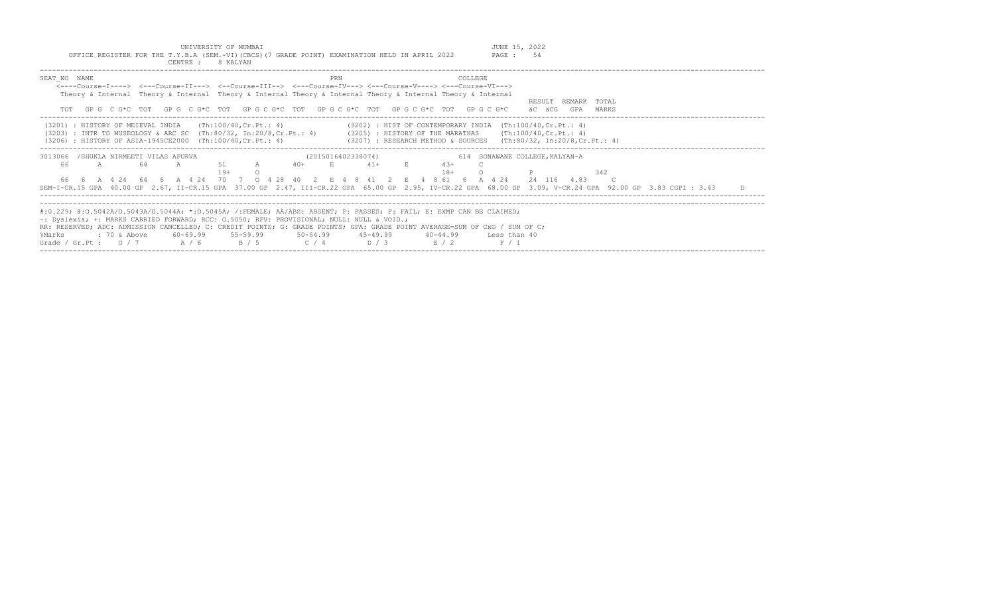UNIVERSITY OF MUMBAI **JUNE 15, 2022** 

%Marks : 70 & Above 60-69.99 55-59.99 50-54.99 45-49.99 40-44.99 Less than 40

| OFFICE REGISTER FOR THE T.Y.B.A (SEM.-VI) (CBCS) (7 GRADE POINT) EXAMINATION HELD IN APRIL 2022<br>CENTRE : 8 KALYAN                                                                                                                                                                                                                                  |                                                                                                                                                                                                      | PAGE: 54                                               |
|-------------------------------------------------------------------------------------------------------------------------------------------------------------------------------------------------------------------------------------------------------------------------------------------------------------------------------------------------------|------------------------------------------------------------------------------------------------------------------------------------------------------------------------------------------------------|--------------------------------------------------------|
| SEAT NO NAME<br><----Course-I----> <---Course-II---> <--Course-III--> <---Course-IV---> <---Course-V----> <---Course-VI---><br>Theory & Internal Theory & Internal Theory & Internal Theory & Internal Theory & Internal Theory & Internal<br>TOT GPG CG*C TOT GPG CG*C TOT GPG CG*C TOT GPG CG*C TOT GPG CG*C TOT GPG CG*C                           | PRN<br>COLLEGE                                                                                                                                                                                       | REMARK TOTAL<br>RESULT<br>äC äCG<br>GPA MARKS          |
| (3201) : HISTORY OF MEIEVAL INDIA<br>(Th:100/40,Cr.Pt.: 4)<br>$(3203)$ : INTR TO MUSEOLOGY & ARC SC $(Th:80/32, In:20/8, Cr.Pt.: 4)$<br>(3206) : HISTORY OF ASIA-1945CE2000 (Th:100/40, Cr. Pt.: 4)                                                                                                                                                   | $(3202)$ : HIST OF CONTEMPORARY INDIA $(Th:100/40, Cr.Pt.: 4)$<br>$(3205)$ : HISTORY OF THE MARATHAS (Th:100/40, Cr. Pt.: 4)<br>$(3207)$ : RESEARCH METHOD & SOURCES (Th:80/32, In:20/8, Cr. Pt.: 4) |                                                        |
| 3013066 /SHUKLA NIRMEETI VILAS APURVA<br>51 A<br>66.<br>$\overline{A}$<br>-64<br>A<br>$19+$<br>$0 \t 4 \t 28$<br>66 6 A 4 24 64 6 A 4 24<br>70<br>7<br>SEM-I-CR.15 GPA 40.00 GP 2.67, II-CR.15 GPA 37.00 GP 2.47, III-CR.22 GPA 65.00 GP 2.95, IV-CR.22 GPA 68.00 GP 3.09, V-CR.24 GPA 92.00 GP 3.83 CGPI : 3.43                                      | (2015016402338074)<br>$41+$<br>$40+$<br>E<br><b>E</b> Providence<br>$4.3+$<br>$18+$<br>4 8 61 6 A 4 24<br>40 2 F 4 8 41 2<br>$E_{\rm c}$                                                             | 614 SONAWANE COLLEGE, KALYAN-A<br>342<br>24 116<br>483 |
| #:0.229; @:0.5042A/0.5043A/0.5044A; *:0.5045A; /:FEMALE; AA/ABS: ABSENT; P: PASSES; F: FAIL; E: EXMP CAN BE CLAIMED;<br>$\sim$ : Dyslexia; +: MARKS CARRIED FORWARD; RCC: 0.5050; RPV: PROVISIONAL; NULL: NULL & VOID.;<br>RR: RESERVED; ADC: ADMISSION CANCELLED; C: CREDIT POINTS; G: GRADE POINTS; GPA: GRADE POINT AVERAGE=SUM OF CxG / SUM OF C; |                                                                                                                                                                                                      |                                                        |

Grade / Gr.Pt : O / 7 A / 6 B / 5 C / 4 D / 3 E / 2 F / 1 -------------------------------------------------------------------------------------------------------------------------------------------------------------------------------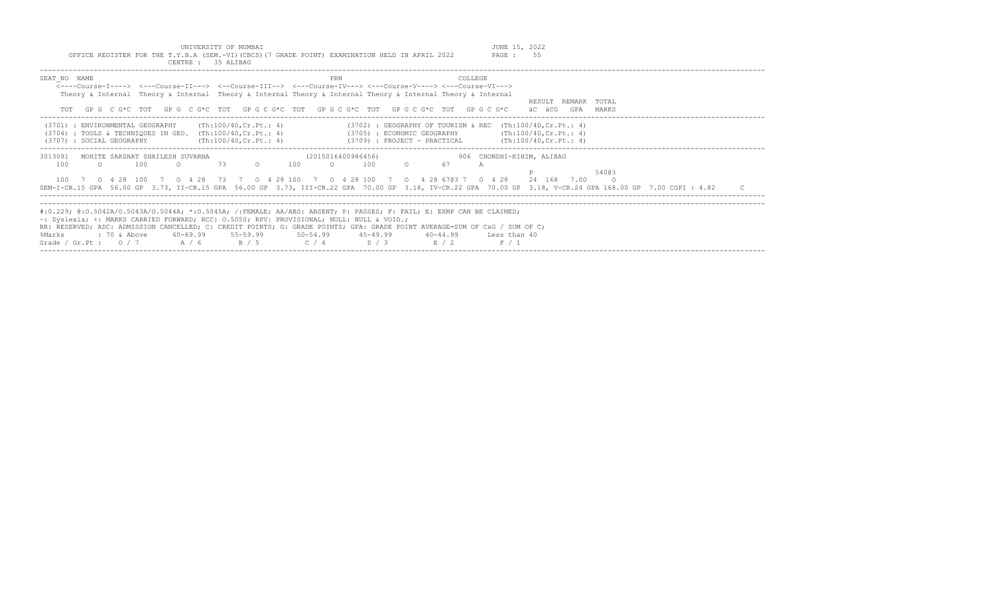UNIVERSITY OF MUMBAI<br>OFFICE REGISTER FOR THE T.Y.B.A (SEM.-VI)(CBCS)(7 GRADE POINT) EXAMINATION HELD IN APRIL 2022 PAGE : 55

| CENTRE : 35 ALIBAG                                                                                                                                                                                                                                                                                                                                                                                                                                     |                                                                                                                               |                                                      |
|--------------------------------------------------------------------------------------------------------------------------------------------------------------------------------------------------------------------------------------------------------------------------------------------------------------------------------------------------------------------------------------------------------------------------------------------------------|-------------------------------------------------------------------------------------------------------------------------------|------------------------------------------------------|
| SEAT NO NAME<br><----Course-T----> <---Course-TT---> <--Course-TTT--> <---Course-TV---> <---Course-V----> <---Course-VT---><br>Theory & Internal Theory & Internal Theory & Internal Theory & Internal Theory & Internal Theory & Internal                                                                                                                                                                                                             | PRN<br>COLLEGE<br>GPG C G*C TOT GPG C G*C TOT GPG C G*C TOT GPG C G*C TOT GPG C G*C TOT GPG C G*C                             | RESULT.<br>REMARK<br>TOTAL<br>äC äCG<br>GPA<br>MARKS |
| (Th:100/40, Cr.Pt.: 4)<br>(3701)<br>: ENVIRONMENTAL GEOGRAPHY<br>: TOOLS & TECHNIQUES IN GEO. $(Th:100/40, Cr.Pt.: 4)$<br>(3704)<br>(Th:100/40, Cr.Pt.: 4)<br>: SOCIAL GEOGRAPHY<br>(3707)                                                                                                                                                                                                                                                             | $(3702)$ : GEOGRAPHY OF TOURISM & REC (Th:100/40, Cr. Pt.: 4)<br>(3705) : ECONOMIC GEOGRAPHY<br>(3709) : PROJECT - PRACTICAL  | (Th:100/40, Cr.Pt.: 4)<br>(Th:100/40, Cr.Pt.: 4)     |
| 3013091<br>MOHITE SAKSHAT SHAILESH SUVARNA<br>100<br>100<br>73<br>$\Omega$<br>100<br>0 4 28 73 7<br>0 4 2 8<br>- 100<br>0 4 28 100<br>SEM-I-CR.15 GPA 56.00 GP 3.73, II-CR.15 GPA 56.00 GP 3.73, III-CR.22 GPA 70.00 GP 3.18, IV-CR.22 GPA 70.00 GP 3.18, V-CR.24 GPA 168.00 GP 7.00 CGPI : 4.82                                                                                                                                                       | (2015016400986456)<br>906 CHONDHI-KIHIM, ALIBAG<br>67<br>100<br>100<br>A<br>7 0 4 28 100<br>7 0 4 28 6703 7<br>$0 \t 4 \t 28$ | 54003<br>24 168<br>7.00                              |
| #:0.229; @:0.5042A/0.5043A/0.5044A; *:0.5045A; /:FEMALE; AA/ABS: ABSENT; P: PASSES; F: FAIL; E: EXMP CAN BE CLAIMED;<br>$\sim$ : Dyslexia; +: MARKS CARRIED FORWARD; RCC: 0.5050; RPV: PROVISIONAL; NULL: NULL & VOID.;<br>RR: RESERVED; ADC: ADMISSION CANCELLED; C: CREDIT POINTS; G: GRADE POINTS; GPA: GRADE POINT AVERAGE=SUM OF CxG / SUM OF C;<br>$55 - 59.99$<br>: 70 & Above<br>60-69.99<br>%Marks<br>A / 6<br>B / 5<br>Grade / Gr.Pt : $0/7$ | $50 - 54.99$<br>$45 - 49.99$<br>40-44.99<br>Less than 40<br>C / 4<br>D/3<br>E/2<br>F / 1                                      |                                                      |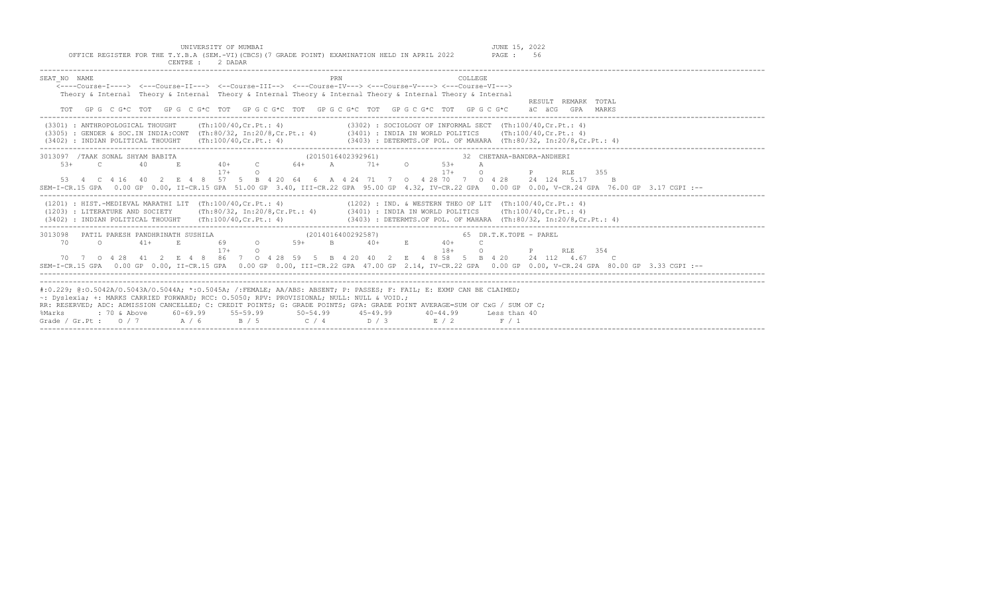UNIVERSITY OF MUMBAI<br>Y.B.A (SEM.-VI)(CBCS)(7 GRADE POINT) EXAMINATION HELD IN APRIL 2022 PAGE : 56

| OFFICE REGISTER FOR THE T.Y.B.A (SEM.-VI)(CBCS)(7 GRADE POINT) EXAMINATION HELD IN APRIL 2022<br>PAGE: 56<br>CENTRE : 2 DADAR                                                                                                                                                                                                                                                                                                                                                                                                               |
|---------------------------------------------------------------------------------------------------------------------------------------------------------------------------------------------------------------------------------------------------------------------------------------------------------------------------------------------------------------------------------------------------------------------------------------------------------------------------------------------------------------------------------------------|
| PRN<br>COLLEGE<br>SEAT NO NAME<br>$\leftarrow$ ---Course-T----> $\leftarrow$ --Course-TT---> $\leftarrow$ -Course-TTT--> $\leftarrow$ --Course-TV---> $\leftarrow$ -Course-V----> $\leftarrow$ -Course-VT---><br>Theory & Internal Theory & Internal Theory & Internal Theory & Internal Theory & Internal Theory & Internal<br>RESULT REMARK TOTAL<br>GP G C G*C TOT GP G C G*C TOT GP G C G*C TOT GP G C G*C TOT GP G C G*C TOT GP G C G*C<br>äC äCG GPA MARKS                                                                            |
| (3302) : SOCIOLOGY OF INFORMAL SECT (Th:100/40, Cr. Pt.: 4)<br>$(3301)$ : ANTHROPOLOGICAL THOUGHT $(Th:100/40, Cr.Pt.: 4)$<br>(3305) : GENDER & SOC.IN INDIA:CONT (Th:80/32, In:20/8,Cr.Pt.: 4) (3401) : INDIA IN WORLD POLITICS (Th:100/40,Cr.Pt.: 4)<br>(3403) : DETERMTS.OF POL. OF MAHARA (Th:80/32, In:20/8,Cr.Pt.: 4)<br>$(3402)$ : INDIAN POLITICAL THOUGHT $(Th:100/40, Cr.Pt.: 4)$                                                                                                                                                 |
| 3013097 / TAAK SONAL SHYAM BABITA<br>(2015016402392961)<br>32 CHETANA-BANDRA-ANDHERI<br>40+ C 64+ A 71+ O 53+<br>$5.3+$<br>$\overline{c}$<br>40<br>$E_{\rm c}$<br>$\mathbb{A}$<br>$17+$<br>$17+$<br>$\cap$<br>$\Omega$<br>$\mathbb P$<br>355<br><b>RLE</b><br>53  4  C  4  16  40  2  E  4  8  57  5  B  4  20  64  6  A  4  24  71  7  0  4  28  70  7  0  4  28  24  124  5.17  B<br>SEM-I-CR.15 GPA 0.00 GP 0.00, II-CR.15 GPA 51.00 GP 3.40, III-CR.22 GPA 95.00 GP 4.32, IV-CR.22 GPA 0.00 GP 0.00, V-CR.24 GPA 76.00 GP 3.17 CGPI :-- |
| $(1201)$ : HIST.-MEDIEVAL MARATHI LIT $(Th:100/40, Cr.Pt.: 4)$<br>(1202) : IND. & WESTERN THEO OF LIT (Th:100/40, Cr.Pt.: 4)<br>(1203) : LITERATURE AND SOCIETY (Th:80/32, In:20/8, Cr.Pt.: 4) (3401) : INDIA IN WORLD POLITICS (Th:100/40, Cr.Pt.: 4)<br>(3402) : INDIAN POLITICAL THOUGHT (Th:100/40, Cr. Pt.: 4) (3403) : DETERMTS. OF POL. OF MAHARA (Th:80/32, In:20/8, Cr. Pt.: 4)                                                                                                                                                    |
| 3013098 PATIL PARESH PANDHRINATH SUSHILA<br>(2014016400292587)<br>65 DR.T.K.TOPE - PAREL<br>69 0 59+<br>$\overline{a}$<br>$41+$<br>$B = 40+$<br>$E$ 40+<br>70<br>E.<br>$\mathcal{C}$<br>$17+$<br>$18+$<br>$\circ$<br>354<br>$\Omega$<br>$P \sim 1$<br>RT.E<br>70 7 0 4 28 41 2 E 4 8 86 7 0 4 28 59 5 B 4 20 40 2 E 4 8 58 5 B 4 20 24 112 4.67 C<br>SEM-I-CR.15 GPA 0.00 GP 0.00, II-CR.15 GPA 0.00 GP 0.00, III-CR.22 GPA 47.00 GP 2.14, IV-CR.22 GPA 0.00 GP 0.00, V-CR.24 GPA 80.00 GP 3.33 CGPI :--                                    |
| #:0.229; @:0.5042A/0.5043A/0.5044A; *:0.5045A; /:FEMALE; AA/ABS: ABSENT; P: PASSES; F: FAIL; E: EXMP CAN BE CLAIMED;<br>~: Dvslexia; +: MARKS CARRIED FORWARD; RCC: 0.5050; RPV: PROVISIONAL; NULL: NULL & VOID.;<br>RR: RESERVED; ADC: ADMISSION CANCELLED; C: CREDIT POINTS; G: GRADE POINTS; GPA: GRADE POINT AVERAGE=SUM OF CxG / SUM OF C;<br>$60-69.99$ $55-59.99$ $50-54.99$ $45-49.99$<br>: 70 & Above<br>40-44.99 Less than 40<br>%Marks<br>Grade / Gr.Pt : $0/7$ A / 6<br>B / 5 C / 4 D / 3 E / 2<br>F / 1                        |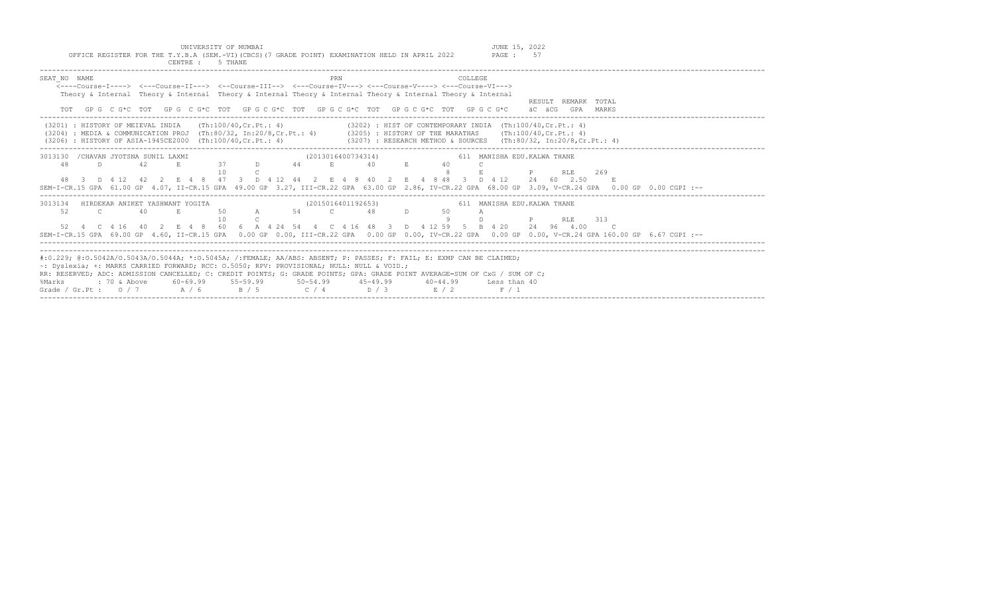| OFFICE REGISTER FOR THE T.Y.B.A (SEM.-VI) (CBCS) (7 GRADE POINT) EXAMINATION HELD IN APRIL 2022<br>PAGE: 57<br>CENTRE : 5 THANE                                                                                                                                                                                                                                                                                                                                                                              |
|--------------------------------------------------------------------------------------------------------------------------------------------------------------------------------------------------------------------------------------------------------------------------------------------------------------------------------------------------------------------------------------------------------------------------------------------------------------------------------------------------------------|
| SEAT NO NAME<br>COLLEGE<br>PRN<br>$\leftarrow$ ---Course-I----> $\leftarrow$ --Course-II---> $\leftarrow$ -Course-III--> $\leftarrow$ --Course-IV---> $\leftarrow$ -Course-V----> $\leftarrow$ -Course-VI---><br>Theory & Internal Theory & Internal Theory & Internal Theory & Internal Theory & Internal Theory & Internal<br>RESULT REMARK TOTAL<br>GP G C G*C TOT GP G C G*C TOT GP G C G*C TOT GP G C G*C TOT GP G C G*C TOT GP G C G*C<br>äC äCG GPA MARKS                                             |
| (3201) : HISTORY OF MEIEVAL INDIA (Th:100/40, Cr. Pt.: 4)<br>$(3202)$ : HIST OF CONTEMPORARY INDIA $(Th:100/40, Cr.Pt.: 4)$<br>(3204) : MEDIA & COMMUNICATION PROJ (Th:80/32, In:20/8, Cr.Pt.: 4) (3205) : HISTORY OF THE MARATHAS (Th:100/40, Cr.Pt.: 4)<br>(3206) : HISTORY OF ASIA-1945CE2000 (Th:100/40, Cr. Pt.: 4)<br>(3207) : RESEARCH METHOD & SOURCES (Th:80/32, In:20/8,Cr.Pt.: 4)                                                                                                                 |
| 3013130 / CHAVAN JYOTSNA SUNIL LAXMI<br>(2013016400734314)<br>611 MANISHA EDU. KALWA THANE<br>37 D 44 E<br>40<br>48<br>D.<br>42<br>E.<br>$E = 1$<br>40<br>$1 \cap$<br>269<br><b>P</b> RLE<br>48 3 D 4 12 42 2 E 4 8 47 3 D 4 12 44 2 E 4 8 40 2 E 4 8 48 3 D 4 12 24 60 2.50 E<br>SEM-I-CR.15 GPA 61.00 GP 4.07, II-CR.15 GPA 49.00 GP 3.27, III-CR.22 GPA 63.00 GP 2.86, IV-CR.22 GPA 68.00 GP 3.09, V-CR.24 GPA 0.00 GP 0.00 CGPI :--                                                                      |
| 3013134 HIRDEKAR ANIKET YASHWANT YOGITA<br>(2015016401192653)<br>611 MANISHA EDU. KALWA THANE<br>52<br>50 A 54 C<br>$\mathbb{C}$<br>40<br>48<br>$\Box$<br>50<br>E.<br><b>P</b> RLE 313<br>1 N<br>52  4  C  4  16  40  2  E  4  8  60  6  A  4  24  54  4  C  4  16  48  3  D  4  12  59  5  B  4  20  24  96  4.00  C<br>SEM-I-CR.15 GPA 69.00 GP 4.60, II-CR.15 GPA 0.00 GP 0.00, III-CR.22 GPA 0.00 GP 0.00, IV-CR.22 GPA 0.00 GP 0.00, V-CR.24 GPA 160.00 GP 6.67 CGPI :--                                |
| #:0.229; @:0.5042A/0.5043A/0.5044A; *:0.5045A; /:FEMALE; AA/ABS: ABSENT; P: PASSES; F: FAIL; E: EXMP CAN BE CLAIMED;<br>~: Dyslexia; +: MARKS CARRIED FORWARD; RCC: 0.5050; RPV: PROVISIONAL; NULL: NULL & VOID.;<br>RR: RESERVED; ADC: ADMISSION CANCELLED; C: CREDIT POINTS; G: GRADE POINTS; GPA: GRADE POINT AVERAGE=SUM OF CxG / SUM OF C;<br>$: 70 \& \text{Above}$ 60-69.99 55-59.99 50-54.99 45-49.99<br>%Marks<br>40-44.99 Less than 40<br>Grade / Gr.Pt: $0/7$ $A/6$ $B/5$ $C/4$ $D/3$ $E/2$ $F/1$ |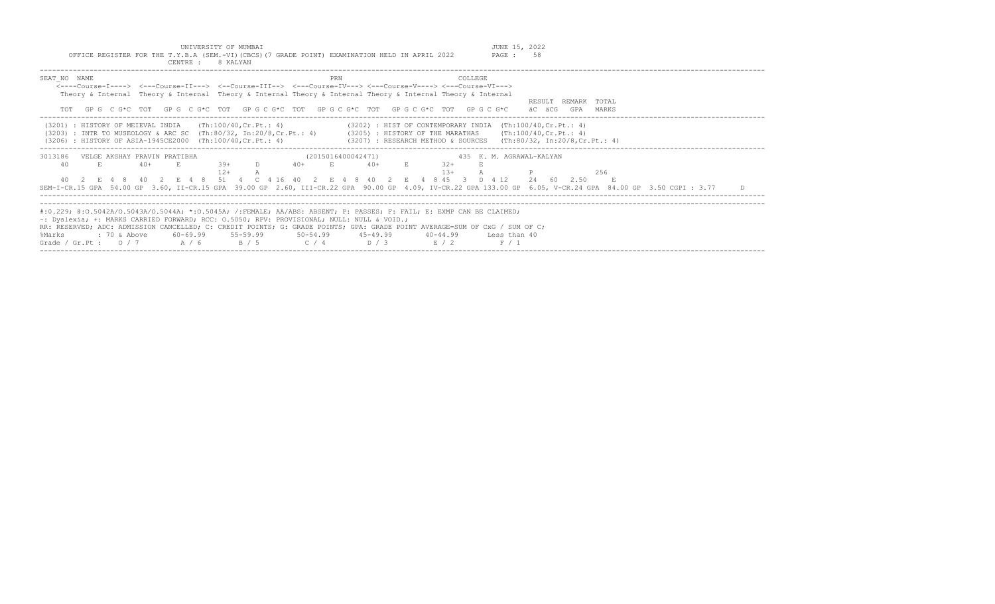UNIVERSITY OF MUMBAI JUNE 15, 2022 OFFICE REGISTER FOR THE T.Y.B.A (SEM.-VI)(CBCS)(7 GRADE POINT) EXAMINATION HELD IN APRIL 2022 PAGE : 58

| CENTRE :<br>8 KALYAN                                                                                                                                                                                                                                                                                                                                                                                                                                                                                                                 |  |
|--------------------------------------------------------------------------------------------------------------------------------------------------------------------------------------------------------------------------------------------------------------------------------------------------------------------------------------------------------------------------------------------------------------------------------------------------------------------------------------------------------------------------------------|--|
| SEAT NO NAME<br>COLLEGE<br>PRN<br><----Course-I----> <---Course-II---> <--Course-III--> <---Course-IV---> <---Course-V----> <---Course-VI---><br>Theory & Internal Theory & Internal Theory & Internal Theory & Internal Theory & Internal Theory & Internal<br>RESULT REMARK TOTAL<br>GPG CG*C TOT GPG CG*C TOT GPG CG*C TOT GPG CG*C TOT GPG CG*C TOT GPG CG*C<br>äC äCG<br>GPA<br>MARKS                                                                                                                                           |  |
| (Th:100/40,Cr.Pt.: 4)<br>$(3202)$ : HIST OF CONTEMPORARY INDIA $(Th:100/40, Cr.Pt.: 4)$<br>(3201) : HISTORY OF MEIEVAL INDIA<br>(Th:100/40, Cr.Ft.: 4)<br>(3203) : INTR TO MUSEOLOGY & ARC SC (Th:80/32, In:20/8, Cr. Pt.: 4) (3205) : HISTORY OF THE MARATHAS<br>(3206) : HISTORY OF ASIA-1945CE2000 (Th:100/40, Cr. Pt.: 4)<br>(3207) : RESEARCH METHOD & SOURCES   (Th:80/32, In:20/8,Cr.Pt.: 4)                                                                                                                                  |  |
| 3013186<br>(2015016400042471)<br>VELGE AKSHAY PRAVIN PRATIBHA<br>435 K.M. AGRAWAL-KALYAN<br>$.39+$<br>$40+$<br>$40+$<br>40<br>$40+$<br>$32+$<br>E.<br>$12+$<br>$1.3+$<br>256<br>E 4 8 40 2 E 4 8 51 4 C 4 16 40<br>8 45 3 D 4 12<br>24 60 2.50<br>2 E 4 8 40 2<br>SEM-I-CR.15 GPA 54.00 GP 3.60, II-CR.15 GPA 39.00 GP 2.60, III-CR.22 GPA 90.00 GP 4.09, IV-CR.22 GPA 133.00 GP 6.05, V-CR.24 GPA 84.00 GP 3.50 CGPI : 3.77<br>D.                                                                                                   |  |
| #:0.229; @:0.5042A/0.5043A/0.5044A; *:0.5045A; /:FEMALE; AA/ABS: ABSENT; P: PASSES; F: FAIL; E: EXMP CAN BE CLAIMED;<br>$\sim$ : Dyslexia; +: MARKS CARRIED FORWARD; RCC: 0.5050; RPV: PROVISIONAL; NULL: NULL & VOID.;<br>RR: RESERVED; ADC: ADMISSION CANCELLED; C: CREDIT POINTS; G: GRADE POINTS; GPA: GRADE POINT AVERAGE=SUM OF CxG / SUM OF C;<br>$60-69.99$ $55-59.99$ $50-54.99$ $45-49.99$<br>%Marks<br>: 70 & Above<br>40-44.99<br>Less than 40<br>$C / 4$ $D / 3$<br>Grade / Gr.Pt: $0/7$ A / 6<br>B / 5<br>R/2<br>F / 1 |  |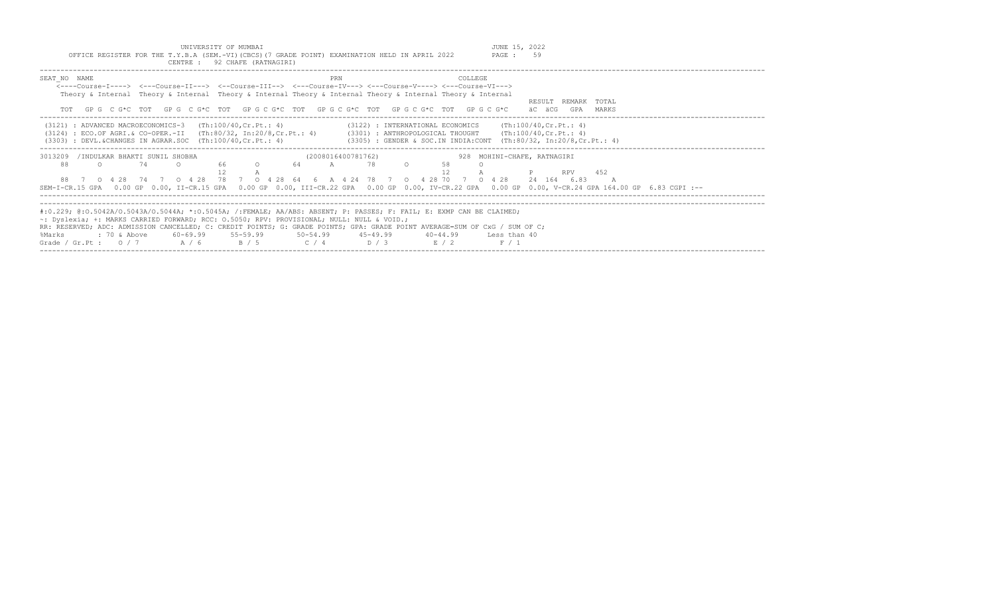UNIVERSITY OF MUMBAI JUNE 15, 2022 OFFICE REGISTER FOR THE T.Y.B.A (SEM.-VI)(CBCS)(7 GRADE POINT) EXAMINATION HELD IN APRIL 2022 PAGE : 59

|                                                                                                                                                                   |         |              |                                     |  | CENTRE : 92 CHAFE (RATNAGIRI)                                                                                                                                                                                                                                                                                       |                    |     |  |              |                |                                                                                                                                                                                                                                                                           |                                                                                                                                                                                                                                                              |
|-------------------------------------------------------------------------------------------------------------------------------------------------------------------|---------|--------------|-------------------------------------|--|---------------------------------------------------------------------------------------------------------------------------------------------------------------------------------------------------------------------------------------------------------------------------------------------------------------------|--------------------|-----|--|--------------|----------------|---------------------------------------------------------------------------------------------------------------------------------------------------------------------------------------------------------------------------------------------------------------------------|--------------------------------------------------------------------------------------------------------------------------------------------------------------------------------------------------------------------------------------------------------------|
| SEAT NO NAME                                                                                                                                                      |         |              |                                     |  | <----Course-I----> <---Course-II---> <--Course-III--> <---Course-IV---> <---Course-V----> <---Course-VI---><br>Theory & Internal Theory & Internal Theory & Internal Theory & Internal Theory & Internal Theory & Internal<br>GP G C G*C TOT GP G C G*C TOT GP G C G*C TOT GP G C G*C TOT GP G C G*C TOT GP G C G*C |                    | PRN |  |              | <b>COLLEGE</b> |                                                                                                                                                                                                                                                                           | RESULT REMARK TOTAL<br>äC äCG<br>GPA<br>MARKS                                                                                                                                                                                                                |
|                                                                                                                                                                   |         |              |                                     |  | $(3121)$ : ADVANCED MACROECONOMICS-3 $(Th:100/40, Cr.Pt.: 4)$<br>$(3303)$ : DEVL.&CHANGES IN AGRAR.SOC $(Th:100/40, Cr.Pt.: 4)$                                                                                                                                                                                     |                    |     |  |              |                |                                                                                                                                                                                                                                                                           | $(3122)$ : INTERNATIONAL ECONOMICS (Th:100/40, Cr. Pt.: 4)<br>(3124) : ECO.OF AGRI.& CO-OPER.-II (Th:80/32, In:20/8,Cr.Pt.: 4) (3301) : ANTHROPOLOGICAL THOUGHT (Th:100/40,Cr.Pt.: 4)<br>$(3305)$ : GENDER & SOC.IN INDIA:CONT (Th:80/32, In:20/8,Cr.Pt.: 4) |
| 3013209<br>88                                                                                                                                                     | $\circ$ |              | /INDULKAR BHAKTI SUNIL SHOBHA<br>74 |  | $\mathbb{A}$                                                                                                                                                                                                                                                                                                        | (2008016400781762) |     |  | 12           |                | 88 7 0 4 28 74 7 0 4 28 78 7 0 4 28 64 6 A 4 24 78 7 0 4 28 70 7 0 4 28                                                                                                                                                                                                   | 928 MOHINI-CHAFE, RATNAGIRI<br><b>P</b> RPV 452<br>24 164 6.83<br>SEM-I-CR.15 GPA 0.00 GP 0.00, II-CR.15 GPA 0.00 GP 0.00, III-CR.22 GPA 0.00 GP 0.00, IV-CR.22 GPA 0.00 GP 0.00, V-CR.24 GPA 164.00 GP 6.83 CGPI :--                                        |
| $\sim$ : Dyslexia; +: MARKS CARRIED FORWARD; RCC: 0.5050; RPV: PROVISIONAL; NULL: NULL & VOID.;<br>%Marks<br>Grade / Gr. Pt : $0/7$ $A/6$ $B/5$ $C/4$ $D/3$ $E/2$ |         | : 70 & Above |                                     |  | 60-69.99 55-59.99 50-54.99 45-49.99                                                                                                                                                                                                                                                                                 |                    |     |  | $40 - 44.99$ |                | #:0.229; @:0.5042A/0.5043A/0.5044A; *:0.5045A; /:FEMALE; AA/ABS: ABSENT; P: PASSES; F: FAIL; E: EXMP CAN BE CLAIMED;<br>RR: RESERVED; ADC: ADMISSION CANCELLED; C: CREDIT POINTS; G: GRADE POINTS; GPA: GRADE POINT AVERAGE=SUM OF CxG / SUM OF C;<br>Less than 40<br>F/1 |                                                                                                                                                                                                                                                              |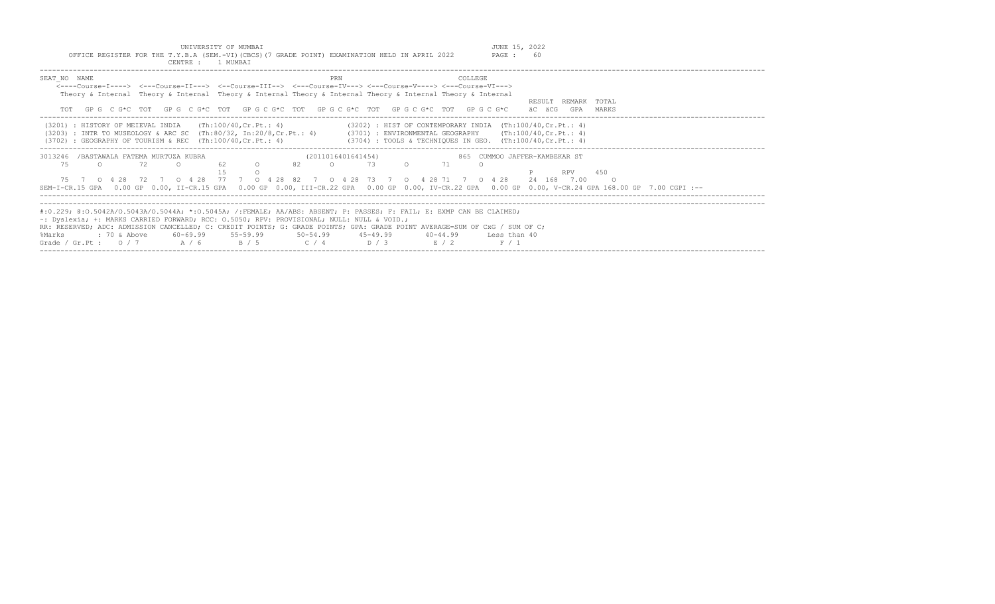|                                                                                                                            | OFFICE REGISTER FOR THE T.Y.B.A (SEM.-VI)(CBCS)(7 GRADE POINT) EXAMINATION HELD IN APRIL 2022                            |                |                                                                    |       | CENTRE : 1 MUMBAT |    | UNIVERSITY OF MUMBAI      |              |          |                    |       |          |                                                                | JUNE 15, 2022<br>PAGE :       | 60     |                     |           |                                                                                                                                                     |  |  |
|----------------------------------------------------------------------------------------------------------------------------|--------------------------------------------------------------------------------------------------------------------------|----------------|--------------------------------------------------------------------|-------|-------------------|----|---------------------------|--------------|----------|--------------------|-------|----------|----------------------------------------------------------------|-------------------------------|--------|---------------------|-----------|-----------------------------------------------------------------------------------------------------------------------------------------------------|--|--|
| SEAT NO NAME                                                                                                               |                                                                                                                          |                |                                                                    |       |                   |    |                           |              | PRN      |                    |       |          | COLLEGE.                                                       |                               |        |                     |           |                                                                                                                                                     |  |  |
|                                                                                                                            | <----Course-T----> <---Course-TT---> <--Course-TTT--> <---Course-TV---> <---Course-V----> <---Course-VT--->              |                |                                                                    |       |                   |    |                           |              |          |                    |       |          |                                                                |                               |        |                     |           |                                                                                                                                                     |  |  |
|                                                                                                                            | Theory & Internal Theory & Internal Theory & Internal Theory & Internal Theory & Internal Theory & Internal              |                |                                                                    |       |                   |    |                           |              |          |                    |       |          |                                                                |                               |        |                     |           |                                                                                                                                                     |  |  |
|                                                                                                                            | TOT GPG CG*C TOT GPG CG*C TOT GPG CG*C TOT GPG CG*C TOT GPG CG*C TOT GPG CG*C                                            |                |                                                                    |       |                   |    |                           |              |          |                    |       |          |                                                                |                               | äC äCG | RESULT REMARK TOTAL | GPA MARKS |                                                                                                                                                     |  |  |
|                                                                                                                            | (3201) : HISTORY OF MEIEVAL INDIA                                                                                        |                |                                                                    |       |                   |    | (Th:100/40,Cr.Pt.: 4)     |              |          |                    |       |          | $(3202)$ : HIST OF CONTEMPORARY INDIA $(Th:100/40, Cr.Pt.: 4)$ |                               |        |                     |           |                                                                                                                                                     |  |  |
|                                                                                                                            | (3203) : INTR TO MUSEOLOGY & ARC SC (Th:80/32, In:20/8,Cr.Pt.: 4) (3701) : ENVIRONMENTAL GEOGRAPHY (Th:100/40,Cr.Pt.: 4) |                |                                                                    |       |                   |    |                           |              |          |                    |       |          |                                                                |                               |        |                     |           |                                                                                                                                                     |  |  |
|                                                                                                                            | $(3702)$ : GEOGRAPHY OF TOURISM & REC $(Th:100/40, Cr.Pt.: 4)$                                                           |                |                                                                    |       |                   |    |                           |              |          |                    |       |          | $(3704)$ : TOOLS & TECHNIQUES IN GEO. $(Th:100/40, Cr.Pt.: 4)$ |                               |        |                     |           |                                                                                                                                                     |  |  |
| 3013246 /BASTAWALA FATEMA MURTUZA KUBRA                                                                                    |                                                                                                                          |                |                                                                    |       |                   |    |                           |              |          | (2011016401641454) |       |          |                                                                | 865 CUMMOO JAFFER-KAMBEKAR ST |        |                     |           |                                                                                                                                                     |  |  |
| 75                                                                                                                         | $\cap$                                                                                                                   |                | 72                                                                 |       |                   | 62 | $\circ$                   | 82           | $\Omega$ |                    | 73    |          | 71                                                             |                               |        |                     |           |                                                                                                                                                     |  |  |
|                                                                                                                            |                                                                                                                          |                |                                                                    |       |                   |    |                           |              |          |                    |       |          |                                                                |                               |        | <b>RPV</b>          |           | 450                                                                                                                                                 |  |  |
| 75 7                                                                                                                       |                                                                                                                          |                | 0 4 28 72 7 0 4 28 77 7 0 4 28 82 7 0 4 28 73 7 0 4 28 71 7 0 4 28 |       |                   |    |                           |              |          |                    |       |          |                                                                |                               |        | 24 168 7.00         |           | - റ                                                                                                                                                 |  |  |
|                                                                                                                            |                                                                                                                          |                |                                                                    |       |                   |    |                           |              |          |                    |       |          |                                                                |                               |        |                     |           | SEM-I-CR.15 GPA 0.00 GP 0.00, II-CR.15 GPA 0.00 GP 0.00, III-CR.22 GPA 0.00 GP 0.00, IV-CR.22 GPA 0.00 GP 0.00, V-CR.24 GPA 168.00 GP 7.00 CGPI :-- |  |  |
|                                                                                                                            |                                                                                                                          |                |                                                                    |       |                   |    |                           |              |          |                    |       |          |                                                                |                               |        |                     |           |                                                                                                                                                     |  |  |
| #:0.229; @:0.5042A/0.5043A/0.5044A; *:0.5045A; /:FEMALE; AA/ABS: ABSENT; P: PASSES; F: FAIL; E: EXMP CAN BE CLAIMED;       |                                                                                                                          |                |                                                                    |       |                   |    |                           |              |          |                    |       |          |                                                                |                               |        |                     |           |                                                                                                                                                     |  |  |
| $\sim$ : Dyslexia; +: MARKS CARRIED FORWARD; RCC: 0.5050; RPV: PROVISIONAL; NULL: NULL & VOID.;                            |                                                                                                                          |                |                                                                    |       |                   |    |                           |              |          |                    |       |          |                                                                |                               |        |                     |           |                                                                                                                                                     |  |  |
| RR: RESERVED; ADC: ADMISSION CANCELLED; C: CREDIT POINTS; G: GRADE POINTS; GPA: GRADE POINT AVERAGE=SUM OF CxG / SUM OF C; |                                                                                                                          |                |                                                                    |       |                   |    |                           |              |          |                    |       |          |                                                                |                               |        |                     |           |                                                                                                                                                     |  |  |
| %Marks                                                                                                                     |                                                                                                                          | $: 70$ & Above |                                                                    |       |                   |    | $60 - 69.99$ $55 - 59.99$ | $50 - 54.99$ |          | $45 - 49.99$       |       | 40-44.99 |                                                                | Less than 40                  |        |                     |           |                                                                                                                                                     |  |  |
| Grade / Gr.Pt : $0/7$                                                                                                      |                                                                                                                          |                |                                                                    | A / 6 |                   |    | B / 5                     | C / 4        |          |                    | D / 3 | E/2      |                                                                | F / 1                         |        |                     |           |                                                                                                                                                     |  |  |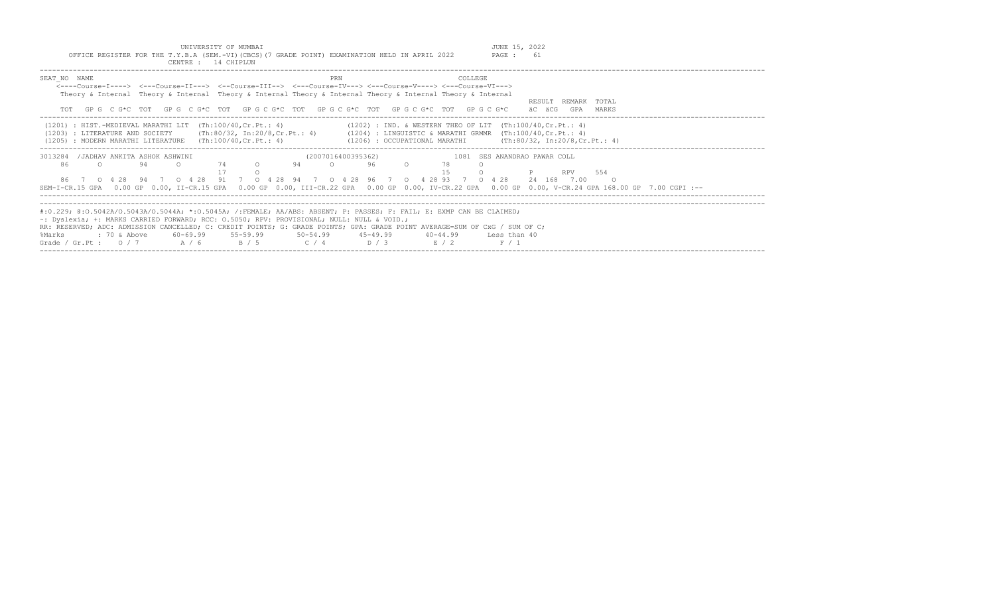| UNIVERSITY OF MUMBAI                                                                            |     | 2022<br>JUNE 15, |
|-------------------------------------------------------------------------------------------------|-----|------------------|
| OFFICE REGISTER FOR THE T.Y.B.A (SEM.-VI) (CBCS) (7 GRADE POINT) EXAMINATION HELD IN APRIL 2022 |     | PAGE :<br>61     |
| 14 CHIPLUN<br>CENTRE :                                                                          |     |                  |
|                                                                                                 |     |                  |
| SEAT NO NAME<br>$\overline{\phantom{a}}$                                                        | PRN | COLLEGE          |

| ULILL IV WATER                                                                                                                                      |
|-----------------------------------------------------------------------------------------------------------------------------------------------------|
| <----Course-I----> <---Course-II---> <--Course-III--> <---Course-IV---> <---Course-V----> <---Course-VI--->                                         |
| Theory & Internal Theory & Internal Theory & Internal Theory & Internal Theory & Internal Theory & Internal                                         |
| RESULT REMARK TOTAL                                                                                                                                 |
| GPG CG*C TOT GPG CG*C TOT GPGCG*C TOT GPGCG*C TOT GPGCG*C TOT GPGCG*C<br>äC äCG<br>GPA MARKS<br>TOT                                                 |
|                                                                                                                                                     |
|                                                                                                                                                     |
| $(1201)$ : HIST.-MEDIEVAL MARATHI LIT (Th:100/40, Cr.Pt.: 4)<br>$(1202)$ : IND. & WESTERN THEO OF LIT $(Th:100/40, Cr.Pt.: 4)$                      |
| $(1203)$ : LITERATURE AND SOCIETY (Th:80/32, In:20/8, Cr. Pt.: 4)<br>$(1204)$ : LINGUISTIC & MARATHI GRMMR $(Th:100/40, Cr.Pt.: 4)$                 |
| $(1206)$ : OCCUPATIONAL MARATHI (Th:80/32, In:20/8, Cr. Pt.: 4)<br>$(1205)$ : MODERN MARATHI LITERATURE $(Th:100/40, Cr.Pt.: 4)$                    |
|                                                                                                                                                     |
| 3013284 / JADHAV ANKITA ASHOK ASHWINI<br>(2007016400395362)<br>1081 SES ANANDRAO PAWAR COLL                                                         |
| 74<br>94<br>$\cap$<br>86<br>94<br>$\cap$<br>96.<br>$\cap$<br>$\cap$<br>$\Omega$                                                                     |
| 554<br>RPV                                                                                                                                          |
|                                                                                                                                                     |
| 86 7 0 4 28 94 7 0 4 28 91 7 0 4 28 94 7 0 4 28 96 7 0 4 28 93 7 0 4 28<br>24 168 7.00<br>$\circ$ 0                                                 |
| SEM-I-CR.15 GPA 0.00 GP 0.00, II-CR.15 GPA 0.00 GP 0.00, III-CR.22 GPA 0.00 GP 0.00, IV-CR.22 GPA 0.00 GP 0.00, V-CR.24 GPA 168.00 GP 7.00 CGPI :-- |
|                                                                                                                                                     |
|                                                                                                                                                     |
| #:0.229; @:0.5042A/O.5043A/O.5044A; *:0.5045A; /:FEMALE; AA/ABS: ABSENT; P: PASSES; F: FAIL; E: EXMP CAN BE CLAIMED;                                |
| $\sim$ : Dyslexia; +: MARKS CARRIED FORWARD; RCC: 0.5050; RPV: PROVISIONAL; NULL: NULL & VOID.;                                                     |
|                                                                                                                                                     |
| RR: RESERVED; ADC: ADMISSION CANCELLED; C: CREDIT POINTS; G: GRADE POINTS; GPA: GRADE POINT AVERAGE=SUM OF CxG / SUM OF C;                          |
| : 70 & Above<br>60-69.99 55-59.99 50-54.99 45-49.99 40-44.99<br>Less than 40<br>%Marks                                                              |
| Grade / Gr. Pt: $0/7$ A / 6<br>B / 5<br>$C / 4$ D/3<br>F / 1<br>E / 2                                                                               |
|                                                                                                                                                     |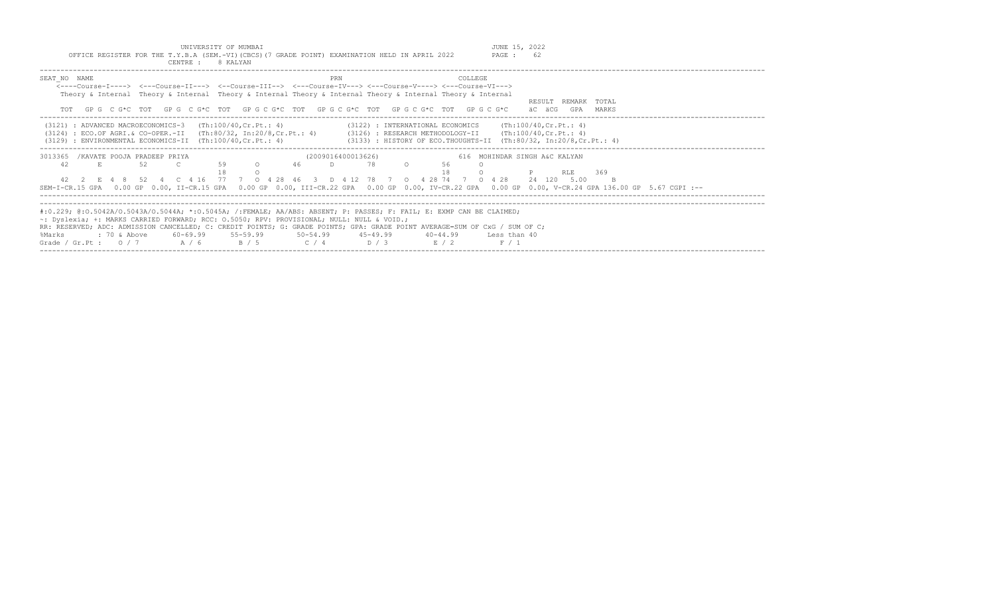| UNIVERSITY OF MUMBAI<br>OFFICE REGISTER FOR THE T.Y.B.A (SEM.-VI)(CBCS)(7 GRADE POINT) EXAMINATION HELD IN APRIL 2022<br>8 KALYAN<br>CENTRE : |     | JUNE 15, 2022<br>62<br>PAGE : |
|-----------------------------------------------------------------------------------------------------------------------------------------------|-----|-------------------------------|
| SEAT NO NAME<br><----Course-I----> <---Course-II---> <--Course-III--> <---Course-IV---> <---Course-V----> <---Course-VI--->                   | PRN | <b>COLLEGE</b>                |
| Theory & Internal Theory & Internal Theory & Internal Theory & Internal Theory & Internal Theory & Internal                                   |     | REMARK<br>TOTAL<br>RESULT     |
| GPG C G*C TOT GPG C G*C TOT GPG C G*C TOT GPG C G*C TOT GPG C G*C TOT GPG C G*C<br>TOT                                                        |     | MARKS<br>GPA<br>ac acg        |

| (3121) : ADVANCED MACROECONOMICS-3<br>$(3124)$ : ECO.OF AGRI.& CO-OPER.-II (Th:80/32, In:20/8,Cr.Pt.: 4)<br>$(3129)$ : ENVIRONMENTAL ECONOMICS-II $(Th:100/40, Cr.Pt.: 4)$ |           |              |     |      |                             |          | (Th:100/40,Cr.Pt.: 4) |       |          |     |    |          |    |                    |          | (3122) : INTERNATIONAL ECONOMICS |            |  | (Th:100/40.Cr.Pt.: 4)<br>$(3126)$ : RESEARCH METHODOLOGY-II (Th:100/40, Cr. Pt.: 4)<br>$(3133)$ : HISTORY OF ECO.THOUGHTS-II $(Th:80/32, In:20/8, Cr.Pt.: 4)$ |        |      |      |     |    |  |  |  |  |  |
|----------------------------------------------------------------------------------------------------------------------------------------------------------------------------|-----------|--------------|-----|------|-----------------------------|----------|-----------------------|-------|----------|-----|----|----------|----|--------------------|----------|----------------------------------|------------|--|---------------------------------------------------------------------------------------------------------------------------------------------------------------|--------|------|------|-----|----|--|--|--|--|--|
| 3013365                                                                                                                                                                    |           |              |     |      | /KAVATE POOJA PRADEEP PRIYA |          |                       |       |          |     |    |          |    | (2009016400013626) |          |                                  |            |  | 616 MOHINDAR SINGH A&C KALYAN                                                                                                                                 |        |      |      |     |    |  |  |  |  |  |
| 42                                                                                                                                                                         | E.        |              |     | -52. |                             |          | 59                    |       | $\Omega$ |     | 46 |          | D. |                    | 78       | $\circ$                          | 56         |  |                                                                                                                                                               |        |      |      |     |    |  |  |  |  |  |
|                                                                                                                                                                            |           |              |     |      |                             |          |                       |       |          |     |    |          |    |                    |          |                                  |            |  |                                                                                                                                                               |        | RLE. |      | 369 |    |  |  |  |  |  |
|                                                                                                                                                                            | 42 2 F. 4 |              |     |      |                             | C 4 16   |                       |       |          | 28. | 46 |          |    | D 412              | 78       |                                  | - 28<br>74 |  | 428                                                                                                                                                           | 24 120 |      | 5.00 |     | B. |  |  |  |  |  |
| SEM-I-CR.15 GPA 0.00 GP 0.00, II-CR.15 GPA 0.00 GP 0.00, III-CR.22 GPA 0.00 GP 0.00, IV-CR.22 GPA 0.00 GP 0.00, V-CR.24 GPA 136.00 GP 5.67 CGPI :--                        |           |              |     |      |                             |          |                       |       |          |     |    |          |    |                    |          |                                  |            |  |                                                                                                                                                               |        |      |      |     |    |  |  |  |  |  |
|                                                                                                                                                                            |           |              |     |      |                             |          |                       |       |          |     |    |          |    |                    |          |                                  |            |  |                                                                                                                                                               |        |      |      |     |    |  |  |  |  |  |
| #:0.229; @:0.5042A/0.5043A/0.5044A; *:0.5045A; /:FEMALE; AA/ABS: ABSENT; P: PASSES; F: FAIL; E: EXMP CAN BE CLAIMED;                                                       |           |              |     |      |                             |          |                       |       |          |     |    |          |    |                    |          |                                  |            |  |                                                                                                                                                               |        |      |      |     |    |  |  |  |  |  |
| $\sim$ : Dyslexia; +: MARKS CARRIED FORWARD; RCC: 0.5050; RPV: PROVISIONAL; NULL: NULL & VOID.;                                                                            |           |              |     |      |                             |          |                       |       |          |     |    |          |    |                    |          |                                  |            |  |                                                                                                                                                               |        |      |      |     |    |  |  |  |  |  |
| RR: RESERVED; ADC: ADMISSION CANCELLED; C: CREDIT POINTS; G: GRADE POINTS; GPA: GRADE POINT AVERAGE=SUM OF CxG / SUM OF C;                                                 |           |              |     |      |                             |          |                       |       |          |     |    |          |    |                    |          |                                  |            |  |                                                                                                                                                               |        |      |      |     |    |  |  |  |  |  |
| %Marks                                                                                                                                                                     |           | : 70 & Above |     |      |                             | 60-69.99 |                       |       | 55-59.99 |     |    | 50-54.99 |    |                    | 45-49.99 |                                  | 40-44.99   |  | Less than 40                                                                                                                                                  |        |      |      |     |    |  |  |  |  |  |
| Grade / Gr.Pt :                                                                                                                                                            |           |              | 0/7 |      |                             | A / 6    |                       | B / 5 |          |     |    | C / 4    |    |                    | D / 3    |                                  | F. / 2     |  | F / 1                                                                                                                                                         |        |      |      |     |    |  |  |  |  |  |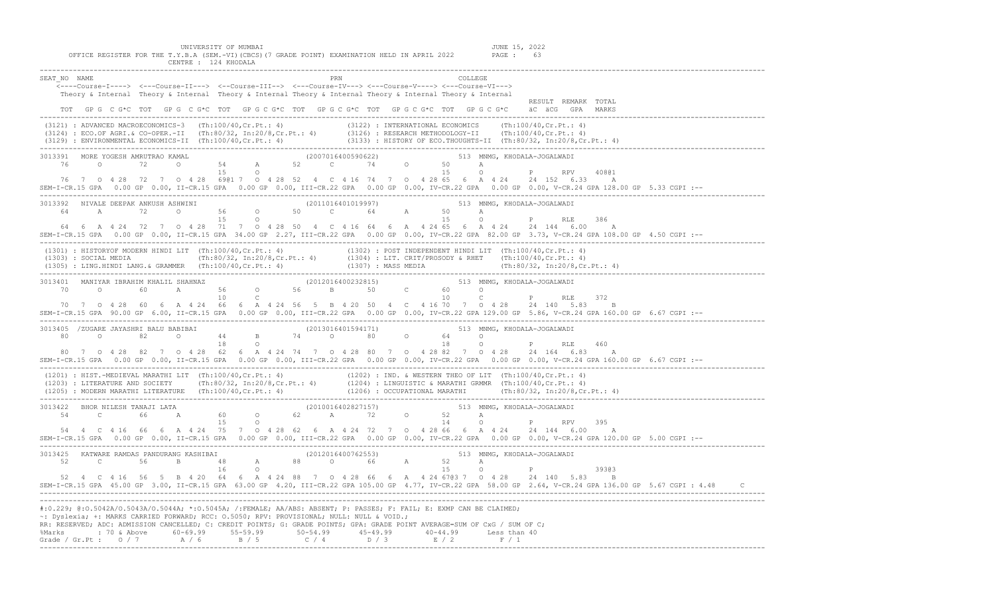UNIVERSITY OF MUMBAI<br>OFFICE REGISTER FOR THE T.Y.B.A (SEM.-VI)(CBCS)(7 GRADE POINT) EXAMINATION HELD IN APRIL 2022 PAGE : 63<br>CENTRE : 124 KHODALA

|                                                                                                                                                                                                                                                                                                                                                                                                                                                                                             | ---------------------                                                                                                                                                                                                                                                                                                                                                                                                                                |                     |
|---------------------------------------------------------------------------------------------------------------------------------------------------------------------------------------------------------------------------------------------------------------------------------------------------------------------------------------------------------------------------------------------------------------------------------------------------------------------------------------------|------------------------------------------------------------------------------------------------------------------------------------------------------------------------------------------------------------------------------------------------------------------------------------------------------------------------------------------------------------------------------------------------------------------------------------------------------|---------------------|
| SEAT NO NAME                                                                                                                                                                                                                                                                                                                                                                                                                                                                                | $\begin{tabular}{ll} \multicolumn{2}{l}{{\bf COLLEGE}}\\ \multicolumn{2}{l}{\bf COLLEGE} \end{tabular}$<br><b>PRN</b><br><---Course-I----> <---Course-II---> <--Course-III--> <---Course-IV---> <---Course-V----> <---Course-VI---><br>Theory & Internal Theory & Internal Theory & Internal Theory & Internal Theory & Internal Theory & Internal<br>TOT GPG CG*C TOT GPG CG*C TOT GPG CG*C TOT GPG CG*C TOT GPG CG*C TOT GPG CG*C äC äCG GPA MARKS | RESULT REMARK TOTAL |
|                                                                                                                                                                                                                                                                                                                                                                                                                                                                                             | (3121) : ADVANCED MACROECONOMICS-3 (Th:100/40,Cr.Pt.: 4) (3122) : INTERNATIONAL ECONOMICS (Th:100/40,Cr.Pt.: 4)<br>(3124) : ECO.OF AGRI.& CO-OPER.-II (Th:80/32, In:20/8,Cr.Pt.: 4) (3126) : RESEARCH METHODOLOGY-II (Th:100/40,C                                                                                                                                                                                                                    |                     |
| $\begin{array}{cccccccccccc} 3013391 & \text{MORE YOGESH AMRUTRAO KAMAL} & & & & & & (2007016400590622) & & & & & 513 & \text{MNMG, KHODALA-JOGALWADI} \\ 76 & 0 & 72 & 0 & 54 & A & 52 & C & 74 & 0 & 50 & A & & \\ & & & & & & & & & & & & & \\ 15 & 0 & & & & & & & & & & & 15 & 0 & P & & \text{RPV} & 40801 & & \\ \end{array}$<br>SEM-I-CR.15 GPA 0.00 GP 0.00, II-CR.15 GPA 0.00 GP 0.00, III-CR.22 GPA 0.00 GP 0.00, IV-CR.22 GPA 0.00 GP 0.00, V-CR.24 GPA 128.00 GP 5.33 CGPI :-- | 76 7 0 4 28 72 7 0 4 28 69 10 7 0 4 28 52 4 C 4 16 74 7 0 4 28 65 6 A 4 24 24 152 6.33 A                                                                                                                                                                                                                                                                                                                                                             |                     |
| 3013392 NIVALE DEEPAK ANKUSH ASHWINI 56 0 50 C 64 A 50 A RIDALA-JOGALWADI 64 A 50 P RLE                                                                                                                                                                                                                                                                                                                                                                                                     | 64  6  A  4  24  72  7  0  4  28  71  7  0  4  28  50  4  C  4  16  64  6  A  4  24  65  6  A  4  24  24  144  6.00  A<br>SEM-I-CR.15 GPA 0.00 GP 0.00, II-CR.15 GPA 34.00 GP 2.27, III-CR.22 GPA 0.00 GP 0.00, IV-CR.22 GPA 82.00 GP 3.73, V-CR.24 GPA 108.00 GP 4.50 CGPI :--                                                                                                                                                                      | 386                 |
|                                                                                                                                                                                                                                                                                                                                                                                                                                                                                             | (1301) : HISTORYOF MODERN HINDI LIT (Th:100/40,Cr.Pt.: 4) (1302) : POST INDEPENDENT HINDI LIT (Th:100/40,Cr.Pt.: 4)<br>(1303) : SOCIAL MEDIA (Th:80/32, In:20/8,Cr.Pt.: 4) (1304) : LIT. CRIT/PROSODY & RHET (Th:100/40,Cr.Pt.:                                                                                                                                                                                                                      |                     |
| 3013401 MANIYAR IBRAHIM KHALIL SHAHNAZ (2012016400232815) 513 MNMG, KHODALA-JOGALWADI<br>70 0 60 A 56 0 56 B 50 C 60 0<br>10 C 10 C 10 C<br>SEM-I-CR.15 GPA 90.00 GP 6.00, II-CR.15 GPA 0.00 GP 0.00, III-CR.22 GPA 0.00 GP 0.00, IV-CR.22 GPA 129.00 GP 5.86, V-CR.24 GPA 160.00 GP 6.67 CGPI :--                                                                                                                                                                                          | 70 7 0 4 28 60 6 A 4 24 66 6 A 4 24 56 5 B 4 20 50 4 C 4 16 70 7 0 4 28 24 140 5.83 B                                                                                                                                                                                                                                                                                                                                                                | 372                 |
| 3013405 /ZUGARE JAYASHRI BALU BABIBAI (2013016401594171) 513 MNMG, KHODALA-JOGALWADI (2013016401594171) 513 MNG, KHODALA-JOGALWADI (2013016401594171) 513 MNG, KHODALA-JOGALWADI (2013016401594171) 513 MNG, KHODALA-JOGALWADI<br>SEM-I-CR.15 GPA 0.00 GP 0.00, II-CR.15 GPA 0.00 GP 0.00, III-CR.22 GPA 0.00 GP 0.00, IV-CR.22 GPA 0.00 GP 0.00, V-CR.24 GPA 160.00 GP 6.67 CGPI :--                                                                                                       | 80 7 0 4 28 82 7 0 4 28 62 6 A 4 24 74 7 0 4 28 80 7 0 4 28 82 7 0 4 28 24 164 6 83 A                                                                                                                                                                                                                                                                                                                                                                |                     |
|                                                                                                                                                                                                                                                                                                                                                                                                                                                                                             | (1201) : HIST.-MEDIEVAL MARATHI LIT (Th:100/40,Cr.Pt.: 4) (1202) : IND. & WESTERN THEO OF LIT (Th:100/40,Cr.Pt.: 4)<br>(1203) : LITERATURE AND SOCIETY (Th:80/32, In:20/8,Cr.Pt.: 4) (1204) : LINGUISTIC & MARATHI GRMMR (Th:100/                                                                                                                                                                                                                    |                     |
| 3013422 BHOR NILESH TANAJI LATA 60 0 62 A 72 0 52 A RPV RPV                                                                                                                                                                                                                                                                                                                                                                                                                                 | 54  4  C  4  16  66  6  A  4  24  75  7  0  4  28  62  6  A  4  24  72  7  0  4  28  66  6  A  4  24  24  144  6.00  A<br>SEM-I-CR.15 GPA 0.00 GP 0.00, II-CR.15 GPA 0.00 GP 0.00, III-CR.22 GPA 0.00 GP 0.00, IV-CR.22 GPA 0.00 GP 0.00, V-CR.24 GPA 120.00 GP 5.00 CGPI :--                                                                                                                                                                        |                     |
| 3013425 KATWARE RAMDAS PANDURANG KASHIBAI (2012016400762553) 513 MNMG, KHODALA-JOGALWADI<br>52 C 56 B 48 A 68 O 66 A 52 A 16 O<br>SEM-I-CR.15 GPA 45.00 GP 3.00, II-CR.15 GPA 63.00 GP 4.20, III-CR.22 GPA 105.00 GP 4.77, IV-CR.22 GPA 58.00 GP 2.64, V-CR.24 GPA 136.00 GP 5.67 CGPI: 4.48 C                                                                                                                                                                                              | 52  4  C  4  16  56  5  B  4  20  64  6  A  4  24  88  7  0  4  28  66  6  A  4  24  670  3  7  0  4  28  24  140  5.83  B                                                                                                                                                                                                                                                                                                                           | 39303               |
| ~: Dyslexia; +: MARKS CARRIED FORWARD; RCC: 0.5050; RPV: PROVISIONAL; NULL: NULL & VOID.;<br>RR: RESERVED; ADC: ADMISSION CANCELLED; C: CREDIT POINTS; G: GRADE POINTS; GPA: GRADE POINT AVERAGE=SUM OF CxG / SUM OF C;                                                                                                                                                                                                                                                                     | #:0.229; @:0.5042A/0.5043A/0.5044A; *:0.5045A; /:FEMALE; AA/ABS: ABSENT; P: PASSES; F: FAIL; E: EXMP CAN BE CLAIMED;                                                                                                                                                                                                                                                                                                                                 |                     |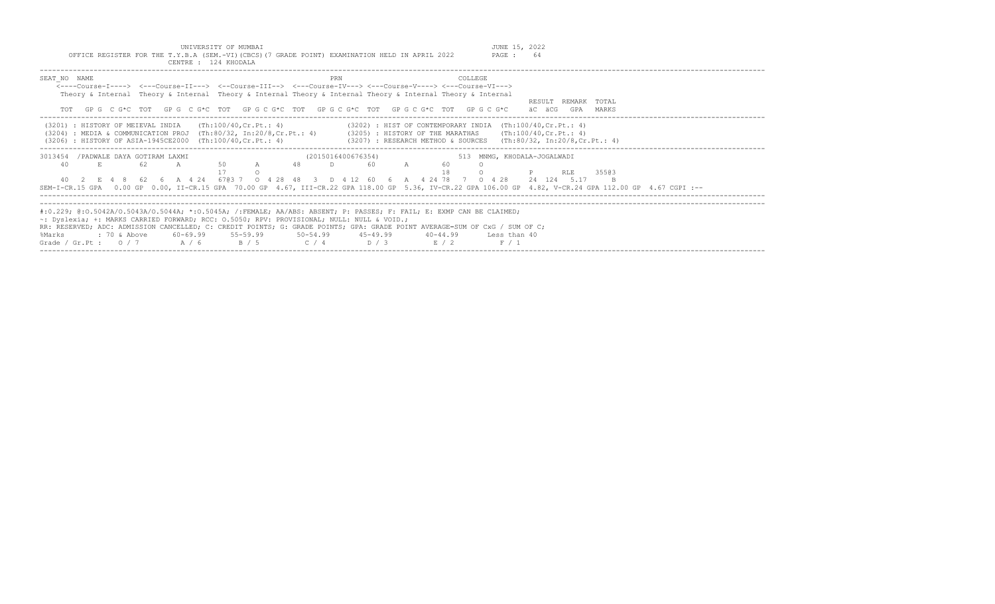| UNIVERSITY OF MUMBAI<br>OFFICE REGISTER FOR THE T.Y.B.A (SEM.-VI)(CBCS)(7 GRADE POINT) EXAMINATION HELD IN APRIL 2022<br>CENTRE : 124 KHODALA                                                                                                                                                                                         |                                                                                                                                                                                                        | JUNE 15, 2022<br>- 64<br>PAGE :                                                                                                                                                                                        |
|---------------------------------------------------------------------------------------------------------------------------------------------------------------------------------------------------------------------------------------------------------------------------------------------------------------------------------------|--------------------------------------------------------------------------------------------------------------------------------------------------------------------------------------------------------|------------------------------------------------------------------------------------------------------------------------------------------------------------------------------------------------------------------------|
| SEAT NO NAME<br><----Course-I----> <---Course-II---> <--Course-III--> <---Course-IV---> <---Course-V----> <---Course-VI---><br>Theory & Internal Theory & Internal Theory & Internal Theory & Internal Theory & Internal Theory & Internal<br>GPG CG*CTOT GPG CG*CTOT GPG CG*CTOT GPG CG*CTOT GPG CG*CTOT GPG CG*CTOT GPG CG*C<br>TOT | PRN<br>COLLEGE                                                                                                                                                                                         | RESULT REMARK TOTAL<br>äC äCG<br>GPA<br>MARKS                                                                                                                                                                          |
| (Th:100/40,Cr.Pt.: 4)<br>(3201) : HISTORY OF MEIEVAL INDIA<br>$(3204)$ : MEDIA & COMMUNICATION PROJ (Th:80/32, In:20/8,Cr.Pt.: 4)<br>(3206) : HISTORY OF ASIA-1945CE2000 (Th:100/40, Cr. Pt.: 4)                                                                                                                                      | $(3202)$ : HIST OF CONTEMPORARY INDIA $(Th:100/40, Cr.Pt.: 4)$<br>$(3205)$ : HISTORY OF THE MARATHAS $(Th:100/40, Cr.Pt.: 4)$<br>$(3207)$ : RESEARCH METHOD & SOURCES $(Th:80/32, In:20/8, Cr.Pt.: 4)$ |                                                                                                                                                                                                                        |
| /PADWALE DAYA GOTIRAM LAXMI<br>3013454<br>A 48<br>62.<br>50<br>40<br>40<br>6703 7<br>6 A 4 24<br>-62<br>$\cap$<br>-28<br>SEM-I-CR.15 GPA                                                                                                                                                                                              | (2015016400676354)<br>D<br>60<br>4 2 4 7 8 7<br>D 4 12 60<br>-48                                                                                                                                       | 513 MNMG, KHODALA-JOGALWADI<br>35503<br>RLE<br>0 4 2 8<br>24 124 5.17<br>B<br>0.00 GP 0.00, II-CR.15 GPA 70.00 GP 4.67, III-CR.22 GPA 118.00 GP 5.36, IV-CR.22 GPA 106.00 GP 4.82, V-CR.24 GPA 112.00 GP 4.67 CGPI :-- |
|                                                                                                                                                                                                                                                                                                                                       |                                                                                                                                                                                                        |                                                                                                                                                                                                                        |

| #:0.229; @:0.5042A/0.5043A/0.5044A; *:0.5045A; /:FEMALE; AA/ABS: ABSENT; P: PASSES; F: FAIL; E: EXMP CAN BE CLAIMED;       |  |  |  |     |  |
|----------------------------------------------------------------------------------------------------------------------------|--|--|--|-----|--|
| ~: Dyslexia; +: MARKS CARRIED FORWARD; RCC: 0.5050; RPV: PROVISIONAL; NULL: NULL & VOID.;                                  |  |  |  |     |  |
| RR: RESERVED; ADC: ADMISSION CANCELLED; C: CREDIT POINTS; G: GRADE POINTS; GPA: GRADE POINT AVERAGE=SUM OF CxG / SUM OF C; |  |  |  |     |  |
| %Marks     : 70 & Above    60-69.99    55-59.99     50-54.99    45-49.99     40-44.99    Less than 40                      |  |  |  |     |  |
| Grade / Gr. Pt: $0/7$ $A/6$ $B/5$ $C/4$ $D/3$ $E/2$                                                                        |  |  |  | F/1 |  |
|                                                                                                                            |  |  |  |     |  |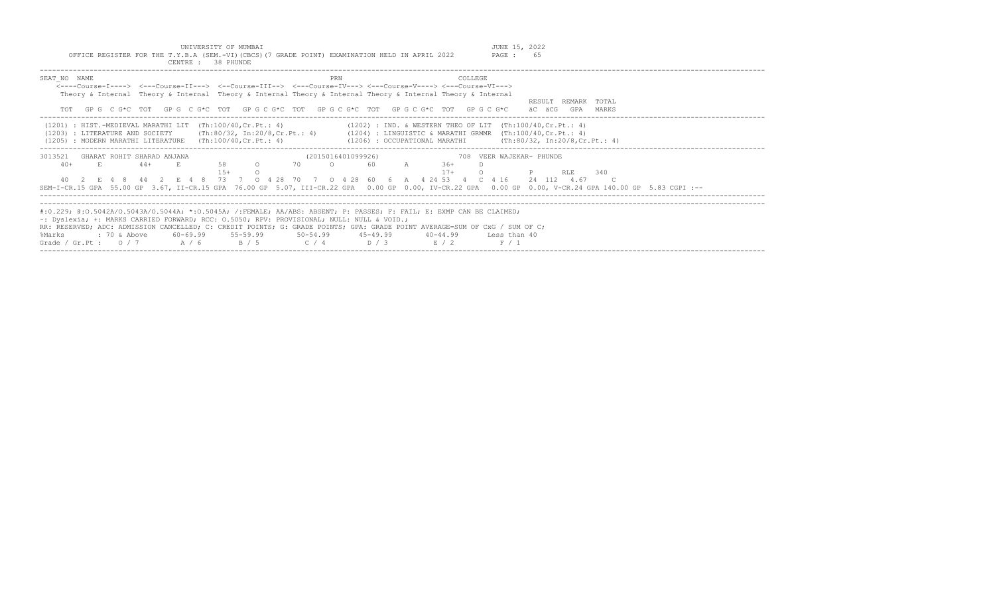UNIVERSITY OF MUMBAI<br>OFFICE REGISTER FOR THE T.Y.B.A (SEM.-VI)(CBCS)(7 GRADE POINT) EXAMINATION HELD IN APRIL 2022 PAGE : 65

| CENTRE : 38 PHUNDE                                                                                                                                                                                                                                                                                                                                                                                                                                                                                                         |                                                                                                                                 |                                               |
|----------------------------------------------------------------------------------------------------------------------------------------------------------------------------------------------------------------------------------------------------------------------------------------------------------------------------------------------------------------------------------------------------------------------------------------------------------------------------------------------------------------------------|---------------------------------------------------------------------------------------------------------------------------------|-----------------------------------------------|
| SEAT NO NAME<br><----Course-T----> <---Course-TT---> <--Course-TTT--> <---Course-TV---> <---Course-V----> <---Course-VT---><br>Theory & Internal Theory & Internal Theory & Internal Theory & Internal Theory & Internal Theory & Internal<br>TOT GPG CG*C TOT GPG CG*C TOT GPG CG*C TOT GPG CG*C TOT GPG CG*C TOT GPG CG*C                                                                                                                                                                                                | COLLEGE<br>PRN                                                                                                                  | REMARK TOTAL<br>RESULT<br>äC äCG<br>GPA MARKS |
| $(1201)$ : HIST.-MEDIEVAL MARATHI LIT $(Th:100/40, Cr.Pt.: 4)$<br>(1203) : LITERATURE AND SOCIETY (Th:80/32, In:20/8, Cr. Pt.: 4) (1204) : LINGUISTIC & MARATHI GRMMR (Th:100/40, Cr. Pt.: 4)<br>(1205) : MODERN MARATHI LITERATURE (Th:100/40, Cr. Pt.: 4)                                                                                                                                                                                                                                                                | $(1202)$ : IND. & WESTERN THEO OF LIT $(Th:100/40, Cr.Pt.: 4)$<br>(1206) : OCCUPATIONAL MARATHI (Th:80/32, In:20/8, Cr. Pt.: 4) |                                               |
| 3013521<br>GHARAT ROHIT SHARAD ANJANA<br>$58$ O<br>E.<br>$40+$<br>E.,<br>$44+$<br>$1.5+$<br>40  2  E  4  8  44  2  E  4  8  73  7  0  4  28  70  7  0  4  28  60  6  A  4  24  53  4  C  4  16  24  112  4.67<br>SEM-I-CR.15 GPA 55.00 GP 3.67, II-CR.15 GPA 76.00 GP 5.07, III-CR.22 GPA 0.00 GP 0.00, IV-CR.22 GPA 0.00 GP 0.00, V-CR.24 GPA 140.00 GP 5.83 CGPI :--                                                                                                                                                     | (2015016401099926)<br>708 VEER WAJEKAR- PHUNDE<br><b>2001</b> TO 2001<br>60 A 36+<br>$17+$                                      | RLE<br>340                                    |
| #:0.229; @:0.5042A/0.5043A/0.5044A; *:0.5045A; /:FEMALE; AA/ABS: ABSENT; P: PASSES; F: FAIL; E: EXMP CAN BE CLAIMED;<br>$\sim$ : Dyslexia; +: MARKS CARRIED FORWARD; RCC: 0.5050; RPV: PROVISIONAL; NULL: NULL & VOID.;<br>RR: RESERVED; ADC: ADMISSION CANCELLED; C: CREDIT POINTS; G: GRADE POINTS; GPA: GRADE POINT AVERAGE=SUM OF CxG / SUM OF C;<br>: 70 & Above            60-69.99            55-59.99              50-54.99             45-49.99<br>%Marks<br>Grade / Gr. Pt : $0/7$ $A/6$ $B/5$ $C/4$ $D/3$ $E/2$ | 40-44.99 Less than 40<br>F / 1                                                                                                  |                                               |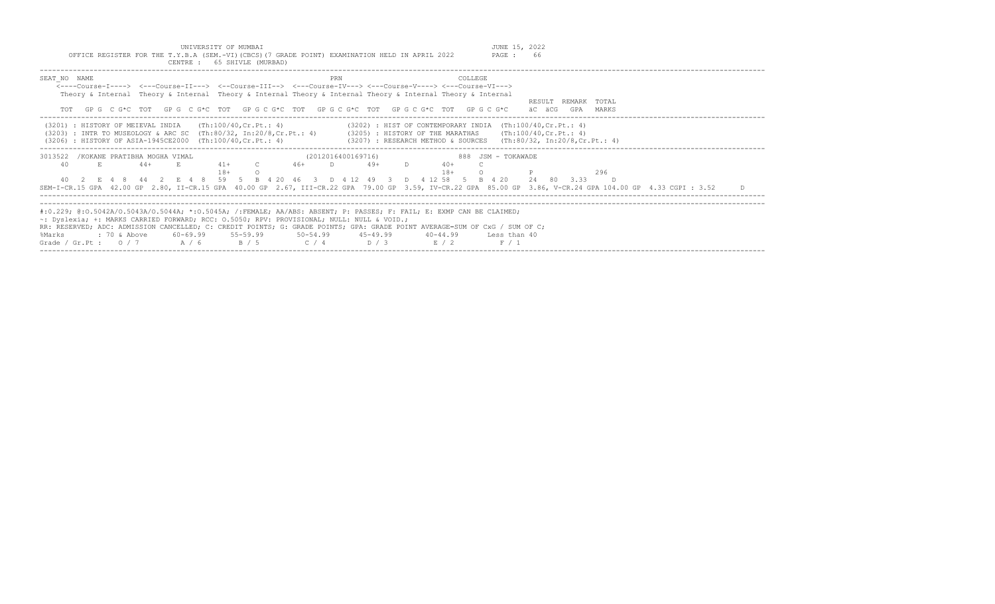UNIVERSITY OF MUMBAI<br>Y.B.A (SEM.-VI)(CBCS)(7 GRADE POINT) EXAMINATION HELD IN APRIL 2022 PAGE : 66 OFFICE REGISTER FOR THE T.Y.B.A (SEM.-VI)(CBCS)(7 GRADE POINT) EXAMINATION HELD IN APRIL 2022

|                                                      | CENTRE : 65 SHIVLE (MURBAD)                                 |                                                                                                                                                              |                                                                                                                                                                                                                                                                                                                    |                                                                                                                                                                                                                 |    |
|------------------------------------------------------|-------------------------------------------------------------|--------------------------------------------------------------------------------------------------------------------------------------------------------------|--------------------------------------------------------------------------------------------------------------------------------------------------------------------------------------------------------------------------------------------------------------------------------------------------------------------|-----------------------------------------------------------------------------------------------------------------------------------------------------------------------------------------------------------------|----|
| SEAT NO NAME                                         |                                                             | PRN                                                                                                                                                          | COLLEGE<br><----Course-T----> <---Course-TT---> <--Course-TTT--> <---Course-TV---> <---Course-V----> <---Course-VT---><br>Theory & Internal Theory & Internal Theory & Internal Theory & Internal Theory & Internal Theory & Internal<br>GPG CG*C TOT GPG CG*C TOT GPG CG*C TOT GPG CG*C TOT GPG CG*C TOT GPG CG*C | RESULT REMARK TOTAL<br>äC äCG<br>GPA<br>MARKS                                                                                                                                                                   |    |
| (3201) : HISTORY OF MEIEVAL INDIA                    | (3206) : HISTORY OF ASIA-1945CE2000 (Th:100/40, Cr. Pt.: 4) | (Th:100/40,Cr.Pt.: 4)                                                                                                                                        | $(3202)$ : HIST OF CONTEMPORARY INDIA $(Th:100/40, Cr.Pt.: 4)$<br>(3203) : INTR TO MUSEOLOGY & ARC SC (Th:80/32, In:20/8, Cr. Pt.: 4) (3205) : HISTORY OF THE MARATHAS (Th:100/40, Cr. Pt.: 4)<br>$(3207)$ : RESEARCH METHOD & SOURCES (Th:80/32, In:20/8,Cr.Pt.: 4)                                               |                                                                                                                                                                                                                 |    |
| 3013522 / KOKANE PRATIBHA MOGHA VIMAL<br>E<br>40     | $41+$<br>$44+$<br>$18+$<br>E 4 8 44 2 E 4 8                 | (2012016400169716)<br>$\overline{C}$<br>$46+$                                                                                                                | 49+<br>40+<br>$18+$<br>59 5 B 4 20 46 3 D 4 12 49 3 D 4 12 58 5                                                                                                                                                                                                                                                    | 888 JSM - TOKAWADE<br>296<br>24 80 3.33<br>B 4 20<br>SEM-I-CR.15 GPA 42.00 GP 2.80, II-CR.15 GPA 40.00 GP 2.67, III-CR.22 GPA 79.00 GP 3.59, IV-CR.22 GPA 85.00 GP 3.86, V-CR.24 GPA 104.00 GP 4.33 CGPI : 3.52 | D. |
| %Marks<br>: 70 & Above<br>Grade / Gr.Pt: $0/7$ A / 6 |                                                             | ~: Dyslexia; +: MARKS CARRIED FORWARD; RCC: 0.5050; RPV: PROVISIONAL; NULL: NULL & VOID.;<br>60-69.99 55-59.99 50-54.99 45-49.99<br>$C / 4$ $D / 3$<br>B / 5 | #:0.229; @:0.5042A/0.5043A/0.5044A; *:0.5045A; /:FEMALE; AA/ABS: ABSENT; P: PASSES; F: FAIL; E: EXMP CAN BE CLAIMED;<br>RR: RESERVED; ADC: ADMISSION CANCELLED; C: CREDIT POINTS; G: GRADE POINTS; GPA: GRADE POINT AVERAGE=SUM OF CxG / SUM OF C;<br>40-44.99 Less than 40<br>E / 2                               | F/1                                                                                                                                                                                                             |    |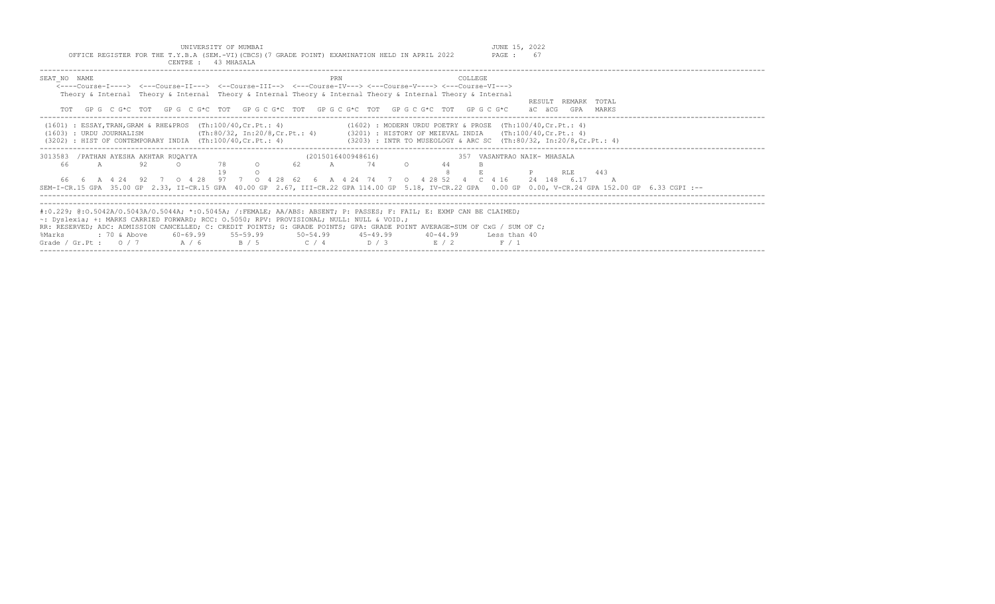| INIVERSITY OF MIMBAT                                                                            |        |  |  |  |  |  |  |
|-------------------------------------------------------------------------------------------------|--------|--|--|--|--|--|--|
| OFFICE REGISTER FOR THE T.Y.B.A (SEM.-VI) (CBCS) (7 GRADE POINT) EXAMINATION HELD IN APRIL 2022 | PAGE : |  |  |  |  |  |  |
| 43 MHASALA<br>CENTRE :                                                                          |        |  |  |  |  |  |  |

| SEAT NO NAME<br><----Course-I----> <---Course-II---> <--Course-III--> <---Course-IV---> <---Course-V----> <---Course-VI--->                             | PRN<br><b>COLLEGE</b>                                                                        |                             |
|---------------------------------------------------------------------------------------------------------------------------------------------------------|----------------------------------------------------------------------------------------------|-----------------------------|
| Theory & Internal Theory & Internal Theory & Internal Theory & Internal Theory & Internal Theory & Internal                                             |                                                                                              |                             |
|                                                                                                                                                         |                                                                                              | RESULT REMARK TOTAL         |
| TOT GPG CG*C TOT GPG CG*C TOT GPG CG*C TOT GPG CG*C TOT GPG CG*C TOT GPG CG*C                                                                           |                                                                                              | äC äCG<br>GPA<br>MARKS      |
| (1601) : ESSAY, TRAN, GRAM & RHE&PROS (Th:100/40, Cr. Pt.: 4) (1602) : MODERN URDU POETRY & PROSE (Th:100/40, Cr. Pt.: 4)                               |                                                                                              |                             |
| (1603) : URDU JOURNALISM                                                                                                                                | (Th:80/32, In:20/8,Cr.Pt.: 4)     (3201) : HISTORY OF MEIEVAL INDIA    (Th:100/40,Cr.Pt.: 4) |                             |
| (3202) : HIST OF CONTEMPORARY INDIA (Th:100/40, Cr.Pt.: 4) (3203) : INTR TO MUSEOLOGY & ARC SC (Th:80/32, In:20/8, Cr.Pt.: 4)                           |                                                                                              |                             |
| 3013583 / PATHAN AYESHA AKHTAR RUQAYYA                                                                                                                  | (2015016400948616)                                                                           | 357 VASANTRAO NAIK- MHASALA |
| 92<br>78 0<br>$\cap$<br>66<br>A                                                                                                                         | 62 A 74 O<br>44                                                                              |                             |
|                                                                                                                                                         |                                                                                              | <b>P</b> RLE 443            |
| 66  6  A  4  24  92  7  0  4  28  97  7  0  4  28  62  6  A  4  24  74  7  0  4  28  52  4  C  4  16                                                    |                                                                                              | 24 148 6.17                 |
| SEM-I-CR.15 GPA 35.00 GP 2.33, II-CR.15 GPA 40.00 GP 2.67, III-CR.22 GPA 114.00 GP 5.18, IV-CR.22 GPA 0.00 GP 0.00, V-CR.24 GPA 152.00 GP 6.33 CGPI :-- |                                                                                              |                             |
|                                                                                                                                                         |                                                                                              |                             |
|                                                                                                                                                         |                                                                                              |                             |
| #:0.229; @:0.5042A/O.5043A/O.5044A; *:0.5045A; /:FEMALE; AA/ABS: ABSENT; P: PASSES; F: FAIL; E: EXMP CAN BE CLAIMED;                                    |                                                                                              |                             |
| $\sim$ : Dyslexia; +: MARKS CARRIED FORWARD; RCC: 0.5050; RPV: PROVISIONAL; NULL: NULL & VOID.;                                                         |                                                                                              |                             |
| RR: RESERVED; ADC: ADMISSION CANCELLED; C: CREDIT POINTS; G: GRADE POINTS; GPA: GRADE POINT AVERAGE=SUM OF CxG / SUM OF C;                              |                                                                                              |                             |
| : 70 & Above        60-69.99        55-59.99        50-54.99        45-49.99        40-44.99      Less than 40<br>%Marks                                |                                                                                              |                             |
| Grade / Gr.Pt: $0/7$ $A/6$ $B/5$ $C/4$ $D/3$ $E/2$                                                                                                      | F / 1                                                                                        |                             |
|                                                                                                                                                         |                                                                                              |                             |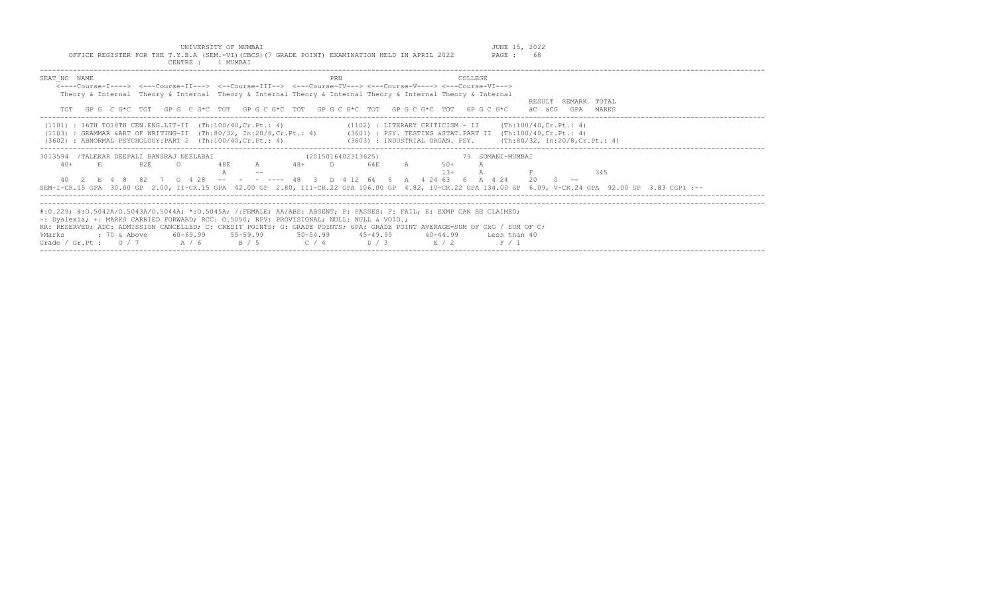| UNIVERSITY OF MUMBAI<br>OFFICE REGISTER FOR THE T.Y.B.A (SEM.-VI)(CBCS)(7 GRADE POINT) EXAMINATION HELD IN APRIL 2022<br>CENTRE : 1 MUMBAI                                                                                                                                                                                                                                                                                                                                     |                                                                                                                                      | JUNE 15, 2022<br>68<br>PAGE :                    |
|--------------------------------------------------------------------------------------------------------------------------------------------------------------------------------------------------------------------------------------------------------------------------------------------------------------------------------------------------------------------------------------------------------------------------------------------------------------------------------|--------------------------------------------------------------------------------------------------------------------------------------|--------------------------------------------------|
| SEAT NO NAME<br><----Course-T----> <---Course-TT---> <--Course-TTT--> <---Course-TV---> <---Course-V----> <---Course-VT---><br>Theory & Internal Theory & Internal Theory & Internal Theory & Internal Theory & Internal Theory & Internal<br>GP G C G*C TOT GP G C G*C TOT GP G C G*C TOT GP G C G*C TOT GP G C G*C TOT GP G C G*C                                                                                                                                            | COLLEGE<br><b>PRN</b>                                                                                                                | REMARK TOTAL<br>RESULT<br>äC äCG<br>GPA<br>MARKS |
| $(1101)$ : 16TH TO18TH CEN.ENG.LIT-II $(Th:100/40, Cr.Pt.: 4)$<br>(1103) : GRAMMAR & ART OF WRITING-II (Th:80/32, In:20/8, Cr. Pt.: 4) (3601) : PSY. TESTING & STAT. PART II (Th:100/40, Cr. Pt.: 4)<br>$(3602)$ : ABNORMAL PSYCHOLOGY:PART 2 $(Th:100/40, Cr.Pt.: 4)$                                                                                                                                                                                                         | $(1102)$ : LITERARY CRITICISM - II $(Th:100/40, Cr.Pt.: 4)$<br>(3603) : INDUSTRIAL ORGAN. PSY.         (Th:80/32, In:20/8,Cr.Pt.: 4) |                                                  |
| /TALEKAR DEEPALI BANSRAJ NEELABAI<br>3013594                                                                                                                                                                                                                                                                                                                                                                                                                                   | (2015016402313625)                                                                                                                   | 79 SOMANI-MUMBAI                                 |
| 82E<br>$48+$<br>$40+$<br>48F.<br>A<br>82 7 0 4 28 -- - - ---- 48<br>4 O                                                                                                                                                                                                                                                                                                                                                                                                        | 64E<br>$.50+$<br>$1.3+$<br>D 4 12 64 6 A 4 24 63 6 A 4 24<br>$\overline{\phantom{a}}$ 3                                              | 345<br>20                                        |
| SEM-I-CR.15 GPA 30.00 GP 2.00, II-CR.15 GPA 42.00 GP 2.80, III-CR.22 GPA 106.00 GP 4.82, IV-CR.22 GPA 134.00 GP 6.09, V-CR.24 GPA 92.00 GP 3.83 CGPI :--                                                                                                                                                                                                                                                                                                                       |                                                                                                                                      |                                                  |
|                                                                                                                                                                                                                                                                                                                                                                                                                                                                                |                                                                                                                                      |                                                  |
| #:0.229; @:0.5042A/0.5043A/0.5044A; *:0.5045A; /:FEMALE; AA/ABS: ABSENT; P: PASSES; F: FAIL; E: EXMP CAN BE CLAIMED;<br>$\sim$ : Dyslexia; +: MARKS CARRIED FORWARD; RCC: 0.5050; RPV: PROVISIONAL; NULL: NULL & VOID.;<br>RR: RESERVED; ADC: ADMISSION CANCELLED; C: CREDIT POINTS; G: GRADE POINTS; GPA: GRADE POINT AVERAGE=SUM OF CxG / SUM OF C;<br>$: 70$ & Above<br>$60 - 69.99$<br>$55 - 59.99$<br>$50 - 54.99$<br>%Marks<br>Grade / Gr.Pt : $0 / 7$<br>A / 6<br>B / 5 | $45 - 49.99$<br>$40 - 44.99$<br>D / 3<br>C / 4<br>E / 2                                                                              | Less than 40<br>F / 1                            |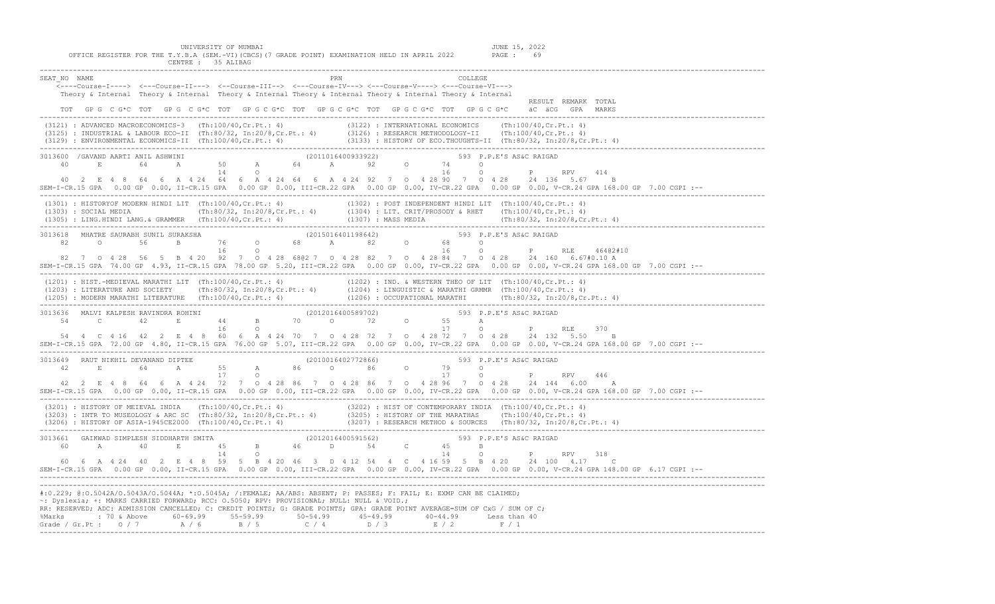UNIVERSITY OF MUMBAI<br>OFFICE REGISTER FOR THE T.Y.B.A (SEM.-VI)(CBCS)(7 GRADE POINT) EXAMINATION HELD IN APRIL 2022 PAGE : 69<br>CENTRE : 35 ALIBAG

| SEAT NO NAME                                                                                                                                                                                                                                                                                                                                    |  |  |  |  |  | <---Course-I----> <---Course-II---> <--Course-III--> <---Course-IV---> <---Course-V----> <---Course-VI---><br>Theory & Internal Theory & Internal Theory & Internal Theory & Internal Theory & Internal Theory & Internal                                                                                                                                                                                            |  | PRN |  |  | COLLEGE |                     |                                                                                                                                                                                                                                  |                                                                                                                                                       |
|-------------------------------------------------------------------------------------------------------------------------------------------------------------------------------------------------------------------------------------------------------------------------------------------------------------------------------------------------|--|--|--|--|--|----------------------------------------------------------------------------------------------------------------------------------------------------------------------------------------------------------------------------------------------------------------------------------------------------------------------------------------------------------------------------------------------------------------------|--|-----|--|--|---------|---------------------|----------------------------------------------------------------------------------------------------------------------------------------------------------------------------------------------------------------------------------|-------------------------------------------------------------------------------------------------------------------------------------------------------|
|                                                                                                                                                                                                                                                                                                                                                 |  |  |  |  |  | TOT GPG C G*C TOT GPG C G*C TOT GPG C G*C TOT GPG C G*C TOT GPG C G*C TOT GPG C G*C äC äCG GPA MARKS                                                                                                                                                                                                                                                                                                                 |  |     |  |  |         | RESULT REMARK TOTAL |                                                                                                                                                                                                                                  |                                                                                                                                                       |
|                                                                                                                                                                                                                                                                                                                                                 |  |  |  |  |  |                                                                                                                                                                                                                                                                                                                                                                                                                      |  |     |  |  |         |                     | (3121) : ADVANCED MACROECONOMICS-3 (Th:100/40,Cr.Pt.: 4) (3122) : INTERNATIONAL ECONOMICS (Th:100/40,Cr.Pt.: 4)<br>(3125) : INDUSTRIAL & LABOUR ECO-II (Th:80/32, In:20/8,Cr.Pt.: 4) (3126) : RESEARCH METHODOLOGY-II (Th:100/40 |                                                                                                                                                       |
|                                                                                                                                                                                                                                                                                                                                                 |  |  |  |  |  | $\begin{array}{cccccccccccc} 3013600 & /GANND AARTI ANII ASHWINI & & & & & (2011016400933922) & & & & 593 & P.P.E'S AS6C RAIGAD & & & & \\ 40 & E & 64 & A & 50 & A & 64 & A & 92 & O & 74 & O & & \\ 40 & 14 & 0 & & & & & & 16 & O & P & & RPV & & \\ \end{array}$<br>40  2  E  4  8  64  6  A  4  24  64  6  A  4  24  64  6  A  4  24  92  7  0  4  28  90  7  0  4  28  24  136  5.67                           |  |     |  |  |         |                     | 414<br>B                                                                                                                                                                                                                         | SEM-I-CR.15 GPA 0.00 GP 0.00, II-CR.15 GPA 0.00 GP 0.00, III-CR.22 GPA 0.00 GP 0.00, IV-CR.22 GPA 0.00 GP 0.00, V-CR.24 GPA 168.00 GP 7.00 CGPI :--   |
|                                                                                                                                                                                                                                                                                                                                                 |  |  |  |  |  | (1301) : HISTORYOF MODERN HINDI LIT (Th:100/40, Cr.Pt.: 4) (1302) : POST INDEPENDENT HINDI LIT (Th:100/40, Cr.Pt.: 4)<br>(1303) : SOCIAL MEDIA (Th:80/32, In:20/8, Cr.Pt.: 4) (1304) : LIT. CRIT/PROSODY & RHET (Th:100/40, Cr.P                                                                                                                                                                                     |  |     |  |  |         |                     |                                                                                                                                                                                                                                  |                                                                                                                                                       |
|                                                                                                                                                                                                                                                                                                                                                 |  |  |  |  |  | 82 7 0 4 28 56 5 B 4 20 92 7 0 4 28 680 7 0 4 28 82 7 0 4 28 84 7 0 4 28 24 160 6 67#0 10 A                                                                                                                                                                                                                                                                                                                          |  |     |  |  |         |                     |                                                                                                                                                                                                                                  | --: SEM-I-CR.15 GPA 74.00 GP 4.93, II-CR.15 GPA 78.00 GP 5.20, III-CR.22 GPA 0.00 GP 0.00, IV-CR.22 GPA 0.00 GP 0.00, V-CR.24 GPA 168.00 GP 7.00 CGPI |
|                                                                                                                                                                                                                                                                                                                                                 |  |  |  |  |  | (1201) : HIST.-MEDIEVAL MARATHI LIT (Th:100/40,Cr.Pt.: 4) (1202) : IND. & WESTERN THEO OF LIT (Th:100/40,Cr.Pt.: 4)<br>(1203) : LITERATURE AND SOCIETY (Th:80/32, In:20/8,Cr.Pt.: 4) (1204) : LINGUISTIC & MARATHI GRMMR (Th:100/                                                                                                                                                                                    |  |     |  |  |         |                     |                                                                                                                                                                                                                                  |                                                                                                                                                       |
|                                                                                                                                                                                                                                                                                                                                                 |  |  |  |  |  | 3013636 MALVI KALPESH RAVINDRA ROHINI<br>3013636 MALVI KALPESH RAVINDRA ROHINI 44 B 70 0 72 0 55 A<br>54 C 42 E 16 0 72 0 17 0 P RLE<br>54  4  C  4  16  42  2  E  4  8  60  6  A  4  24  70  7  0  4  28  72  7  0  4  28  72  7  0  4  28  24  132  5.50  B                                                                                                                                                        |  |     |  |  |         |                     | 370                                                                                                                                                                                                                              | SEM-I-CR.15 GPA 72.00 GP 4.80, II-CR.15 GPA 76.00 GP 5.07, III-CR.22 GPA 0.00 GP 0.00, IV-CR.22 GPA 0.00 GP 0.00, V-CR.24 GPA 168.00 GP 7.00 CGPI :-- |
|                                                                                                                                                                                                                                                                                                                                                 |  |  |  |  |  | $\begin{array}{cccccccccccc} 3013649 & \text{RAUT NIKHIL DEVANAND DIFTEE} & & & & & & (2010016402772866) & & & & & 593 & \text{P.P.E'S AS6C RAIGAD} \\ 42 & \text{E} & & 64 & \text{A} & 55 & \text{A} & 86 & 0 & 86 & 0 & 79 & 0 \\ & & & & & & & & 17 & 0 & & & & 17 & 0 & & \end{array}$<br>42  2  E  4  8  64  6  A  4  24  72  7  0  4  28  86  7  0  4  28  86  7  0  4  28  96  7  0  4  28  24  144  6.00  A |  |     |  |  |         |                     | 446                                                                                                                                                                                                                              | --: SEM-I-CR.15 GPA 0.00 GP 0.00, II-CR.15 GPA 0.00 GP 0.00, III-CR.22 GPA 0.00 GP 0.00, IV-CR.22 GPA 0.00 GP 0.00, V-CR.24 GPA 168.00 GP 7.00 CGPI   |
|                                                                                                                                                                                                                                                                                                                                                 |  |  |  |  |  | (3201) : HISTORY OF MEIEVAL INDIA (Th:100/40,Cr.Pt.: 4)<br>(3203) : INTR TO MUSEOLOGY & ARC SC (Th:80/32, In:20/8,Cr.Pt.: 4) (3205) : HISTORY OF THE MARATHAS (Th:100/40,Cr.Pt.: 4)<br>(3205) : INTR TO MUSEOLOGY & ARC SC (Th:80/32                                                                                                                                                                                 |  |     |  |  |         |                     |                                                                                                                                                                                                                                  |                                                                                                                                                       |
|                                                                                                                                                                                                                                                                                                                                                 |  |  |  |  |  | 60  6  A  4  24  40  2  E  4  8  59  5  B  4  20  46  3  D  4  12  54  4  C  4  16  59  5  B  4  20  24  100  4.17  C                                                                                                                                                                                                                                                                                                |  |     |  |  |         |                     |                                                                                                                                                                                                                                  | SEM-I-CR.15 GPA 0.00 GP 0.00, II-CR.15 GPA 0.00 GP 0.00, III-CR.22 GPA 0.00 GP 0.00, IV-CR.22 GPA 0.00 GP 0.00, V-CR.24 GPA 148.00 GP 6.17 CGPI :--   |
| #:0.229; @:0.5042A/0.5043A/0.5044A; *:0.5045A; /:FEMALE; AA/ABS: ABSENT; P: PASSES; F: FAIL; E: EXMP CAN BE CLAIMED;<br>~: Dyslexia; +: MARKS CARRIED FORWARD; RCC: 0.5050; RPV: PROVISIONAL; NULL: NULL & VOID.;<br>RR: RESERVED; ADC: ADMISSION CANCELLED; C: CREDIT POINTS; G: GRADE POINTS; GPA: GRADE POINT AVERAGE=SUM OF CxG / SUM OF C; |  |  |  |  |  |                                                                                                                                                                                                                                                                                                                                                                                                                      |  |     |  |  |         |                     |                                                                                                                                                                                                                                  |                                                                                                                                                       |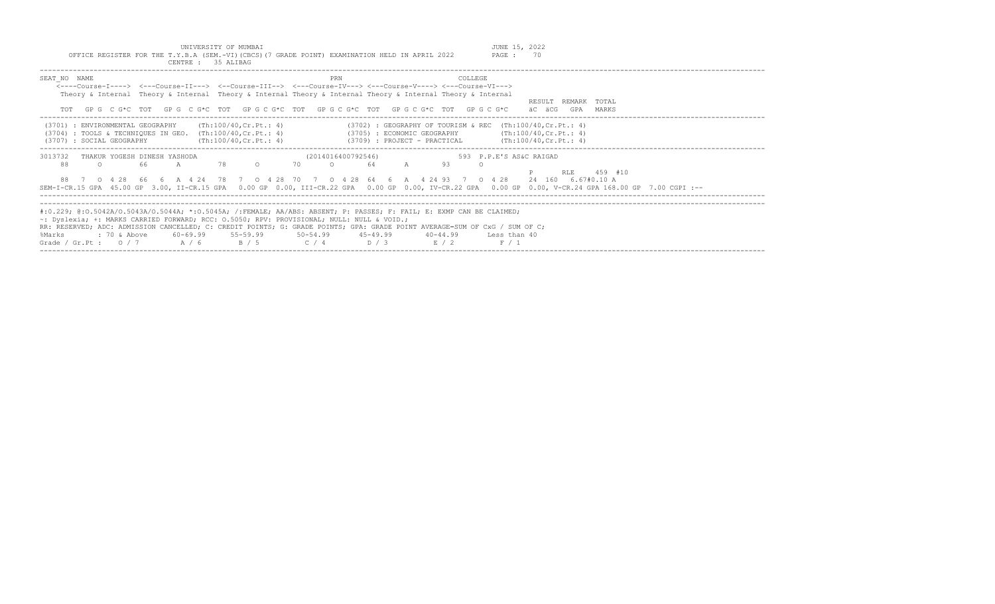UNIVERSITY OF MUMBAI<br>OFFICE REGISTER FOR THE T.Y.B.A (SEM.-VI)(CBCS)(7 GRADE POINT) EXAMINATION HELD IN APRIL 2022 PAGE : 70

| CENTRE : 35 ALIBAG                                                                                                                                                                                                                                                                                                                                                                                                                                       |                                                                                                                              |                                                  |
|----------------------------------------------------------------------------------------------------------------------------------------------------------------------------------------------------------------------------------------------------------------------------------------------------------------------------------------------------------------------------------------------------------------------------------------------------------|------------------------------------------------------------------------------------------------------------------------------|--------------------------------------------------|
| SEAT NO NAME<br><----Course-T----> <---Course-TT---> <--Course-TTT--> <---Course-TV---> <---Course-V----> <---Course-VT---><br>Theory & Internal Theory & Internal Theory & Internal Theory & Internal Theory & Internal Theory & Internal                                                                                                                                                                                                               | PRN<br>COLLEGE<br>GPG C G*C TOT GPG C G*C TOT GPG C G*C TOT GPG C G*C TOT GPG C G*C TOT GPG C G*C                            | RESULT<br>REMARK TOTAL<br>äC äCG<br>GPA<br>MARKS |
| (Th:100/40, Cr.Pt.: 4)<br>: ENVIRONMENTAL GEOGRAPHY<br>(3701)<br>: TOOLS & TECHNIOUES IN GEO. $(Th:100/40, Cr.Pt.: 4)$<br>(3704)<br>(Th:100/40, Cr.Pt.: 4)<br>: SOCIAL GEOGRAPHY<br>(3707)                                                                                                                                                                                                                                                               | $(3702)$ : GEOGRAPHY OF TOURISM & REC (Th:100/40, Cr. Pt.: 4)<br>(3705) : ECONOMIC GEOGRAPHY<br>(3709) : PROJECT - PRACTICAL | (Th:100/40, Cr.Ft.: 4)<br>(Th:100/40, Cr.Pt.: 4) |
| 3013732<br>THAKUR YOGESH DINESH YASHODA<br>78<br>88<br>$\Omega$<br>-66<br>$\mathbb{A}$<br>0 4 2 8<br>66<br>6 A 4 24 78<br>SEM-I-CR.15 GPA 45.00 GP 3.00, II-CR.15 GPA 0.00 GP 0.00, III-CR.22 GPA 0.00 GP 0.00, IV-CR.22 GPA 0.00 GP 0.00, V-CR.24 GPA 168.00 GP 7.00 CGPI :--                                                                                                                                                                           | (2014016400792546)<br>593 P.P.E'S AS&C RAIGAD<br>70<br>93<br>64<br>7 0 4 28 70 7 0 4 28 64 6 A 4 24 93 7<br>$0 \t 4 \t 28$   | 459 #10<br>RLE<br>24 160 6.67#0.10 A             |
| #:0.229; @:0.5042A/0.5043A/0.5044A; *:0.5045A; /:FEMALE; AA/ABS: ABSENT; P: PASSES; F: FAIL; E: EXMP CAN BE CLAIMED;<br>$\sim$ : Dyslexia; +: MARKS CARRIED FORWARD; RCC: 0.5050; RPV: PROVISIONAL; NULL: NULL & VOID.;<br>RR: RESERVED; ADC: ADMISSION CANCELLED; C: CREDIT POINTS; G: GRADE POINTS; GPA: GRADE POINT AVERAGE=SUM OF CxG / SUM OF C;<br>$55 - 59.99$<br>$: 70$ & Above<br>60-69.99<br>%Marks<br>A / 6<br>B / 5<br>Grade / Gr.Pt : $0/7$ | $50 - 54.99$<br>$45 - 49.99$<br>40-44.99<br>Less than 40<br>C / 4<br>D / 3<br>E / 2<br>F / 1                                 |                                                  |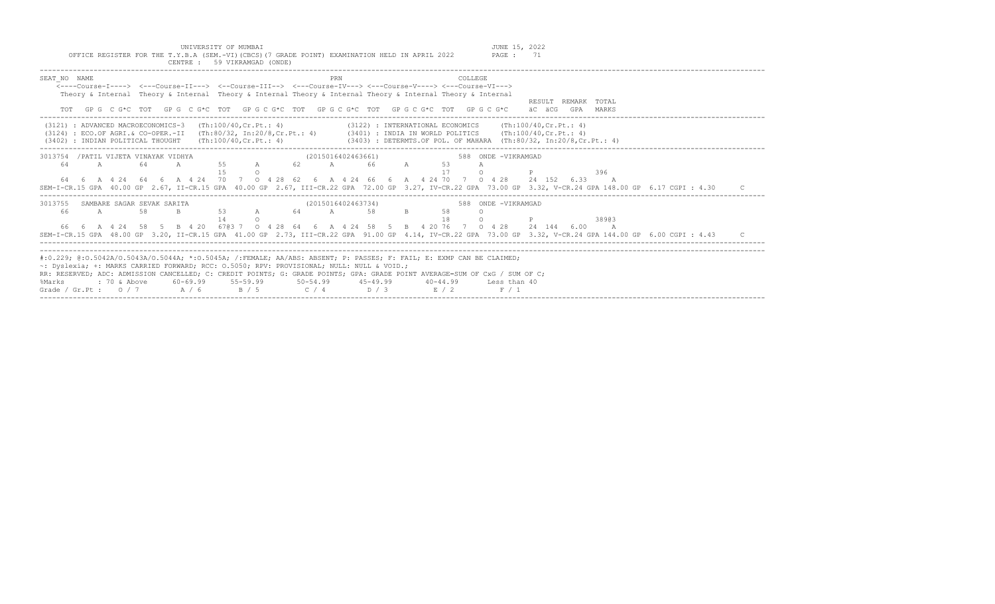OFFICE REGISTER FOR THE T.Y.B.A (SEM.-VI)(CBCS)(7 GRADE POINT) EXAMINATION HELD IN APRIL 2022

| CENTRE: 59 VIKRAMGAD (ONDE)                                                                                                                                                                                                                                                                                                                                                                                                                                                                                                        |  |
|------------------------------------------------------------------------------------------------------------------------------------------------------------------------------------------------------------------------------------------------------------------------------------------------------------------------------------------------------------------------------------------------------------------------------------------------------------------------------------------------------------------------------------|--|
| SEAT NO NAME<br><b>COLLEGE</b><br>PRN<br><----Course-I----> <---Course-II---> <--Course-III--> <---Course-IV---> <---Course-V----> <---Course-VI---><br>Theory & Internal Theory & Internal Theory & Internal Theory & Internal Theory & Internal Theory & Internal<br>RESULT REMARK TOTAL<br>GP G C G*C TOT GP G C G*C TOT GP G C G*C TOT GP G C G*C TOT GP G C G*C TOT GP G C G*C<br>äC äCG<br>GPA MARKS                                                                                                                         |  |
| $(3121)$ : ADVANCED MACROECONOMICS-3 $(Th:100/40, Cr.Pt.: 4)$<br>$(3122)$ : INTERNATIONAL ECONOMICS (Th:100/40, Cr. Pt.: 4)<br>: ECO.OF AGRI.& CO-OPER.-II (Th:80/32, In:20/8,Cr.Pt.: 4) (3401) : INDIA IN WORLD POLITICS (Th:100/40,Cr.Pt.: 4)<br>(3124)<br>(3403) : DETERMTS.OF POL. OF MAHARA (Th:80/32, In:20/8,Cr.Pt.: 4)<br>$(3402)$ : INDIAN POLITICAL THOUGHT $(Th:100/40, Cr.Pt.: 4)$                                                                                                                                     |  |
| (2015016402463661)<br>588 ONDE -VIKRAMGAD<br>3013754 / PATIL VIJETA VINAYAK VIDHYA<br>A 55 A<br>62 A 66 A<br>$\mathbb{A}$<br>64<br>53<br>64<br>$\mathbb A$<br>75<br>17<br>396<br>$\cap$<br>64   6   A   4   24   64   6   A   4   24   70   7   0   4   28   62   6   A   4   24   66   6   A   4   24   70   70   9   428   6.33   A<br>SEM-I-CR.15 GPA 40.00 GP 2.67, II-CR.15 GPA 40.00 GP 2.67, III-CR.22 GPA 72.00 GP 3.27, IV-CR.22 GPA 73.00 GP 3.32, V-CR.24 GPA 148.00 GP 6.17 CGPI : 4.30                                |  |
| 3013755 SAMBARE SAGAR SEVAK SARITA<br>(2015016402463734)<br>588 ONDE -VIKRAMGAD<br>53 A 64 A 58<br>B<br>$\overline{A}$<br>58<br>B<br>58<br>66<br>18<br>14<br>38903<br>$\cap$<br>66  6  A  4  24  58  5  B  4  20  6703  7  0  4  28  64  6  A  4  24  58  5  B  4  20  76  7  0  4  28  24  144  6.00  A<br>SEM-I-CR.15 GPA 48.00 GP 3.20, II-CR.15 GPA 41.00 GP 2.73, III-CR.22 GPA 91.00 GP 4.14, IV-CR.22 GPA 73.00 GP 3.32, V-CR.24 GPA 144.00 GP 6.00 CGPI : 4.43                                                             |  |
| #:0.229; @:0.5042A/0.5043A/0.5044A; *:0.5045A; /:FEMALE; AA/ABS: ABSENT; P: PASSES; F: FAIL; E: EXMP CAN BE CLAIMED;<br>~: Dyslexia; +: MARKS CARRIED FORWARD; RCC: 0.5050; RPV: PROVISIONAL; NULL: NULL & VOID.;<br>RR: RESERVED; ADC: ADMISSION CANCELLED; C: CREDIT POINTS; G: GRADE POINTS; GPA: GRADE POINT AVERAGE=SUM OF CxG / SUM OF C;<br>$60-69.99$ $55-59.99$ $50-54.99$ $45-49.99$<br>%Marks<br>$: 70$ & Above<br>$40 - 44.99$<br>Less than 40<br>Grade / Gr.Pt: $0/7$ A/6<br>B / 5<br>$C / 4$ D / 3<br>E / 2<br>F / 1 |  |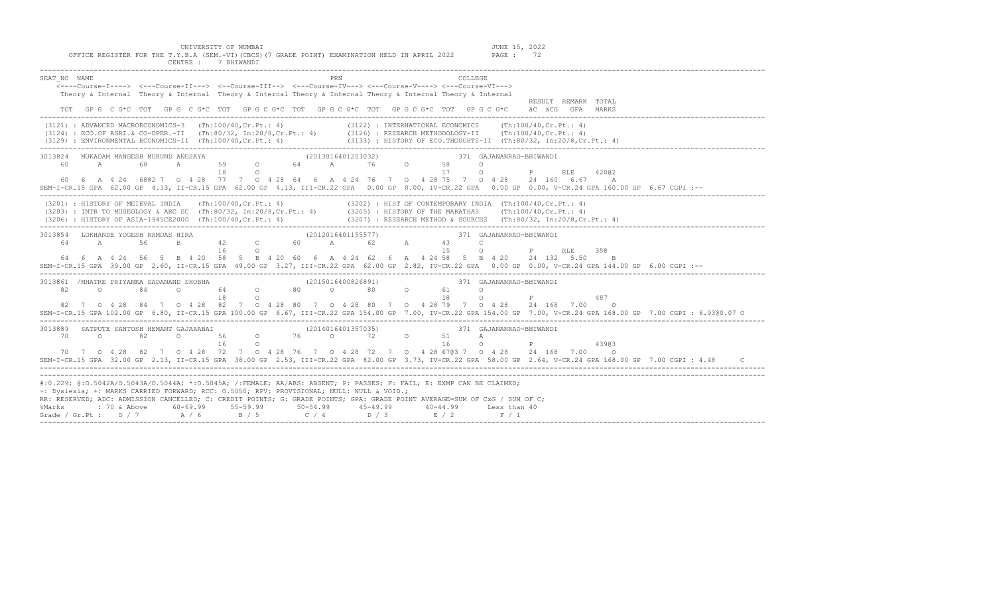| CENTRE :<br>WANDI / BHIWANDI<br>________________________________                                                                                                                                                                                                                                                                                                                                                                                                                                                   |
|--------------------------------------------------------------------------------------------------------------------------------------------------------------------------------------------------------------------------------------------------------------------------------------------------------------------------------------------------------------------------------------------------------------------------------------------------------------------------------------------------------------------|
| PRN<br>SEAT NO NAME<br>COLLEGE<br><---Course-I----> <---Course-II---> <--Course-III--> <---Course-IV---> <---Course-V----> <---Course-VI---><br>Theory & Internal Theory & Internal Theory & Internal Theory & Internal Theory & Internal Theory & Internal<br>RESULT REMARK TOTAL<br>TOT GPG CG*C TOT GPG CG*C TOT GPG CG*C TOT GPG CG*C TOT GPG CG*C TOT GPG CG*C ÄC ÄCGG GPA MARKS                                                                                                                              |
| (3121) : ADVANCED MACROECONOMICS-3 (Th:100/40,Cr.Pt.: 4) (3122) : INTERNATIONAL ECONOMICS (Th:100/40,Cr.Pt.: 4)<br>(3124) : ECO.OF AGRI.& CO-OPER.-II (Th:80/32, In:20/8,Cr.Pt.: 4) (3126) : RESEARCH METHODOLOGY-II (Th:100/40,C                                                                                                                                                                                                                                                                                  |
| 3013824 MUKADAM MANGESH MUKUND ANUSAYA<br>371 GAJANANRAO-BHIWANDI<br>3H MUKUND ANUSAYA<br>59 0 64 A 76 0 58<br>59 0 64 A 76 0 58<br>17<br>18 0<br>60 A<br>$\circ$<br>P RLE 42002<br>$\circ$<br>60  6  A  4  24  680  7  0  4  28  77  7  0  4  28  64  6  A  4  24  76  7  0  4  28  75  7  0  4  28  24  160  6.67  A<br>SEM-I-CR.15 GPA 62.00 GP 4.13, II-CR.15 GPA 62.00 GP 4.13, III-CR.22 GPA 0.00 GP 0.00, IV-CR.22 GPA 0.00 GP 0.00, V-CR.24 GPA 160.00 GP 6.67 CGPI :--                                    |
| (3201) : HISTORY OF MEIEVAL INDIA (Th:100/40, Cr.Pt.: 4) (3202) : HIST OF CONTEMPORARY INDIA (Th:100/40, Cr.Pt.: 4)<br>(3203) : INTR TO MUSEOLOGY & ARC SC (Th:80/32, In:20/8, Cr.Pt.: 4) (3205) : HISTORY OF THE MARATHAS (Th:10<br>(3206) : HISTORY OF ASIA-1945CE2000 (Th:100/40,Cr.Pt.: 4) (3207) : RESEARCH METHOD & SOURCES (Th:80/32, In:20/8,Cr.Pt.: 4)                                                                                                                                                    |
| 3013854 LOKHANDE YOGESH RAMDAS HIRA (2012016401155577) 371 GA (30120164 A 56 B 42 C 60 A 62 A 43 C<br>371 GAJANANRAO-BHIWANDI<br>0 P RLE 358<br>16<br>1.5<br>$\circ$<br>64  6  A  4  24  56  5  B  4  20  58  5  B  4  20  60  6  A  4  24  62  6  A  4  24  58  5  B  4  20  24  132  5.50<br>B<br>SEM-I-CR.15 GPA 39.00 GP 2.60, II-CR.15 GPA 49.00 GP 3.27, III-CR.22 GPA 62.00 GP 2.82, IV-CR.22 GPA 0.00 GP 0.00, V-CR.24 GPA 144.00 GP 6.00 CGPI :--                                                         |
| 3013861 /MHATRE PRIYANKA SADANAND SHOBHA<br>371 GAJANANRAO-BHIWANDI<br>371 (2015016400826891) 371 (2015016400826891)<br>82<br>$\overline{a}$<br>84<br>$\circ$<br>$\circ$<br>P<br>18<br>18<br>$\circ$<br>487<br>$\Omega$<br>82 7 0 4 28 84 7 0 4 28 82 7 0 4 28 80 7 0 4 28 80 7 0 4 28 79 7 0 4 28 24 168 7.00<br>$\overline{\phantom{0}}$<br>SEM-I-CR.15 GPA 102.00 GP 6.80, II-CR.15 GPA 100.00 GP 6.67, III-CR.22 GPA 154.00 GP 7.00, IV-CR.22 GPA 154.00 GP 7.00, V-CR.24 GPA 168.00 GP 7.00 CGPI: 6.93@0.07 0 |
| 371 GAJANANRAO-BHIWANDI<br>16<br>16<br>$\circ$<br>$\mathbb P$<br>43903<br>$\circ$<br>70 7 0 4 28 82 7 0 4 28 72 7 0 4 28 76 7 0 4 28 72 7 0 4 28 6703 7 0 4 28 24 168 7.00 0<br>SEM-I-CR.15 GPA 32.00 GP 2.13, II-CR.15 GPA 38.00 GP 2.53, III-CR.22 GPA 82.00 GP 3.73, IV-CR.22 GPA 58.00 GP 2.64, V-CR.24 GPA 168.00 GP 7.00 CGPI : 4.48                                                                                                                                                                         |
| #:0.229; @:0.5042A/0.5043A/0.5044A; *:0.5045A; /:FEMALE; AA/ABS: ABSENT; P: PASSES; F: FAIL; E: EXMP CAN BE CLAIMED;<br>~: Dyslexia; +: MARKS CARRIED FORWARD; RCC: 0.5050; RPV: PROVISIONAL; NULL: NULL & VOID.;<br>RR: RESERVED; ADC: ADMISSION CANCELLED; C: CREDIT POINTS; G: GRADE POINTS; GPA: GRADE POINT AVERAGE=SUM OF CxG / SUM OF C;<br>% Marks : 70 & Above 60-69.99 55-59.99 50-54.99 45-49.99 40-44.99 Less than<br>Grade / Gr.Pt : 0 / 7 A / 6 B / 5 C / 4 D / 3 E / 2 F / 1<br>Less than 40        |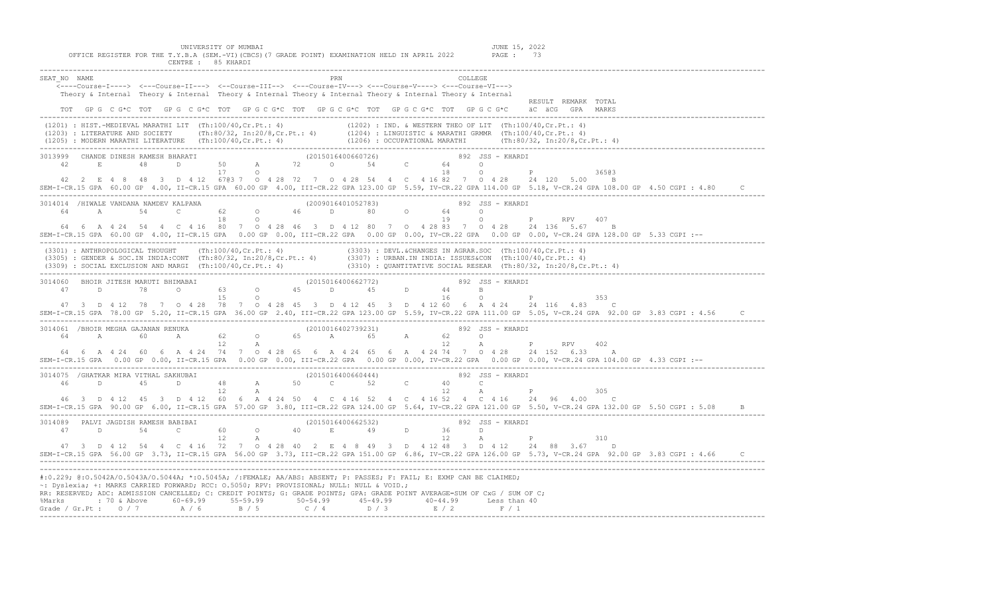UNIVERSITY OF MUMBAI<br>OFFICE REGISTER FOR THE T.Y.B.A (SEM.-VI)(CBCS)(7 GRADE POINT) EXAMINATION HELD IN APRIL 2022 PAGE : 73<br>CENTRE : 85 KHARDI

|                                                                                           | ___________________                                                                                                                                                                                                                                                                                                                                                                                                                                                                                                  |                                    |
|-------------------------------------------------------------------------------------------|----------------------------------------------------------------------------------------------------------------------------------------------------------------------------------------------------------------------------------------------------------------------------------------------------------------------------------------------------------------------------------------------------------------------------------------------------------------------------------------------------------------------|------------------------------------|
| SEAT NO NAME                                                                              | PRN<br>COLLEGE<br><---Course-I----> <---Course-II---> <--Course-III--> <---Course-IV---> <---Course-V----> <---Course-VI---><br>Theory & Internal Theory & Internal Theory & Internal Theory & Internal Theory & Internal Theory & Internal<br>TOT GPG C G*C TOT GPG C G*C TOT GPG C G*C TOT GPG C G*C TOT GPG C G*C TOT GPG C G*C äC äCG GPA MARKS                                                                                                                                                                  | RESULT REMARK TOTAL                |
|                                                                                           | (1201) : HIST.-MEDIEVAL MARATHI LIT (Th:100/40,Cr.Pt.: 4) (1202) : IND. & WESTERN THEO OF LIT (Th:100/40,Cr.Pt.: 4)<br>(1203) : LITERATURE AND SOCIETY (Th:80/32, In:20/8,Cr.Pt.: 4) (1204) : LINGUISTIC & MARATHI GRMMR (Th:100/                                                                                                                                                                                                                                                                                    |                                    |
| 17 0                                                                                      | $\begin{array}{cccccccccccccccc} 3013999 & \text{CHANDE DINESH RAMESH B HARATI} & & & & & & & (2015016400660726) & & & & & 892 & JSS~- KHARDI \\ & 42 & E & 48 & D & 50 & A & 72 & 0 & 54 & C & 64 & 0 \end{array}$<br>18<br>42  2  E  4  8  48  3  D  4  12  6703  7  0  4  28  72  7  0  4  28  54  4  C  4  16  82  7  0  4  28  24  120  5.00  B<br>SEM-I-CR.15 GPA 60.00 GP 4.00, II-CR.15 GPA 60.00 GP 4.00, III-CR.22 GPA 123.00 GP 5.59, IV-CR.22 GPA 114.00 GP 5.18, V-CR.24 GPA 108.00 GP 4.50 CGPI : 4.80 | $O$ $P$<br>36503<br>$\mathbb{C}$   |
|                                                                                           | 3014014 /HIWALE VANDANA NAMDEV KALPANA (2009016401052783) 892 JSS – KHARDI 64 A 54 C 62 O 46 D 80 O 64 O P<br>64  6  A  4  24  54  4  C  4  16  80  7  0  4  28  46  3  D  4  12  80  7  0  4  28  83  7  0  4  28  24  136  5.67  B<br>SEM-I-CR.15 GPA 60.00 GP 4.00, II-CR.15 GPA 0.00 GP 0.00, III-CR.22 GPA 0.00 GP 0.00, IV-CR.22 GPA 0.00 GP 0.00, V-CR.24 GPA 128.00 GP 5.33 CGPI :--                                                                                                                         | <b>RPV</b><br>407                  |
|                                                                                           | (3301) : ANTHROPOLOGICAL THOUGHT (Th:100/40,Cr.Pt.: 4) (3303) : DEVL.&CHANGES IN AGRAR.SOC (Th:100/40,Cr.Pt.: 4)<br>(3305) : GENDER & SOC.IN INDIA:CONT (Th:80/32, In:20/8,Cr.Pt.: 4) (3307) : URBAN.IN INDIA: ISSUES&CON (Th:10                                                                                                                                                                                                                                                                                     |                                    |
|                                                                                           | 3014060 BHOIR JITESH MARUTI BHIMABAI (2015016400662772) and the set of the set of the set of the set of the set of the set of the set of the set of the set of the set of the set of the set of the set of the set of the set<br>47 3 D 4 12 78 7 0 4 28 78 7 0 4 28 45 3 D 4 12 45 3 D 4 12 60 6 A 4 24 24 116 4.83 C<br>SEM-I-CR.15 GPA 78.00 GP 5.20, II-CR.15 GPA 36.00 GP 2.40, III-CR.22 GPA 123.00 GP 5.59, IV-CR.22 GPA 111.00 GP 5.05, V-CR.24 GPA 92.00 GP 3.83 CGPI: 4.56                                 | 353                                |
|                                                                                           | 3014061 /BHOIR MEGHA GAJANAN RENUKA (2010016402739231) 892 JSS – KHARDI<br>64 A 60 A 62 O 65 A 65 A 12 A E<br>64  6  A  4  24  60  6  A  4  24  74  7  0  4  28  65  6  A  4  24  65  6  A  4  24  74  7  0  4  28  24  152  6.33  A<br>SEM-I-CR.15 GPA 0.00 GP 0.00, II-CR.15 GPA 0.00 GP 0.00, III-CR.22 GPA 0.00 GP 0.00, IV-CR.22 GPA 0.00 GP 0.00, V-CR.24 GPA 104.00 GP 4.33 CGPI :--                                                                                                                          | A P RPV                            |
| 46<br>D<br>45<br>$12$ A                                                                   | $(2015016400660444)$ 3014075 /GHATKAR MIRA VITHAL SAKHUBAI (2015016400660444) 3014075 /GHATKAR MIRA VITHAL SAKHUBAI (2015016400660444)<br>D 48 A 50 C 52 C 40 C<br>12<br>46 3 D 4 12 45 3 D 4 12 60 6 A 4 24 50 4 C 4 16 52 4 C 4 16 52 4 C 4 16 24 96 4.00 C<br>SEM-I-CR.15 GPA 90.00 GP 6.00, II-CR.15 GPA 57.00 GP 3.80, III-CR.22 GPA 124.00 GP 5.64, IV-CR.22 GPA 121.00 GP 5.50, V-CR.24 GPA 132.00 GP 5.50 CGPI : 5.08                                                                                        | $\mathbb A$ and $\mathbb P$<br>305 |
|                                                                                           | 3014089 PALVI JAGDISH RAMESH BABIBAI (2015016400662532) and the set of the set of the set of the set of the set of the set of the set of the set of the set of the set of the set of the set of the set of the set of the set<br>47 3 D 4 12 54 4 C 4 16 72 7 0 4 28 40 2 E 4 8 49 3 D 4 12 48 3 D 4 12 24 88 3.67 D<br>SEM-I-CR.15 GPA 56.00 GP 3.73, II-CR.15 GPA 56.00 GP 3.73, III-CR.22 GPA 151.00 GP 6.86, IV-CR.22 GPA 126.00 GP 5.73, V-CR.24 GPA 92.00 GP 3.83 CGPI: 4.66 C                                 | 310                                |
| ~: Dyslexia; +: MARKS CARRIED FORWARD; RCC: 0.5050; RPV: PROVISIONAL; NULL: NULL & VOID.; | #:0.229; @:0.5042A/O.5043A/O.5044A; *:0.5045A; /:FEMALE; AA/ABS: ABSENT; P: PASSES; F: FAIL; E: EXMP CAN BE CLAIMED;<br>RR: RESERVED; ADC: ADMISSION CANCELLED; C: CREDIT POINTS; G: GRADE POINTS; GPA: GRADE POINT AVERAGE=SUM OF CxG / SUM OF C;                                                                                                                                                                                                                                                                   |                                    |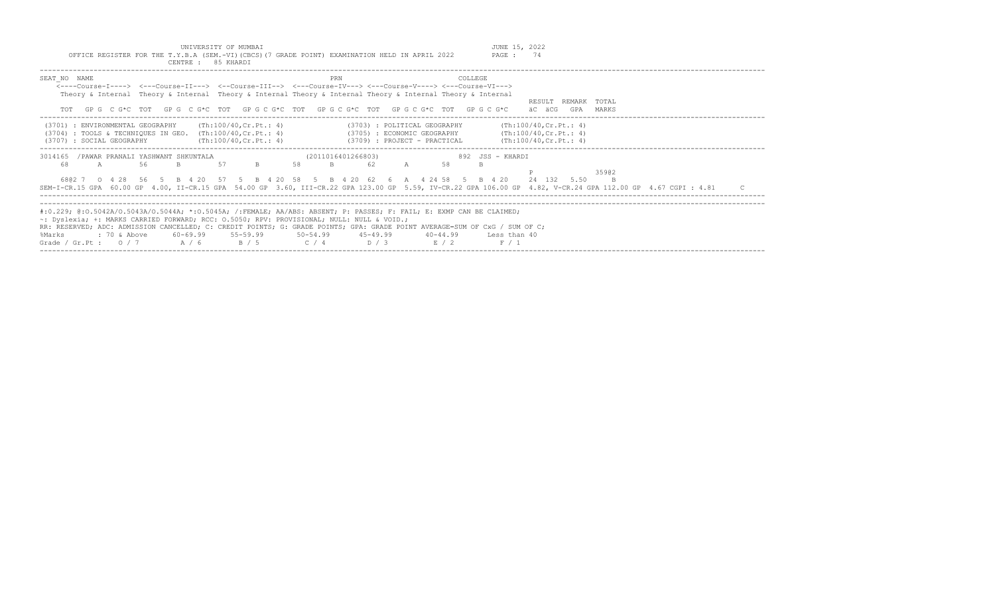| INTVERSTTY OF MIMBAT                                                                            | JUNE 15, ' | 2022 |
|-------------------------------------------------------------------------------------------------|------------|------|
| OFFICE REGISTER FOR THE T.Y.B.A (SEM.-VI) (CBCS) (7 GRADE POINT) EXAMINATION HELD IN APRIL 2022 | PAGE       |      |
| 85 KHARDI<br>TENTRE .                                                                           |            |      |

| SEAT NO NAME                                                  |                                                                                                                   | PRN<br><----Course-T----> <---Course-TT---> <--Course-TTT--> <---Course-TV---> <---Course-V----> <---Course-VT---><br>Theory & Internal Theory & Internal Theory & Internal Theory & Internal Theory & Internal Theory & Internal<br>TOT GPG CG*C TOT GPG CG*C TOT GPG CG*C TOT GPG CG*C TOT GPG CG*C TOT GPG CG*C                                                                                                      | COLLEGE                                             | RESULT REMARK<br>TOTAL<br>äC äCG<br>GPA<br>MARKS                                                                                                                                     |
|---------------------------------------------------------------|-------------------------------------------------------------------------------------------------------------------|-------------------------------------------------------------------------------------------------------------------------------------------------------------------------------------------------------------------------------------------------------------------------------------------------------------------------------------------------------------------------------------------------------------------------|-----------------------------------------------------|--------------------------------------------------------------------------------------------------------------------------------------------------------------------------------------|
| (3701) : ENVIRONMENTAL GEOGRAPHY<br>(3707) : SOCIAL GEOGRAPHY | (Th:100/40.Cr.Pt.: 4)<br>$(3704)$ : TOOLS & TECHNIQUES IN GEO. $(Th:100/40, Cr.Pt.: 4)$<br>(Th:100/40, Cr.Ft.: 4) | (3703) : POLITICAL GEOGRAPHY<br>(3709) : PROJECT - PRACTICAL                                                                                                                                                                                                                                                                                                                                                            | (3705) : ECONOMIC GEOGRAPHY (Th:100/40, Cr. Pt.: 4) | (Th:100/40.Cr.Ft.: 4)<br>(Th:100/40, Cr.Pt.: 4)                                                                                                                                      |
| 3014165<br>68.<br>A                                           | /PAWAR PRANALI YASHWANT SHKUNTALA<br>57<br>56                                                                     | (2011016401266803)<br>B<br>58<br>6802 7 0 4 28 56 5 B 4 20 57 5 B 4 20 58 5 B 4 20 62 6 A 4 24 58 5 B 4 20                                                                                                                                                                                                                                                                                                              | 892 JSS - KHARDI<br>58                              | 35902<br>24 132 5.50<br>SEM-I-CR.15 GPA 60.00 GP 4.00, II-CR.15 GPA 54.00 GP 3.60, III-CR.22 GPA 123.00 GP 5.59, IV-CR.22 GPA 106.00 GP 4.82, V-CR.24 GPA 112.00 GP 4.67 CGPI : 4.81 |
| : 70 & Above<br>%Marks<br>Grade / Gr.Pt: $0/7$ A / 6          | B / 5                                                                                                             | #:0.229; @:0.5042A/0.5043A/0.5044A; *:0.5045A; /:FEMALE; AA/ABS: ABSENT; P: PASSES; F: FAIL; E: EXMP CAN BE CLAIMED;<br>$\sim$ : Dyslexia; +: MARKS CARRIED FORWARD; RCC: 0.5050; RPV: PROVISIONAL; NULL: NULL & VOID.;<br>RR: RESERVED; ADC: ADMISSION CANCELLED; C: CREDIT POINTS; G: GRADE POINTS; GPA: GRADE POINT AVERAGE=SUM OF CxG / SUM OF C;<br>$60-69.99$ $55-59.99$ $50-54.99$ $45-49.99$<br>$C / 4$ $D / 3$ | $40 - 44.99$<br>Less than 40<br>E / 2<br>F / 1      |                                                                                                                                                                                      |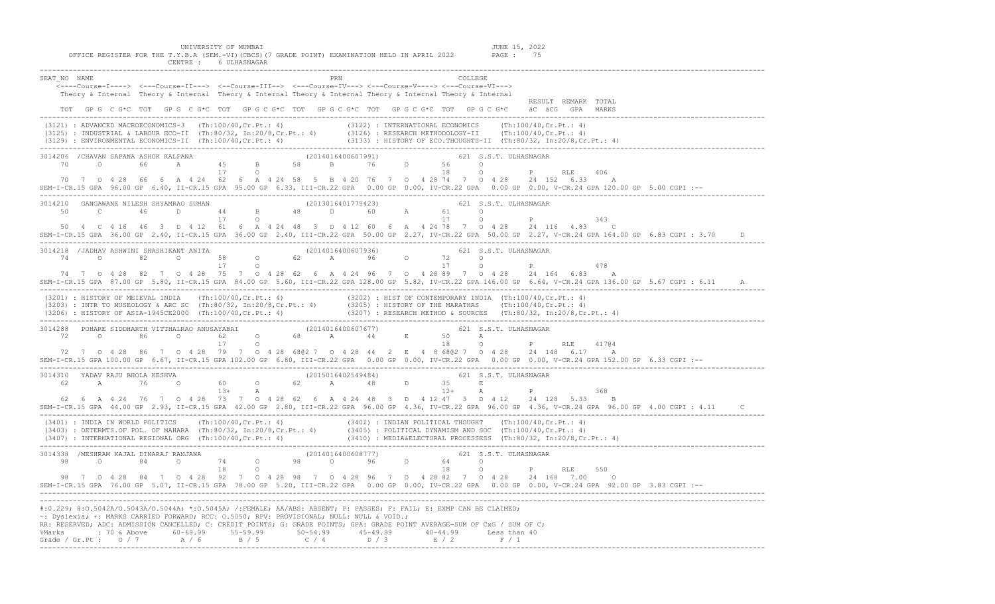| UNIVERSITY OF MUMBAI<br>JUNE 15, 2022<br>OFFICE REGISTER FOR THE T.Y.B.A (SEM.-VI)(CBCS)(7 GRADE POINT) EXAMINATION HELD IN APRIL 2022<br>PAGE : 75<br>CENTRE : 6 ULHASNAGAR                                                                                                                                                                                                                                                                                                                                                                          |
|-------------------------------------------------------------------------------------------------------------------------------------------------------------------------------------------------------------------------------------------------------------------------------------------------------------------------------------------------------------------------------------------------------------------------------------------------------------------------------------------------------------------------------------------------------|
| SEAT NO NAME<br>COLLEGE<br><----Course-I----> <---Course-II---> <--Course-III--> <---Course-IV---> <---Course-V----> <---Course-VI---><br>Theory & Internal Theory & Internal Theory & Internal Theory & Internal Theory & Internal Theory & Internal<br>RESULT REMARK TOTAL<br>TOT GPG C G*C TOT GPG C G*C TOT GPG C G*C TOT GPG C G*C TOT GPG C G*C TOT GPG C G*C äC äCG GPA MARKS                                                                                                                                                                  |
| (3121) : ADVANCED MACROECONOMICS-3 (Th:100/40,Cr.Pt.: 4) (3122) : INTERNATIONAL ECONOMICS (Th:100/40,Cr.Pt.: 4)<br>(3125) : INDUSTRIAL & LABOUR ECO-II (Th:80/32, In:20/8,Cr.Pt.: 4) (3126) : RESEARCH METHODOLOGY-II (Th:100/40,                                                                                                                                                                                                                                                                                                                     |
| $\begin{array}{cccccccccccc} 3014206 & /CHAVAN SAPANA ASHOK KALPANA & & & & & & (2014016400607991) & & & & & & 621 & S.S.T. ULHASNAGAR \\ 70 & 0 & 66 & A & 45 & B & 58 & B & 76 & 0 & 56 & 0 \\ & & & & & & & & 17 & 0 & & & & 18 & 0 & & P \\ \end{array}$<br>P RLE 406<br>70 7 0 4 28 66 6 A 4 24 62 6 A 4 24 58 5 B 4 20 76 7 0 4 28 74 7 0 4 28 24 152 6.33 A<br>SEM-I-CR.15 GPA 96.00 GP 6.40, II-CR.15 GPA 95.00 GP 6.33, III-CR.22 GPA 0.00 GP 0.00, IV-CR.22 GPA 0.00 GP 0.00, V-CR.24 GPA 120.00 GP 5.00 CGPI :--                           |
| 3014210 GANGAWANE NILESH SHYAMRAO SUMAN (2013016401775423) 621 S.S.T. ULHASNAGAR<br>50 C 46 D 44 B 48 D 60 A 61 0<br>343<br>50  4  C  4  16  46  3  D  4  12  61  6  A  4  24  48  3  D  4  12  60  6  A  4  24  78  7  0  4  28  24  116  4.83  C<br>SEM-I-CR.15 GPA 36.00 GP 2.40, II-CR.15 GPA 36.00 GP 2.40, III-CR.22 GPA 50.00 GP 2.27, IV-CR.22 GPA 50.00 GP 2.27, V-CR.24 GPA 164.00 GP 6.83 CGPI : 3.70                                                                                                                                      |
| $\begin{array}{cccccccccccc} 3014218 & /JADHAV ASHWINI SHASHIKANT ANITA & & & & & (2014016400607936) & & & & & 621 & S.S.T. ULHASNAGAR & & & \\ 74 & 0 & 82 & 0 & 58 & 0 & 62 & A & 96 & 0 & 72 & 0 & \\ & & & & & & & & & & & & 17 & 0 & & \\ \end{array}$<br>478<br>74 7 0 4 28 82 7 0 4 28 75 7 0 4 28 62 6 A 4 24 96 7 0 4 28 89 7 0 4 28 24 164 6.83 A<br>SEM-I-CR.15 GPA 87.00 GP 5.80, II-CR.15 GPA 84.00 GP 5.60, III-CR.22 GPA 128.00 GP 5.82, IV-CR.22 GPA 146.00 GP 6.64, V-CR.24 GPA 136.00 GP 5.67 CGPI: 6.11 A                          |
| (3201) : HISTORY OF MEIEVAL INDIA (Th:100/40,Cr.Pt.: 4) (3202) : HIST OF CONTEMPORARY INDIA (Th:100/40,Cr.Pt.: 4)<br>(3203) : INTR TO MUSEOLOGY & ARC SC (Th:80/32, In:20/8,Cr.Pt.: 4) (3205) : HISTORY OF THE MARATHAS (Th:100/4                                                                                                                                                                                                                                                                                                                     |
| --: SEM-I-CR.15 GPA 100.00 GP 6.67, II-CR.15 GPA 102.00 GP 6.80, III-CR.22 GPA 0.00 GP 0.00, IV-CR.22 GPA 0.00 GP 0.00, V-CR.24 GPA 152.00 GP 6.33 CGPI                                                                                                                                                                                                                                                                                                                                                                                               |
| $\begin{array}{cccccccccccc} 3014310 & YADAV RAJU BHOLA KESHVA & & & & & & (2015016402549484) & & & & & 621 & S.S.T. ULHASNAGAR & & & \\ 62 & & A & & 76 & & 0 & & 60 & & 0 & & A & & 48 & & D & & 35 & & E \\ 62 & & A & & & 48 & & & 48 & & & 12+ & A & & P \end{array}$<br>$\mathbb P$<br>368<br>62 6 A 4 24 76 7 0 4 28 73 7 0 4 28 62 6 A 4 24 48 3 D 4 12 47 3 D 4 12 24 128 5.33 B<br>SEM-I-CR.15 GPA 44.00 GP 2.93, II-CR.15 GPA 42.00 GP 2.80, III-CR.22 GPA 96.00 GP 4.36, IV-CR.22 GPA 96.00 GP 4.36, V-CR.24 GPA 96.00 GP 4.00 CGPI: 4.11 |
| (3401): INDIA IN WORLD POLITICS (Th:100/40,Cr.Pt.: 4)<br>(3403): DETERMTS.OF POL. OF MAHARA (Th:80/32, In:20/8,Cr.Pt.: 4) (3405): POLITICAL DYNAMISM AND SOC (Th:100/40,Cr.Pt.: 4)<br>(3403): DETERMTS.OF POL. OF MAHARA (Th:80/32,                                                                                                                                                                                                                                                                                                                   |
| 3014338 /MESHRAM KAJAL DINARAJ RANJANA (2014016400608777) 621 S.S.T. ULHASNAGAR (2014016400608777) 621 S.S.T. ULHASNAGAR (2014016400608777) 621 S.S.T. ULHASNAGAR (2014016400608777) 621 S.S.T. ULHASNAGAR (2014016400608777)<br>550<br>98 7 0 4 28 84 7 0 4 28 92 7 0 4 28 98 7 0 4 28 96 7 0 4 28 82 7 0 4 28 24 168 7.00 0<br>SEM-I-CR.15 GPA 76.00 GP 5.07, II-CR.15 GPA 78.00 GP 5.20, III-CR.22 GPA 0.00 GP 0.00, IV-CR.22 GPA 0.00 GP 0.00, V-CR.24 GPA 92.00 GP 3.83 CGPI :--                                                                 |
| #:0.229; @:0.5042A/O.5043A/O.5044A; *:0.5045A; /:FEMALE; AA/ABS: ABSENT; P: PASSES; F: FAIL; E: EXMP CAN BE CLAIMED;<br>~: Dyslexia; +: MARKS CARRIED FORWARD; RCC: 0.5050; RPV: PROVISIONAL; NULL: NULL & VOID.;<br>RR: RESERVED; ADC: ADMISSION CANCELLED; C: CREDIT POINTS; G: GRADE POINTS; GPA: GRADE POINT AVERAGE=SUM OF CxG / SUM OF C;<br>%Marks : 70 & Above 60-69.99 55-59.99 50-54.99 45-49.99 40-44.99 Less than 40<br>Grade / Gr.Pt : $0/7$ $A/6$ $B/5$ $C/4$ $D/3$ $E/2$ $F/1$                                                         |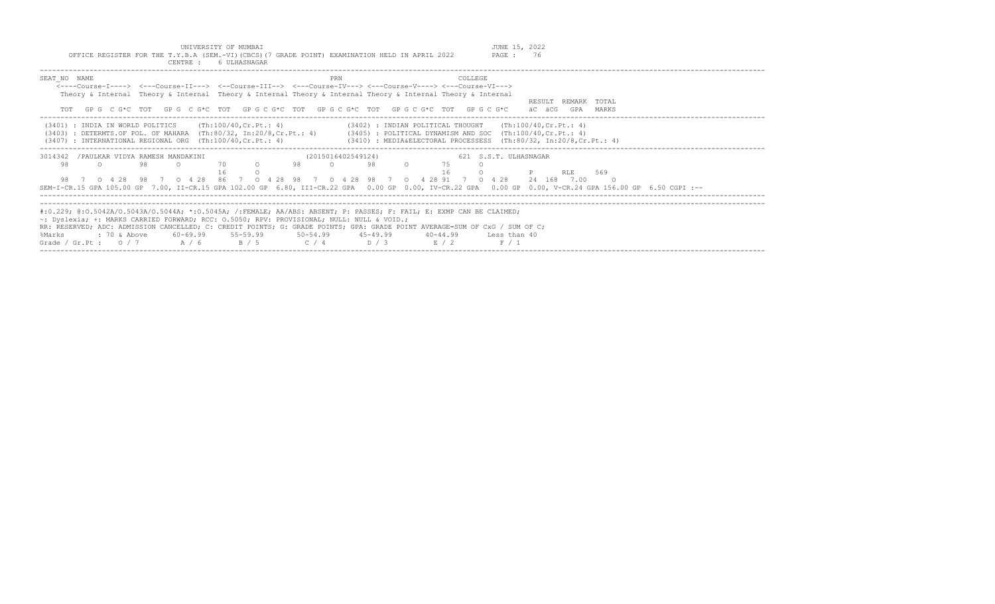|               |                                                                                                                                                                                                                                                                                                                                                                                                                       |    | CENTRE :                                    | 6 ULHASNAGAR |         |    |                    |    |              |          |                       |                                                                                                                                                                                                                                                                      |
|---------------|-----------------------------------------------------------------------------------------------------------------------------------------------------------------------------------------------------------------------------------------------------------------------------------------------------------------------------------------------------------------------------------------------------------------------|----|---------------------------------------------|--------------|---------|----|--------------------|----|--------------|----------|-----------------------|----------------------------------------------------------------------------------------------------------------------------------------------------------------------------------------------------------------------------------------------------------------------|
| SEAT NO NAME  | <----Course-I----> <---Course-II---> <--Course-III--> <---Course-IV---> <---Course-V----> <---Course-VI---><br>Theory & Internal Theory & Internal Theory & Internal Theory & Internal Theory & Internal Theory & Internal<br>GP G C G*C TOT GP G C G*C TOT GP G C G*C TOT GP G C G*C TOT GP G C G*C TOT GP G C G*C                                                                                                   |    |                                             |              |         |    | PRN                |    |              | COLLEGE. |                       | RESULT REMARK TOTAL<br>äC äCG<br>GPA<br>MARKS                                                                                                                                                                                                                        |
|               | $(3401)$ : INDIA IN WORLD POLITICS $(Th:100/40, Cr.Pt. : 4)$<br>$(3407)$ : INTERNATIONAL REGIONAL ORG $(Th:100/40, Cr.Pt.: 4)$                                                                                                                                                                                                                                                                                        |    |                                             |              |         |    |                    |    |              |          |                       | $(3402)$ : INDIAN POLITICAL THOUGHT (Th:100/40, Cr. Pt.: 4)<br>(3403) : DETERMTS.OF POL. OF MAHARA (Th:80/32, In:20/8,Cr.Pt.: 4) (3405) : POLITICAL DYNAMISM AND SOC (Th:100/40,Cr.Pt.: 4)<br>$(3410)$ : MEDIA&ELECTORAL PROCESSESS $(Th:80/32, In:20/8, Cr.Pt.: 4)$ |
| 3014342<br>98 | /PAULKAR VIDYA RAMESH MANDAKINI<br>98 7 0 4 28 98 7 0 4 28 86 7 0 4 28 98 7 0 4 28 98 7 0 4 28 91 7 0 4 28                                                                                                                                                                                                                                                                                                            | 98 |                                             | 70           | $\circ$ | 98 | (2015016402549124) | 98 | 75<br>16     |          | 621 S.S.T. ULHASNAGAR | RLE<br>569<br>24 168 7.00<br>SEM-I-CR.15 GPA 105.00 GP 7.00, II-CR.15 GPA 102.00 GP 6.80, III-CR.22 GPA 0.00 GP 0.00, IV-CR.22 GPA 0.00 GP 0.00, V-CR.24 GPA 156.00 GP 6.50 CGPI :--                                                                                 |
| %Marks        | #:0.229; @:0.5042A/0.5043A/0.5044A; *:0.5045A; /:FEMALE; AA/ABS: ABSENT; P: PASSES; F: FAIL; E: EXMP CAN BE CLAIMED;<br>~: Dyslexia; +: MARKS CARRIED FORWARD; RCC: 0.5050; RPV: PROVISIONAL; NULL: NULL & VOID.;<br>RR: RESERVED; ADC: ADMISSION CANCELLED; C: CREDIT POINTS; G: GRADE POINTS; GPA: GRADE POINT AVERAGE=SUM OF CxG / SUM OF C;<br>: 70 & Above<br>Grade / Gr.Pt: $0/7$ $A/6$ $B/5$ $C/4$ $D/3$ $E/2$ |    | $60-69.99$ $55-59.99$ $50-54.99$ $45-49.99$ |              |         |    |                    |    | $40 - 44.99$ |          | Less than 40<br>F / 1 |                                                                                                                                                                                                                                                                      |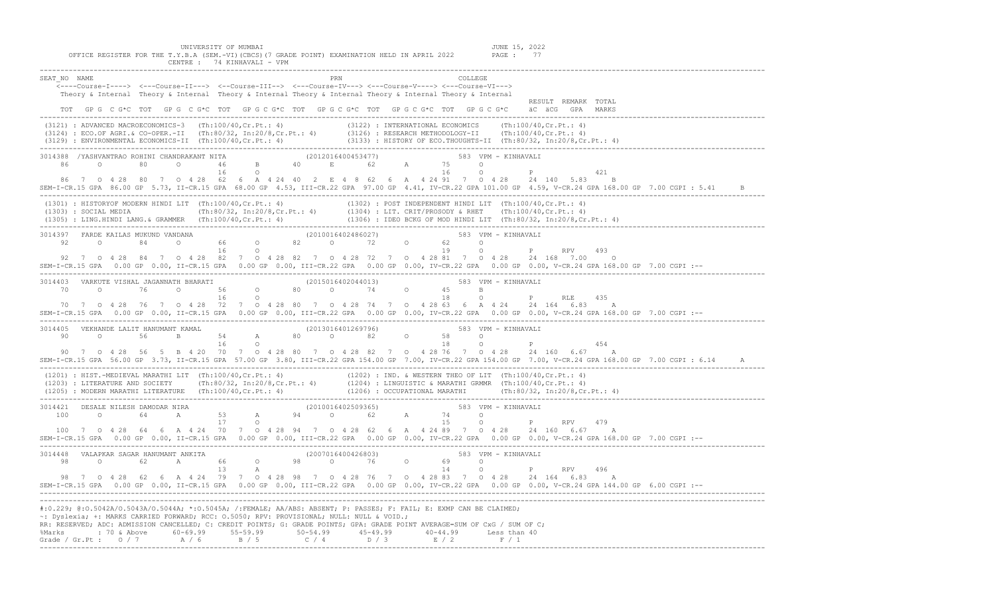| UNIVERSITY OF MUMBAI<br>JUNE 15, 2022<br>OFFICE REGISTER FOR THE T.Y.B.A (SEM.-VI) (CBCS) (7 GRADE POINT) EXAMINATION HELD IN APRIL 2022<br>PAGE: 77<br>CENTRE : 74 KINHAVALI - VPM                                                                                                                                                                                                                                                                                                                                                                                  |
|----------------------------------------------------------------------------------------------------------------------------------------------------------------------------------------------------------------------------------------------------------------------------------------------------------------------------------------------------------------------------------------------------------------------------------------------------------------------------------------------------------------------------------------------------------------------|
| SEAT NO NAME<br>COLLEGE<br><----Course-I----> <---Course-II---> <--Course-III--> <---Course-IV---> <---Course-V----> <---Course-VI---><br>Theory & Internal Theory & Internal Theory & Internal Theory & Internal Theory & Internal Theory & Internal<br>RESULT REMARK TOTAL<br>TOT GPG C G*C TOT GPG C G*C TOT GPG C G*C TOT GPG C G*C TOT GPG C G*C TOT GPG C G*C äC äCG GPA MARKS                                                                                                                                                                                 |
| (3121) : ADVANCED MACROECONOMICS-3 (Th:100/40,Cr.Pt.: 4) (3122) : INTERNATIONAL ECONOMICS (Th:100/40,Cr.Pt.: 4)<br>(3124) : ECO.OF AGRI.& CO-OPER.-II (Th:80/32, In:20/8,Cr.Pt.: 4) (3126) : RESEARCH METHODOLOGY-II (Th:100/40,C                                                                                                                                                                                                                                                                                                                                    |
| 86 7 0 4 28 80 7 0 4 28 62 6 A 4 24 40 2 E 4 8 62 6 A 4 24 91 7 0 4 28 24 140 5.83 B<br>SEM-I-CR.15 GPA 86.00 GP 5.73, II-CR.15 GPA 68.00 GP 4.53, III-CR.22 GPA 97.00 GP 4.41, IV-CR.22 GPA 101.00 GP 4.59, V-CR.24 GPA 168.00 GP 7.00 CGPI : 5.41 B                                                                                                                                                                                                                                                                                                                |
| (1301): HISTORYOF MODERN HINDI LIT (Th:100/40,Cr.Pt.: 4)<br>(1302): POST INDEPENDENT HINDI LIT (Th:100/40,Cr.Pt.: 4)<br>(1303): SOCIAL MEDIA (Th:80/32, In:20/8,Cr.Pt.: 4) (1304): LIT. CRIT/PROSODY & RHET (Th:100/40,Cr.Pt.: 4)<br>(1                                                                                                                                                                                                                                                                                                                              |
| 3014397 FARDE KAILAS MUKUND VANDANA (2010016402486027) 583 VPM – KINHAVALI<br>32 0 84 0 66 0 82 0 72 0 62 0<br>16 0 19 0 P RPV 493<br>92 7 0 4 28 84 7 0 4 28 82 7 0 4 28 82 7 0 4 28 72 7 0 4 28 81 7 0 4 28 24 168 7.00 0<br>SEM-I-CR.15 GPA 0.00 GP 0.00, II-CR.15 GPA 0.00 GP 0.00, III-CR.22 GPA 0.00 GP 0.00, IV-CR.22 GPA 0.00 GP 0.00, V-CR.24 GPA 168.00 GP 7.00 CGPI :--                                                                                                                                                                                   |
| 3014403 VARKUTE VISHAL JAGANNATH BHARATI (2015016402044013) 583 VPM - KINHAVALI<br>$70$ 0 $76$ 0 $56$ 0 $80$ 0 $74$ 0 $45$ B<br>16 0 $18$ 0 $18$ 0 P RLE 435<br>70 7 0 4 28 76 7 0 4 28 72 7 0 4 28 80 7 0 4 28 74 7 0 4 28 63 6 A 4 24 24 164 6.83 A<br>--: SEM-I-CR.15 GPA 0.00 GP 0.00, II-CR.15 GPA 0.00 GP 0.00, III-CR.22 GPA 0.00 GP 0.00, IV-CR.22 GPA 0.00 GP 0.00, V-CR.24 GPA 168.00 GP 7.00 CGPI                                                                                                                                                         |
| 3014405 VEKHANDE LALIT HANUMANT KAMAL (2013016401269796) 583 VPM - KINHAVALI<br>$\begin{array}{cccccccccccc} 90 & 0 & 100 & 0.01 & 0.01 & 0.01 & 0.01 & 0.01 & 0.01 & 0.01 & 0.01 & 0.01 & 0.01 & 0.01 & 0.01 & 0.01 & 0.01 & 0.01 & 0.01 & 0.01 & 0.01 & 0.01 & 0.01 & 0.01 & 0.01 & 0.01 & 0.01 & 0.01 & 0.01 & 0.01 & 0.01 & 0.01 & 0.01 & 0.01 & 0.01 & 0.01 & $<br>SEM-I-CR.15 GPA 56.00 GP 3.73, II-CR.15 GPA 57.00 GP 3.80, III-CR.22 GPA 154.00 GP 7.00, IV-CR.22 GPA 154.00 GP 7.00, V-CR.24 GPA 168.00 GP 7.00 CGPI : 6.14                                 |
| (1201) : HIST.-MEDIEVAL MARATHI LIT (Th:100/40,Cr.Pt.: 4) (1202) : IND. & WESTERN THEO OF LIT (Th:100/40,Cr.Pt.: 4)<br>(1203) : LITERATURE AND SOCIETY (Th:80/32, In:20/8,Cr.Pt.: 4) (1204) : LINGUISTIC & MARATHI GRMMR (Th:100/                                                                                                                                                                                                                                                                                                                                    |
| 100 7 0 4 28 64 6 A 4 24 70 7 0 4 28 94 7 0 4 28 62 6 A 4 24 89 7 0 4 28 24 160 6.67 A<br>--: SEM-I-CR.15 GPA 0.00 GP 0.00, II-CR.15 GPA 0.00 GP 0.00, III-CR.22 GPA 0.00 GP 0.00, IV-CR.22 GPA 0.00 GP 0.00, V-CR.24 GPA 168.00 GP 7.00 CGPI                                                                                                                                                                                                                                                                                                                        |
| $\begin{array}{cccccccccccc} 3014448 & \text{VALAPKAR SAGAR HANUMANT ANKITA} & & & & & & (2007016400426803) & & & & & 583 & \text{VPM} - KINHAVALI & & & & \\ 98 & 0 & 62 & \text{A} & 66 & 0 & 98 & 0 & 76 & 0 & 69 & 0 & \\ 98 & 0 & 13 & \text{A} & & & & & & 14 & 0 & \text{P} & \text{RPV} & 496 & \end{array}$<br>98 7 0 4 28 62 6 A 4 24 79 7 0 4 28 98 7 0 4 28 76 7 0 4 28 83 7 0 4 28 24 164 6.83 A<br>SEM-I-CR.15 GPA 0.00 GP 0.00, II-CR.15 GPA 0.00 GP 0.00, III-CR.22 GPA 0.00 GP 0.00, IV-CR.22 GPA 0.00 GP 0.00, V-CR.24 GPA 144.00 GP 6.00 CGPI :-- |
| #:0.229; @:0.5042A/0.5043A/0.5044A; *:0.5045A; /:FEMALE; AA/ABS: ABSENT; P: PASSES; F: FAIL; E: EXMP CAN BE CLAIMED;<br>~: Dyslexia; +: MARKS CARRIED FORWARD; RCC: 0.5050; RPV: PROVISIONAL; NULL: NULL & VOID.;<br>RR: RESERVED; ADC: ADMISSION CANCELLED; C: CREDIT POINTS; G: GRADE POINTS; GPA: GRADE POINT AVERAGE=SUM OF CxG / SUM OF C;<br>%Marks : 70 & Above 60-69.99 55-59.99 50-54.99 45-49.99 40-44.99 Less than 40<br>Grade / Gr.Pt : $0/7$ $A/6$ $B/5$ $C/4$ $D/3$ $E/2$ $F/1$                                                                        |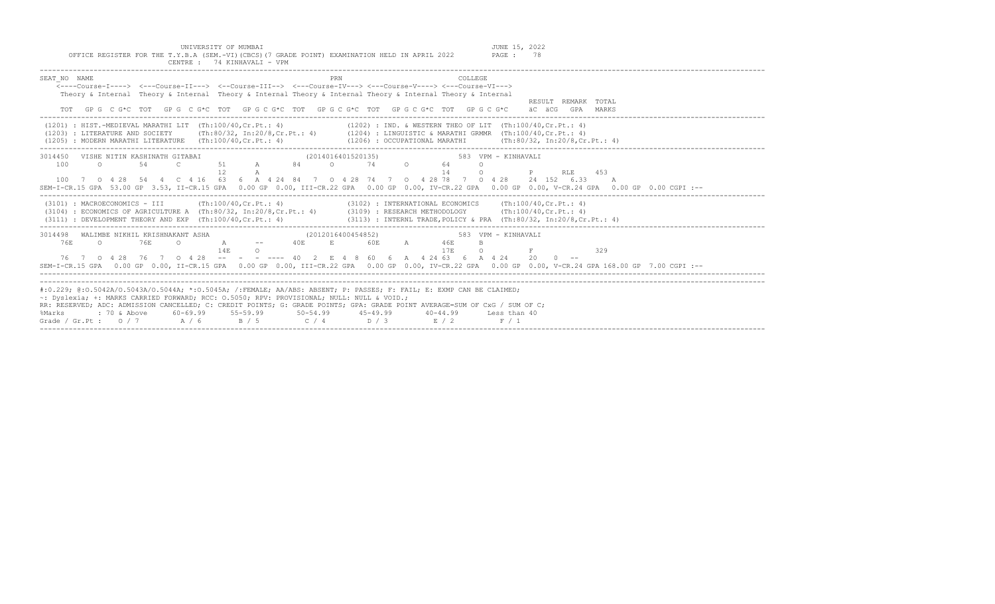| OFFICE REGISTER FOR THE T.Y.B.A (SEM.-VI)(CBCS)(7 GRADE POINT) EXAMINATION HELD IN APRIL 2022 PAGE: 78<br>CENTRE: 74 KINHAVALI - VPM                                                                                                                                                                                                                                                                                  |                                                                                                                                                                                                                                                                                   |
|-----------------------------------------------------------------------------------------------------------------------------------------------------------------------------------------------------------------------------------------------------------------------------------------------------------------------------------------------------------------------------------------------------------------------|-----------------------------------------------------------------------------------------------------------------------------------------------------------------------------------------------------------------------------------------------------------------------------------|
| PRN<br>SEAT NO NAME<br>$\leftarrow$ ---Course-T----> $\leftarrow$ --Course-TT---> $\leftarrow$ -Course-TTT--> $\leftarrow$ --Course-TV---> $\leftarrow$ -Course-V----> $\leftarrow$ -Course-VT---><br>Theory & Internal Theory & Internal Theory & Internal Theory & Internal Theory & Internal Theory & Internal<br>TOT GPG CG*C TOT GPG CG*C TOT GPG CG*C TOT GPG CG*C TOT GPG CG*C TOT GPG CG*C                    | COLLEGE.<br>RESULT REMARK TOTAL<br>äC äCG GPA MARKS                                                                                                                                                                                                                               |
| (1201) : HIST.-MEDIEVAL MARATHI LIT (Th:100/40, Cr.Pt.: 4) (1202) : IND. & WESTERN THEO OF LIT (Th:100/40, Cr.Pt.: 4)<br>(1203) : LITERATURE AND SOCIETY (Th:80/32, In:20/8, Cr.Pt.: 4) (1204) : LINGUISTIC & MARATHI GRMMR (Th:100/40, Cr.Pt.: 4)<br>$(1205)$ : MODERN MARATHI LITERATURE $(Th:100/40, Cr.Pt.: 4)$                                                                                                   | $(1206)$ : OCCUPATIONAL MARATHI $(Th:80/32, In:20/8, Cr.Pt.: 4)$                                                                                                                                                                                                                  |
| 3014450 VISHE NITIN KASHINATH GITABAI (2014016401520135) 583 VPM - KINHAVALI<br>0 54 C 51 A 84 O 74 O 64<br>100<br>12<br>A<br>100 7 0 4 28 54 4 C 4 16 63 6 A 4 24 84 7 0 4 28 74 7 0 4 28 78 7 0 4 28 24 152 6.33 A                                                                                                                                                                                                  | $\circ$<br>14<br><b>P</b> RLE 453<br>$\circ$<br>SEM-I-CR.15 GPA 53.00 GP 3.53, II-CR.15 GPA 0.00 GP 0.00, III-CR.22 GPA 0.00 GP 0.00, IV-CR.22 GPA 0.00 GP 0.00, V-CR.24 GPA 0.00 GP 0.00 CGPI :--                                                                                |
| (3101) : MACROECONOMICS - III (Th:100/40, Cr.Pt.: 4) (3102) : INTERNATIONAL ECONOMICS (Th:100/40, Cr.Pt.: 4)<br>(3104) : ECONOMICS OF AGRICULTURE A (Th:80/32, In:20/8, Cr.Pt.: 4) (3109) : RESEARCH METHODOLOGY (Th:100/40, Cr.Pt.: 4)<br>(3111) : DEVELOPMENT THEORY AND EXP (Th:100/40, Cr. Pt.: 4) (3113) : INTERNL TRADE, POLICY & PRA (Th:80/32, In:20/8, Cr. Pt.: 4)                                           |                                                                                                                                                                                                                                                                                   |
| 3014498 WALIMBE NIKHIL KRISHNAKANT ASHA<br>A -- 40E E 60E A 46E<br>C 76E<br>76F.<br>$\circ$ 0<br>14F<br>$\Omega$<br>76 7 0 4 28 76 7 0 4 28 -- - - ---- 40 2 E 4 8 60 6 A 4 24 63 6 A 4 24 20 0 --                                                                                                                                                                                                                    | (2012016400454852)<br>583 VPM - KINHAVALI<br>B.<br>17E<br>$\Omega$<br>329<br>the control of the property of the control of<br>SEM-I-CR.15 GPA 0.00 GP 0.00, II-CR.15 GPA 0.00 GP 0.00, III-CR.22 GPA 0.00 GP 0.00, IV-CR.22 GPA 0.00 GP 0.00, V-CR.24 GPA 168.00 GP 7.00 CGPI :-- |
| #:0.229; @:0.5042A/0.5043A/0.5044A; *:0.5045A; /:FEMALE; AA/ABS: ABSENT; P: PASSES; F: FAIL; E: EXMP CAN BE CLAIMED;<br>~: Dyslexia; +: MARKS CARRIED FORWARD; RCC: 0.5050; RPV: PROVISIONAL; NULL: NULL & VOID.;<br>RR: RESERVED; ADC: ADMISSION CANCELLED; C: CREDIT POINTS; G: GRADE POINTS; GPA: GRADE POINT AVERAGE=SUM OF CxG / SUM OF C;<br>%Marks<br>Grade / Gr.Pt: $0/7$ $A/6$ $B/5$ $C/4$ $D/3$ $E/2$ $F/1$ |                                                                                                                                                                                                                                                                                   |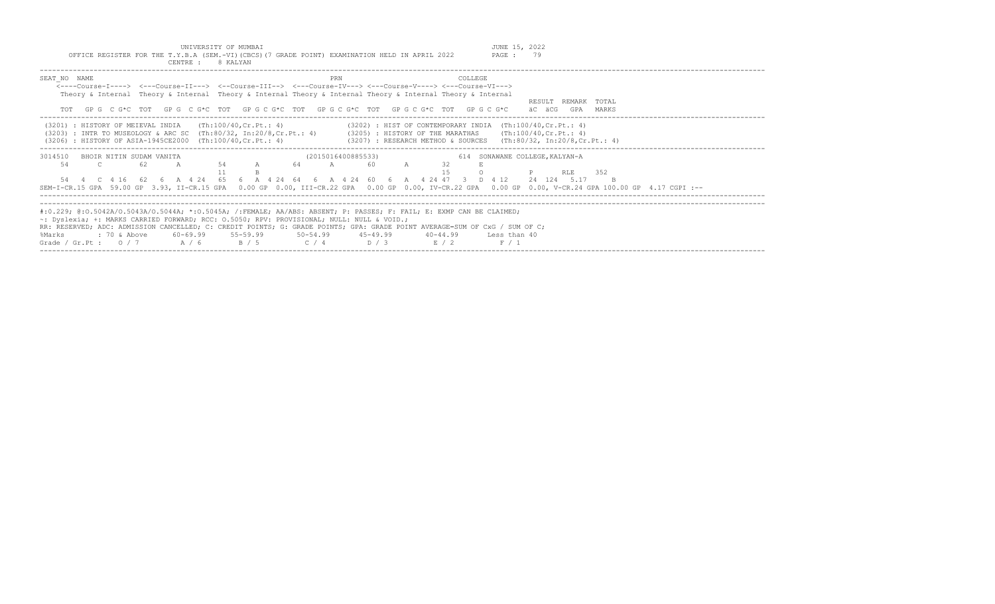OFFICE REGISTER FOR THE T.Y.B.A (SEM.-VI)(CBCS)(7 GRADE POINT) EXAMINATION HELD IN APRIL 2022

UNIVERSITY OF MUMBAI UNIVERSITY OF MUMBAI JUNE 15, 2022<br>2.B.A (SEM.-VI)(CBCS)(7 GRADE POINT) EXAMINATION HELD IN APRIL 2022 PAGE : 79

| CENTRE :                                                                                         | 8 KALYAN                                                                                                                                                                                                                                                                                                                                                                                                                                                                                   |
|--------------------------------------------------------------------------------------------------|--------------------------------------------------------------------------------------------------------------------------------------------------------------------------------------------------------------------------------------------------------------------------------------------------------------------------------------------------------------------------------------------------------------------------------------------------------------------------------------------|
| SEAT NO NAME                                                                                     | COLLEGE<br><b>PRN</b><br><----Course-T----> <---Course-TT---> <--Course-TT--> <---Course-TV---> <---Course-V----> <---Course-VT---><br>Theory & Internal Theory & Internal Theory & Internal Theory & Internal Theory & Internal Theory & Internal<br>REMARK TOTAL<br>RESULT<br>TOT GPG CG*C TOT GPG CG*C TOT GPG CG*C TOT GPG CG*C TOT GPG CG*C TOT GPG CG*C<br>äC äCG<br>GPA<br>MARKS                                                                                                    |
| (3201) : HISTORY OF MEIEVAL INDIA<br>(3206) : HISTORY OF ASIA-1945CE2000 (Th:100/40, Cr. Pt.: 4) | (Th:100/40,Cr.Pt.: 4)<br>$(3202)$ : HIST OF CONTEMPORARY INDIA $(Th:100/40, Cr.Pt.: 4)$<br>(3203) : INTR TO MUSEOLOGY & ARC SC (Th:80/32, In:20/8,Cr.Pt.: 4) (3205) : HISTORY OF THE MARATHAS (Th:100/40,Cr.Pt.: 4)<br>$(3207)$ : RESEARCH METHOD & SOURCES $(Th:80/32, In:20/8, Cr.Pt.: 4)$                                                                                                                                                                                               |
| 3014510<br>BHOIR NITIN SUDAM VANITA<br>54<br>- 62.<br>$\overline{c}$<br>$\overline{A}$           | (2015016400885533)<br>614 SONAWANE COLLEGE, KALYAN-A<br>54 A 64 A<br>32<br>60<br>15<br>RLE 352<br>54  4  C  4  16  62  6  A  4  24  65  6  A  4  24  64  6  A  4  24  60  6  A  4  24  47  3  D  4  12<br>24 124 5.17<br>SEM-I-CR.15 GPA 59.00 GP 3.93, II-CR.15 GPA 0.00 GP 0.00, III-CR.22 GPA 0.00 GP 0.00, IV-CR.22 GPA 0.00 GP 0.00, V-CR.24 GPA 100.00 GP 4.17 CGPI :--                                                                                                              |
| %Marks<br>Grade / Gr.Pt: $0/7$ A / 6                                                             | #:0.229; @:0.5042A/0.5043A/0.5044A; *:0.5045A; /:FEMALE; AA/ABS: ABSENT; P: PASSES; F: FAIL; E: EXMP CAN BE CLAIMED;<br>$\sim$ : Dyslexia; +: MARKS CARRIED FORWARD; RCC: 0.5050; RPV: PROVISIONAL; NULL: NULL & VOID.;<br>RR: RESERVED; ADC: ADMISSION CANCELLED; C: CREDIT POINTS; G: GRADE POINTS; GPA: GRADE POINT AVERAGE=SUM OF CxG / SUM OF C;<br>$\frac{1}{2}$ 70 & Above 60-69.99 55-59.99 50-54.99 45-49.99<br>40-44.99 Less than 40<br>$C / 4$ D / 3<br>B / 5<br>E / 2<br>F / 1 |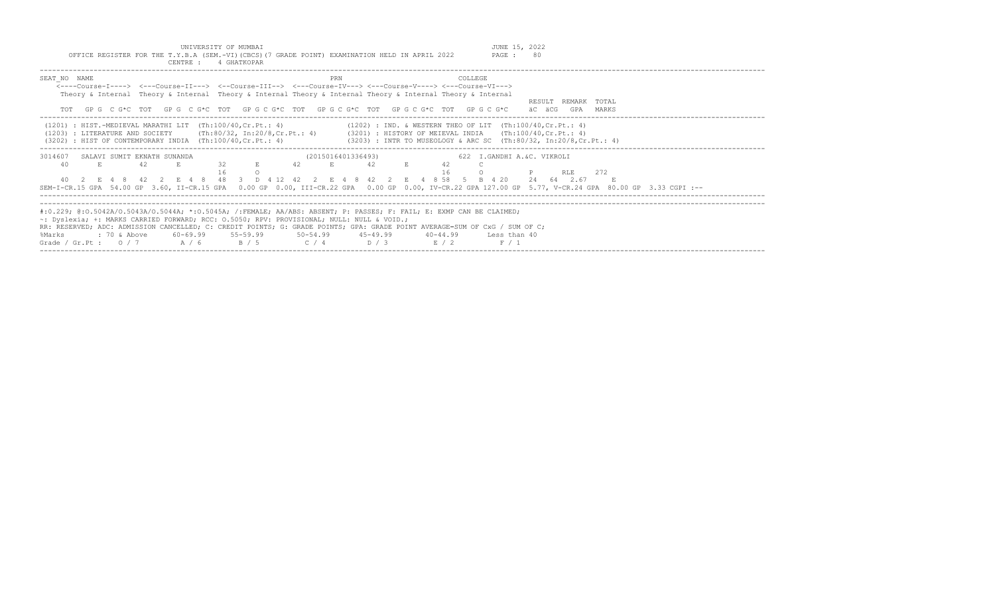|                                                                                           |    |                |    |       | UNIVERSITY OF MUMBAI<br>OFFICE REGISTER FOR THE T.Y.B.A (SEM.-VI) (CBCS) (7 GRADE POINT) EXAMINATION HELD IN APRIL 2022<br>CENTRE : 4 GHATKOPAR |       |    |                    |     |    |  |          |                | JUNE 15, 2022<br>PAGE :                                                                                                                                                                                                                                          | 80 |        |            |                     |  |  |  |
|-------------------------------------------------------------------------------------------|----|----------------|----|-------|-------------------------------------------------------------------------------------------------------------------------------------------------|-------|----|--------------------|-----|----|--|----------|----------------|------------------------------------------------------------------------------------------------------------------------------------------------------------------------------------------------------------------------------------------------------------------|----|--------|------------|---------------------|--|--|--|
| SEAT NO NAME                                                                              |    |                |    |       |                                                                                                                                                 |       |    |                    | PRN |    |  |          | <b>COLLEGE</b> | <----Course-T----> <---Course-TT---> <--Course-TTT--> <---Course-TV---> <---Course-V----> <---Course-VT--->                                                                                                                                                      |    |        |            |                     |  |  |  |
|                                                                                           |    |                |    |       |                                                                                                                                                 |       |    |                    |     |    |  |          |                | Theory & Internal Theory & Internal Theory & Internal Theory & Internal Theory & Internal Theory & Internal                                                                                                                                                      |    |        |            | RESULT REMARK TOTAL |  |  |  |
|                                                                                           |    |                |    |       |                                                                                                                                                 |       |    |                    |     |    |  |          |                | TOT GPG CG*C TOT GPG CG*C TOT GPG CG*C TOT GPG CG*C TOT GPG CG*C TOT GPG CG*C                                                                                                                                                                                    |    | äC äCG |            | GPA MARKS           |  |  |  |
|                                                                                           |    |                |    |       | $(1201)$ : HIST.-MEDIEVAL MARATHI LIT (Th:100/40.Cr.Pt.: 4)<br>$(3202)$ : HIST OF CONTEMPORARY INDIA $(Th:100/40, Cr.Pt. : 4)$                  |       |    |                    |     |    |  |          |                | $(1202)$ : IND. & WESTERN THEO OF LIT $(Th:100/40, Cr.Pt.: 4)$<br>(1203) : LITERATURE AND SOCIETY (Th:80/32, In:20/8, Cr.Pt.: 4) (3201) : HISTORY OF MEIEVAL INDIA (Th:100/40, Cr.Pt.: 4)<br>(3203) : INTR TO MUSEOLOGY & ARC SC (Th:80/32, In:20/8, Cr. Pt.: 4) |    |        |            |                     |  |  |  |
| 3014607 SALAVI SUMIT EKNATH SUNANDA                                                       |    |                |    |       |                                                                                                                                                 |       |    | (2015016401336493) |     |    |  |          |                | 622 I.GANDHI A.&C. VIKROLI                                                                                                                                                                                                                                       |    |        |            |                     |  |  |  |
| 40                                                                                        | E. |                | 42 |       | 32                                                                                                                                              |       | 42 |                    | E.  | 42 |  | 42<br>16 |                |                                                                                                                                                                                                                                                                  |    |        | RLE.       | 2.72                |  |  |  |
|                                                                                           |    |                |    |       |                                                                                                                                                 |       |    |                    |     |    |  |          |                | 40 2 E 4 8 42 2 E 4 8 48 3 D 4 12 42 2 E 4 8 42 2 E 4 8 58 5 B 4 20<br>SEM-I-CR.15 GPA 54.00 GP 3.60, II-CR.15 GPA 0.00 GP 0.00, III-CR.22 GPA 0.00 GP 0.00, IV-CR.22 GPA 127.00 GP 5.77, V-CR.24 GPA 80.00 GP 3.33 CGPI :--                                     |    |        | 24 64 2.67 | E.                  |  |  |  |
|                                                                                           |    |                |    |       |                                                                                                                                                 |       |    |                    |     |    |  |          |                | #:0.229; @:0.5042A/0.5043A/0.5044A; *:0.5045A; /:FEMALE; AA/ABS: ABSENT; P: PASSES; F: FAIL; E: EXMP CAN BE CLAIMED;                                                                                                                                             |    |        |            |                     |  |  |  |
| ~: Dyslexia; +: MARKS CARRIED FORWARD; RCC: 0.5050; RPV: PROVISIONAL; NULL: NULL & VOID.; |    |                |    |       |                                                                                                                                                 |       |    |                    |     |    |  |          |                |                                                                                                                                                                                                                                                                  |    |        |            |                     |  |  |  |
|                                                                                           |    |                |    |       |                                                                                                                                                 |       |    |                    |     |    |  |          |                | RR: RESERVED; ADC: ADMISSION CANCELLED; C: CREDIT POINTS; G: GRADE POINTS; GPA: GRADE POINT AVERAGE=SUM OF CxG / SUM OF C;                                                                                                                                       |    |        |            |                     |  |  |  |
| %Marks                                                                                    |    | $: 70$ & Above |    |       | 60-69.99 55-59.99                                                                                                                               |       |    | 50-54.99 45-49.99  |     |    |  | 40-44.99 |                | Less than 40                                                                                                                                                                                                                                                     |    |        |            |                     |  |  |  |
| Grade / Gr.Pt : $0/7$                                                                     |    |                |    | A / 6 |                                                                                                                                                 | B / 5 |    | $C / 4$ $D / 3$    |     |    |  | E / 2    |                | F / 1                                                                                                                                                                                                                                                            |    |        |            |                     |  |  |  |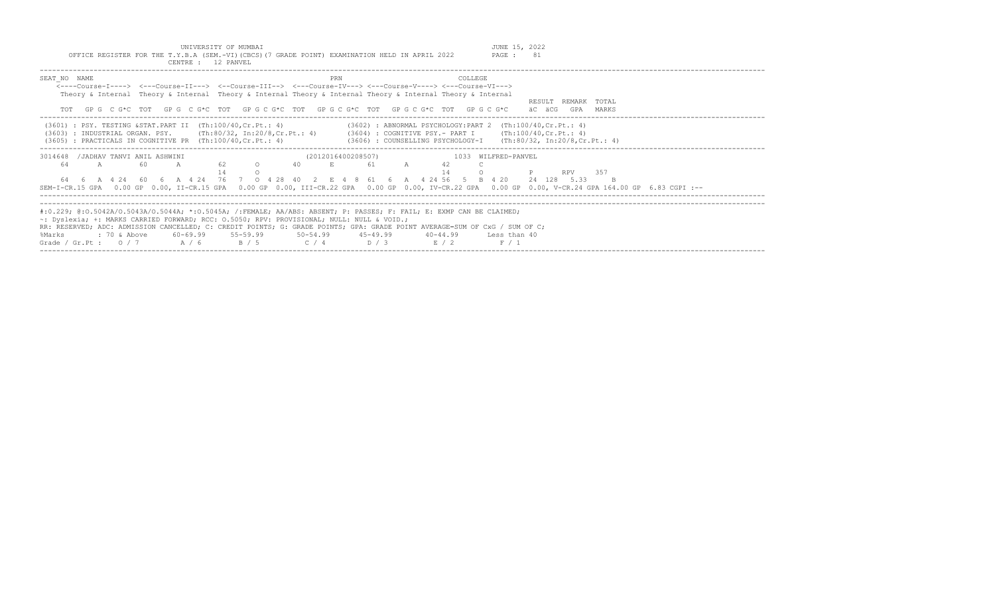UNIVERSITY OF MUMBAI<br>Y.B.A (SEM.-VI)(CBCS)(7 GRADE POINT) EXAMINATION HELD IN APRIL 2022 PAGE : 81

| OFFICE REGISTER FOR THE T.Y.B.A (SEM.-VI) (CBCS) (7 GRADE POINT) EXAMINATION HELD IN APRIL 2022<br>CENTRE : 12 PANVEL                                                                                                                                                                                                                                                                                                                                                        | PAGE : 81                                                                                                                                                                                                                                         |
|------------------------------------------------------------------------------------------------------------------------------------------------------------------------------------------------------------------------------------------------------------------------------------------------------------------------------------------------------------------------------------------------------------------------------------------------------------------------------|---------------------------------------------------------------------------------------------------------------------------------------------------------------------------------------------------------------------------------------------------|
| SEAT NO NAME<br><----Course-T----> <---Course-TT---> <--Course-TTT--> <---Course-TV---> <---Course-V----> <---Course-VT---><br>Theory & Internal Theory & Internal Theory & Internal Theory & Internal Theory & Internal Theory & Internal<br>TOT GPG CG*C TOT GPG CG*C TOT GPG CG*C TOT GPG CG*C TOT GPG CG*C TOT GPG CG*C                                                                                                                                                  | PRN<br>COLLEGE.<br>RESULT REMARK TOTAL<br>äC äCG<br>GPA MARKS                                                                                                                                                                                     |
| $(3601)$ : PSY. TESTING & STAT. PART II $(Th:100/40, Cr.Pt.: 4)$<br>(3603) : INDUSTRIAL ORGAN. PSY. (Th:80/32, In:20/8,Cr.Pt.: 4) (3604) : COGNITIVE PSY.- PART I (Th:100/40,Cr.Pt.: 4)<br>$(3605)$ : PRACTICALS IN COGNITIVE PR $(Th:100/40, Cr.Pt.: 4)$                                                                                                                                                                                                                    | $(3602)$ : ABNORMAL PSYCHOLOGY: PART 2 (Th:100/40, Cr. Pt.: 4)<br>(3606) : COUNSELLING PSYCHOLOGY-I (Th:80/32, In:20/8,Cr.Pt.: 4)                                                                                                                 |
| 3014648 / JADHAV TANVI ANIL ASHWINI<br>62 0<br>60<br>64<br>A<br>40 — 10<br>$\overline{A}$<br>64   6   A   4   24   60   6   A   4   24   76   7   0   4   28   40   2   E   4   8   61   6   A   4   24   56   5   B   4   20   24   128   5.33                                                                                                                                                                                                                              | 1033 WILFRED-PANVEL<br>(2012016400208507)<br>E<br>61<br>A<br>42<br>14<br>357<br><b>RPV</b><br>SEM-I-CR.15 GPA 0.00 GP 0.00, II-CR.15 GPA 0.00 GP 0.00, III-CR.22 GPA 0.00 GP 0.00, IV-CR.22 GPA 0.00 GP 0.00, V-CR.24 GPA 164.00 GP 6.83 CGPI :-- |
| #:0.229; @:0.5042A/0.5043A/0.5044A; *:0.5045A; /:FEMALE; AA/ABS: ABSENT; P: PASSES; F: FAIL; E: EXMP CAN BE CLAIMED;<br>$\sim$ : Dyslexia; +: MARKS CARRIED FORWARD; RCC: 0.5050; RPV: PROVISIONAL; NULL: NULL & VOID.;<br>RR: RESERVED; ADC: ADMISSION CANCELLED; C: CREDIT POINTS; G: GRADE POINTS; GPA: GRADE POINT AVERAGE=SUM OF CxG / SUM OF C;<br>: 70 & Above<br>60-69.99 55-59.99 50-54.99 45-49.99<br>%Marks<br>Grade / Gr.Pt: $0/7$ A / 6 B / 5 C / 4 D / 3 E / 2 | $40 - 44.99$<br>Less than 40<br>F / 1                                                                                                                                                                                                             |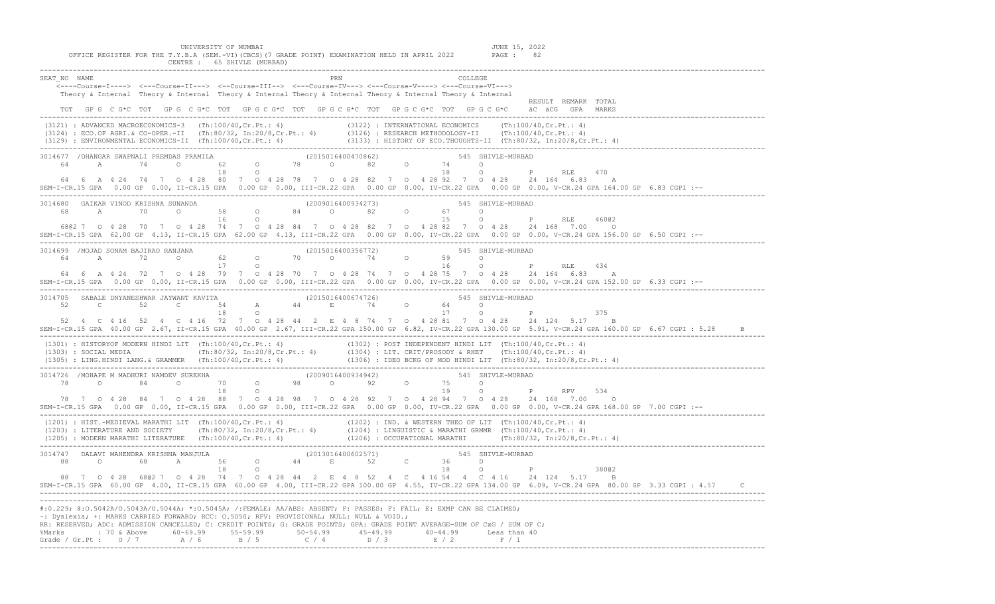| CENTRE : 65 SHIVLE (MURBAD)                                                                                                                                                                                                                                                                                                                                                                                                                                                                                   |
|---------------------------------------------------------------------------------------------------------------------------------------------------------------------------------------------------------------------------------------------------------------------------------------------------------------------------------------------------------------------------------------------------------------------------------------------------------------------------------------------------------------|
| SEAT NO NAME<br>PRN<br><----Course-I----> <---Course-II---> <--Course-III--> <---Course-IV---> <---Course-V----> <---Course-VI---><br>Theory & Internal Theory & Internal Theory & Internal Theory & Internal Theory & Internal Theory & Internal<br>RESULT REMARK TOTAL<br>TOT GPG CG*C TOT GPG CG*C TOT GPG CG*C TOT GPG CG*C TOT GPG CG*C TOT GPG CG*C äCGG GPA MARKS                                                                                                                                      |
| (3121) : ADVANCED MACROECONOMICS-3 (Th:100/40,Cr.Pt.: 4) (3122) : INTERNATIONAL ECONOMICS (Th:100/40,Cr.Pt.: 4)<br>(3124) : ECO.OF AGRI.& CO-OPER.-II (Th:80/32, In:20/8,Cr.Pt.: 4) (3126) : RESEARCH METHODOLOGY-II (Th:100/40,                                                                                                                                                                                                                                                                              |
| .<br>3014677 /DHANGAR SWAPNALI PREMDAS PRAMILA                           (2015016400470862)                       545  SHIVLE-MURBAD<br>$64$ A 74 0 62 0 78 0 82 0<br>18 0<br>74 0<br>$\frac{1}{18}$ 0<br>P RLE<br>470<br>64  6  A  4  24  74  7  0  4  28  80  7  0  4  28  78  7  0  4  28  82  7  0  4  28  92  7  0  4  28  24  164  6.83<br>Α<br>SEM-I-CR.15 GPA 0.00 GP 0.00, II-CR.15 GPA 0.00 GP 0.00, III-CR.22 GPA 0.00 GP 0.00, IV-CR.22 GPA 0.00 GP 0.00, V-CR.24 GPA 164.00 GP 6.83 CGPI :--     |
| 3014680 GAIKAR VINOD KRISHNA SUNANDA                           (2009016400934273)                   545 SHIVLE-MURBAD<br>468 A 70 0 58 0 84 0 82 0 67 0<br>16 0 15 0 P RLE 46002<br>68@2 7 0 4 28 70 7 0 4 28 74 7 0 4 28 84 7 0 4 28 82 7 0 4 28 82 7 0 4 28 24 168 7.00 0<br>SEM-I-CR.15 GPA 62.00 GP 4.13, II-CR.15 GPA 62.00 GP 4.13, III-CR.22 GPA 0.00 GP 0.00, IV-CR.22 GPA 0.00 GP 0.00, V-CR.24 GPA 156.00 GP 6.50 CGPI :--                                                                          |
| 3014699 /MOJAD SONAM BAJIRAO RANJANA (2015016400356772) 545 SHIVLE-MURBAD<br>64 A 72 0 62 0 70 0 74 0 59 0<br>16 0 P RLE 434<br>64  6  A  4  24  72  7  0  4  28  79  7  0  4  28  70  7  0  4  28  74  7  0  4  28  75  7  0  4  28  24  164  6.83  A<br>SEM-I-CR.15 GPA 0.00 GP 0.00, II-CR.15 GPA 0.00 GP 0.00, III-CR.22 GPA 0.00 GP 0.00, IV-CR.22 GPA 0.00 GP 0.00, V-CR.24 GPA 152.00 GP 6.33 CGPI :--                                                                                                 |
| 3014705 SABALE DNYANESHWAR JAYWANT KAVITA 54 A 44 2015016400674726) 545 SHIVLE-MURBAD<br>52 C 52 C 54 A 44 B 74 0 64 0<br>18 0 17 0 P<br>$\mathbb P$<br>375<br>52  4  C  4  16  52  4  C  4  16  72  7  0  4  28  44  2  E  4  8  74  7  0  4  28  81  7  0  4  28  24  124  5.17  B<br>SEM-I-CR.15 GPA 40.00 GP 2.67, II-CR.15 GPA 40.00 GP 2.67, III-CR.22 GPA 150.00 GP 6.82, IV-CR.22 GPA 130.00 GP 5.91, V-CR.24 GPA 160.00 GP 6.67 CGPI : 5.28                                                          |
| (1301): HISTORYOF MODERN HINDI LIT (Th:100/40,Cr.Pt.: 4)<br>(1302): POST INDEPENDENT HINDI LIT (Th:100/40,Cr.Pt.: 4)<br>(1303): SOCIAL MEDIA (Th:80/32, In:20/8,Cr.Pt.: 4) (1304): LIT. CRIT/PROSODY & RHET (Th:100/40,Cr.Pt.: 4)<br>(1                                                                                                                                                                                                                                                                       |
| 78 7 0 4 28 84 7 0 4 28 88 7 0 4 28 98 7 0 4 28 92 7 0 4 28 94 7 0 4 28 24 168 7.00 0<br>SEM-I-CR.15 GPA 0.00 GP 0.00, II-CR.15 GPA 0.00 GP 0.00, III-CR.22 GPA 0.00 GP 0.00, IV-CR.22 GPA 0.00 GP 0.00, V-CR.24 GPA 168.00 GP 7.00 CGPI :--                                                                                                                                                                                                                                                                  |
| $(1201) : HIST.-MEDIEVAL MARATHI LIT (Th:100/40, Cr.Pt.: 4) (1202) : IND. & WESTERN THEO OF LIT (Th:100/40, Cr.Pt.: 4) (1203) : LITERATURE AND SOCIETY (Th:80/32, In:20/8, Cr.Pt.: 4) (1204) : LINGUISTIC & MARATHI GRMMR (Th:100/40, Cr.Pt.: 4) (1205) : MODERN MARATHI LITERATURE (Th:100/40, Cr.Pt.: 4) (1206) : OCCUPATIONAL MARATHI (Th:80/32, In:20/8, Cr.Pt.: 4)$                                                                                                                                      |
| 3014747 DALAVI MAHENDRA KRISHNA MANJULA (2013016400602571) 545 SHIVLE-MURBAD<br>$0$<br>$0$<br>$68$<br>$0$<br>$18$<br>$18$<br>$0$<br>$18$<br>$0$<br>$18$<br>$0$<br>$18$<br>$0$<br>$18$<br>$0$<br>$18$<br>$0$<br>$18$<br>$0$<br>$18$<br><br>88<br>38002<br>88 7 0 4 28 6802 7 0 4 28 74 7 0 4 28 44 2 E 4 8 52 4 C 4 16 54 4 C 4 16 24 124 5.17 B<br>SEM-I-CR.15 GPA 60.00 GP 4.00, II-CR.15 GPA 60.00 GP 4.00, III-CR.22 GPA 100.00 GP 4.55, IV-CR.22 GPA 134.00 GP 6.09, V-CR.24 GPA 80.00 GP 3.33 CGPI: 4.57 |
| #:0.229; @:0.5042A/0.5043A/0.5044A; *:0.5045A; /:FEMALE; AA/ABS: ABSENT; P: PASSES; F: FAIL; E: EXMP CAN BE CLAIMED;<br>-: Dyslexia; +: MARKS CARRIED FORWARD; RCC: 0.5050; RPV: PROVISIONAL; NULL: NULL & VOID.;<br>RR: RESERVED; ADC: ADMISSION CANCELLED; C: CREDIT POINTS; G: GRADE POINTS; GPA: GRADE POINT AVERAGE=SUM OF CxG / SUM OF C;<br>%Marks : 70 & Above 60-69.99 55-59.99 50-54.99 45-49.99 40-44.99 Less than 40<br>Grade / Gr.Pt : $0/7$ A / 6 B / 5 C / 4 D / 3 E / 2 F / 1                 |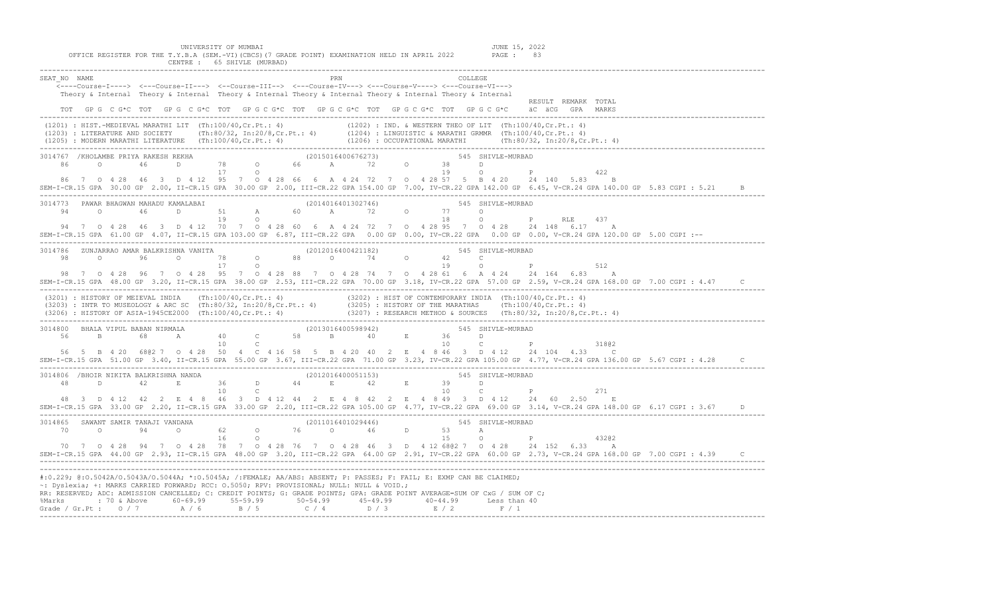| UNIVERSITY OF MUMBAI<br>OFFICE REGISTER FOR THE T.Y.B.A (SEM.-VI) (CBCS) (7 GRADE POINT) EXAMINATION HELD IN APRIL 2022<br>CENTRE : 65 SHIVLE (MURBAD)                                                                                                                                                                                                                                                                                                                                                                                                                                                            |          | JUNE 15, 2022<br>PAGE : 83                                                                                                                                  |
|-------------------------------------------------------------------------------------------------------------------------------------------------------------------------------------------------------------------------------------------------------------------------------------------------------------------------------------------------------------------------------------------------------------------------------------------------------------------------------------------------------------------------------------------------------------------------------------------------------------------|----------|-------------------------------------------------------------------------------------------------------------------------------------------------------------|
| SEAT NO NAME<br><----Course-I----> <---Course-II---> <--Course-III--> <---Course-IV---> <---Course-V----> <---Course-VI---><br>Theory & Internal Theory & Internal Theory & Internal Theory & Internal Theory & Internal Theory & Internal<br>TOT GPG CG*C TOT GPG CG*C TOT GPG CG*C TOT GPG CG*C TOT GPG CG*C TOT GPG CG*C                                                                                                                                                                                                                                                                                       | COLLEGE. | RESULT REMARK TOTAL<br>äC äCG GPA MARKS                                                                                                                     |
|                                                                                                                                                                                                                                                                                                                                                                                                                                                                                                                                                                                                                   |          |                                                                                                                                                             |
| 86 7 0 4 28 46 3 D 4 12 95 7 0 4 28 66 6 A 4 24 72 7 0 4 28 57 5 B 4 20 24 140 5.83 B<br>SEM-I-CR.15 GPA 30.00 GP 2.00, II-CR.15 GPA 30.00 GP 2.00, III-CR.22 GPA 154.00 GP 7.00, IV-CR.22 GPA 142.00 GP 6.45, V-CR.24 GPA 140.00 GP 5.83 CGPI : 5.21                                                                                                                                                                                                                                                                                                                                                             |          | $O$ and $P$<br>422                                                                                                                                          |
| 3014773 PAWAR BHAGWAN MAHADU KAMALABAI (2014016401302746) 645 SHIVLE-MURBAD<br>$\circ$ 46<br>94 7<br>94 7 0 4 28 46 3 D 4 12 70 7 0 4 28 60 6 A 4 24 72 7 0 4 28 95 7 0 4 28 24 148 6.17 A<br>SEM-I-CR.15 GPA 61.00 GP 4.07, II-CR.15 GPA 103.00 GP 6.87, III-CR.22 GPA 0.00 GP 0.00, IV-CR.22 GPA 0.00 GP 0.00, V-CR.24 GPA 120.00 GP 5.00 CGPI :--                                                                                                                                                                                                                                                              |          | $\mathbb{P}$ and $\mathbb{P}$<br>RLE<br>437                                                                                                                 |
| 3014786 ZUNJARRAO AMAR BALKRISHNA VANITA (2012016400421182) 545 SHIVLE-MURBAD<br>98 0 96 0 78 0 88 0 74 0 42 C<br>17 0<br>98 7 0 4 28 96 7 0 4 28 95 7 0 4 28 88 7 0 4 28 74 7 0 4 28 61 6 A 4 24 24 164 6.83 A<br>SEM-I-CR.15 GPA 48.00 GP 3.20, II-CR.15 GPA 38.00 GP 2.53, III-CR.22 GPA 70.00 GP 3.18, IV-CR.22 GPA 57.00 GP 2.59, V-CR.24 GPA 168.00 GP 7.00 CGPI: 4.47<br>(3201) : HISTORY OF MEIEVAL INDIA (Th:100/40, Cr.Pt.: 4) (3202) : HIST OF CONTEMPORARY INDIA (Th:100/40, Cr.Pt.: 4)<br>(3203) : INTR TO MUSEOLOGY & ARC SC (Th:80/32, In:20/8, Cr.Pt.: 4) (3205) : HISTORY OF THE MARATHAS (Th:10 |          | 512                                                                                                                                                         |
| 56 5 B 4 20 6802 7 0 4 28 50 4 C 4 16 58 5 B 4 20 40 2 E 4 8 46 3 D 4 12 24 104 4.33 C<br>SEM-I-CR.15 GPA 51.00 GP 3.40, II-CR.15 GPA 55.00 GP 3.67, III-CR.22 GPA 71.00 GP 3.23, IV-CR.22 GPA 105.00 GP 4.77, V-CR.24 GPA 136.00 GP 5.67 CGPI : 4.28                                                                                                                                                                                                                                                                                                                                                             | 10       | 545 SHIVLE-MURBAD<br>$C$ $P$<br>31802                                                                                                                       |
| 3014806 /BHOIR NIKITA BALKRISHNA NANDA<br>48 D 42 E 36 D 44 E 42 E 39 D 2012016400051153)<br>48 D 10 C P<br>48 3 D 4 12 42 2 E 4 8 46 3 D 4 12 44 2 E 4 8 42 2 E 4 8 49 3 D 4 12 24 60 2.50 E<br>SEM-I-CR.15 GPA 33.00 GP 2.20, II-CR.15 GPA 33.00 GP 2.20, III-CR.22 GPA 105.00 GP 4.77, IV-CR.22 GPA 69.00 GP 3.14, V-CR.24 GPA 148.00 GP 6.17 CGPI : 3.67                                                                                                                                                                                                                                                      |          | 271                                                                                                                                                         |
| 3014865 SAWANT SAMIR TANAJI VANDANA (2011016401029446) 545 SHIVLE-MURBAD<br>965 SAWANT SAMIR TANAJI VANDANA<br>10 0 94 0 62 0 76 0 46 D 53 A<br>16 0 15 0 P 43202<br>70 7 0 4 28 94 7 0 4 28 78 7 0 4 28 76 7 0 4 28 46 3 D 4 12 6802 7 0 4 28 24 152 6.33 A                                                                                                                                                                                                                                                                                                                                                      |          | SEM-I-CR.15 GPA 44.00 GP 2.93, II-CR.15 GPA 48.00 GP 3.20, III-CR.22 GPA 64.00 GP 2.91, IV-CR.22 GPA 60.00 GP 2.73, V-CR.24 GPA 168.00 GP 7.00 CGPI: 4.39 C |
| #:0.229; @:0.5042A/0.5043A/0.5044A; *:0.5045A; /:FEMALE; AA/ABS: ABSENT; P: PASSES; F: FAIL; E: EXMP CAN BE CLAIMED;<br>~: Dyslexia; +: MARKS CARRIED FORWARD; RCC: 0.5050; RPV: PROVISIONAL; NULL: NULL & VOID.;<br>RR: RESERVED; ADC: ADMISSION CANCELLED; C: CREDIT POINTS; G: GRADE POINTS; GPA: GRADE POINT AVERAGE=SUM OF CxG / SUM OF C;<br>%Marks : 70 & Above 60-69.99 55-59.99 50-54.99 45-49.99 40-44.99 Less than 40<br>Grade / Gr.Pt : 0 / 7 A / 6 B / 5 C / 4 D / 3 E / 2 F / 1                                                                                                                     |          |                                                                                                                                                             |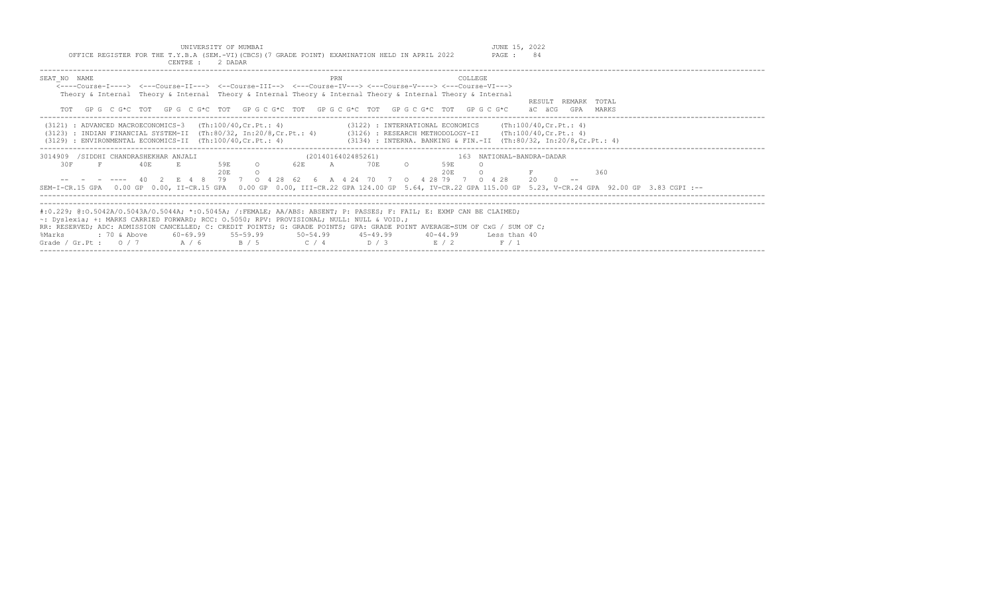| CENTRE :                                                                                                                                                                                                  | 2 DADAR                                                                                                                                                                                                                                                                                                                                                                                                                                                                        |
|-----------------------------------------------------------------------------------------------------------------------------------------------------------------------------------------------------------|--------------------------------------------------------------------------------------------------------------------------------------------------------------------------------------------------------------------------------------------------------------------------------------------------------------------------------------------------------------------------------------------------------------------------------------------------------------------------------|
| SEAT NO NAME                                                                                                                                                                                              | COLLEGE<br>PRN<br><----Course-T----> <---Course-TT---> <--Course-TTT--> <---Course-TV---> <---Course-V----> <---Course-VT---><br>Theory & Internal Theory & Internal Theory & Internal Theory & Internal Theory & Internal Theory & Internal<br>TOTAL<br>RESULT<br>REMARK<br>GPG CG*C TOT GPG CG*C TOT GPG CG*C TOT GPG CG*C TOT GPG CG*C TOT GPG CG*C<br>äC äCG<br>GPA<br>MARKS                                                                                               |
| $(3121)$ : ADVANCED MACROECONOMICS-3 $(Th:100/40, Cr.Pt.: 4)$<br>: INDIAN FINANCIAL SYSTEM-II (Th:80/32, In:20/8,Cr.Pt.: 4)<br>(3123)<br>: ENVIRONMENTAL ECONOMICS-II $(Th:100/40, Cr.Pt. : 4)$<br>(3129) | $(3122)$ : INTERNATIONAL ECONOMICS (Th:100/40, Cr. Pt.: 4)<br>$(3126)$ : RESEARCH METHODOLOGY-II (Th:100/40, Cr. Pt.: 4)<br>(3134) : INTERNA. BANKING & FIN.-II (Th:80/32, In:20/8, Cr. Pt.: 4)                                                                                                                                                                                                                                                                                |
| 3014909<br>/SIDDHI CHANDRASHEKHAR ANJALI<br>30F<br>F<br>40E                                                                                                                                               | (2014016402485261)<br>163 NATIONAL-BANDRA-DADAR<br>62 E<br>70 E<br>59E<br>$\circ$<br>$\mathbb A$<br>$\circ$<br>59E<br>20E<br>20E<br>360<br>40 2 E 4 8 79 7 O 4 28 62 6 A 4 24 70 7 O 4 28 79 7<br>$20 \t 0 \t -$<br>$0 \t 4 \t 28$<br>SEM-I-CR.15 GPA 0.00 GP 0.00, II-CR.15 GPA 0.00 GP 0.00, III-CR.22 GPA 124.00 GP 5.64, IV-CR.22 GPA 115.00 GP 5.23, V-CR.24 GPA 92.00 GP 3.83 CGPI :--                                                                                   |
| : 70 & Above<br>%Marks<br>Grade / Gr.Pt : $0/7$ A / 6                                                                                                                                                     | #:0.229; @:0.5042A/0.5043A/0.5044A; *:0.5045A; /:FEMALE; AA/ABS: ABSENT; P: PASSES; F: FAIL; E: EXMP CAN BE CLAIMED;<br>$\sim$ : Dyslexia; +: MARKS CARRIED FORWARD; RCC: 0.5050; RPV: PROVISIONAL; NULL: NULL & VOID.;<br>RR: RESERVED; ADC: ADMISSION CANCELLED; C: CREDIT POINTS; G: GRADE POINTS; GPA: GRADE POINT AVERAGE=SUM OF CxG / SUM OF C;<br>$60-69.99$ $55-59.99$ $50-54.99$ $45-49.99$<br>$40 - 44.99$<br>Less than 40<br>$C / 4$ D/3<br>B / 5<br>E / 2<br>F / 1 |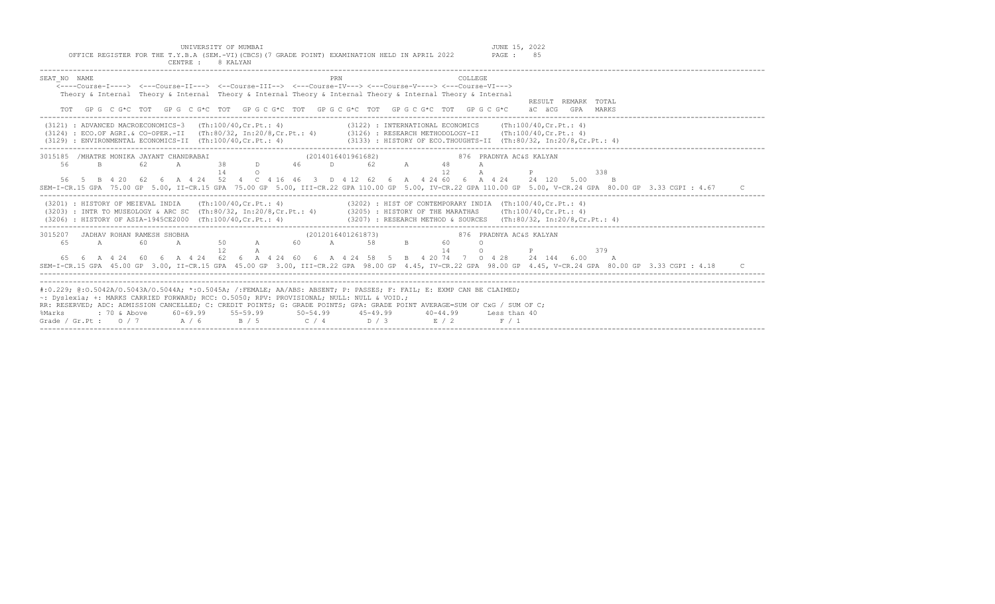UNIVERSITY OF MUMBAI<br>Y.B.A (SEM.-VI)(CBCS)(7 GRADE POINT) EXAMINATION HELD IN APRIL 2022 PAGE : 85

| OFFICE REGISTER FOR THE T.Y.B.A (SEM.-VI)(CBCS)(7 GRADE POINT) EXAMINATION HELD IN APRIL 2022<br>PAGE: 85<br>CENTRE : 8 KALYAN                                                                                                                                                                                                                                                                                                                                                                                               |
|------------------------------------------------------------------------------------------------------------------------------------------------------------------------------------------------------------------------------------------------------------------------------------------------------------------------------------------------------------------------------------------------------------------------------------------------------------------------------------------------------------------------------|
| PRN<br>COLLEGE<br>SEAT NO NAME<br>$\leftarrow$ ---Course-T----> $\leftarrow$ --Course-TT---> $\leftarrow$ -Course-TTT--> $\leftarrow$ --Course-TV---> $\leftarrow$ -Course-V----> $\leftarrow$ -Course-VT---><br>Theory & Internal Theory & Internal Theory & Internal Theory & Internal Theory & Internal Theory & Internal<br>RESULT REMARK TOTAL<br>GPGCG*CTOTGPGCG*CTOTGPGCG*CTOTGPGCG*CTOTGPGCG*CTOTGPGCG*CTOTGPGCG*C<br>äC äCG GPA MARKS                                                                               |
| $(3121)$ : ADVANCED MACROECONOMICS-3 $(Th:100/40, Cr.Pt.: 4)$<br>$(3122)$ : INTERNATIONAL ECONOMICS $(Th:100/40, Cr.Pt.: 4)$<br>(3124) : ECO.OF AGRI.& CO-OPER.-II (Th:80/32, In:20/8,Cr.Pt.: 4) (3126) : RESEARCH METHODOLOGY-II (Th:100/40,Cr.Pt.: 4)<br>(3133) : HISTORY OF ECO.THOUGHTS-II (Th:80/32, In:20/8, Cr. Pt.: 4)<br>(3129) : ENVIRONMENTAL ECONOMICS-II (Th:100/40.Cr.Pt.: 4)                                                                                                                                  |
| 876 PRADNYA AC&S KALYAN<br>3015185 /MHATRE MONIKA JAYANT CHANDRABAI<br>(2014016401961682)<br>38 D 46 D 62 A<br>56<br>B<br>62<br>48<br>A<br>14<br>12<br>338<br>$\Omega$<br>$\mathbb{P}$<br>56 5 B 4 20 62 6 A 4 24 52 4 C 4 16 46 3 D 4 12 62 6 A 4 24 60 6 A 4 24 24 120 5.00<br>$\overline{B}$<br>SEM-I-CR.15 GPA 75.00 GP 5.00, II-CR.15 GPA 75.00 GP 5.00, III-CR.22 GPA 110.00 GP 5.00, IV-CR.22 GPA 110.00 GP 5.00, V-CR.24 GPA 80.00 GP 3.33 CGPI : 4.67                                                               |
| $(3202)$ : HIST OF CONTEMPORARY INDIA $(Th:100/40, Cr.Pt.: 4)$<br>$(3201)$ : HISTORY OF MEIEVAL INDIA (Th:100/40.Cr.Pt.: 4)<br>(3203) : INTR TO MUSEOLOGY & ARC SC (Th:80/32, In:20/8, Cr.Pt.: 4) (3205) : HISTORY OF THE MARATHAS (Th:100/40, Cr.Pt.: 4)<br>$(3207)$ : RESEARCH METHOD & SOURCES (Th:80/32, In:20/8, Cr. Pt.: 4)<br>(3206) : HISTORY OF ASIA-1945CE2000 (Th:100/40, Cr. Pt.: 4)                                                                                                                             |
| 3015207 JADHAV ROHAN RAMESH SHOBHA<br>(2012016401261873)<br>876 PRADNYA AC&S KALYAN<br>A 50 A<br>$\mathbf{B}$ and $\mathbf{B}$ and $\mathbf{B}$<br>60<br>60 A 58<br>65<br>A<br>60<br>$\Omega$<br>14<br>12<br>$\cap$<br>379<br>P<br>65  6  A  4  24  60  6  A  4  24  62  6  A  4  24  60  6  A  4  24  58  5  B  4  20  74  7  0  4  28  24  144  6.00  A<br>SEM-I-CR.15 GPA 45.00 GP 3.00, II-CR.15 GPA 45.00 GP 3.00, III-CR.22 GPA 98.00 GP 4.45, IV-CR.22 GPA 98.00 GP 4.45, V-CR.24 GPA 80.00 GP 3.33 CGPI : 4.18       |
| #:0.229; @:0.5042A/0.5043A/0.5044A; *:0.5045A; /:FEMALE; AA/ABS: ABSENT; P: PASSES; F: FAIL; E: EXMP CAN BE CLAIMED;<br>~: Dvslexia; +: MARKS CARRIED FORWARD; RCC: 0.5050; RPV: PROVISIONAL; NULL: NULL & VOID.;<br>RR: RESERVED; ADC: ADMISSION CANCELLED; C: CREDIT POINTS; G: GRADE POINTS; GPA: GRADE POINT AVERAGE=SUM OF CxG / SUM OF C;<br>$60-69.99$ $55-59.99$ $50-54.99$ $45-49.99$<br>: 70 & Above<br>40-44.99 Less than 40<br>%Marks<br>Grade / Gr.Pt: $0/7$ A / 6<br>B / 5<br>$C / 4$ $D / 3$ $E / 2$<br>F / 1 |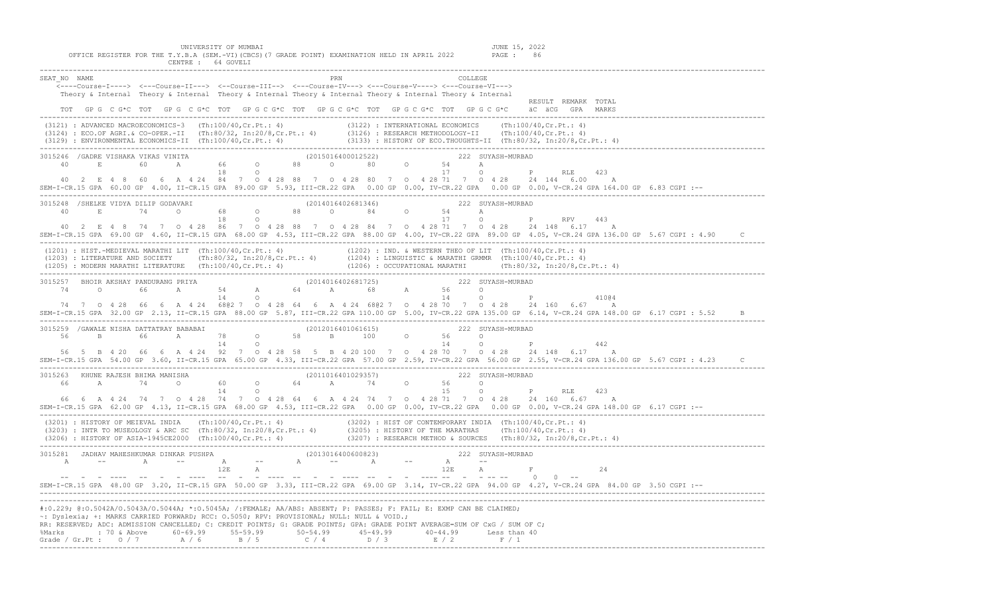| UNIVERSITY OF MUMBAI<br>JUNE 15, 2022<br>OFFICE REGISTER FOR THE T.Y.B.A (SEM.-VI) (CBCS) (7 GRADE POINT) EXAMINATION HELD IN APRIL 2022<br>PAGE : 86<br>CENTRE : 64 GOVELI                                                                                                                                                                                                                                                                                                                           |  |
|-------------------------------------------------------------------------------------------------------------------------------------------------------------------------------------------------------------------------------------------------------------------------------------------------------------------------------------------------------------------------------------------------------------------------------------------------------------------------------------------------------|--|
| SEAT NO NAME<br>COLLEGE<br><----Course-I----> <---Course-II---> <--Course-III--> <--Course-IV---> <---Course-V----> <---Course-VI---><br>Theory & Internal Theory & Internal Theory & Internal Theory & Internal Theory & Internal Theory & Internal<br>RESULT REMARK TOTAL<br>TOT GPG C G*C TOT GPG C G*C TOT GPG C G*C TOT GPG C G*C TOT GPG C G*C TOT GPG C G*C äC äCG GPA MARKS                                                                                                                   |  |
| (3121) : ADVANCED MACROECONOMICS-3 (Th:100/40, Cr.Pt.: 4) (3122) : INTERNATIONAL ECONOMICS (Th:100/40, Cr.Pt.: 4)<br>(3124) : ECO.OF AGRI.& CO-OPER.-II (Th:80/32, In:20/8,Cr.Pt.: 4) (3126) : RESEARCH METHODOLOGY-II (Th:100/40,Cr.Pt.: 4)<br>(3129) : ENVIRONMENTAL ECONOMICS-II (Th:100/40,Cr.Pt.: 4) (3133) : HISTORY OF ECO.THOUGHTS-II (Th:80/3                                                                                                                                                |  |
| 3015246 /GADRE VISHAKA VIKAS VINITA (2015016400012522) 222 SUYASH-MURBAD<br>$40$ E 60 A 66 0 88 0 80 0 54 A<br>18 0 17 0<br>$P$ and $P$<br>RLE 423<br>40 2 E 4 8 60 6 A 4 24 84 7 0 4 28 88 7 0 4 28 80 7 0 4 28 71 7 0 4 28 24 144 6 00 A<br>SEM-I-CR.15 GPA 60.00 GP 4.00, II-CR.15 GPA 89.00 GP 5.93, III-CR.22 GPA 0.00 GP 0.00, IV-CR.22 GPA 0.00 GP 0.00, V-CR.24 GPA 164.00 GP 6.83 CGPI :--                                                                                                   |  |
| 3015248 /SHELKE VIDYA DILIP GODAVARI (2014016402681346) 222 SUYASH-MURBAD<br>$40$ E $74$ 0 68 0 88 0 84 0 54 A<br>18 0 17 0 P RPV 443<br>40 2 E 4 8 74 7 0 4 28 86 7 0 4 28 88 7 0 4 28 84 7 0 4 28 71 7 0 4 28 24 148 6.17 A<br>SEM-I-CR.15 GPA 69.00 GP 4.60, II-CR.15 GPA 68.00 GP 4.53, III-CR.22 GPA 88.00 GP 4.00, IV-CR.22 GPA 89.00 GP 4.05, V-CR.24 GPA 136.00 GP 5.67 CGPI : 4.90                                                                                                           |  |
| (1201) : HIST.-MEDIEVAL MARATHI LIT (Th:100/40,Cr.Pt.: 4) (1202) : IND. & WESTERN THEO OF LIT (Th:100/40,Cr.Pt.: 4)<br>(1203) : LITERATURE AND SOCIETY (Th:80/32, In:20/8,Cr.Pt.: 4) (1204) : LINGUISTIC & MARATHI GRMMR (Th:100/                                                                                                                                                                                                                                                                     |  |
| 3015257 BHOIR AKSHAY PANDURANG PRIYA (2014016402681725) 222 SUYASH-MURBAD<br>$74$ 0 66 A 54 A 64 A 68 A 56 O<br>14 O 14 O<br>$\mathbf P$ and $\mathbf P$ and $\mathbf P$ and $\mathbf P$ and $\mathbf P$<br>41004<br>74 7 0 4 28 66 6 A 4 24 6802 7 0 4 28 64 6 A 4 24 6802 7 0 4 28 70 7 0 4 28 24 160 6.67 A<br>SEM-I-CR.15 GPA 32.00 GP 2.13, II-CR.15 GPA 88.00 GP 5.87, III-CR.22 GPA 110.00 GP 5.00, IV-CR.22 GPA 135.00 GP 6.14, V-CR.24 GPA 148.00 GP 6.17 CGPI : 5.52                        |  |
| 3015259 /GAWALE NISHA DATTATRAY BABABAI (2012016401061615) (2012016401061615) 222 SUYASH-MURBAD<br>1999, 1999, 1999, 1999, 1999, 1999, 1999, 1999, 1999, 1999, 1999, 1999, 1999, 1999, 1999, 1999, 1999, 1999, 19<br>1999, 1999, 1999, 1999, 1999, 1999, 1999, 1999, 1999, 1999, 1999, 1999, 1999, 1999, 1999, 1999, 1999, 1999, 19<br><br>SEM-I-CR.15 GPA 54.00 GP 3.60, II-CR.15 GPA 65.00 GP 4.33, III-CR.22 GPA 57.00 GP 2.59, IV-CR.22 GPA 56.00 GP 2.55, V-CR.24 GPA 136.00 GP 5.67 CGPI : 4.23 |  |
| 3015263 KHUNE RAJESH BHIMA MANISHA (2011016401029357) 222 SUYASH-MURBAD<br>66 A 74 O 60 O 64 A 74 O<br>56 0<br>$\frac{15}{15}$<br>O P RLE<br>423<br>66  6  A  4  24  74  7  0  4  28  74  7  0  4  28  64  6  A  4  24  74  7  0  4  28  71  7  0  4  28  24  160  6.67  A<br>SEM-I-CR.15 GPA 62.00 GP 4.13, II-CR.15 GPA 68.00 GP 4.53, III-CR.22 GPA 0.00 GP 0.00, IV-CR.22 GPA 0.00 GP 0.00, V-CR.24 GPA 148.00 GP 6.17 CGPI :--                                                                   |  |
| (3201) : HISTORY OF MEIEVAL INDIA (Th:100/40,Cr.Pt.: 4) (3202) : HIST OF CONTEMPORARY INDIA (Th:100/40,Cr.Pt.: 4)<br>(3203) : INTR TO MUSEOLOGY & ARC SC (Th:80/32, In:20/8,Cr.Pt.: 4) (3205) : HISTORY OF THE MARATHAS (Th:100/4                                                                                                                                                                                                                                                                     |  |
| SEM-I-CR.15 GPA 48.00 GP 3.20, II-CR.15 GPA 50.00 GP 3.33, III-CR.22 GPA 69.00 GP 3.14, IV-CR.22 GPA 94.00 GP 4.27, V-CR.24 GPA 84.00 GP 3.50 CGPI :--                                                                                                                                                                                                                                                                                                                                                |  |
| #:0.229; @:0.5042A/0.5043A/0.5044A; *:0.5045A; /:FEMALE; AA/ABS: ABSENT; P: PASSES; F: FAIL; E: EXMP CAN BE CLAIMED;<br>~: Dyslexia; +: MARKS CARRIED FORWARD; RCC: 0.5050; RPV: PROVISIONAL; NULL: NULL & VOID.;<br>RR: RESERVED; ADC: ADMISSION CANCELLED; C: CREDIT POINTS; G: GRADE POINTS; GPA: GRADE POINT AVERAGE=SUM OF CxG / SUM OF C;<br>%Marks : 70 & Above 60-69.99 55-59.99 50-54.99 45-49.99 40-44.99 Less than 40                                                                      |  |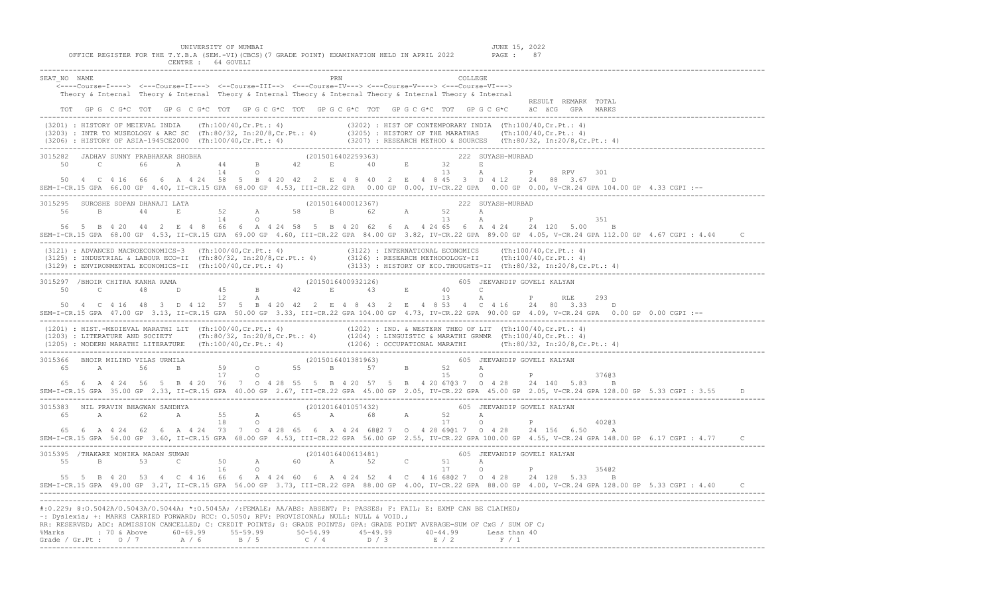UNIVERSITY OF MUMBAI<br>Y.B.A (SEM.-VI)(CBCS)(7 GRADE POINT) EXAMINATION HELD IN APRIL 2022 PAGE : 87

| OFFICE REGISTER FOR THE T.Y.B.A (SEM.-VI)(CBCS)(7 GRADE POINT) EXAMINATION HELD IN APRIL 2022 PAGE :<br>-87<br>CENTRE : 64 GOVELI                                                                                                                                                                                                                                                                                                                                                                                                                                                                                                                                                                   |  |
|-----------------------------------------------------------------------------------------------------------------------------------------------------------------------------------------------------------------------------------------------------------------------------------------------------------------------------------------------------------------------------------------------------------------------------------------------------------------------------------------------------------------------------------------------------------------------------------------------------------------------------------------------------------------------------------------------------|--|
| SEAT NO NAME<br>PRN<br><b>COLLEGE</b><br><----Course-I----> <---Course-II---> <--Course-III--> <--Course-IV---> <---Course-V----> <---Course-VI---><br>Theory & Internal Theory & Internal Theory & Internal Theory & Internal Theory & Internal Theory & Internal<br>RESULT REMARK TOTAL<br>TOT GP G C G*C TOT GP G C G*C TOT GP G C G*C TOT GP G C G*C TOT GP G C G*C TOT GP G C G*C aC aCG GPA MARKS                                                                                                                                                                                                                                                                                             |  |
| (3201) : HISTORY OF MEIEVAL INDIA (Th:100/40, Cr.Pt.: 4) (3202) : HIST OF CONTEMPORARY INDIA (Th:100/40, Cr.Pt.: 4)<br>(3203) : INTR TO MUSEOLOGY & ARC SC (Th:80/32, In:20/8, Cr.Pt.: 4) (3205) : HISTORY OF THE MARATHAS (Th:10                                                                                                                                                                                                                                                                                                                                                                                                                                                                   |  |
| 3015282 JADHAV SUNNY PRABHAKAR SHOBHA (2015016402259363) 222 SUYASH-MURBAD<br>50 C 66 A 44 B 42 E 40 E 32 E<br>50 4 C 4 16 66 6 A 4 24 58 5 B 4 20 42 2 E 4 8 40 2 E 4 8 45 3 D 4 12 24 88 3.67 D<br>SEM-I-CR.15 GPA 66.00 GP 4.40, II-CR.15 GPA 68.00 GP 4.53, III-CR.22 GPA 0.00 GP 0.00, IV-CR.22 GPA 0.00 GP 0.00, V-CR.24 GPA 104.00 GP 4.33 CGPI :--                                                                                                                                                                                                                                                                                                                                          |  |
| $\begin{array}{cccccccccccccccc} 3015295& \texttt{SUBOSHE} & \texttt{SORAN} & \texttt{DHAMNAJI} & \texttt{LATA} & & & & & & (2015016400012367) & & & & & & 222 & \texttt{SUXASH-MURBAD} \\ 56 & & B & & 44 & & E & & 52 & A & 58 & B & 62 & A & 52 & A & A & P \\ & & & & & & & 14 & O & & & & & 13 & A & P \end{array}$<br>P<br>351<br>56 5 B 4 20 44 2 E 4 8 66 6 A 4 24 58 5 B 4 20 62 6 A 4 24 65 6 A 4 24 24 120 5.00 B<br>SEM-I-CR.15 GPA 68.00 GP 4.53, II-CR.15 GPA 69.00 GP 4.60, III-CR.22 GPA 84.00 GP 3.82, IV-CR.22 GPA 89.00 GP 4.05, V-CR.24 GPA 112.00 GP 4.67 CGPI : 4.44                                                                                                          |  |
| (3121) : ADVANCED MACROECONOMICS-3 (Th:100/40,Cr.Pt.: 4)<br>(3122) : INTERNATIONAL ECONOMICS (Th:100/40,Cr.Pt.: 4)<br>(3125) : INDUSTRIAL & LABOUR ECO-II (Th:80/32, In:20/8,Cr.Pt.: 4) (3126) : RESEARCH METHODOLOGY-II (Th:100/4                                                                                                                                                                                                                                                                                                                                                                                                                                                                  |  |
| 293<br>50  4  C  4  16  48  3  D  4  12  57  5  B  4  20  42  2  E  4  8  43  2  E  4  8  53  4  C  4  16  24  80  3.33  D<br>SEM-I-CR.15 GPA 47.00 GP 3.13, II-CR.15 GPA 50.00 GP 3.33, III-CR.22 GPA 104.00 GP 4.73, IV-CR.22 GPA 90.00 GP 4.09, V-CR.24 GPA 0.00 GP 0.00 CGPI :--                                                                                                                                                                                                                                                                                                                                                                                                                |  |
|                                                                                                                                                                                                                                                                                                                                                                                                                                                                                                                                                                                                                                                                                                     |  |
| 37603<br>65  6  A  4  24  56  5  B  4  20  76  7  0  4  28  55  5  B  4  20  57  5  B  4  20  67  83  7  0  4  28  24  140  5.83  B<br>SEM-I-CR.15 GPA 35.00 GP 2.33, II-CR.15 GPA 40.00 GP 2.67, III-CR.22 GPA 45.00 GP 2.05, IV-CR.22 GPA 45.00 GP 2.05, V-CR.24 GPA 128.00 GP 5.33 CGPI : 3.55                                                                                                                                                                                                                                                                                                                                                                                                   |  |
| 3015383 NIL PRAVIN BHAGWAN SANDHYA (2012016401057432) 605 JEEVANDIP GOVELI KALYAN<br>65  6  A  4  24  62  6  A  4  24  73  7  0  4  28  65  6  A  4  24  68  62  7  0  4  28  69  61  7  0  4  28  24  156  6.50  A<br>SEM-I-CR.15 GPA 54.00 GP 3.60, II-CR.15 GPA 68.00 GP 4.53, III-CR.22 GPA 56.00 GP 2.55, IV-CR.22 GPA 100.00 GP 4.55, V-CR.24 GPA 148.00 GP 6.17 CGPI : 4.77                                                                                                                                                                                                                                                                                                                  |  |
| $\begin{array}{cccccccccccc} \texttt{3015395} & \texttt{/THAKARE MONIKA MADAN SUMAN} & & & & & & \texttt{(2014016400613481)} & & & & & & & \texttt{605} & \texttt{JEEVANDIP GOVELI KALYAN} \\ \texttt{55} & \texttt{B} & \texttt{53} & \texttt{C} & \texttt{50} & \texttt{A} & \texttt{60} & \texttt{A} & \texttt{52} & \texttt{C} & \texttt{51} & \texttt{A} & \\ \texttt{16} & \texttt{0} & & & & & & \texttt{17} & \text$<br>P<br>35402<br>55 5 B 4 20 53 4 C 4 16 66 6 A 4 24 60 6 A 4 24 52 4 C 4 16 6802 7 0 4 28 24 128 5.33 B<br>SEM-I-CR.15 GPA 49.00 GP 3.27, II-CR.15 GPA 56.00 GP 3.73, III-CR.22 GPA 88.00 GP 4.00, IV-CR.22 GPA 88.00 GP 4.00, V-CR.24 GPA 128.00 GP 5.33 CGPI : 4.40 |  |
| #:0.229; @:0.5042A/0.5043A/0.5044A; *:0.5045A; /:FEMALE; AA/ABS: ABSENT; P: PASSES; F: FAIL; E: EXMP CAN BE CLAIMED;<br>~: Dyslexia; +: MARKS CARRIED FORWARD; RCC: 0.5050; RPV: PROVISIONAL; NULL: NULL & VOID.;<br>RR: RESERVED; ADC: ADMISSION CANCELLED; C: CREDIT POINTS; G: GRADE POINTS; GPA: GRADE POINT AVERAGE=SUM OF CxG / SUM OF C;<br>%Marks : 70 & Above 60-69.99 55-59.99 50-54.99 45-49.99 40-44.99 Less than 40<br>Grade / Gr.Pt : $0 / 7$ A / 6 B / 5 C / 4 D / 3 E / 2 F / 1                                                                                                                                                                                                     |  |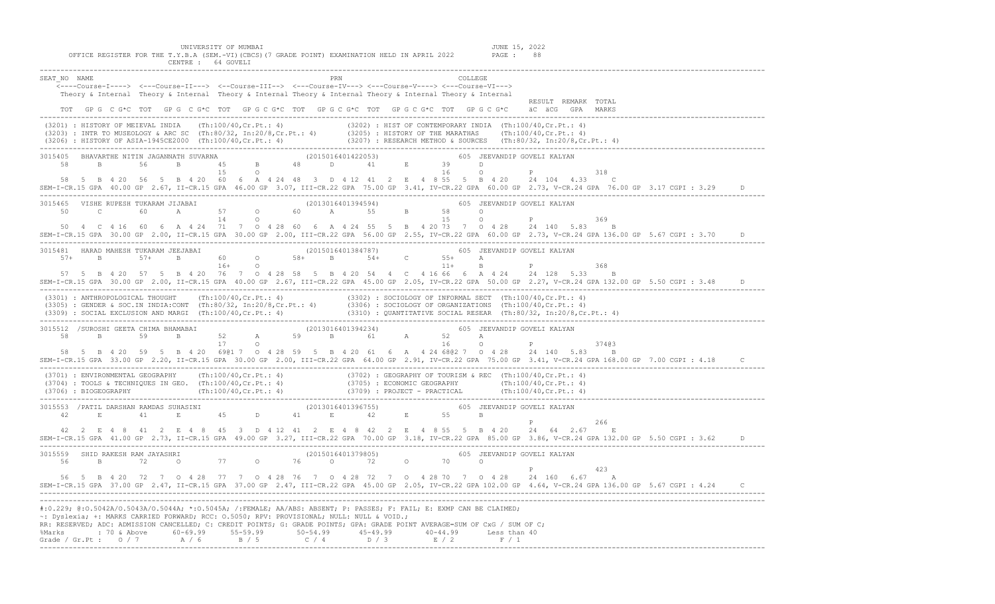| UNIVERSITY OF MUMBAI<br>JUNE 15, 2022<br>OFFICE REGISTER FOR THE T.Y.B.A (SEM.-VI)(CBCS)(7 GRADE POINT) EXAMINATION HELD IN APRIL 2022 PAGE : 88<br>CENTRE : 64 GOVELI                                                                                                                                                                                                                                                           |  |
|----------------------------------------------------------------------------------------------------------------------------------------------------------------------------------------------------------------------------------------------------------------------------------------------------------------------------------------------------------------------------------------------------------------------------------|--|
| SEAT NO NAME<br>COLLEGE<br><----Course-I----> <---Course-II---> <--Course-III--> <---Course-IV---> <---Course-V----> <---Course-VI---><br>Theory & Internal Theory & Internal Theory & Internal Theory & Internal Theory & Internal Theory & Internal<br>RESULT REMARK TOTAL<br>TOT GPG C G*C TOT GPG C G*C TOT GPG C G*C TOT GPG C G*C TOT GPG C G*C TOT GPG C G*C äC äCG GPA MARKS                                             |  |
| (3201) : HISTORY OF MEIEVAL INDIA (Th:100/40, Cr.Pt.: 4) (3202) : HIST OF CONTEMPORARY INDIA (Th:100/40, Cr.Pt.: 4)<br>(3203) : INTR TO MUSEOLOGY & ARC SC (Th:80/32, In:20/8, Cr.Pt.: 4) (3205) : HISTORY OF THE MARATHAS (Th:10                                                                                                                                                                                                |  |
| 3015405 BHAVARTHE NITIN JAGANNATH SUVARNA (2015016401422053) 605 JEEVANDIP GOVELI KALYAN 58 B 56 B 45 B 48 D 48 D 48 D 15 O P<br>318<br>58 5 B 4 20 56 5 B 4 20 60 6 A 4 24 48 3 D 4 12 41 2 E 4 8 55 5 B 4 20 24 104 4.33 C<br>SEM-I-CR.15 GPA 40.00 GP 2.67, II-CR.15 GPA 46.00 GP 3.07, III-CR.22 GPA 75.00 GP 3.41, IV-CR.22 GPA 60.00 GP 2.73, V-CR.24 GPA 76.00 GP 3.17 CGPI : 3.29 D                                      |  |
| 3015465 VISHE RUPESH TUKARAM JIJABAI (201301640139454) 605 JEEVANDIP GOVELI KALYAN<br>50 C 60 A 57 O 60 A 55 B 58 O P<br>50  4  C  4  16  60  6  A  4  24  71  7  0  4  28  60  6  A  4  24  55  5  B  4  20  73  7  0  4  28  24  140  5.83  B<br>SEM-I-CR.15 GPA 30.00 GP 2.00, II-CR.15 GPA 30.00 GP 2.00, III-CR.22 GPA 56.00 GP 2.55, IV-CR.22 GPA 60.00 GP 2.73, V-CR.24 GPA 136.00 GP 5.67 CGPI : 3.70                    |  |
| 368<br>57 5 B 4 20 57 5 B 4 20 76 7 0 4 28 58 5 B 4 20 54 4 C 4 16 66 6 A 4 24 24 128 5.33 B<br>SEM-I-CR.15 GPA 30.00 GP 2.00, II-CR.15 GPA 40.00 GP 2.67, III-CR.22 GPA 45.00 GP 2.05, IV-CR.22 GPA 50.00 GP 2.27, V-CR.24 GPA 132.00 GP 5.50 CGPI : 3.48                                                                                                                                                                       |  |
| (3301) : ANTHROPOLOGICAL THOUGHT (Th:100/40,Cr.Pt.: 4) (3302) : SOCIOLOGY OF INFORMAL SECT (Th:100/40,Cr.Pt.: 4)<br>(3305) : GENDER & SOC.IN INDIA:CONT (Th:80/32, In:20/8,Cr.Pt.: 4) (3306) : SOCIOLOGY OF ORGANIZATIONS (Th:100                                                                                                                                                                                                |  |
| 3015512 /SUROSHI GEETA CHIMA BHAMABAI (2013016401394234) 605 JEEVANDIP GOVELI KALYAN 58 B 59 B 52 A 59 B 61 A 52 A 17 0 16 0 P 374@3<br>SEM-I-CR.15 GPA 33.00 GP 2.20, II-CR.15 GPA 30.00 GP 2.00, III-CR.22 GPA 64.00 GP 2.91, IV-CR.22 GPA 75.00 GP 3.41, V-CR.24 GPA 168.00 GP 7.00 CGPI: 4.18 C                                                                                                                              |  |
| $(3701): ENVIRONMENTAL GEOGRAPHY (Th:100/40, Cr.PL.: 4) (3702): GEOGRAPHY OF TOURISM & REC (Th:100/40, Cr.PL.: 4) (3704): TOOLS & TECINIQUES IN GEO. (Th:100/40, Cr.PL.: 4) (3705): ECONOMIC GEOGRAPHY (Th:100/40, Cr.PL.: 4) (3706): BIOEGOGRAPHY (Th:100/40, Cr.PL.: 4) (3709): PROJECT - PRACTICAL (Th:100/40, Cr.PL.: 4) (3709): PROJECT- PRACTICAL (Th:100/40, Cr.PL.: $                                                    |  |
| P 266<br>42  2  E   4  8  41  2  E   4  8  45  3  D  4  1  2  E   4  8  42  2  E   4  8  55  5  B  4  20  24  64  2.67  E<br>SEM-I-CR.15 GPA 41.00 GP 2.73, II-CR.15 GPA 49.00 GP 3.27, III-CR.22 GPA 70.00 GP 3.18, IV-CR.22 GPA 85.00 GP 3.86, V-CR.24 GPA 132.00 GP 5.50 CGPI: 3.62                                                                                                                                           |  |
| P<br>423<br>56 5 B 4 20 72 7 0 4 28 77 7 0 4 28 76 7 0 4 28 72 7 0 4 28 70 7 0 4 28 24 160 6.67 A<br>SEM-I-CR.15 GPA 37.00 GP 2.47, II-CR.15 GPA 37.00 GP 2.47, III-CR.22 GPA 45.00 GP 2.05, IV-CR.22 GPA 102.00 GP 4.64, V-CR.24 GPA 136.00 GP 5.67 CGPI: 4.24 C                                                                                                                                                                |  |
| #:0.229; @:0.5042A/O.5043A/O.5044A; *:0.5045A; /:FEMALE; AA/ABS: ABSENT; P: PASSES; F: FAIL; E: EXMP CAN BE CLAIMED;<br>~: Dyslexia; +: MARKS CARRIED FORWARD; RCC: 0.5050; RPV: PROVISIONAL; NULL: NULL & VOID.;<br>RR: RESERVED; ADC: ADMISSION CANCELLED; C: CREDIT POINTS; G: GRADE POINTS; GPA: GRADE POINT AVERAGE=SUM OF CxG / SUM OF C;<br>%Marks : 70 & Above 60-69.99 55-59.99 50-54.99 45-49.99 40-44.99 Less than 40 |  |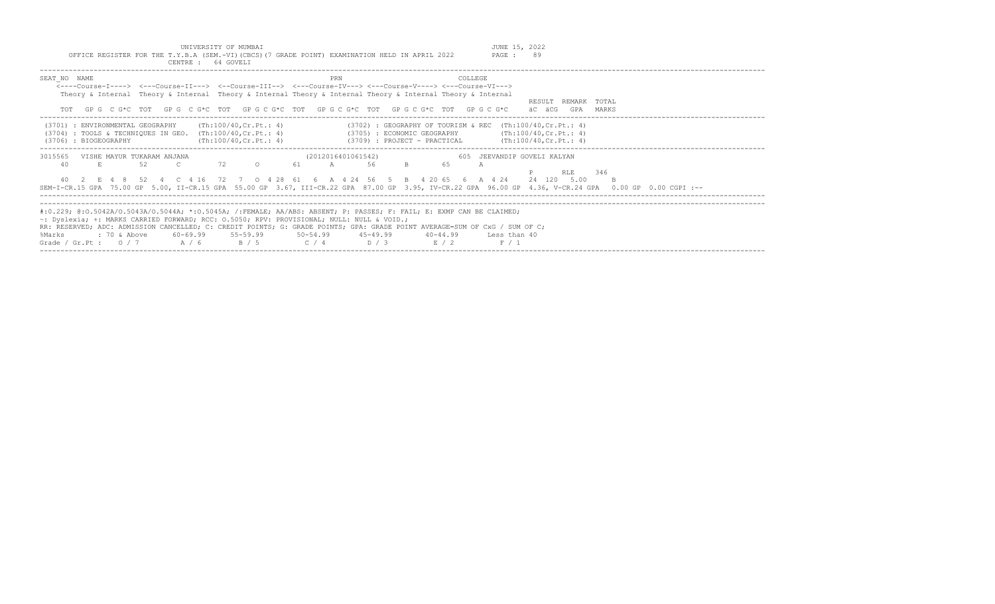| UNIVERSITY OF MUMBAI<br>OFFICE REGISTER FOR THE T.Y.B.A (SEM.-VI)(CBCS)(7 GRADE POINT) EXAMINATION HELD IN APRIL 2022<br>CENTRE : 64 GOVELI                                                                                                                                                                                                                                                                                                                                                           | JUNE 15, 2022<br>PAGE: 89                                 |
|-------------------------------------------------------------------------------------------------------------------------------------------------------------------------------------------------------------------------------------------------------------------------------------------------------------------------------------------------------------------------------------------------------------------------------------------------------------------------------------------------------|-----------------------------------------------------------|
| SEAT NO NAME<br>PRN<br>COLLEGE<br><----Course-T----> <---Course-TT---> <--Course-TTT--> <---Course-TV---> <---Course-V----> <---Course-VT---><br>Theory & Internal Theory & Internal Theory & Internal Theory & Internal Theory & Internal Theory & Internal<br>GPGCG*CTOTGPGCG*CTOTGPGCG*CTOTGPGCG*CTOTGPGCG*CTOTGPGCG*CTOTGPGCG                                                                                                                                                                     | RESULT REMARK TOTAL<br>äC äCG<br>GPA<br>MARKS             |
| (Th:100/40.Cr.Pt.: 4)<br>$(3702)$ : GEOGRAPHY OF TOURISM & REC $(Th:100/40, Cr.Pt.: 4)$<br>(3701) : ENVIRONMENTAL GEOGRAPHY<br>$(3704)$ : TOOLS & TECHNIQUES IN GEO. $(Th:100/40, Cr.Pt.: 4)$<br>$(3705)$ : ECONOMIC GEOGRAPHY $(\text{Th:100/40, Cr. Pt.: } 4)$<br>$(3709)$ : PROJECT - PRACTICAL $(Th:100/40, Cr.Pt.: 4)$<br>(3706) : BIOGEOGRAPHY<br>(Th:100/40.Cr.Pt.: 4)                                                                                                                         |                                                           |
| (2012016401061542)<br>3015565<br>VISHE MAYUR TUKARAM ANJANA<br>72<br>61<br>65<br>40<br>52<br>$\mathbb{C}$<br>$\circ$<br>56<br>$B = 1$<br>$\overline{A}$<br>E.,<br>А<br>40 2 E 4 8 52 4 C 4 16 72 7 0 4 28 61 6 A 4 24 56 5 B 4 20 65 6 A 4 24<br>SEM-I-CR.15 GPA 75.00 GP 5.00, II-CR.15 GPA 55.00 GP 3.67, III-CR.22 GPA 87.00 GP 3.95, IV-CR.22 GPA 96.00 GP 4.36, V-CR.24 GPA 0.00 GP 0.00 CGPI :--                                                                                                | 605 JEEVANDIP GOVELI KALYAN<br>346<br>RLE.<br>24 120 5.00 |
| #:0.229; @:0.5042A/0.5043A/0.5044A; *:0.5045A; /:FEMALE; AA/ABS: ABSENT; P: PASSES; F: FAIL; E: EXMP CAN BE CLAIMED;<br>~: Dyslexia; +: MARKS CARRIED FORWARD; RCC: 0.5050; RPV: PROVISIONAL; NULL: NULL & VOID.;<br>RR: RESERVED; ADC: ADMISSION CANCELLED; C: CREDIT POINTS; G: GRADE POINTS; GPA: GRADE POINT AVERAGE=SUM OF CxG / SUM OF C;<br>$60-69.99$ $55-59.99$ $50-54.99$ $45-49.99$<br>%Marks<br>: 70 & Above<br>$40 - 44.99$<br>Grade / Gr.Pt: $0/7$ A / 6<br>B / 5<br>$C / 4$ D/3<br>R/2 | Less than 40<br>F / 1                                     |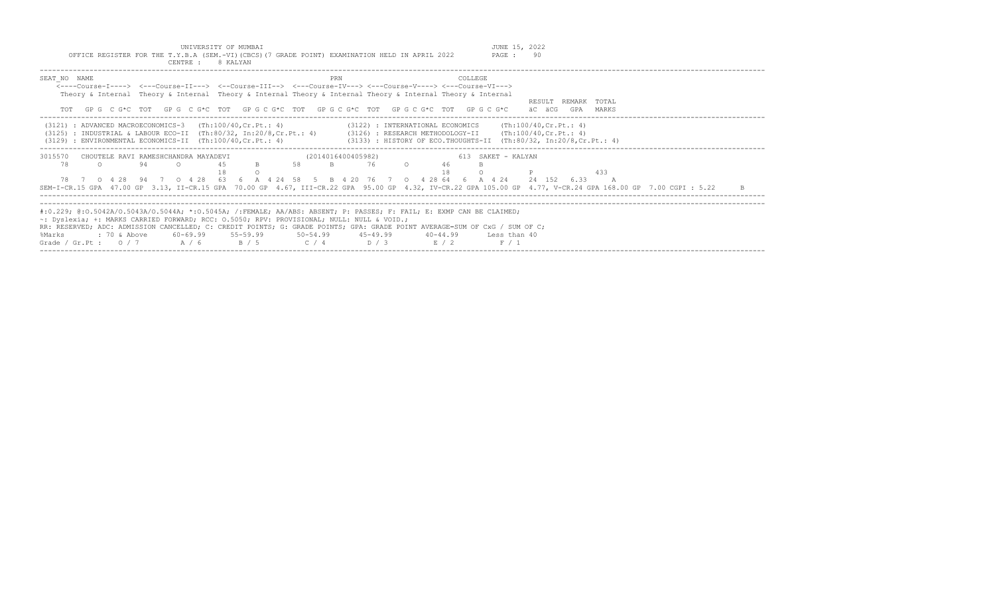|                                                                                                                                                                                                          | CENTRE :<br>8 KALYAN                          |                                                                                                                                                                                                                                                                                                                                                                   |  |
|----------------------------------------------------------------------------------------------------------------------------------------------------------------------------------------------------------|-----------------------------------------------|-------------------------------------------------------------------------------------------------------------------------------------------------------------------------------------------------------------------------------------------------------------------------------------------------------------------------------------------------------------------|--|
| SEAT NO NAME<br>TOT                                                                                                                                                                                      |                                               | PRN<br>COLLEGE<br><----Course-I----> <---Course-II---> <--Course-III--> <---Course-IV---> <---Course-V----> <---Course-VI---><br>Theory & Internal Theory & Internal Theory & Internal Theory & Internal Theory & Internal Theory & Internal<br>RESULT REMARK TOTAL<br>GPGCG*CTOTGPGCG*CTOTGPGCG*CTOTGPGCG*CTOTGPGCG*CTOTGPGCG*CTOTGPGCG*C<br>äC äCG<br>GPA MARKS |  |
| $(3121)$ : ADVANCED MACROECONOMICS-3 $(Th:100/40, Cr.Pt.: 4)$<br>$(3125)$ : INDUSTRIAL & LABOUR ECO-II (Th:80/32, In:20/8, Cr. Pt.: 4)<br>$(3129)$ : ENVIRONMENTAL ECONOMICS-II $(Th:100/40, Cr.Pt.: 4)$ |                                               | (3122) : INTERNATIONAL ECONOMICS (Th:100/40, Cr. Pt.: 4)<br>(3126) : RESEARCH METHODOLOGY-II (Th:100/40, Cr. Pt.: 4)<br>$(3133)$ : HISTORY OF ECO.THOUGHTS-II (Th:80/32, In:20/8, Cr. Pt.: 4)                                                                                                                                                                     |  |
| 3015570<br>CHOUTELE RAVI RAMESHCHANDRA MAYADEVI<br>94<br>78<br>$\Omega$<br>78                                                                                                                            | $\cap$<br>0 4 28 94 7 0 4 28 63 6 A 4 24 58 5 | (2014016400405982)<br>613 SAKET - KALYAN<br>58<br>$\cap$<br>76<br>46<br>B.<br>433<br>4 28 64 6 A 4 24<br>B 4 20 76 7<br>24 152<br>$\circ$<br>6.33<br>SEM-I-CR.15 GPA 47.00 GP 3.13, II-CR.15 GPA 70.00 GP 4.67, III-CR.22 GPA 95.00 GP 4.32, IV-CR.22 GPA 105.00 GP 4.77, V-CR.24 GPA 168.00 GP 7.00 CGPI : 5.22                                                  |  |
| $\sim$ : Dyslexia; +: MARKS CARRIED FORWARD; RCC: 0.5050; RPV: PROVISIONAL; NULL: NULL & VOID.;<br>$: 70$ & Above<br>%Marks<br>Grade / Gr.Pt : $0/7$                                                     | 55-59.99<br>60-69.99<br>A / 6<br>B / 5        | #:0.229; @:0.5042A/0.5043A/0.5044A; *:0.5045A; /:FEMALE; AA/ABS: ABSENT; P: PASSES; F: FAIL; E: EXMP CAN BE CLAIMED;<br>RR: RESERVED; ADC: ADMISSION CANCELLED; C: CREDIT POINTS; G: GRADE POINTS; GPA: GRADE POINT AVERAGE=SUM OF CxG / SUM OF C;<br>$50 - 54.99$<br>45-49.99<br>40-44.99<br>Less than 40<br>$C / 4$ D/3<br>E/2<br>F / 1                         |  |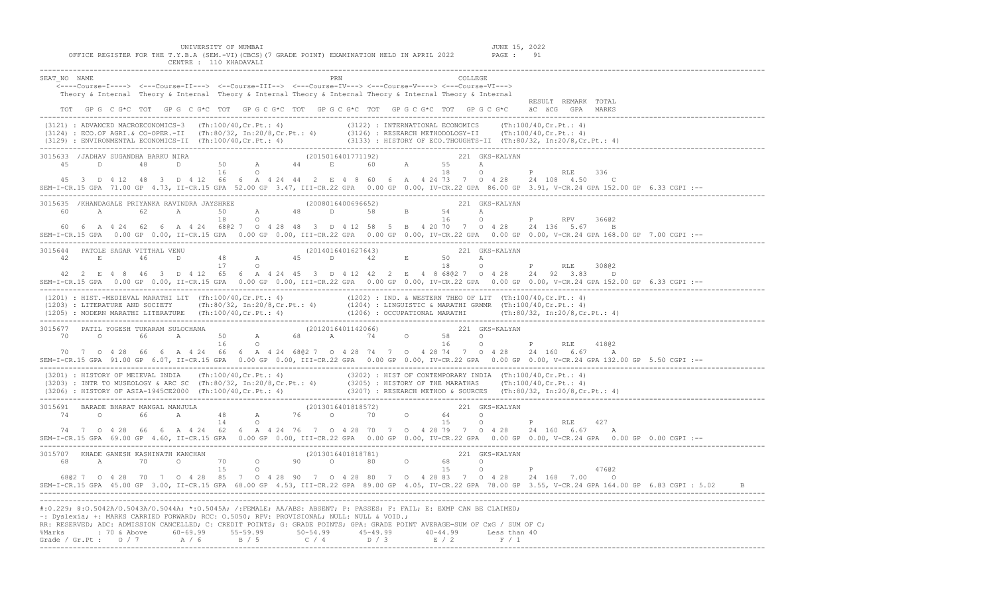UNIVERSITY OF MUMBAI JUNE 15, 2022 OFFICE REGISTER FOR THE T.Y.B.A (SEM.-VI)(CBCS)(7 GRADE POINT) EXAMINATION HELD IN APRIL 2022 PAGE : 91 CENTRE : 110 KHADAVALI ------------------------------------------------------------------------------------------------------------------------------------------------------------------------------- SEAT\_NO NAME PRN COLLEGE <----Course-I----> <---Course-II---> <--Course-III--> <---Course-IV---> <---Course-V----> <---Course-VI---> Theory & Internal Theory & Internal Theory & Internal Theory & Internal Theory & Internal Theory & Internal RESULT REMARK TOTAL TOT GP G C G\*C TOT GP G C G\*C TOT GP G C G\*C TOT GP G C G\*C TOT GP G C G\*C TOT GP G C G\*C äC äCG GPA MARKS ------------------------------------------------------------------------------------------------------------------------------------------------------------------------------- (3121) : ADVANCED MACROECONOMICS-3 (Th:100/40,Cr.Pt.: 4) (3122) : INTERNATIONAL ECONOMICS (Th:100/40,Cr.Pt.: 4) (3124) : ECO.OF AGRI.& CO-OPER.-II (Th:80/32, In:20/8,Cr.Pt.: 4) (3126) : RESEARCH METHODOLOGY-II (Th:100/40,Cr.Pt.: 4)<br>(3129) : ENVIRONMENTAL ECONOMICS-II (Th:100/40,Cr.Pt.: 4) (3133) : HISTORY OF ECO.THOUGHTS-II (Th:80/3 ------------------------------------------------------------------------------------------------------------------------------------------------------------------------------- 3015633 /JADHAV SUGANDHA BARKU NIRA<br>
45 D 48 D 50 A 44 E 60 A 55 A Q 45 D 48 D 50 A 44 E 60 A 55 A 16 O 18 O P RLE 336 45 3 D 4 12 48 3 D 4 12 66 6 A 4 24 44 2 E 4 8 60 6 A 4 24 73 7 O 4 28 24 108 4.50 C SEM-I-CR.15 GPA 71.00 GP 4.73, II-CR.15 GPA 52.00 GP 3.47, III-CR.22 GPA 0.00 GP 0.00, IV-CR.22 GPA 86.00 GP 3.91, V-CR.24 GPA 152.00 GP 6.33 CGPI :-- ------------------------------------------------------------------------------------------------------------------------------------------------------------------------------- 3015635 /KHANDAGALE PRIYANKA RAVINDRA JAYSHREE (2008016400696652) 221 GKS-KALYAN 60 A 62 A 50 A 48 D 58 B 54 A 18 O 16 O P RPV 366@2 60 6 A 4 24 62 6 A 4 24 68@2 7 O 4 28 48 3 D 4 12 58 5 B 4 20 70 7 O 4 28 24 136 5.67 B SEM-I-CR.15 GPA 0.00 GP 0.00, II-CR.15 GPA 0.00 GP 0.00, III-CR.22 GPA 0.00 GP 0.00, IV-CR.22 GPA 0.00 GP 0.00, V-CR.24 GPA 168.00 GP 7.00 CGPI :-- ------------------------------------------------------------------------------------------------------------------------------------------------------------------------------- 3015644 PATOLE SAGAR VITTHAL VENU (2014016401627643) 221 GKS-KALYAN 42 E 46 D 48 A  $17$  O  $18$  O  $19$  O  $18$  O  $19$  O  $18$  O  $19$  RLE 308@2 42 2 E 4 8 46 3 D 4 12 65 6 A 4 24 45 3 D 4 12 42 2 E 4 8 68@2 7 O 4 28 24 92 3.83 D SEM-I-CR.15 GPA 0.00 GP 0.00, II-CR.15 GPA 0.00 GP 0.00, III-CR.22 GPA 0.00 GP 0.00, IV-CR.22 GPA 0.00 GP 0.00, V-CR.24 GPA 152.00 GP 6.33 CGPI :-- ------------------------------------------------------------------------------------------------------------------------------------------------------------------------------- (1201) : HIST.-MEDIEVAL MARATHI LIT (Th:100/40,Cr.Pt.: 4) (1202) : IND. & WESTERN THEO OF LIT (Th:100/40,Cr.Pt.: 4) (1203) : LITERATURE AND SOCIETY (Th:80/32, In:20/8,Cr.Pt.: 4) (1204) : LINGUISTIC & MARATHI GRMMR (Th:100/40,Cr.Pt.: 4)<br>(1205) : MODERN MARATHI LITERATURE (Th:100/40,Cr.Pt.: 4) (1206) : OCCUPATIONAL MARATHI (Th:80/32, In:2 ------------------------------------------------------------------------------------------------------------------------------------------------------------------------------- 3015677 PATIL YOGESH TUKARAM SULOCHANA (2012016401142066) 221 GKS-KALYAN 70 O 66 A 50 A 68 A 74 O 58 O 16 O 16 O P RLE 418@2 70 7 O 4 28 66 6 A 4 24 66 6 A 4 24 68@2 7 O 4 28 74 7 O 4 28 74 7 O 4 28 24 160 6.67 A SEM-I-CR.15 GPA 91.00 GP 6.07, II-CR.15 GPA 0.00 GP 0.00, III-CR.22 GPA 0.00 GP 0.00, IV-CR.22 GPA 0.00 GP 0.00, V-CR.24 GPA 132.00 GP 5.50 CGPI :-- -------------------------------------------------------------------------------------------------------------------------------------------------------------------------------

 (3201) : HISTORY OF MEIEVAL INDIA (Th:100/40,Cr.Pt.: 4) (3202) : HIST OF CONTEMPORARY INDIA (Th:100/40,Cr.Pt.: 4) (3203) : INTR TO MUSEOLOGY & ARC SC (Th:80/32, In:20/8,Cr.Pt.: 4) (3205) : HISTORY OF THE MARATHAS (Th:100/40,Cr.Pt.: 4) (3206) : HISTORY OF ASIA-1945CE2000 (Th:100/40,Cr.Pt.: 4) (3207) : RESEARCH METHOD & SOURCES (Th:80/32, In:20/8,Cr.Pt.: 4) ------------------------------------------------------------------------------------------------------------------------------------------------------------------------------- 3015691 BARADE BHARAT MANGAL MANJULA (2013016401818572) 221 GKS-KALYAN

|         |  |                                                      |     |           |     |         | , = 0 ± 0 0 ± 0 ± 0 ± 0 ± 0 0 7 = |      |           |                      |                                                                                                                      |                                                                                                                                                                  |
|---------|--|------------------------------------------------------|-----|-----------|-----|---------|-----------------------------------|------|-----------|----------------------|----------------------------------------------------------------------------------------------------------------------|------------------------------------------------------------------------------------------------------------------------------------------------------------------|
| 74      |  |                                                      |     |           | 76. |         | $\cap$                            | 70.  |           |                      |                                                                                                                      |                                                                                                                                                                  |
|         |  |                                                      |     |           |     |         |                                   |      |           |                      |                                                                                                                      | 427<br>RLE.                                                                                                                                                      |
|         |  | 74 7 0 4 28 66 6 A 4 24                              | 62. | 6 A 4 2 4 |     | 7670428 |                                   | - 70 | $\circ$ 0 | 42879                | 0 4 2 8                                                                                                              | 24 160<br>-667                                                                                                                                                   |
|         |  |                                                      |     |           |     |         |                                   |      |           |                      |                                                                                                                      | SEM-I-CR.15 GPA 69.00 GP 4.60, II-CR.15 GPA 0.00 GP 0.00, III-CR.22 GPA 0.00 GP 0.00, IV-CR.22 GPA 0.00 GP 0.00, V-CR.24 GPA 0.00 GP 0.00 CGPI :--               |
| 3015707 |  | KHADE GANESH KASHINATH KANCHAN                       |     |           |     |         | (2013016401818781)                |      |           |                      | 221 GKS-KALYAN                                                                                                       |                                                                                                                                                                  |
| 68      |  |                                                      |     |           |     |         |                                   | 80.  |           |                      |                                                                                                                      |                                                                                                                                                                  |
|         |  |                                                      |     |           |     |         |                                   |      |           |                      |                                                                                                                      | 47602                                                                                                                                                            |
|         |  | 6802 7 0 4 28 70 7 0 4 28 85 7 0 4 28 90 7 0 4 28 80 |     |           |     |         |                                   |      |           | $0 \t 4 \t 28 \t 83$ | 0 4 2 8                                                                                                              | 24 168<br>- 700                                                                                                                                                  |
|         |  |                                                      |     |           |     |         |                                   |      |           |                      |                                                                                                                      | SEM-I-CR.15 GPA 45.00 GP 3.00, II-CR.15 GPA 68.00 GP 4.53, III-CR.22 GPA 89.00 GP 4.05, IV-CR.22 GPA 78.00 GP 3.55, V-CR.24 GPA 164.00 GP 6.83 CGPI : 5.02<br>B. |
|         |  |                                                      |     |           |     |         |                                   |      |           |                      |                                                                                                                      |                                                                                                                                                                  |
|         |  |                                                      |     |           |     |         |                                   |      |           |                      | #:0.229; @:0.5042A/0.5043A/0.5044A; *:0.5045A; /:FEMALE; AA/ABS: ABSENT; P: PASSES; F: FAIL; E: EXMP CAN BE CLAIMED; |                                                                                                                                                                  |

~: Dyslexia; +: MARKS CARRIED FORWARD; RCC: O.5050; RPV: PROVISIONAL; NULL: NULL & VOID.; .<br>RESERVED; ADC: ADMISSION CANCELLED; C: CREDIT POINTS; G: CRADE POINTS; GRA: GRADE

|  |  |                                                    |  | RR: RESERVED; ADC: ADMISSION CANCELLED; C: CREDIT POINTS; G: GRADE POINTS; GPA: GRADE POINT AVERAGE=SUM OF CXG / SUM OF C; |  |  |
|--|--|----------------------------------------------------|--|----------------------------------------------------------------------------------------------------------------------------|--|--|
|  |  |                                                    |  | 8Marks                 60-69.99    55-59.99     50-54.99     45-49.99     40-44.99    Less than 40                         |  |  |
|  |  | Grade / Gr.Pt: $0/7$ $A/6$ $B/5$ $C/4$ $D/3$ $R/2$ |  |                                                                                                                            |  |  |
|  |  |                                                    |  |                                                                                                                            |  |  |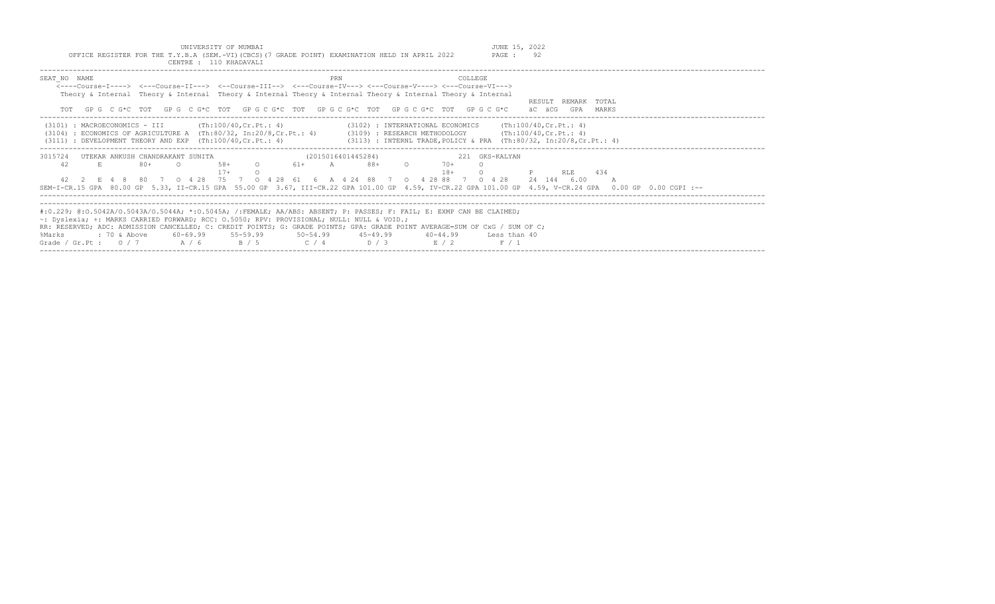OFFICE REGISTER FOR THE T.Y.B.A (SEM.-VI)(CBCS)(7 GRADE POINT) EXAMINATION HELD IN APRIL 2022

| CENTRE: 110 KHADAVALI                                                                                                                                                                                                                                                                                                                      |                                                                                                                                                                                                                                                                  |
|--------------------------------------------------------------------------------------------------------------------------------------------------------------------------------------------------------------------------------------------------------------------------------------------------------------------------------------------|------------------------------------------------------------------------------------------------------------------------------------------------------------------------------------------------------------------------------------------------------------------|
| SEAT NO NAME<br><----Course-T----> <---Course-TT---> <--Course-TTT--> <---Course-TV---> <---Course-V----> <---Course-VT---><br>Theory & Internal Theory & Internal Theory & Internal Theory & Internal Theory & Internal Theory & Internal                                                                                                 | COLLEGE<br>PRN<br>RESULT REMARK TOTAL<br>GPG CG*C TOT GPG CG*C TOT GPG CG*C TOT GPG CG*C TOT GPG CG*C TOT GPG CG*C<br>äC äCG<br>GPA<br>MARKS                                                                                                                     |
| $(3101)$ : MACROECONOMICS - III $(Th:100/40, Cr.Pt.: 4)$<br>(3104)<br>$(3111)$ : DEVELOPMENT THEORY AND EXP $(Th:100/40, Cr.Pt.: 4)$                                                                                                                                                                                                       | $(3102)$ : INTERNATIONAL ECONOMICS (Th:100/40, Cr. Pt.: 4)<br>: ECONOMICS OF AGRICULTURE A (Th:80/32, In:20/8,Cr.Pt.: 4) (3109) : RESEARCH METHODOLOGY (Th:100/40,Cr.Pt.: 4)<br>(3113) : INTERNL TRADE, POLICY & PRA (Th:80/32, In:20/8,Cr.Pt.: 4)               |
| 3015724<br>UTEKAR ANKUSH CHANDRAKANT SUNITA<br>42<br>E.<br>$80+$<br>$58+$<br>$\overline{O}$<br>$17+$<br>42  2  E  4  8  80  7  0  4  28  75  7  0  4  28  61  6  A  4  24  88  7  0  4  28  88  7  0  4  28                                                                                                                                | (2015016401445284)<br>221 GKS-KALYAN<br>$61+$ A<br>88+<br>$70+$<br>$18+$<br>RLE<br>434<br>24 144 6.00<br>SEM-I-CR.15 GPA 80.00 GP 5.33, II-CR.15 GPA 55.00 GP 3.67, III-CR.22 GPA 101.00 GP 4.59, IV-CR.22 GPA 101.00 GP 4.59, V-CR.24 GPA 0.00 GP 0.00 CGPI :-- |
| #:0.229; @:0.5042A/O.5043A/O.5044A; *:0.5045A; /:FEMALE; AA/ABS: ABSENT; P: PASSES; F: FAIL; E: EXMP CAN BE CLAIMED;<br>~: Dyslexia; +: MARKS CARRIED FORWARD; RCC: 0.5050; RPV: PROVISIONAL; NULL: NULL & VOID.;<br>: 70 & Above<br>60-69.99 55-59.99 50-54.99 45-49.99<br>%Marks<br>Grade / Gr. Pt : $0/7$ $A/6$ $B/5$ $C/4$ $D/3$ $E/2$ | RR: RESERVED; ADC: ADMISSION CANCELLED; C: CREDIT POINTS; G: GRADE POINTS; GPA: GRADE POINT AVERAGE=SUM OF CxG / SUM OF C;<br>40-44.99 Less than 40<br>F / 1                                                                                                     |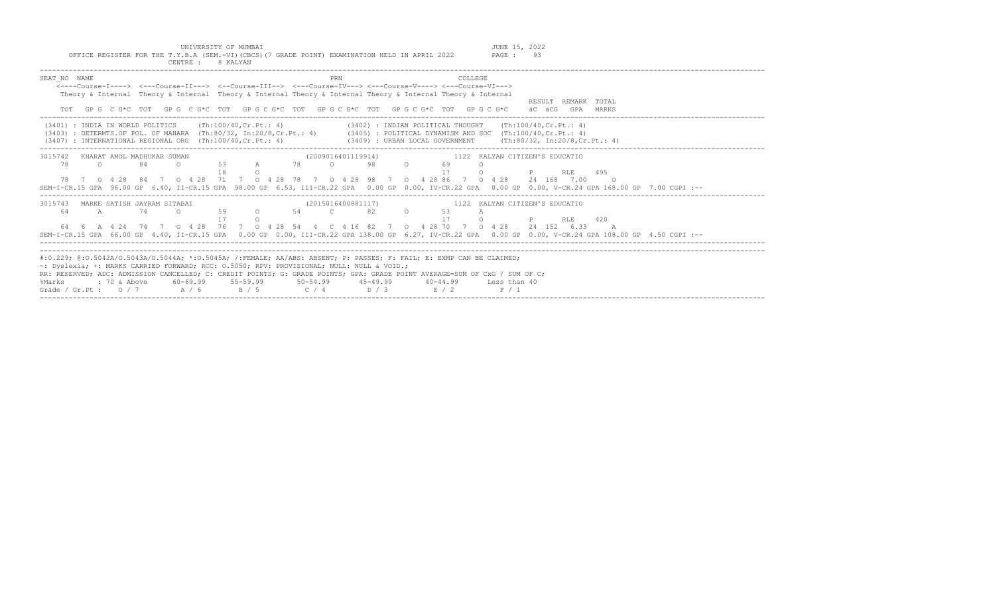UNIVERSITY OF MUMBAI<br>Y.B.A (SEM.-VI)(CBCS)(7 GRADE POINT) EXAMINATION HELD IN APRIL 2022 PAGE : 93 OFFICE REGISTER FOR THE T.Y.B.A (SEM.-VI)(CBCS)(7 GRADE POINT) EXAMINATION HELD IN APRIL 2022 CENTRE : 8 KALYAN

| SEAT NO NAME<br>PRN<br>COLLEGE.<br>$\leftarrow$ ---Course-T----> $\leftarrow$ --Course-TT---> $\leftarrow$ -Course-TTT--> $\leftarrow$ --Course-TV---> $\leftarrow$ -Course-V----> $\leftarrow$ -Course-VT--->                                             |  |
|------------------------------------------------------------------------------------------------------------------------------------------------------------------------------------------------------------------------------------------------------------|--|
| Theory & Internal Theory & Internal Theory & Internal Theory & Internal Theory & Internal Theory & Internal                                                                                                                                                |  |
| RESULT REMARK TOTAL                                                                                                                                                                                                                                        |  |
| TOT GPG CG*C TOT GPG CG*C TOT GPG CG*C TOT GPG CG*C TOT GPG CG*C TOT GPG CG*C<br>äC äCG GPA MARKS                                                                                                                                                          |  |
| (3401) : INDIA IN WORLD POLITICS (Th:100/40,Cr.Pt.: 4) (3402) : INDIAN POLITICAL THOUGHT (Th:100/40,Cr.Pt.: 4)                                                                                                                                             |  |
| (3403) : DETERMTS.OF POL. OF MAHARA (Th:80/32, In:20/8, Cr.Pt.: 4) (3405) : POLITICAL DYNAMISM AND SOC (Th:100/40, Cr.Pt.: 4)<br>(3407) : INTERNATIONAL REGIONAL ORG (Th:100/40, Cr.Pt.: 4) (3409) : URBAN LOCAL GOVERNMENT (Th:80/32, In:20/8, Cr.Pt.: 4) |  |
| (2009016401119914) 1122 KALYAN CITIZEN'S EDUCATIO<br>3015742 KHARAT AMOL MADHUKAR SUMAN                                                                                                                                                                    |  |
| 53 A<br>$98 - 98$<br>78 0<br>78<br>$\Omega$<br>84<br>$\Omega$ and $\Omega$<br>$\Omega$<br>69<br><b>P</b> RLE 495<br>$\Omega$<br>$\Omega$                                                                                                                   |  |
| 78 7 0 4 28 84 7 0 4 28 71 7 0 4 28 78 7 0 4 28 98 7 0 4 28 86 7 0 4 28 24 168 7.00<br>$\circ$ 0                                                                                                                                                           |  |
| SEM-I-CR.15 GPA 96.00 GP 6.40, II-CR.15 GPA 98.00 GP 6.53, III-CR.22 GPA 0.00 GP 0.00, IV-CR.22 GPA 0.00 GP 0.00, V-CR.24 GPA 168.00 GP 7.00 CGPI :--                                                                                                      |  |
| 3015743 MARKE SATISH JAYRAM SITABAI<br>(2015016400881117) 1122 KALYAN CITIZEN'S EDUCATIO                                                                                                                                                                   |  |
| 0 59 0 54 C 82 O 53<br>$\overline{A}$<br>74<br>64<br>A                                                                                                                                                                                                     |  |
| <b>P</b> RLE 420<br>$\cap$                                                                                                                                                                                                                                 |  |
| 64  6  A  4  24  74  7  0  4  28  76  7  0  4  28  54  4  C  4  16  82  7  0  4  28  70  7  0  4  28  24  152  6.33  A                                                                                                                                     |  |
| SEM-I-CR.15 GPA 66.00 GP 4.40, II-CR.15 GPA 0.00 GP 0.00, III-CR.22 GPA 138.00 GP 6.27, IV-CR.22 GPA 0.00 GP 0.00, V-CR.24 GPA 108.00 GP 4.50 CGPI :--                                                                                                     |  |
|                                                                                                                                                                                                                                                            |  |
| #:0.229; @:0.5042A/0.5043A/0.5044A; *:0.5045A; /:FEMALE; AA/ABS: ABSENT; P: PASSES; F: FAIL; E: EXMP CAN BE CLAIMED;                                                                                                                                       |  |
| ~: Dyslexia; +: MARKS CARRIED FORWARD; RCC: 0.5050; RPV: PROVISIONAL; NULL: NULL & VOID.;                                                                                                                                                                  |  |
| RR: RESERVED; ADC: ADMISSION CANCELLED; C: CREDIT POINTS; G: GRADE POINTS; GPA: GRADE POINT AVERAGE=SUM OF CxG / SUM OF C;                                                                                                                                 |  |
| : 70 & Above<br>60-69.99 55-59.99 50-54.99 45-49.99<br>%Marks<br>$40 - 44.99$<br>Less than 40                                                                                                                                                              |  |
| $C / 4$ $D / 3$ $E / 2$<br>Grade / Gr.Pt: $0/7$ A/6<br>B / 5<br>F / 1                                                                                                                                                                                      |  |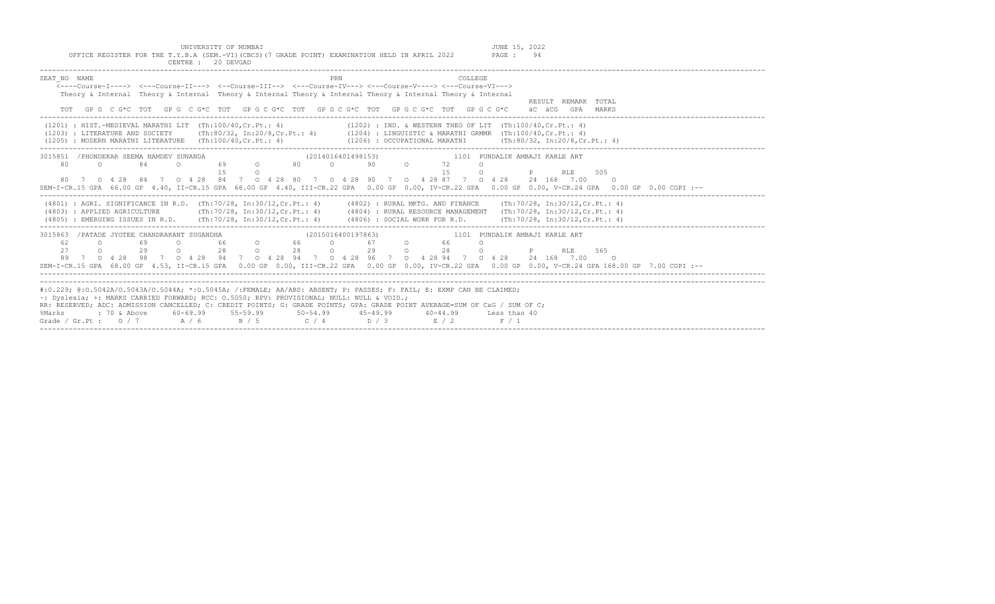| SEAT NO NAME<br><b>PRN</b><br>COLLEGE<br><---Course-T----> <---Course-II---> <--Course-III--> <---Course-IV---> <---Course-V----> <---Course-VI---><br>Theory & Internal Theory & Internal Theory & Internal Theory & Internal Theory & Internal Theory & Internal<br>RESULT REMARK TOTAL<br>GP G C G*C TOT GP G C G*C TOT GP G C G*C TOT GP G C G*C TOT GP G C G*C TOT GP G C G*C<br>TOT<br>äC äCG GPA MARKS                                                                                        |
|------------------------------------------------------------------------------------------------------------------------------------------------------------------------------------------------------------------------------------------------------------------------------------------------------------------------------------------------------------------------------------------------------------------------------------------------------------------------------------------------------|
| $(1201)$ : HIST.-MEDIEVAL MARATHI LIT $(Th:100/40, Cr.Pt.: 4)$<br>$(1202)$ : IND. & WESTERN THEO OF LIT $(Th:100/40, Cr.Pt.: 4)$<br>(1203) : LITERATURE AND SOCIETY (Th:80/32, In:20/8, Cr.Pt.: 4) (1204) : LINGUISTIC & MARATHI GRMMR (Th:100/40, Cr.Pt.: 4)<br>(1205) : MODERN MARATHI LITERATURE (Th:100/40, Cr. Pt.: 4)<br>$(1206)$ : OCCUPATIONAL MARATHI (Th:80/32, In:20/8, Cr. Pt.: 4)                                                                                                       |
| 3015851 / PHONDEKAR SEEMA NAMDEV SUNANDA<br>1101 PUNDALIK AMBAJI KARLE ART<br>(2014016401498153)<br>69 0 80 0 90 0 72<br>80<br>$\Omega$<br>84<br>$\Omega$<br>$\Omega$<br>15<br>1.5<br>$\circ$<br>RLE 505<br>$\Omega$<br>80 7 0 4 28 84 7 0 4 28 84 7 0 4 28 80 7 0 4 28 90 7 0 4 28 87 7 0 4 28 24 168 7.00 0<br>SEM-I-CR.15 GPA 66.00 GP 4.40, II-CR.15 GPA 66.00 GP 4.40, III-CR.22 GPA 0.00 GP 0.00, IV-CR.22 GPA 0.00 GP 0.00, V-CR.24 GPA 0.00 GP 0.00 GP 0.00 GP 0.00 CGPI :--                 |
| (4801) : AGRI, SIGNIFICANCE IN R.D. (Th:70/28, In:30/12, Cr.Pt.: 4) (4802) : RURAL MKTG, AND FINANCE (Th:70/28, In:30/12, Cr.Pt.: 4)<br>(Th:70/28, In:30/12,Cr.Pt.: 4) (4804) : RURAL RESOURCE MANAGEMENT (Th:70/28, In:30/12,Cr.Pt.: 4)<br>(4803) : APPLIED AGRICULTURE<br>(4805) : EMERGING ISSUES IN R.D. (Th:70/28, In:30/12, Cr.Pt.: 4) (4806) : SOCIAL WORK FOR R.D. (Th:70/28, In:30/12, Cr.Pt.: 4)                                                                                           |
| 3015863 / PATADE JYOTEE CHANDRAKANT SUGANDHA<br>(2015016400197863)<br>1101 PUNDALIK AMBAJI KARLE ART<br>0 66 0 66 0 67 0<br>0 28 0 28 0 29 0<br>66 —<br>62<br>$\overline{a}$<br>69 - 10<br>$\Omega$<br>27<br>$\Omega$<br>29<br>28 0 P<br>RLE 565<br>7 0 4 28 98 7 0 4 28 94 7 0 4 28 94 7 0 4 28 96 7 0 4 28 94 7 0 4 28 24 168 7 00 0<br>89<br>SEM-I-CR.15 GPA 68.00 GP 4.53, II-CR.15 GPA 0.00 GP 0.00, III-CR.22 GPA 0.00 GP 0.00, IV-CR.22 GPA 0.00 GP 0.00, V-CR.24 GPA 168.00 GP 7.00 CGPI :-- |
| #:0.229; @:0.5042A/0.5043A/0.5044A; *:0.5045A; /:FEMALE; AA/ABS: ABSENT; P: PASSES; F: FAIL; E: EXMP CAN BE CLAIMED;<br>~: Dvslexia; +: MARKS CARRIED FORWARD; RCC: 0.5050; RPV: PROVISIONAL; NULL: NULL & VOID.;<br>RR: RESERVED; ADC: ADMISSION CANCELLED; C: CREDIT POINTS; G: GRADE POINTS; GPA: GRADE POINT AVERAGE=SUM OF CxG / SUM OF C;<br>: 70 & Above 60-69.99 55-59.99 50-54.99 45-49.99 40-44.99 Less than 40<br>%Marks<br>Grade / Gr.Pt: $0/7$ $A/6$ $B/5$ $C/4$ $D/3$ $E/2$<br>F / 1   |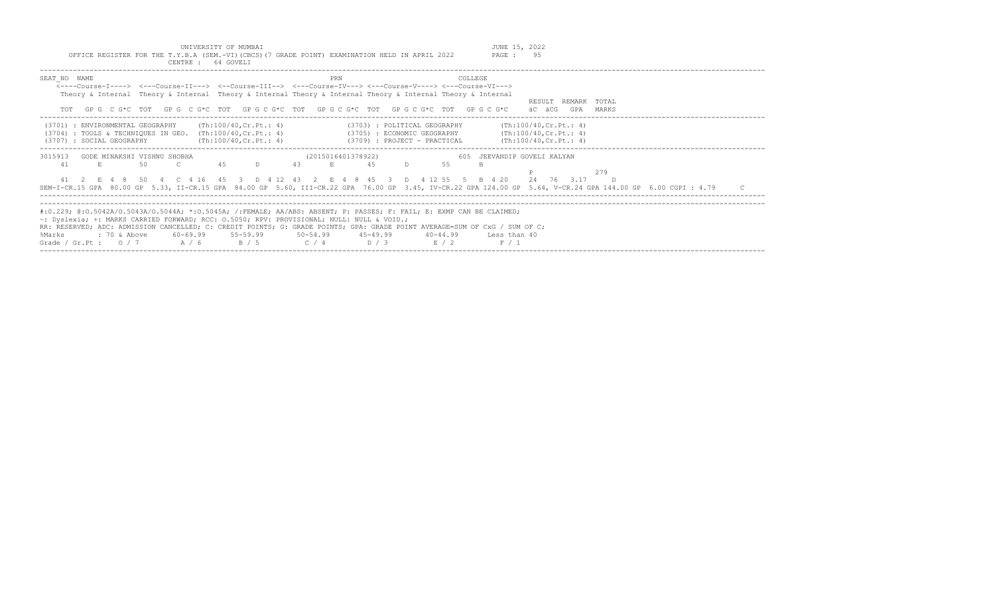| UNIVERSITY OF MUMBAI<br>OFFICE REGISTER FOR THE T.Y.B.A (SEM.-VI)(CBCS)(7 GRADE POINT) EXAMINATION HELD IN APRIL 2022<br>CENTRE : 64 GOVELI                                                                                                                                                                                                                                                                                                                                                                  | JUNE 15, 2022<br>PAGE: 95                        |
|--------------------------------------------------------------------------------------------------------------------------------------------------------------------------------------------------------------------------------------------------------------------------------------------------------------------------------------------------------------------------------------------------------------------------------------------------------------------------------------------------------------|--------------------------------------------------|
| SEAT NO NAME<br>COLLEGE<br>PRN<br><----Course-T----> <---Course-TT---> <--Course-TTT--> <---Course-TV---> <---Course-V----> <---Course-VT---><br>Theory & Internal Theory & Internal Theory & Internal Theory & Internal Theory & Internal Theory & Internal<br>GP G C G*C TOT GP G C G*C TOT GP G C G*C TOT GP G C G*C TOT GP G C G*C TOT GP G C G*C                                                                                                                                                        | RESULT REMARK TOTAL<br>äC äCG<br>GPA<br>MARKS    |
| (Th:100/40,Cr.Pt.: 4)<br>(3701) : ENVIRONMENTAL GEOGRAPHY<br>(3703) : POLITICAL GEOGRAPHY<br>(3705) : ECONOMIC GEOGRAPHY (Th:100/40, Cr. Pt.: 4)<br>$(3704)$ : TOOLS & TECHNIQUES IN GEO. $(Th:100/40, Cr.Pt.: 4)$<br>(3707) : SOCIAL GEOGRAPHY<br>(Th:100/40, Cr.Pt.: 4)<br>(3709) : PROJECT - PRACTICAL                                                                                                                                                                                                    | (Th:100/40, Cr.Ft.: 4)<br>(Th:100/40, Cr.Ft.: 4) |
| (2015016401378922)<br>3015913<br>GODE MINAKSHI VISHNU SHOBHA<br>$\mathcal{C}$<br>4.5<br>43<br>41<br>D.<br>55<br>50<br>4.5<br>41 2 E 4 8 50 4 C 4 16 45 3 D 4 12 43 2 E 4 8 45 3 D 4 12 55 5 B 4 20 24 76 3.17<br>SEM-I-CR.15 GPA 80.00 GP 5.33, II-CR.15 GPA 84.00 GP 5.60, III-CR.22 GPA 76.00 GP 3.45, IV-CR.22 GPA 124.00 GP 5.64, V-CR.24 GPA 144.00 GP 6.00 CGPI : 4.79                                                                                                                                 | 605 JEEVANDIP GOVELI KALYAN<br>279<br>$\Box$     |
| #:0.229; @:0.5042A/0.5043A/0.5044A; *:0.5045A; /:FEMALE; AA/ABS: ABSENT; P: PASSES; F: FAIL; E: EXMP CAN BE CLAIMED;<br>$\sim$ : Dyslexia; +: MARKS CARRIED FORWARD; RCC: 0.5050; RPV: PROVISIONAL; NULL: NULL & VOID.;<br>RR: RESERVED; ADC: ADMISSION CANCELLED; C: CREDIT POINTS; G: GRADE POINTS; GPA: GRADE POINT AVERAGE=SUM OF CxG / SUM OF C;<br>$60-69.99$ $55-59.99$ $50-54.99$ $45-49.99$<br>%Marks<br>: 70 & Above<br>40-44.99<br>$C / 4$ $D / 3$ $E / 2$<br>Grade / Gr.Pt: $0/7$ A / 6<br>B / 5 | Less than 40<br>F / 1                            |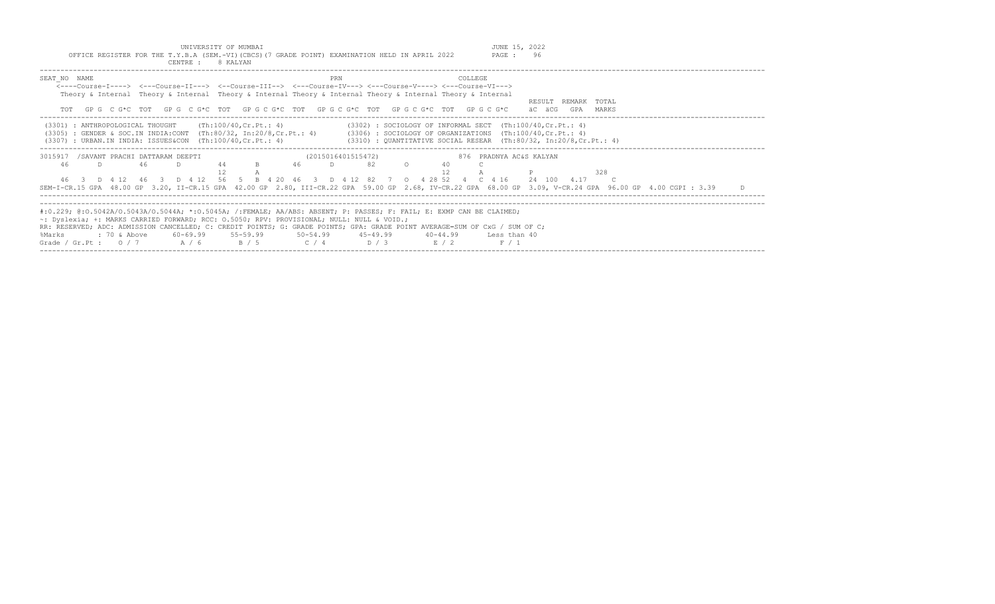| UNIVERSITY OF MUMBAI                                                                            | JUNE 15, 2022 |  |
|-------------------------------------------------------------------------------------------------|---------------|--|
| OFFICE REGISTER FOR THE T.Y.B.A (SEM.-VI) (CBCS) (7 GRADE POINT) EXAMINATION HELD IN APRIL 2022 | PAGE : 96     |  |
| 8 KALYAN<br>CENTRE :                                                                            |               |  |

| SEAT NO NAME<br><----Course-I----> <---Course-II---> <--Course-III--> <---Course-IV---> <---Course-V----> <---Course-VI--->                                                                                                                                                                                                                                                                |    | Theory & Internal Theory & Internal Theory & Internal Theory & Internal Theory & Internal Theory & Internal |     |  |       |                                             |    | <b>PRN</b> |                                                                                                                                                                                                            |  |                       | COLLEGE |                         |        |                                  |     |  |  |  |
|--------------------------------------------------------------------------------------------------------------------------------------------------------------------------------------------------------------------------------------------------------------------------------------------------------------------------------------------------------------------------------------------|----|-------------------------------------------------------------------------------------------------------------|-----|--|-------|---------------------------------------------|----|------------|------------------------------------------------------------------------------------------------------------------------------------------------------------------------------------------------------------|--|-----------------------|---------|-------------------------|--------|----------------------------------|-----|--|--|--|
|                                                                                                                                                                                                                                                                                                                                                                                            |    | TOT GPG CG*C TOT GPG CG*C TOT GPG CG*C TOT GPG CG*C TOT GPG CG*C TOT GPG CG*C                               |     |  |       |                                             |    |            |                                                                                                                                                                                                            |  |                       |         |                         | äC äCG | RESULT REMARK TOTAL<br>GPA MARKS |     |  |  |  |
| (3301) : ANTHROPOLOGICAL THOUGHT<br>(3305) : GENDER & SOC.IN INDIA:CONT (Th:80/32, In:20/8,Cr.Pt.: 4)<br>$(3307)$ : URBAN.IN INDIA: ISSUES&CON $(Th:100/40, Cr.Pt.: 4)$                                                                                                                                                                                                                    |    |                                                                                                             |     |  |       | (Th:100/40,Cr.Pt.: 4)                       |    |            | $(3302)$ : SOCIOLOGY OF INFORMAL SECT $(Th:100/40, Cr.Pt.: 4)$<br>$(3306)$ : SOCIOLOGY OF ORGANIZATIONS $(Th:100/40, Cr.Pt.: 4)$<br>$(3310)$ : OUANTITATIVE SOCIAL RESEAR $(Th:80/32, In:20/8, Cr.Pt.: 4)$ |  |                       |         |                         |        |                                  |     |  |  |  |
| 3015917<br>46                                                                                                                                                                                                                                                                                                                                                                              | D. | /SAVANT PRACHI DATTARAM DEEPTI                                                                              | -46 |  | 44    |                                             | 46 | $\Box$     | (2015016401515472)<br>82                                                                                                                                                                                   |  |                       |         | 876 PRADNYA AC&S KALYAN |        |                                  | 328 |  |  |  |
| SEM-I-CR.15 GPA 48.00 GP 3.20, II-CR.15 GPA 42.00 GP 2.80, III-CR.22 GPA 59.00 GP 2.68, IV-CR.22 GPA 68.00 GP 3.09, V-CR.24 GPA 96.00 GP 4.00 CGPI: 3.39                                                                                                                                                                                                                                   |    | 46 3 D 4 12 46 3 D 4 12 56 5 B 4 20 46 3 D 4 12 82 7 0 4 28 52 4 C 4 16                                     |     |  |       |                                             |    |            |                                                                                                                                                                                                            |  |                       |         |                         | 24 100 | 4.17                             |     |  |  |  |
| #:0.229; @:0.5042A/0.5043A/0.5044A; *:0.5045A; /:FEMALE; AA/ABS: ABSENT; P: PASSES; F: FAIL; E: EXMP CAN BE CLAIMED;<br>~: Dyslexia; +: MARKS CARRIED FORWARD; RCC: 0.5050; RPV: PROVISIONAL; NULL: NULL & VOID.;<br>RR: RESERVED; ADC: ADMISSION CANCELLED; C: CREDIT POINTS; G: GRADE POINTS; GPA: GRADE POINT AVERAGE=SUM OF CxG / SUM OF C;<br>%Marks<br>Grade / Gr.Pt : $0 / 7$ A / 6 |    | : 70 & Above                                                                                                |     |  | R / 5 | $60-69.99$ $55-59.99$ $50-54.99$ $45-49.99$ |    |            | $C / 4$ D / 3                                                                                                                                                                                              |  | $40 - 44.99$<br>E / 2 |         | Less than 40<br>F / 1   |        |                                  |     |  |  |  |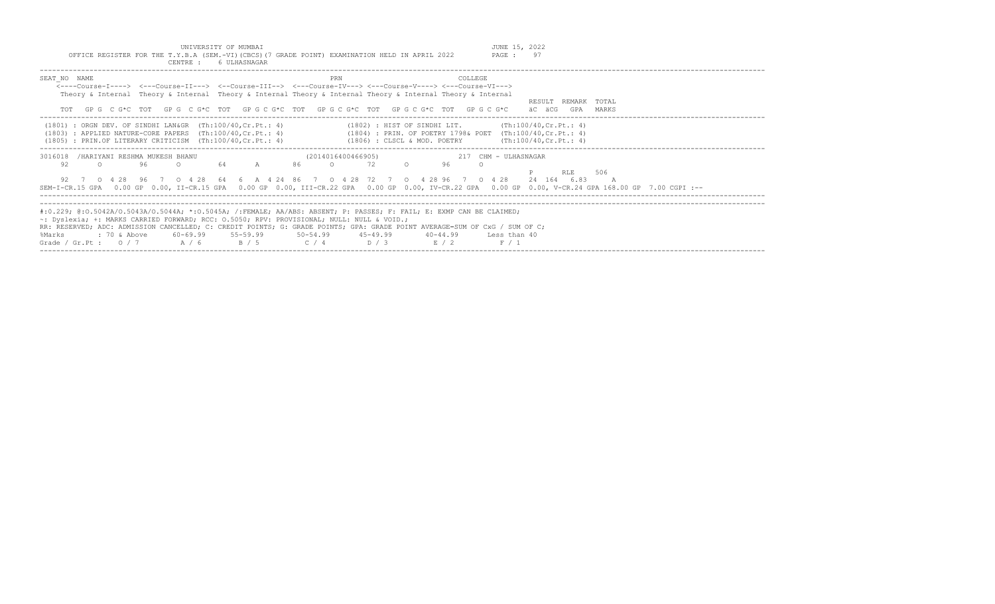| CENTRE :<br>6 ULHASNAGAR                                                                                                                                                                             |                                                                                                                                                                                                                                                                                                                         |                                                                                                                                                                                                                   |
|------------------------------------------------------------------------------------------------------------------------------------------------------------------------------------------------------|-------------------------------------------------------------------------------------------------------------------------------------------------------------------------------------------------------------------------------------------------------------------------------------------------------------------------|-------------------------------------------------------------------------------------------------------------------------------------------------------------------------------------------------------------------|
| SEAT NO NAME                                                                                                                                                                                         | PRN<br><----Course-T----> <---Course-TT---> <--Course-TTT--> <---Course-TV---> <---Course-V----> <---Course-VT---><br>Theory & Internal Theory & Internal Theory & Internal Theory & Internal Theory & Internal Theory & Internal<br>GPG CG*C TOT GPG CG*C TOT GPG CG*C TOT GPG CG*C TOT GPG CG*C TOT GPG CG*C          | COLLEGE<br>RESULT REMARK TOTAL<br>äC äCG<br>GPA<br>MARKS                                                                                                                                                          |
| $(1801)$ : ORGN DEV. OF SINDHI LAN&GR $(Th:100/40, Cr.Pt.: 4)$<br>: APPLIED NATURE-CORE PAPERS $(Th:100/40, Cr.Pt.: 4)$<br>(1803)<br>: PRIN.OF LITERARY CRITICISM $(Th:100/40, Cr.Pt.: 4)$<br>(1805) | (1802) : HIST OF SINDHI LIT.<br>(1806) : CLSCL & MOD. POETRY                                                                                                                                                                                                                                                            | (Th:100/40, Cr.Ft.: 4)<br>(1804) : PRIN. OF POETRY 1798& POET (Th:100/40, Cr. Pt.: 4)<br>(Th:100/40, Cr.Ft.: 4)                                                                                                   |
| 3016018<br>/HARIYANI RESHMA MUKESH BHANU<br>92<br>64<br>96<br>0 4 2 8 6 4<br>0 4 2 8<br>96<br>SEM-I-CR.15 GPA                                                                                        | (2014016400466905)<br>72<br>$\mathbb{A}$<br>86<br>96<br>6 A 4 24 86 7 0 4 28<br>72 7 0 4 28 96                                                                                                                                                                                                                          | 217 CHM - ULHASNAGAR<br><b>RLE</b><br>506<br>24 164 6.83<br>$0 \t 4 \t 28$<br>0.00 GP 0.00, II-CR.15 GPA 0.00 GP 0.00, III-CR.22 GPA 0.00 GP 0.00, IV-CR.22 GPA 0.00 GP 0.00, V-CR.24 GPA 168.00 GP 7.00 CGPI :-- |
| ~: Dyslexia; +: MARKS CARRIED FORWARD; RCC: 0.5050; RPV: PROVISIONAL; NULL: NULL & VOID.;<br>60-69.99 55-59.99<br>$: 70$ & Above<br>%Marks<br>Grade / Gr.Pt : $0/7$<br>A / 6<br>B / 5                | #:0.229; @:0.5042A/0.5043A/0.5044A; *:0.5045A; /:FEMALE; AA/ABS: ABSENT; P: PASSES; F: FAIL; E: EXMP CAN BE CLAIMED;<br>RR: RESERVED; ADC: ADMISSION CANCELLED; C: CREDIT POINTS; G: GRADE POINTS; GPA: GRADE POINT AVERAGE=SUM OF CxG / SUM OF C;<br>$50 - 54.99$ $45 - 49.99$<br>40-44.99<br>$C / 4$ $D / 3$<br>E / 2 | Less than 40<br>F / 1                                                                                                                                                                                             |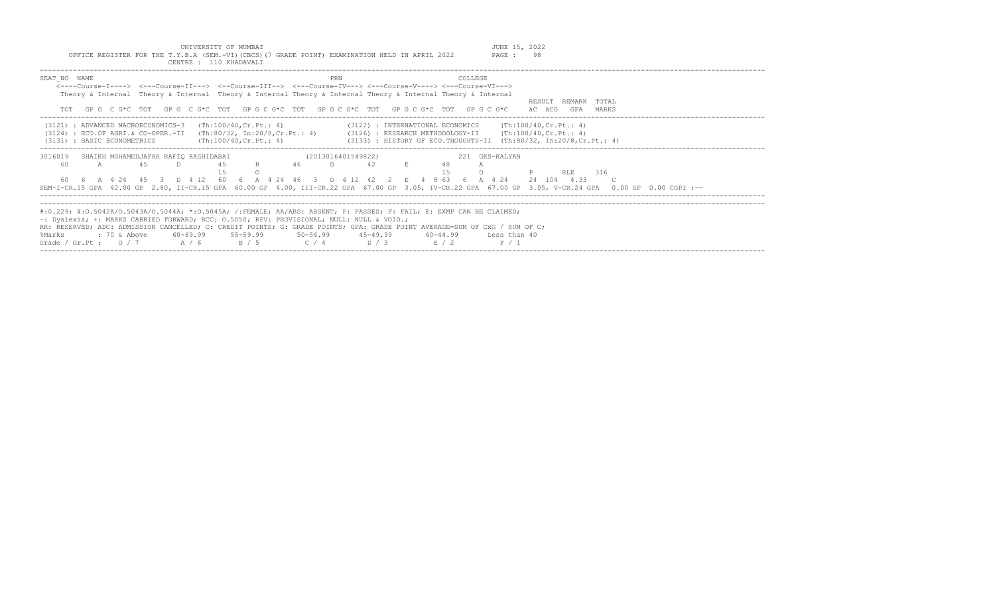| UNIVERSITY OF MUMBAI<br>OFFICE REGISTER FOR THE T.Y.B.A (SEM.-VI)(CBCS)(7 GRADE POINT) EXAMINATION HELD IN APRIL 2022<br>CENTRE: 110 KHADAVALI                                                                                                                                                                                                                                                                                                                                                 | JUNE 15, 2022<br>PAGE : 98                    |
|------------------------------------------------------------------------------------------------------------------------------------------------------------------------------------------------------------------------------------------------------------------------------------------------------------------------------------------------------------------------------------------------------------------------------------------------------------------------------------------------|-----------------------------------------------|
| PRN<br>COLLEGE<br>SEAT NO NAME<br><----Course-T----> <---Course-TT---> <--Course-TTT--> <---Course-TV---> <---Course-V----> <---Course-VT---><br>Theory & Internal Theory & Internal Theory & Internal Theory & Internal Theory & Internal Theory & Internal<br>GP G C G*C TOT GP G C G*C TOT GP G C G*C TOT GP G C G*C TOT GP G C G*C TOT GP G C G*C                                                                                                                                          | RESULT REMARK TOTAL<br>GPA<br>äC äCG<br>MARKS |
| $(3121)$ : ADVANCED MACROECONOMICS-3 $(Th:100/40, Cr.Pt.: 4)$<br>$(3122)$ : INTERNATIONAL ECONOMICS $(\text{Th:100/40, Cr.Pt.}: 4)$<br>(3124) : ECO.OF AGRI.& CO-OPER.-II (Th:80/32, In:20/8,Cr.Pt.: 4) (3126) : RESEARCH METHODOLOGY-II (Th:100/40,Cr.Pt.: 4)<br>$(3133)$ : HISTORY OF ECO.THOUGHTS-II (Th:80/32, In:20/8, Cr.Pt.: 4)<br>(Th:100/40, Cr.Pt.: 4)<br>(3131) : BASIC ECONOMETRICS                                                                                                |                                               |
| 3016019<br>(2013016401549822)<br>221 GKS-KALYAN<br>SHAIKH MOHAMEDJAFAR RAFIO RASHIDABAI<br>4.5<br>$42$ E<br>$\Box$<br>B 46<br>60<br>45<br>D<br>A<br>1.5<br>$\cap$<br>60  6  A  4  24  45  3  D  4  12  60  6  A  4  24  46  3  D  4  12  42  2  E  4  8  63  6  A  4  24  24  104  4.33  C<br>SEM-I-CR.15 GPA 42.00 GP 2.80, II-CR.15 GPA 60.00 GP 4.00, III-CR.22 GPA 67.00 GP 3.05, IV-CR.22 GPA 67.00 GP 3.05, V-CR.24 GPA 0.00 GP 0.00 CGPI :--                                            | 316<br><b>RLE</b>                             |
| #:0.229; @:0.5042A/0.5043A/0.5044A; *:0.5045A; /:FEMALE; AA/ABS: ABSENT; P: PASSES; F: FAIL; E: EXMP CAN BE CLAIMED;<br>$\sim$ : Dyslexia; +: MARKS CARRIED FORWARD; RCC: 0.5050; RPV: PROVISIONAL; NULL: NULL & VOID.;<br>RR: RESERVED; ADC: ADMISSION CANCELLED; C: CREDIT POINTS; G: GRADE POINTS; GPA: GRADE POINT AVERAGE=SUM OF CxG / SUM OF C;<br>$: 70$ & Above $60-69.99$ $55-59.99$ $50-54.99$ $45-49.99$ $40-44.99$<br>%Marks<br>Grade / Gr.Pt: $0/7$ $A/6$ $B/5$ $C/4$ $D/3$ $E/2$ | Less than 40<br>F / 1                         |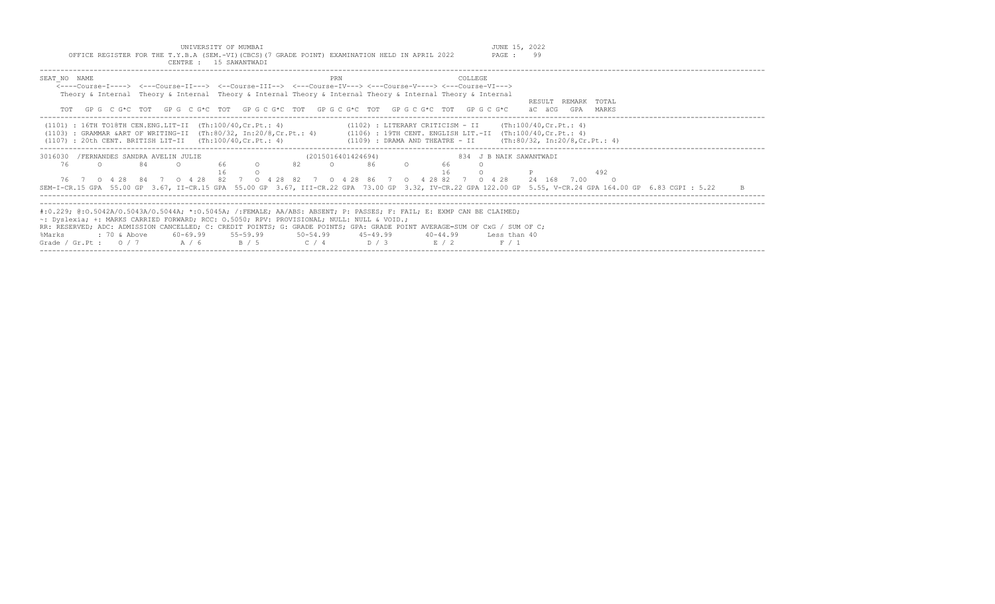|              | OFFICE REGISTER FOR THE T.Y.B.A (SEM.-VI)(CBCS)(7 GRADE POINT) EXAMINATION HELD IN APRIL 2022                              |    | CENTRE : 15 SAWANTWADI |              |    |                    |     |              |                                                                         |          |                | PAGE :                                                      | 99          |                                                                                                                                                             |              |
|--------------|----------------------------------------------------------------------------------------------------------------------------|----|------------------------|--------------|----|--------------------|-----|--------------|-------------------------------------------------------------------------|----------|----------------|-------------------------------------------------------------|-------------|-------------------------------------------------------------------------------------------------------------------------------------------------------------|--------------|
| SEAT NO NAME |                                                                                                                            |    |                        |              |    |                    | PRN |              |                                                                         |          | <b>COLLEGE</b> |                                                             |             |                                                                                                                                                             |              |
|              | <----Course-I----> <---Course-II---> <--Course-III--> <---Course-IV---> <---Course-V----> <---Course-VI--->                |    |                        |              |    |                    |     |              |                                                                         |          |                |                                                             |             |                                                                                                                                                             |              |
|              | Theory & Internal Theory & Internal Theory & Internal Theory & Internal Theory & Internal Theory & Internal                |    |                        |              |    |                    |     |              |                                                                         |          |                |                                                             |             |                                                                                                                                                             |              |
|              |                                                                                                                            |    |                        |              |    |                    |     |              |                                                                         |          |                |                                                             |             | RESULT REMARK TOTAL                                                                                                                                         |              |
| TOT          | GPG CG*C TOT GPG CG*C TOT GPGCG*C TOT GPGCG*C TOT GPGCG*C TOT GPGCG*C                                                      |    |                        |              |    |                    |     |              |                                                                         |          |                |                                                             | äC äCG      | GPA MARKS                                                                                                                                                   |              |
|              | $(1101)$ : 16TH TO18TH CEN.ENG.LIT-II $(Th:100/40, Cr.Pt.: 4)$                                                             |    |                        |              |    |                    |     |              |                                                                         |          |                | $(1102)$ : LITERARY CRITICISM - II (Th:100/40, Cr. Pt.: 4)  |             |                                                                                                                                                             |              |
|              | $(1103)$ : GRAMMAR & ART OF WRITING-II (Th:80/32, In:20/8, Cr.Pt.: 4)                                                      |    |                        |              |    |                    |     |              |                                                                         |          |                | (1106) : 19TH CENT. ENGLISH LIT.-II (Th:100/40, Cr. Pt.: 4) |             |                                                                                                                                                             |              |
|              | $(1107)$ : 20th CENT. BRITISH LIT-II $(Th:100/40, Cr.Pt.: 4)$                                                              |    |                        |              |    |                    |     |              |                                                                         |          |                |                                                             |             | $(1109)$ : DRAMA AND THEATRE - II $(Th:80/32, In:20/8, Cr.Pt.: 4)$                                                                                          |              |
|              |                                                                                                                            |    |                        |              |    |                    |     |              |                                                                         |          |                |                                                             |             |                                                                                                                                                             |              |
| 3016030      | /FERNANDES SANDRA AVELIN JULIE                                                                                             |    |                        |              |    | (2015016401424694) |     |              |                                                                         |          |                | 834 J B NAIK SAWANTWADI                                     |             |                                                                                                                                                             |              |
| 76           | $\Omega$                                                                                                                   | 84 | $\Omega$               | 66 0         | 82 | $\Omega$           |     | 86           | $\overline{O}$ and $\overline{O}$ and $\overline{O}$ and $\overline{O}$ | 66       |                |                                                             |             |                                                                                                                                                             |              |
|              |                                                                                                                            |    |                        |              |    |                    |     |              |                                                                         |          |                |                                                             |             | 492                                                                                                                                                         |              |
|              | 76 7 0 4 28 84 7 0 4 28 82 7 0 4 28 82 7 0 4 28 86 7 0 4 28 82 7 0 4 28                                                    |    |                        |              |    |                    |     |              |                                                                         |          |                |                                                             | 24 168 7.00 | $\circ$ 0                                                                                                                                                   |              |
|              |                                                                                                                            |    |                        |              |    |                    |     |              |                                                                         |          |                |                                                             |             | SEM-I-CR.15 GPA 55.00 GP 3.67, II-CR.15 GPA 55.00 GP 3.67, III-CR.22 GPA 73.00 GP 3.32, IV-CR.22 GPA 122.00 GP 5.55, V-CR.24 GPA 164.00 GP 6.83 CGPI : 5.22 | $\mathbb{R}$ |
|              |                                                                                                                            |    |                        |              |    |                    |     |              |                                                                         |          |                |                                                             |             |                                                                                                                                                             |              |
|              | #:0.229; @:0.5042A/0.5043A/0.5044A; *:0.5045A; /:FEMALE; AA/ABS: ABSENT; P: PASSES; F: FAIL; E: EXMP CAN BE CLAIMED;       |    |                        |              |    |                    |     |              |                                                                         |          |                |                                                             |             |                                                                                                                                                             |              |
|              | $\sim$ : Dyslexia; +: MARKS CARRIED FORWARD; RCC: 0.5050; RPV: PROVISIONAL; NULL: NULL & VOID.;                            |    |                        |              |    |                    |     |              |                                                                         |          |                |                                                             |             |                                                                                                                                                             |              |
|              | RR: RESERVED; ADC: ADMISSION CANCELLED; C: CREDIT POINTS; G: GRADE POINTS; GPA: GRADE POINT AVERAGE=SUM OF CxG / SUM OF C; |    |                        |              |    |                    |     |              |                                                                         |          |                |                                                             |             |                                                                                                                                                             |              |
| %Marks       | : 70 & Above                                                                                                               |    | $60 - 69.99$           | $55 - 59.99$ |    | $50 - 54.99$       |     | $45 - 49.99$ |                                                                         | 40-44.99 |                | Less than 40                                                |             |                                                                                                                                                             |              |
|              | Grade / Gr.Pt : $0/7$                                                                                                      |    | A / 6                  | B / 5        |    | C / 4              |     | D / 3        |                                                                         | E/2      |                | F / 1                                                       |             |                                                                                                                                                             |              |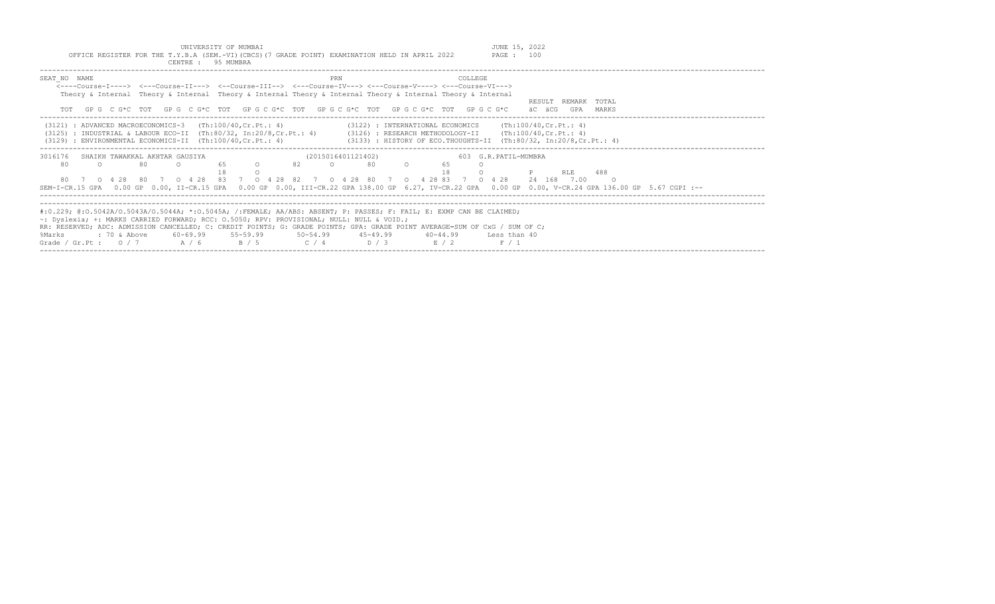| UNIVERSITY OF MUMBAI<br>OFFICE REGISTER FOR THE T.Y.B.A (SEM.-VI)(CBCS)(7 GRADE POINT) EXAMINATION HELD IN APRIL 2022<br>CENTRE : 95 MUMBRA                                                                                                                                                                                    |                                                                                                                                                                          | JUNE 15, 2022<br>PAGE : 100                   |
|--------------------------------------------------------------------------------------------------------------------------------------------------------------------------------------------------------------------------------------------------------------------------------------------------------------------------------|--------------------------------------------------------------------------------------------------------------------------------------------------------------------------|-----------------------------------------------|
| SEAT NO NAME<br><----Course-I----> <---Course-II---> <--Course-III--> <---Course-IV---> <---Course-V----> <---Course-VI---><br>Theory & Internal Theory & Internal Theory & Internal Theory & Internal Theory & Internal Theory & Internal<br>GPG CG*C TOT GPG CG*C TOT GPG CG*C TOT GPG CG*C TOT GPG CG*C TOT GPG CG*C<br>TOT | <b>COLLEGE</b><br>PRN                                                                                                                                                    | RESULT REMARK TOTAL<br>äC äCG<br>GPA<br>MARKS |
| $(3121)$ : ADVANCED MACROECONOMICS-3 $(Th:100/40, Cr.Pt.: 4)$<br>$(3125)$ : INDUSTRIAL & LABOUR ECO-II $(Th:80/32, In:20/8, Cr.Pt.: 4)$<br>$(3129)$ : ENVIRONMENTAL ECONOMICS-II $(Th:100/40, Cr.Pt.: 4)$                                                                                                                      | (3122) : INTERNATIONAL ECONOMICS<br>$(3126)$ : RESEARCH METHODOLOGY-II (Th:100/40, Cr. Pt.: 4)<br>$(3133)$ : HISTORY OF ECO.THOUGHTS-II $(Th:80/32, In:20/8, Cr.Pt.: 4)$ | (Th:100/40, Cr.Pt.: 4)                        |
| SHAIKH TAWAKKAL AKHTAR GAUSIYA<br>3016176                                                                                                                                                                                                                                                                                      | (2015016401121402)                                                                                                                                                       | 603 G.R.PATIL-MUMBRA                          |

|  | 80 0 65 0 82 0 |  | 80 O |  |                                                                                                                                                       |  |
|--|----------------|--|------|--|-------------------------------------------------------------------------------------------------------------------------------------------------------|--|
|  |                |  |      |  | <b>P</b> RT.F. 488                                                                                                                                    |  |
|  |                |  |      |  | 80 7 0 4 28 80 7 0 4 28 83 7 0 4 28 82 7 0 4 28 80 7 0 4 28 83 7 0 4 28 24 168 7.00 0                                                                 |  |
|  |                |  |      |  | SEM-I-CR.15 GPA 0.00 GP 0.00, II-CR.15 GPA 0.00 GP 0.00, III-CR.22 GPA 138.00 GP 6.27, IV-CR.22 GPA 0.00 GP 0.00, V-CR.24 GPA 136.00 GP 5.67 CGPI :-- |  |

|                                    |  | #:0.229; @:0.5042A/O.5043A/O.5044A; *:0.5045A; /:FEMALE; AA/ABS: ABSENT; P: PASSES; F: FAIL; E: EXMP CAN BE CLAIMED;       |            |              |              |  |
|------------------------------------|--|----------------------------------------------------------------------------------------------------------------------------|------------|--------------|--------------|--|
|                                    |  | $\sim$ : Dyslexia; +: MARKS CARRIED FORWARD; RCC: 0.5050; RPV: PROVISIONAL; NULL: NULL & VOID.;                            |            |              |              |  |
|                                    |  | RR: RESERVED; ADC: ADMISSION CANCELLED; C: CREDIT POINTS; G: GRADE POINTS; GPA: GRADE POINT AVERAGE=SUM OF CxG / SUM OF C; |            |              |              |  |
|                                    |  | %Marks     : 70 & Above    60-69.99    55-59.99     50-54.99     45-49.99     40-44.99                                     |            |              | Less than 40 |  |
| Grade / Gr. Pt : $0/7$ $A/6$ $B/5$ |  | C/4                                                                                                                        | $\sqrt{3}$ | <b>E</b> / 2 |              |  |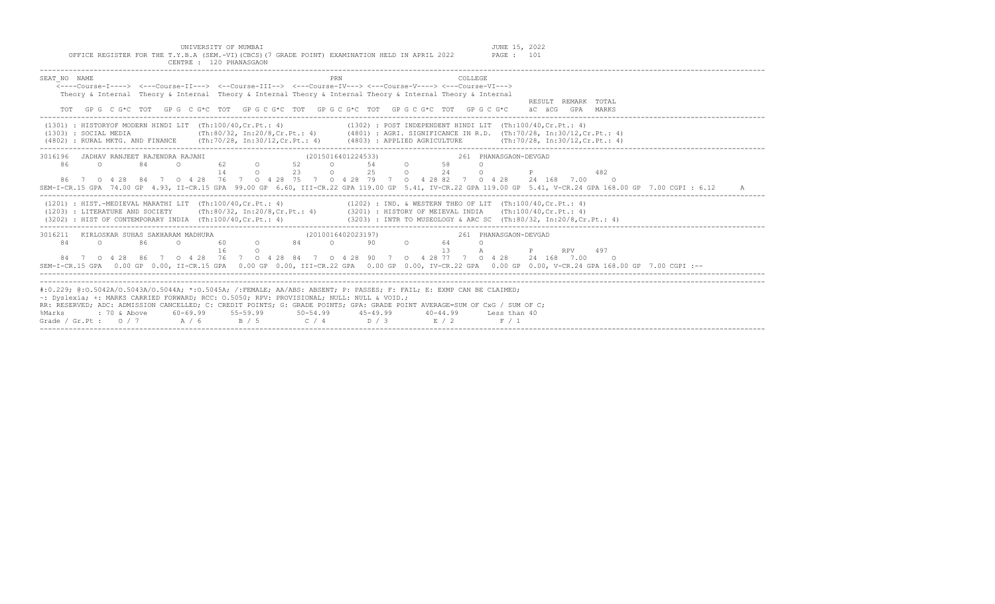| TAN LUMMADAM                                                                                                                                                                                                                                                                                                                                                                                                                                                                                                           |
|------------------------------------------------------------------------------------------------------------------------------------------------------------------------------------------------------------------------------------------------------------------------------------------------------------------------------------------------------------------------------------------------------------------------------------------------------------------------------------------------------------------------|
| SEAT NO NAME<br>PRN<br>COLLEGE<br>$\leftarrow--$ Course-T----> $\leftarrow--$ Course-TT---> $\leftarrow--$ Course-TTT--> $\leftarrow--$ Course-TV---> $\leftarrow--$ Course-V----> $\leftarrow--$ Course-VT---><br>Theory & Internal Theory & Internal Theory & Internal Theory & Internal Theory & Internal Theory & Internal<br>RESULT REMARK TOTAL<br>GP G C G*C TOT GP G C G*C TOT GP G C G*C TOT GP G C G*C TOT GP G C G*C TOT GP G C G*C<br>GPA MARKS<br>äC äCG                                                  |
| $(1301)$ : HISTORYOF MODERN HINDI LIT (Th:100/40, Cr. Pt.: 4)<br>$(1302)$ : POST INDEPENDENT HINDI LIT $(Th:100/40, Cr.Pt.: 4)$<br>(Th:80/32, In:20/8, Cr.Pt.: 4) (4801): AGRI. SIGNIFICANCE IN R.D. (Th:70/28, In:30/12, Cr.Pt.: 4)<br>(1303) : SOCIAL MEDIA<br>(4802) : RURAL MKTG. AND FINANCE (Th:70/28, In:30/12, Cr. Pt.: 4) (4803) : APPLIED AGRICULTURE (Th:70/28, In:30/12, Cr. Pt.: 4)                                                                                                                       |
| 3016196<br>JADHAV RANJEET RAJENDRA RAJANI<br>(2015016401224533)<br>261 PHANASGAON-DEVGAD<br>62 0<br>54 0<br>86<br>84<br>52<br>58<br>$\Omega$<br>$\Omega$<br>$\circ$<br>$\Omega$<br>2.5<br>$\degree$ 0 24<br>23<br>$\Omega$<br>14<br>$\circ$<br>482<br>$\Omega$<br>86 7 0 4 28 84 7 0 4 28 76 7 0 4 28 75 7 0 4 28 79 7 0 4 28 82 7 0 4 28 24 168 7.00 0<br>SEM-I-CR.15 GPA 74.00 GP 4.93, II-CR.15 GPA 99.00 GP 6.60, III-CR.22 GPA 119.00 GP 5.41, IV-CR.22 GPA 119.00 GP 5.41, V-CR.24 GPA 168.00 GP 7.00 CGPI: 6.12 |
| $(1201)$ : HIST.-MEDIEVAL MARATHI LIT $(Th:100/40, Cr.Pt.: 4)$<br>(1202) : IND. & WESTERN THEO OF LIT (Th:100/40, Cr. Pt.: 4)<br>(1203) : LITERATURE AND SOCIETY (Th:80/32, In:20/8, Cr. Pt.: 4) (3201) : HISTORY OF MEIEVAL INDIA (Th:100/40, Cr. Pt.: 4)<br>(3202) : HIST OF CONTEMPORARY INDIA (Th:100/40, Cr. Pt.: 4)<br>(3203) : INTR TO MUSEOLOGY & ARC SC (Th:80/32, In:20/8, Cr. Pt.: 4)                                                                                                                       |
| 3016211 KIRLOSKAR SUHAS SAKHARAM MADHURA<br>(2010016402023197)<br>261 PHANASGAON-DEVGAD<br>60 0 84 0<br>$\overline{a}$<br>64 64<br>84<br>$\Omega$<br>86<br>90<br>$\Omega$<br>$\Omega$<br>13<br>497<br>16<br>A<br><b>RPV</b><br>$P$ and $P$<br>$\Omega$<br>84 7 0 4 28 86 7 0 4 28 76 7 0 4 28 84 7 0 4 28 90 7 0 4 28 77 7 0 4 28 24 168 7.00<br>$\circ$ 0<br>SEM-I-CR.15 GPA 0.00 GP 0.00. II-CR.15 GPA 0.00 GP 0.00, III-CR.22 GPA 0.00 GP 0.00, IV-CR.22 GPA 0.00 GP 0.00, V-CR.24 GPA 168.00 GP 7.00 CGPI :--      |
| #:0.229; @:0.5042A/0.5043A/0.5044A; *:0.5045A; /:FEMALE; AA/ABS: ABSENT; P: PASSES; F: FAIL; E: EXMP CAN BE CLAIMED;<br>~: Dyslexia; +: MARKS CARRIED FORWARD; RCC: 0.5050; RPV: PROVISIONAL; NULL: NULL & VOID.;<br>RR: RESERVED; ADC: ADMISSION CANCELLED; C: CREDIT POINTS; G: GRADE POINTS; GPA: GRADE POINT AVERAGE=SUM OF CxG / SUM OF C;<br>%Marks<br>$40 - 44.99$<br>Less than 40<br>$B / 5$ $C / 4$ $D / 3$ $E / 2$<br>Grade / Gr.Pt: $0/7$ A/6<br>F / 1                                                      |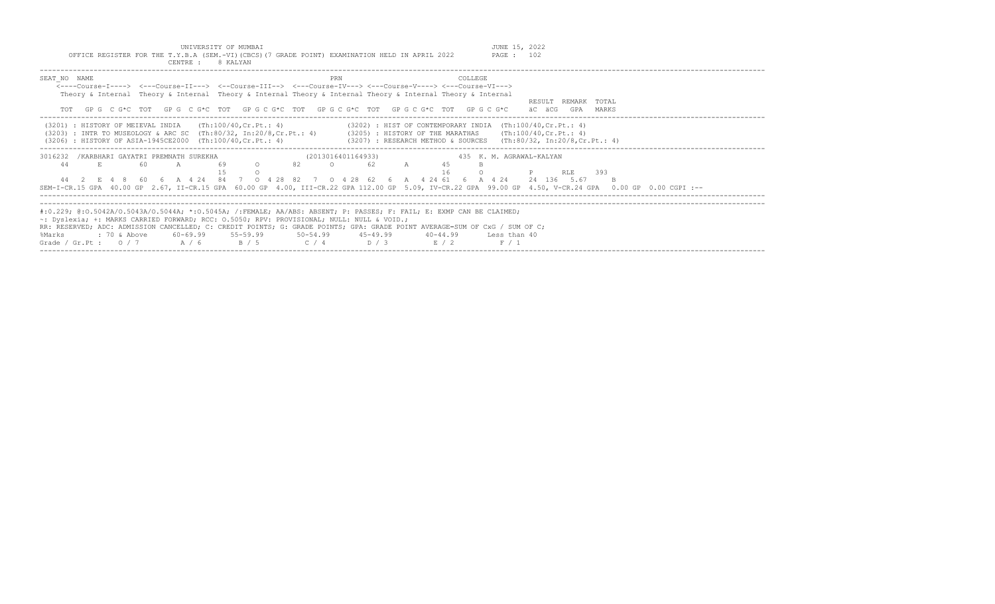UNIVERSITY OF MUMBAI<br>Y.B.A (SEM.-VI)(CBCS)(7 GRADE POINT) EXAMINATION HELD IN APRIL 2022 PAGE : 102 OFFICE REGISTER FOR THE T.Y.B.A (SEM.-VI)(CBCS)(7 GRADE POINT) EXAMINATION HELD IN APRIL 2022

| CENTRE :<br>8 KALYAN                                                                                                                                            |                                                                                                                                                                                                                                                                                                                                                                           |
|-----------------------------------------------------------------------------------------------------------------------------------------------------------------|---------------------------------------------------------------------------------------------------------------------------------------------------------------------------------------------------------------------------------------------------------------------------------------------------------------------------------------------------------------------------|
| SEAT NO NAME                                                                                                                                                    | COLLEGE.<br>PRN<br><----Course-I----> <---Course-II---> <--Course-III--> <---Course-IV---> <---Course-V----> <---Course-VI---><br>Theory & Internal Theory & Internal Theory & Internal Theory & Internal Theory & Internal Theory & Internal<br>RESULT REMARK TOTAL<br>TOT GPG CG*C TOT GPG CG*C TOT GPG CG*C TOT GPG CG*C TOT GPG CG*C TOT GPG CG*C<br>äC äCG GPA MARKS |
| $(3201)$ : HISTORY OF MEIEVAL INDIA $(Th:100/40, Cr.Pt.: 4)$<br>(3206) : HISTORY OF ASIA-1945CE2000 (Th:100/40, Cr. Pt.: 4)                                     | $(3202)$ : HIST OF CONTEMPORARY INDIA $(Th:100/40, Cr.Pt.: 4)$<br>(3203) : INTR TO MUSEOLOGY & ARC SC (Th:80/32, In:20/8,Cr.Pt.: 4) (3205) : HISTORY OF THE MARATHAS (Th:100/40,Cr.Pt.: 4)<br>$(3207)$ : RESEARCH METHOD & SOURCES (Th:80/32, In:20/8,Cr.Pt.: 4)                                                                                                          |
| 3016232 / KARBHARI GAYATRI PREMNATH SUREKHA<br>E<br>$\circ$<br>44<br>- 60<br>$\overline{A}$                                                                     | (2013016401164933)<br>435 K.M. AGRAWAL-KALYAN<br>82 O 62 A<br><b>P</b> RLE 393<br>44  2  E  4  8  60  6  A  4  24  84  7  0  4  28  82  7  0  4  28  62  6  A  4  24  61  6  A  4  24  24  136  5.67<br>SEM-I-CR.15 GPA 40.00 GP 2.67, II-CR.15 GPA 60.00 GP 4.00, III-CR.22 GPA 112.00 GP 5.09, IV-CR.22 GPA 99.00 GP 4.50, V-CR.24 GPA 0.00 GP 0.00 CGPI :--            |
| $\sim$ : Dyslexia; +: MARKS CARRIED FORWARD; RCC: 0.5050; RPV: PROVISIONAL; NULL: NULL & VOID.;<br>%Marks<br>Grade / Gr.Pt: $0/7$ $A/6$ $B/5$ $C/4$ $D/3$ $E/2$ | #:0.229; @:0.5042A/0.5043A/0.5044A; *:0.5045A; /:FEMALE; AA/ABS: ABSENT; P: PASSES; F: FAIL; E: EXMP CAN BE CLAIMED;<br>RR: RESERVED; ADC: ADMISSION CANCELLED; C: CREDIT POINTS; G: GRADE POINTS; GPA: GRADE POINT AVERAGE=SUM OF CxG / SUM OF C;<br>40-44.99 Less than 40<br>F / 1                                                                                      |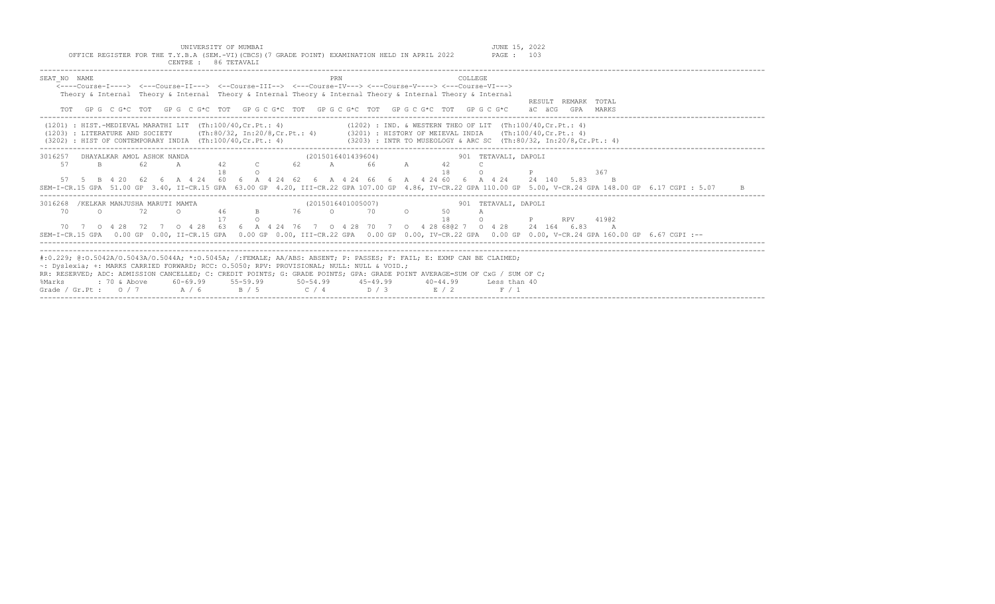| UNIVERSITY OF MUMBAI<br>OFFICE REGISTER FOR THE T.Y.B.A (SEM.-VI) (CBCS) (7 GRADE POINT) EXAMINATION HELD IN APRIL 2022<br>CENTRE : 86 TETAVALI                                                                                                                                                                                                                                                                                                                                                                       | JUNE 15, 2022<br><b>PAGE : 103</b>                                                                                                                                                                                                                                                                                                                                                               |
|-----------------------------------------------------------------------------------------------------------------------------------------------------------------------------------------------------------------------------------------------------------------------------------------------------------------------------------------------------------------------------------------------------------------------------------------------------------------------------------------------------------------------|--------------------------------------------------------------------------------------------------------------------------------------------------------------------------------------------------------------------------------------------------------------------------------------------------------------------------------------------------------------------------------------------------|
| SEAT NO NAME<br>COLLEGE<br><b>PRN</b><br><----Course-I----> <---Course-II---> <--Course-III--> <---Course-IV---> <---Course-V----> <---Course-VI---><br>Theory & Internal Theory & Internal Theory & Internal Theory & Internal Theory & Internal Theory & Internal<br>TOT GPG CG*C TOT GPG CG*C TOT GPG CG*C TOT GPG CG*C TOT GPG CG*C TOT GPG CG*C                                                                                                                                                                  | RESULT REMARK TOTAL<br>äC äCG GPA MARKS                                                                                                                                                                                                                                                                                                                                                          |
| (1202) : IND. & WESTERN THEO OF LIT (Th:100/40.Cr.Pt.: 4)<br>$(1201)$ : HIST.-MEDIEVAL MARATHI LIT  (Th:100/40, Cr.Pt.: 4)<br>(1203) : LITERATURE AND SOCIETY (Th:80/32, In:20/8, Cr.Pt.: 4) (3201) : HISTORY OF MEIEVAL INDIA (Th:100/40, Cr.Pt.: 4)<br>(3203) : INTR TO MUSEOLOGY & ARC SC (Th:80/32, In:20/8, Cr. Pt.: 4)<br>$(3202)$ : HIST OF CONTEMPORARY INDIA $(Th:100/40, Cr.Pt.: 4)$                                                                                                                        |                                                                                                                                                                                                                                                                                                                                                                                                  |
| (2015016401439604) 901 TETAVALI, DAPOLI<br>3016257 DHAYALKAR AMOL ASHOK NANDA<br>42 C<br>62 A 66 A<br>57<br>B.<br>62.<br>$\mathbb{A}$<br>42<br>18<br>18<br>$\cap$<br>57 5 B 4 20 62 6 A 4 24 60 6 A 4 24 62 6 A 4 24 66 6 A 4 24 60 6 A 4 24 24 140 5.83 B<br>SEM-I-CR.15 GPA 51.00 GP 3.40, II-CR.15 GPA 63.00 GP 4.20, III-CR.22 GPA 107.00 GP 4.86, IV-CR.22 GPA 110.00 GP 5.00, V-CR.24 GPA 148.00 GP 6.17 CGPI : 5.07                                                                                            | 367                                                                                                                                                                                                                                                                                                                                                                                              |
| (2015016401005007)<br>3016268<br>/KELKAR MANJUSHA MARUTI MAMTA<br>46<br>76 0 70 0<br>$\Omega$<br>72<br>50<br>70<br>$\cap$<br>$\overline{B}$<br>18<br>$\cap$<br>$\circ$<br>70 7 0 4 28 72 7 0 4 28 63 6 A 4 24 76 7 0 4 28 70 7 0 4 28 6802 7 0 4 28 24 164 6.83<br>SEM-I-CR.15 GPA 0.00 GP 0.00, II-CR.15 GPA 0.00 GP 0.00, III-CR.22 GPA 0.00 GP 0.00, IV-CR.22 GPA 0.00 GP 0.00, V-CR.24 GPA 160.00 GP 6.67 CGPI :--                                                                                                | 901 TETAVALI, DAPOLI<br>41902<br>$\mathbb P$ and $\mathbb P$ and $\mathbb P$ and $\mathbb P$ and $\mathbb P$ and $\mathbb P$ and $\mathbb P$ and $\mathbb P$ and $\mathbb P$ and $\mathbb P$ and $\mathbb P$ and $\mathbb P$ and $\mathbb P$ and $\mathbb P$ and $\mathbb P$ and $\mathbb P$ and $\mathbb P$ and $\mathbb P$ and $\mathbb P$ and $\mathbb P$ and<br><b>RPV</b><br>$\overline{A}$ |
| #:0.229; @:0.5042A/0.5043A/0.5044A; *:0.5045A; /:FEMALE; AA/ABS: ABSENT; P: PASSES; F: FAIL; E: EXMP CAN BE CLAIMED;<br>$\sim$ : Dyslexia; +: MARKS CARRIED FORWARD; RCC: 0.5050; RPV: PROVISIONAL; NULL: NULL & VOID.;<br>RR: RESERVED; ADC: ADMISSION CANCELLED; C: CREDIT POINTS; G: GRADE POINTS; GPA: GRADE POINT AVERAGE=SUM OF CxG / SUM OF C;<br>: 70 & Above<br>60-69.99 55-59.99<br>$50 - 54.99$<br>$45 - 49.99$<br>$40 - 44.99$<br>%Marks<br>Grade / Gr.Pt: $0/7$ A / 6<br>$C / 4$ D / 3<br>B / 5<br>E / 2 | Less than 40<br>F / 1                                                                                                                                                                                                                                                                                                                                                                            |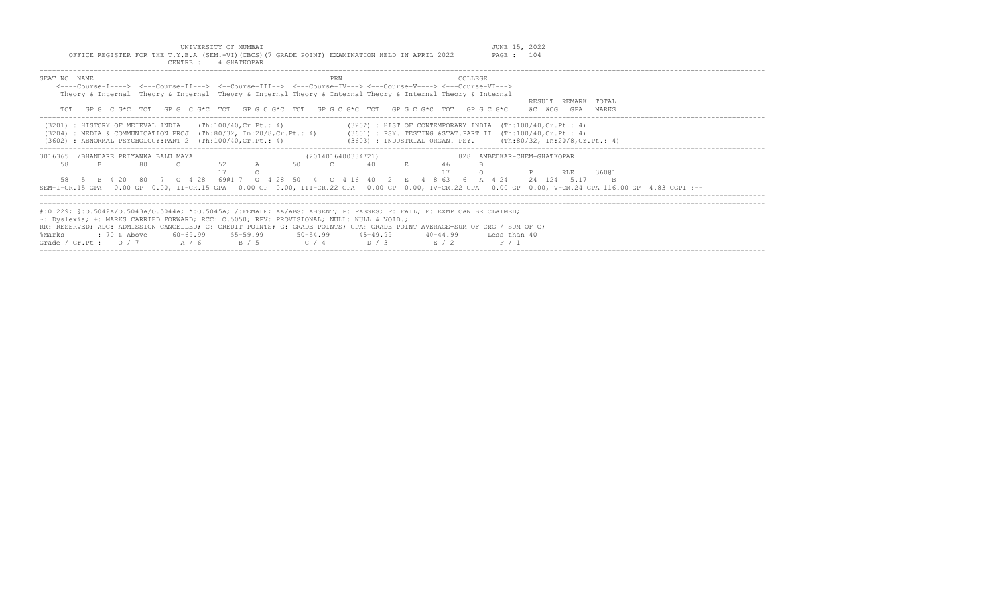|                                                                        | 4 GHATKOPAR<br>CENTRE :                                                                                                                                                |                                                                                                                                                                                                                                                                                                                         |                                                                                                                                                                                               |
|------------------------------------------------------------------------|------------------------------------------------------------------------------------------------------------------------------------------------------------------------|-------------------------------------------------------------------------------------------------------------------------------------------------------------------------------------------------------------------------------------------------------------------------------------------------------------------------|-----------------------------------------------------------------------------------------------------------------------------------------------------------------------------------------------|
| SEAT NO NAME                                                           | PRN<br>GPG C G*C TOT GPG C G*C TOT GPG C G*C TOT GPG C G*C TOT GPG C G*C TOT GPG C G*C                                                                                 | COLLEGE<br><----Course-T----> <---Course-TT---> <--Course-TTT--> <---Course-TV---> <---Course-V----> <---Course-VT---><br>Theory & Internal Theory & Internal Theory & Internal Theory & Internal Theory & Internal Theory & Internal                                                                                   | RESULT.<br>REMARK TOTAL<br>äC äCG<br>GPA<br>MARKS                                                                                                                                             |
| (3201) : HISTORY OF MEIEVAL INDIA<br>(3204)<br>(3602)                  | (Th:100/40, Cr.Pt.: 4)<br>: MEDIA & COMMUNICATION PROJ (Th:80/32, In:20/8, Cr. Pt.: 4)<br>: ABNORMAL PSYCHOLOGY: PART $2$ (Th: 100/40, Cr. Pt.: 4)                     | $(3202)$ : HIST OF CONTEMPORARY INDIA $(Th:100/40, Cr.Pt.: 4)$<br>(3601) : PSY. TESTING & STAT. PART II (Th:100/40, Cr. Pt.: 4)<br>$(3603)$ : INDUSTRIAL ORGAN. PSY. $(Th:80/32, In:20/8, Cr.Pt.: 4)$                                                                                                                   |                                                                                                                                                                                               |
| 3016365<br>/BHANDARE PRIYANKA BALU MAYA<br>58<br>80<br>SEM-I-CR.15 GPA | 52<br>50<br>$\mathbb{A}$<br>6901 7<br>$0 \t 4 \t 28$<br>-28<br>$\circ$ 4<br>-50                                                                                        | (2014016400334721)<br>828<br>40<br>46<br>8 63<br>416<br>424                                                                                                                                                                                                                                                             | AMBEDKAR-CHEM-GHATKOPAR<br>RLE<br>36001<br>24 124 5.17<br>0.00 GP 0.00, II-CR.15 GPA 0.00 GP 0.00, III-CR.22 GPA 0.00 GP 0.00, IV-CR.22 GPA 0.00 GP 0.00, V-CR.24 GPA 116.00 GP 4.83 CGPI :-- |
| : 70 & Above<br>%Marks<br>Grade / Gr.Pt : $0/7$                        | $\sim$ : Dyslexia; +: MARKS CARRIED FORWARD; RCC: 0.5050; RPV: PROVISIONAL; NULL: NULL & VOID.;<br>$55 - 59.99$<br>60-69.99<br>$50 - 54.99$<br>A / 6<br>B / 5<br>C / 4 | #:0.229; @:0.5042A/0.5043A/0.5044A; *:0.5045A; /:FEMALE; AA/ABS: ABSENT; P: PASSES; F: FAIL; E: EXMP CAN BE CLAIMED;<br>RR: RESERVED; ADC: ADMISSION CANCELLED; C: CREDIT POINTS; G: GRADE POINTS; GPA: GRADE POINT AVERAGE=SUM OF CxG / SUM OF C;<br>$45 - 49.99$<br>40-44.99<br>Less than 40<br>D / 3<br>E/2<br>F / 1 |                                                                                                                                                                                               |